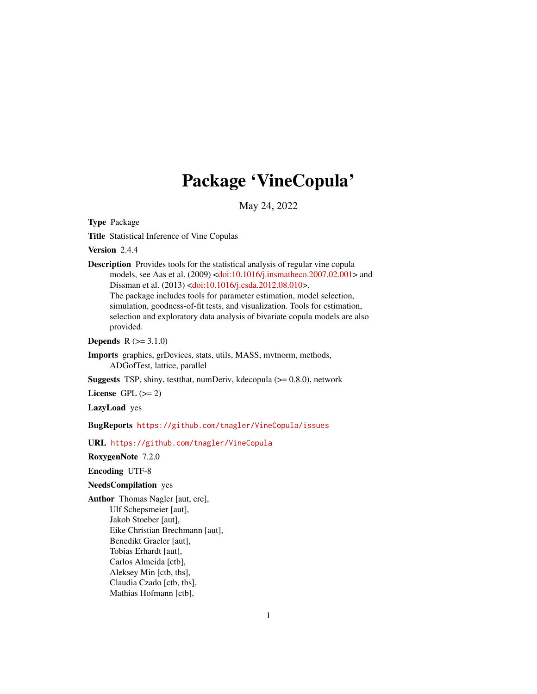# Package 'VineCopula'

May 24, 2022

Type Package

Title Statistical Inference of Vine Copulas

Version 2.4.4

Description Provides tools for the statistical analysis of regular vine copula models, see Aas et al. (2009) [<doi:10.1016/j.insmatheco.2007.02.001>](https://doi.org/10.1016/j.insmatheco.2007.02.001) and Dissman et al. (2013) [<doi:10.1016/j.csda.2012.08.010>](https://doi.org/10.1016/j.csda.2012.08.010). The package includes tools for parameter estimation, model selection, simulation, goodness-of-fit tests, and visualization. Tools for estimation, selection and exploratory data analysis of bivariate copula models are also provided.

**Depends**  $R (= 3.1.0)$ 

Imports graphics, grDevices, stats, utils, MASS, mvtnorm, methods, ADGofTest, lattice, parallel

**Suggests** TSP, shiny, testthat, numDeriv, kdecopula  $(>= 0.8.0)$ , network

License GPL  $(>= 2)$ 

LazyLoad yes

BugReports <https://github.com/tnagler/VineCopula/issues>

URL <https://github.com/tnagler/VineCopula>

RoxygenNote 7.2.0

Encoding UTF-8

#### NeedsCompilation yes

Author Thomas Nagler [aut, cre], Ulf Schepsmeier [aut], Jakob Stoeber [aut], Eike Christian Brechmann [aut], Benedikt Graeler [aut], Tobias Erhardt [aut], Carlos Almeida [ctb], Aleksey Min [ctb, ths], Claudia Czado [ctb, ths], Mathias Hofmann [ctb],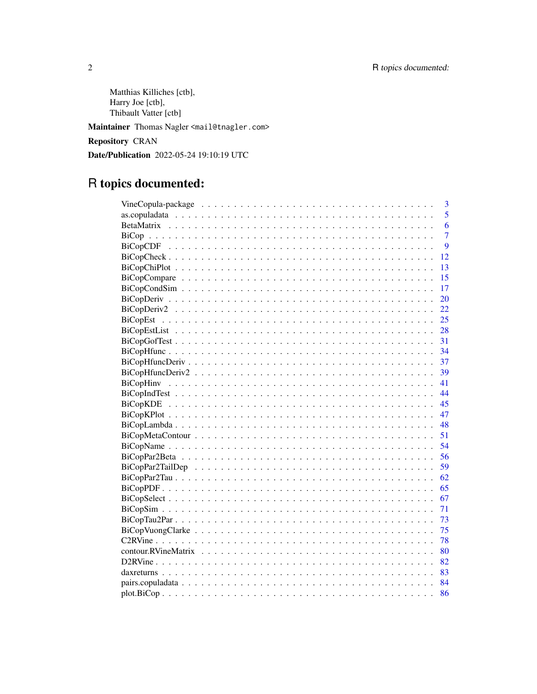Matthias Killiches [ctb], Harry Joe [ctb], Thibault Vatter [ctb]

Maintainer Thomas Nagler <mail@tnagler.com>

Repository CRAN

Date/Publication 2022-05-24 19:10:19 UTC

# R topics documented:

| 3              |
|----------------|
| 5              |
| 6              |
| $\overline{7}$ |
| 9              |
| 12             |
| 13             |
| 15             |
| 17             |
| 20             |
| 22             |
|                |
|                |
|                |
|                |
|                |
|                |
|                |
|                |
|                |
|                |
|                |
|                |
|                |
|                |
|                |
|                |
|                |
|                |
| - 71           |
| - 73           |
| - 75           |
| - 78           |
| - 80           |
| 82             |
|                |
|                |
|                |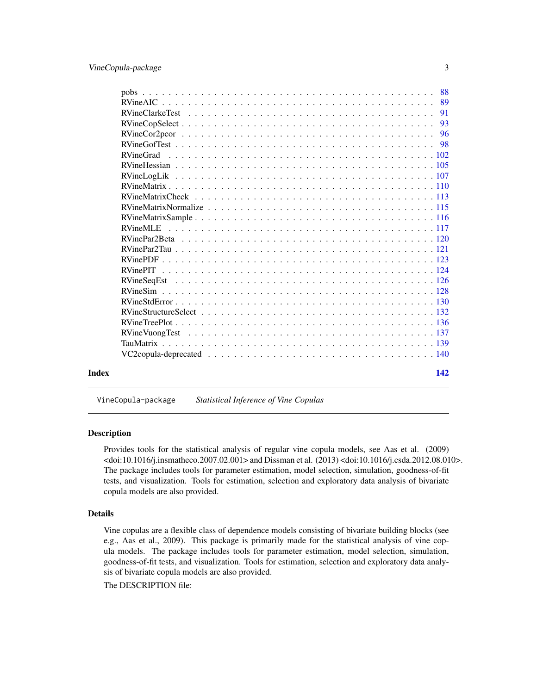<span id="page-2-0"></span>

|       | 88               |  |
|-------|------------------|--|
|       | 89               |  |
|       | 91               |  |
|       | 93               |  |
|       | 96               |  |
|       |                  |  |
|       | <b>RVineGrad</b> |  |
|       |                  |  |
|       |                  |  |
|       |                  |  |
|       |                  |  |
|       |                  |  |
|       |                  |  |
|       | <b>RVineMLE</b>  |  |
|       |                  |  |
|       |                  |  |
|       |                  |  |
|       |                  |  |
|       |                  |  |
|       |                  |  |
|       |                  |  |
|       |                  |  |
|       |                  |  |
|       |                  |  |
|       |                  |  |
|       |                  |  |
|       |                  |  |
| Index | 142              |  |
|       |                  |  |

VineCopula-package *Statistical Inference of Vine Copulas*

### Description

Provides tools for the statistical analysis of regular vine copula models, see Aas et al. (2009) <doi:10.1016/j.insmatheco.2007.02.001> and Dissman et al. (2013) <doi:10.1016/j.csda.2012.08.010>. The package includes tools for parameter estimation, model selection, simulation, goodness-of-fit tests, and visualization. Tools for estimation, selection and exploratory data analysis of bivariate copula models are also provided.

#### Details

Vine copulas are a flexible class of dependence models consisting of bivariate building blocks (see e.g., Aas et al., 2009). This package is primarily made for the statistical analysis of vine copula models. The package includes tools for parameter estimation, model selection, simulation, goodness-of-fit tests, and visualization. Tools for estimation, selection and exploratory data analysis of bivariate copula models are also provided.

The DESCRIPTION file: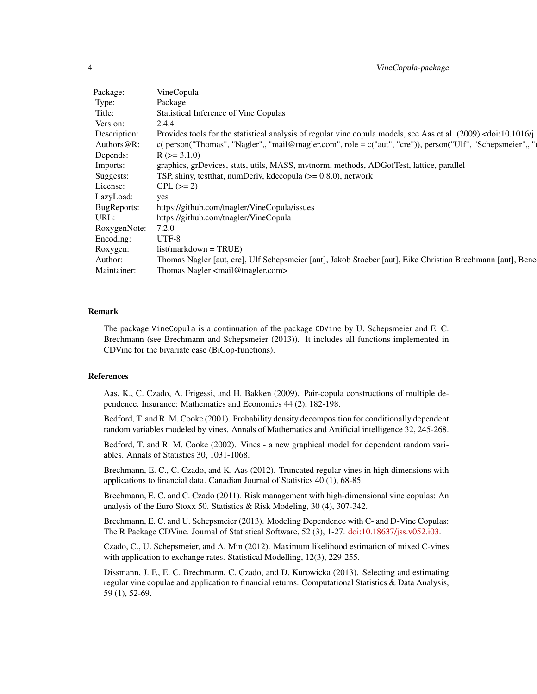| Package:           | VineCopula                                                                                                                                |
|--------------------|-------------------------------------------------------------------------------------------------------------------------------------------|
| Type:              | Package                                                                                                                                   |
| Title:             | <b>Statistical Inference of Vine Copulas</b>                                                                                              |
| Version:           | 2.4.4                                                                                                                                     |
| Description:       | Provides tools for the statistical analysis of regular vine copula models, see Aas et al. (2009) <doi:10.1016 j.<="" td=""></doi:10.1016> |
|                    | Authors@R: c(person("Thomas", "Nagler",, "mail@tnagler.com", role = c("aut", "cre")), person("Ulf", "Schepsmeier",, "                     |
| Depends:           | $R$ ( $>=$ 3.1.0)                                                                                                                         |
| Imports:           | graphics, grDevices, stats, utils, MASS, mvtnorm, methods, ADGofTest, lattice, parallel                                                   |
| Suggests:          | TSP, shiny, testthat, numDeriv, kdecopula (>= 0.8.0), network                                                                             |
| icense:            | $GPL (= 2)$                                                                                                                               |
| LazyLoad:          | yes                                                                                                                                       |
| <b>BugReports:</b> | https://github.com/tnagler/VineCopula/issues                                                                                              |
| JRL                | https://github.com/tnagler/VineCopula                                                                                                     |
| RoxygenNote: 7.2.0 |                                                                                                                                           |
| Encoding:          | UTF-8                                                                                                                                     |
| Roxygen:           | $list(maxkdown = TRUE)$                                                                                                                   |
| Author:            | Thomas Nagler [aut, cre], Ulf Schepsmeier [aut], Jakob Stoeber [aut], Eike Christian Brechmann [aut], Bene                                |
| Maintainer:        | Thomas Nagler <mail@tnagler.com></mail@tnagler.com>                                                                                       |
|                    |                                                                                                                                           |

#### Remark

The package VineCopula is a continuation of the package CDVine by U. Schepsmeier and E. C. Brechmann (see Brechmann and Schepsmeier (2013)). It includes all functions implemented in CDVine for the bivariate case (BiCop-functions).

#### References

Aas, K., C. Czado, A. Frigessi, and H. Bakken (2009). Pair-copula constructions of multiple dependence. Insurance: Mathematics and Economics 44 (2), 182-198.

Bedford, T. and R. M. Cooke (2001). Probability density decomposition for conditionally dependent random variables modeled by vines. Annals of Mathematics and Artificial intelligence 32, 245-268.

Bedford, T. and R. M. Cooke (2002). Vines - a new graphical model for dependent random variables. Annals of Statistics 30, 1031-1068.

Brechmann, E. C., C. Czado, and K. Aas (2012). Truncated regular vines in high dimensions with applications to financial data. Canadian Journal of Statistics 40 (1), 68-85.

Brechmann, E. C. and C. Czado (2011). Risk management with high-dimensional vine copulas: An analysis of the Euro Stoxx 50. Statistics & Risk Modeling, 30 (4), 307-342.

Brechmann, E. C. and U. Schepsmeier (2013). Modeling Dependence with C- and D-Vine Copulas: The R Package CDVine. Journal of Statistical Software, 52 (3), 1-27. [doi:10.18637/jss.v052.i03.](https://doi.org/10.18637/jss.v052.i03)

Czado, C., U. Schepsmeier, and A. Min (2012). Maximum likelihood estimation of mixed C-vines with application to exchange rates. Statistical Modelling, 12(3), 229-255.

Dissmann, J. F., E. C. Brechmann, C. Czado, and D. Kurowicka (2013). Selecting and estimating regular vine copulae and application to financial returns. Computational Statistics & Data Analysis, 59 (1), 52-69.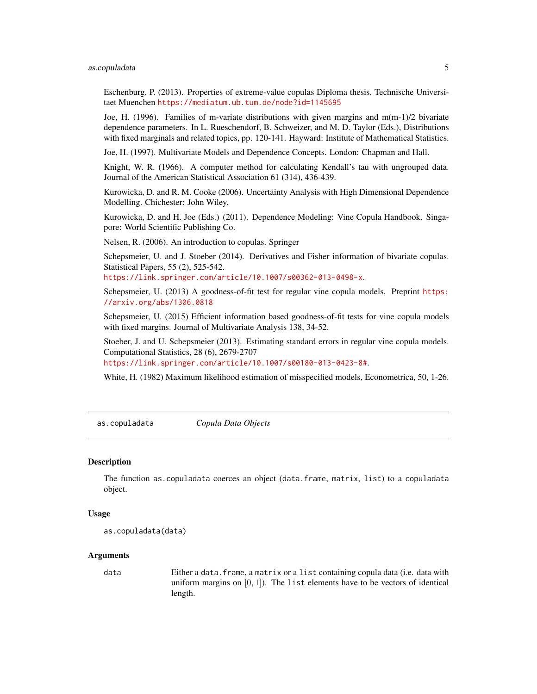#### <span id="page-4-0"></span>as.copuladata 5

Eschenburg, P. (2013). Properties of extreme-value copulas Diploma thesis, Technische Universitaet Muenchen <https://mediatum.ub.tum.de/node?id=1145695>

Joe, H. (1996). Families of m-variate distributions with given margins and m(m-1)/2 bivariate dependence parameters. In L. Rueschendorf, B. Schweizer, and M. D. Taylor (Eds.), Distributions with fixed marginals and related topics, pp. 120-141. Hayward: Institute of Mathematical Statistics.

Joe, H. (1997). Multivariate Models and Dependence Concepts. London: Chapman and Hall.

Knight, W. R. (1966). A computer method for calculating Kendall's tau with ungrouped data. Journal of the American Statistical Association 61 (314), 436-439.

Kurowicka, D. and R. M. Cooke (2006). Uncertainty Analysis with High Dimensional Dependence Modelling. Chichester: John Wiley.

Kurowicka, D. and H. Joe (Eds.) (2011). Dependence Modeling: Vine Copula Handbook. Singapore: World Scientific Publishing Co.

Nelsen, R. (2006). An introduction to copulas. Springer

Schepsmeier, U. and J. Stoeber (2014). Derivatives and Fisher information of bivariate copulas. Statistical Papers, 55 (2), 525-542.

<https://link.springer.com/article/10.1007/s00362-013-0498-x>.

Schepsmeier, U. (2013) A goodness-of-fit test for regular vine copula models. Preprint [https:](https://arxiv.org/abs/1306.0818) [//arxiv.org/abs/1306.0818](https://arxiv.org/abs/1306.0818)

Schepsmeier, U. (2015) Efficient information based goodness-of-fit tests for vine copula models with fixed margins. Journal of Multivariate Analysis 138, 34-52.

Stoeber, J. and U. Schepsmeier (2013). Estimating standard errors in regular vine copula models. Computational Statistics, 28 (6), 2679-2707

<https://link.springer.com/article/10.1007/s00180-013-0423-8#>.

White, H. (1982) Maximum likelihood estimation of misspecified models, Econometrica, 50, 1-26.

as.copuladata *Copula Data Objects*

#### Description

The function as.copuladata coerces an object (data.frame, matrix, list) to a copuladata object.

#### Usage

```
as.copuladata(data)
```
#### Arguments

data Either a data.frame, a matrix or a list containing copula data (i.e. data with uniform margins on  $[0, 1]$ ). The list elements have to be vectors of identical length.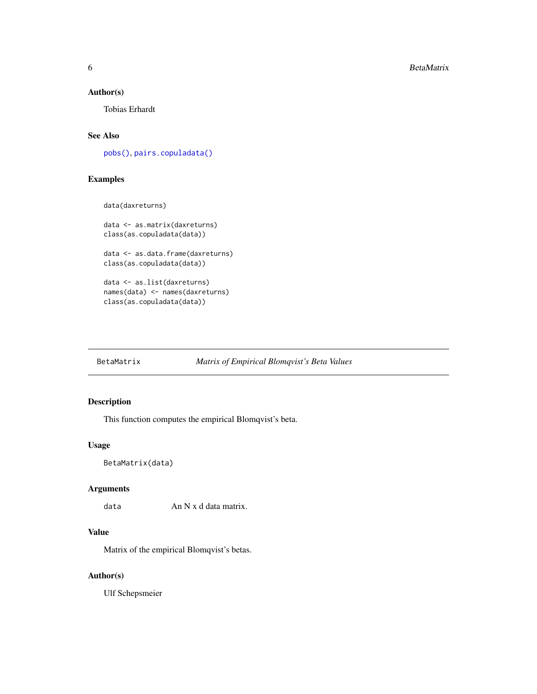#### <span id="page-5-0"></span>Author(s)

Tobias Erhardt

# See Also

[pobs\(\)](#page-87-1), [pairs.copuladata\(\)](#page-83-1)

# Examples

```
data(daxreturns)
```

```
data <- as.matrix(daxreturns)
class(as.copuladata(data))
data <- as.data.frame(daxreturns)
class(as.copuladata(data))
data <- as.list(daxreturns)
names(data) <- names(daxreturns)
class(as.copuladata(data))
```
# BetaMatrix *Matrix of Empirical Blomqvist's Beta Values*

#### Description

This function computes the empirical Blomqvist's beta.

#### Usage

```
BetaMatrix(data)
```
## Arguments

data  $\sum_{n=1}^{\infty}$  An N x d data matrix.

## Value

Matrix of the empirical Blomqvist's betas.

#### Author(s)

Ulf Schepsmeier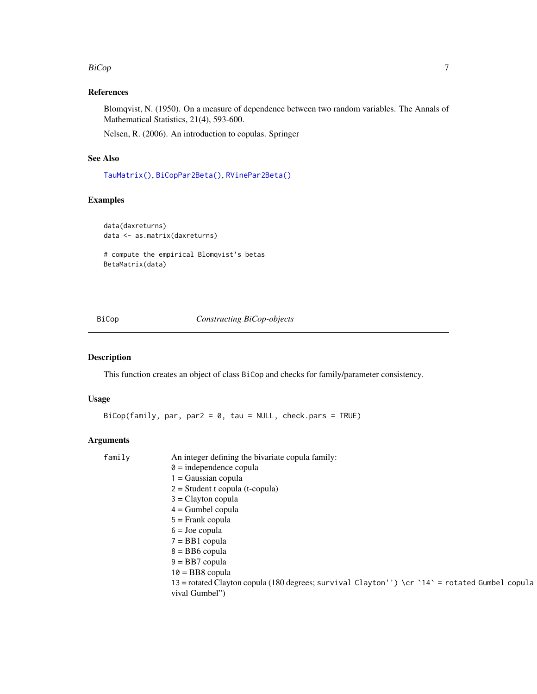#### <span id="page-6-0"></span>BiCop 2008 - 2009 - 2009 - 2009 - 2009 - 2009 - 2009 - 2009 - 2009 - 2009 - 2009 - 2009 - 2009 - 2009 - 2009 -

# References

Blomqvist, N. (1950). On a measure of dependence between two random variables. The Annals of Mathematical Statistics, 21(4), 593-600.

Nelsen, R. (2006). An introduction to copulas. Springer

# See Also

[TauMatrix\(\)](#page-138-1), [BiCopPar2Beta\(\)](#page-55-1), [RVinePar2Beta\(\)](#page-119-1)

# Examples

```
data(daxreturns)
data <- as.matrix(daxreturns)
```

```
# compute the empirical Blomqvist's betas
BetaMatrix(data)
```
<span id="page-6-1"></span>BiCop *Constructing BiCop-objects*

# Description

This function creates an object of class BiCop and checks for family/parameter consistency.

### Usage

 $BiCop(family, par, par2 = 0, tau = NULL, check.pars = TRUE)$ 

| family | An integer defining the bivariate copula family:                                               |
|--------|------------------------------------------------------------------------------------------------|
|        | $\theta$ = independence copula                                                                 |
|        | $1 = Gaussian copula$                                                                          |
|        | $2 = Student$ t copula (t-copula)                                                              |
|        | $3 =$ Clayton copula                                                                           |
|        | $4 =$ Gumbel copula                                                                            |
|        | $5 =$ Frank copula                                                                             |
|        | $6 =$ Joe copula                                                                               |
|        | $7 = BB1$ copula                                                                               |
|        | $8 = BB6$ copula                                                                               |
|        | $9 = BB7$ copula                                                                               |
|        | $10 = BB8$ copula                                                                              |
|        | 13 = rotated Clayton copula (180 degrees; survival Clayton'') \cr `14` = rotated Gumbel copula |
|        | vival Gumbel")                                                                                 |
|        |                                                                                                |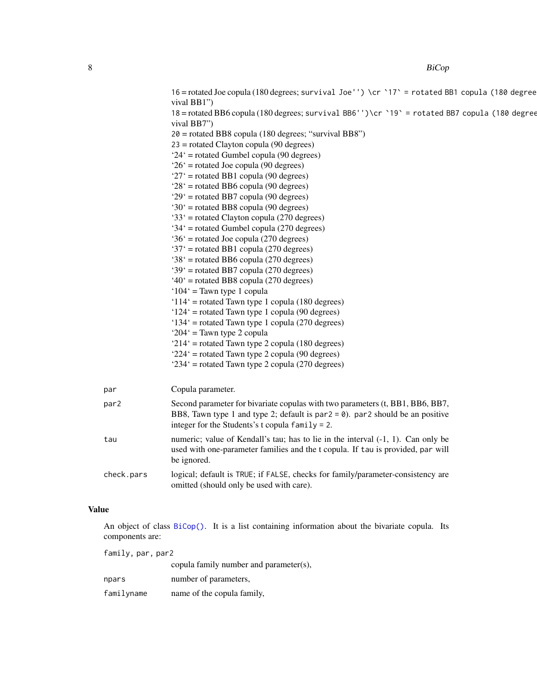|      |            | 16 = rotated Joe copula (180 degrees; survival Joe'') \cr `17' = rotated BB1 copula (180 degree<br>vival BB1") |
|------|------------|----------------------------------------------------------------------------------------------------------------|
|      |            | 18 = rotated BB6 copula (180 degrees; survival BB6'')\cr `19` = rotated BB7 copula (180 degree<br>vival BB7")  |
|      |            | $20 =$ rotated BB8 copula (180 degrees; "survival BB8")                                                        |
|      |            | $23$ = rotated Clayton copula (90 degrees)                                                                     |
|      |            | $24'$ = rotated Gumbel copula (90 degrees)                                                                     |
|      |            | $26'$ = rotated Joe copula (90 degrees)                                                                        |
|      |            | $27'$ = rotated BB1 copula (90 degrees)                                                                        |
|      |            | $28'$ = rotated BB6 copula (90 degrees)                                                                        |
|      |            | $29'$ = rotated BB7 copula (90 degrees)                                                                        |
|      |            | $30'$ = rotated BB8 copula (90 degrees)                                                                        |
|      |            | '33' = rotated Clayton copula (270 degrees)                                                                    |
|      |            | $34'$ = rotated Gumbel copula (270 degrees)                                                                    |
|      |            | '36' = rotated Joe copula (270 degrees)                                                                        |
|      |            | '37' = rotated BB1 copula (270 degrees)                                                                        |
|      |            | $38'$ = rotated BB6 copula (270 degrees)                                                                       |
|      |            | '39' = rotated BB7 copula (270 degrees)                                                                        |
|      |            | $40^{\circ}$ = rotated BB8 copula (270 degrees)                                                                |
|      |            | $104'$ = Tawn type 1 copula                                                                                    |
|      |            | ' $114$ ' = rotated Tawn type 1 copula (180 degrees)                                                           |
|      |            | $124'$ = rotated Tawn type 1 copula (90 degrees)                                                               |
|      |            | '134' = rotated Tawn type 1 copula (270 degrees)                                                               |
|      |            | ' $204$ ' = Tawn type 2 copula                                                                                 |
|      |            | $214'$ = rotated Tawn type 2 copula (180 degrees)                                                              |
|      |            | $224'$ = rotated Tawn type 2 copula (90 degrees)                                                               |
|      |            | $234'$ = rotated Tawn type 2 copula (270 degrees)                                                              |
| par  |            | Copula parameter.                                                                                              |
| par2 |            | Second parameter for bivariate copulas with two parameters (t, BB1, BB6, BB7,                                  |
|      |            | BB8, Tawn type 1 and type 2; default is $par2 = 0$ ). par2 should be an positive                               |
|      |            | integer for the Students's t copula $family = 2$ .                                                             |
| tau  |            | numeric; value of Kendall's tau; has to lie in the interval $(-1, 1)$ . Can only be                            |
|      |            | used with one-parameter families and the t copula. If tau is provided, par will                                |
|      |            | be ignored.                                                                                                    |
|      | check.pars | logical; default is TRUE; if FALSE, checks for family/parameter-consistency are                                |
|      |            | omitted (should only be used with care).                                                                       |
|      |            |                                                                                                                |

# Value

An object of class [BiCop\(\)](#page-6-1). It is a list containing information about the bivariate copula. Its components are:

family, par, par2 copula family number and parameter(s), npars number of parameters, familyname name of the copula family,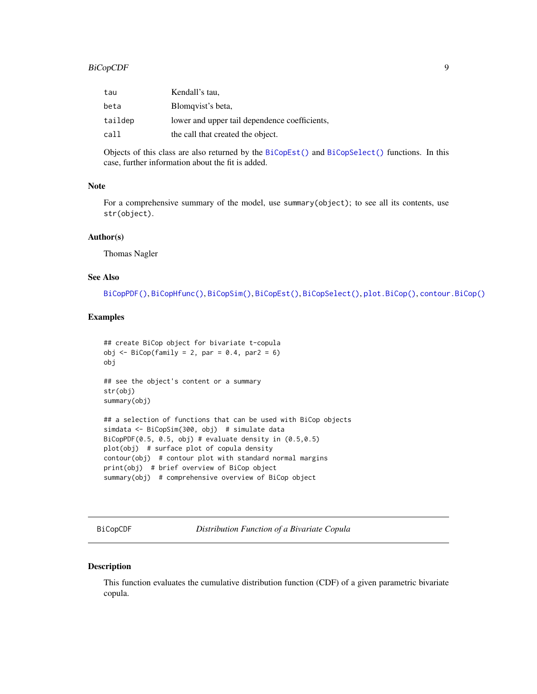<span id="page-8-0"></span>

| tau     | Kendall's tau,                                |
|---------|-----------------------------------------------|
| beta    | Blomqvist's beta,                             |
| taildep | lower and upper tail dependence coefficients, |
| call    | the call that created the object.             |

Objects of this class are also returned by the [BiCopEst\(\)](#page-24-1) and [BiCopSelect\(\)](#page-66-1) functions. In this case, further information about the fit is added.

#### Note

For a comprehensive summary of the model, use summary(object); to see all its contents, use str(object).

### Author(s)

Thomas Nagler

#### See Also

[BiCopPDF\(\)](#page-64-1), [BiCopHfunc\(\)](#page-33-1), [BiCopSim\(\)](#page-70-1), [BiCopEst\(\)](#page-24-1), [BiCopSelect\(\)](#page-66-1), [plot.BiCop\(\)](#page-85-1), [contour.BiCop\(\)](#page-85-2)

# Examples

```
## create BiCop object for bivariate t-copula
obj \leq BiCop(family = 2, par = 0.4, par2 = 6)
obj
## see the object's content or a summary
str(obj)
summary(obj)
## a selection of functions that can be used with BiCop objects
simdata <- BiCopSim(300, obj) # simulate data
BiCopPDF(0.5, 0.5, obj) # evaluate density in (0.5,0.5)
plot(obj) # surface plot of copula density
contour(obj) # contour plot with standard normal margins
print(obj) # brief overview of BiCop object
summary(obj) # comprehensive overview of BiCop object
```
<span id="page-8-1"></span>BiCopCDF *Distribution Function of a Bivariate Copula*

#### Description

This function evaluates the cumulative distribution function (CDF) of a given parametric bivariate copula.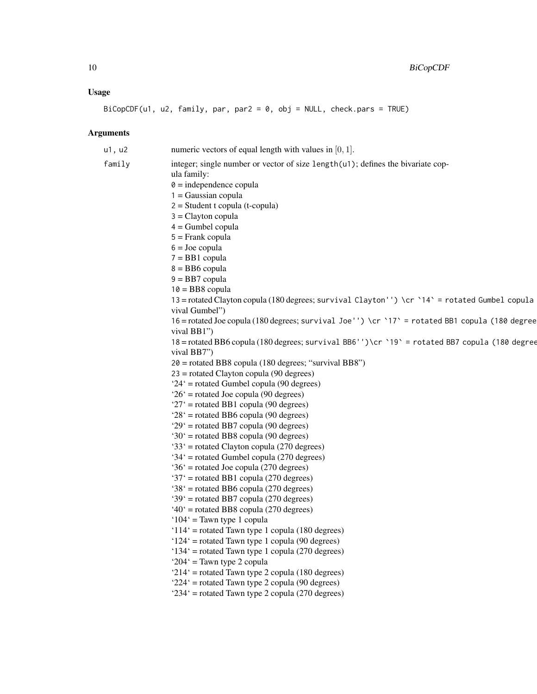# Usage

 $BiCopCDF(u1, u2, family, par, par2 = 0, obj = NULL, check.pars = TRUE)$ 

| u1, u2 | numeric vectors of equal length with values in $[0, 1]$ .                                                        |
|--------|------------------------------------------------------------------------------------------------------------------|
| family | integer; single number or vector of size length(u1); defines the bivariate cop-                                  |
|        | ula family:                                                                                                      |
|        | $\theta$ = independence copula                                                                                   |
|        | $1 = Gaussian copula$                                                                                            |
|        | $2 = Student$ t copula (t-copula)                                                                                |
|        | $3 =$ Clayton copula                                                                                             |
|        | $4 =$ Gumbel copula                                                                                              |
|        | $5 =$ Frank copula                                                                                               |
|        | $6 =$ Joe copula                                                                                                 |
|        | $7 = BB1$ copula                                                                                                 |
|        | $8 = BB6$ copula                                                                                                 |
|        | $9 = BB7$ copula                                                                                                 |
|        | $10 = BB8$ copula                                                                                                |
|        | 13 = rotated Clayton copula (180 degrees; survival Clayton'') \cr `14` = rotated Gumbel copula<br>vival Gumbel") |
|        | 16 = rotated Joe copula (180 degrees; survival Joe'') \cr `17' = rotated BB1 copula (180 degree                  |
|        | vival BB1")                                                                                                      |
|        | 18 = rotated BB6 copula (180 degrees; survival BB6'')\cr `19` = rotated BB7 copula (180 degree                   |
|        | vival BB7")                                                                                                      |
|        | $20$ = rotated BB8 copula (180 degrees; "survival BB8")                                                          |
|        | $23$ = rotated Clayton copula (90 degrees)                                                                       |
|        | $24'$ = rotated Gumbel copula (90 degrees)<br>$26'$ = rotated Joe copula (90 degrees)                            |
|        | $27'$ = rotated BB1 copula (90 degrees)                                                                          |
|        | $28'$ = rotated BB6 copula (90 degrees)                                                                          |
|        | $29'$ = rotated BB7 copula (90 degrees)                                                                          |
|        | '30' = rotated BB8 copula (90 degrees)                                                                           |
|        | '33' = rotated Clayton copula (270 degrees)                                                                      |
|        | '34' = rotated Gumbel copula (270 degrees)                                                                       |
|        | $36'$ = rotated Joe copula (270 degrees)                                                                         |
|        | '37' = rotated BB1 copula (270 degrees)                                                                          |
|        | $38'$ = rotated BB6 copula (270 degrees)                                                                         |
|        | '39' = rotated BB7 copula (270 degrees)                                                                          |
|        | $40^{\circ}$ = rotated BB8 copula (270 degrees)                                                                  |
|        | ' $104$ ' = Tawn type 1 copula                                                                                   |
|        | '114' = rotated Tawn type 1 copula (180 degrees)                                                                 |
|        | $124'$ = rotated Tawn type 1 copula (90 degrees)                                                                 |
|        | '134' = rotated Tawn type 1 copula (270 degrees)                                                                 |
|        | ' $204$ ' = Tawn type 2 copula                                                                                   |
|        | '214' = rotated Tawn type 2 copula (180 degrees)                                                                 |
|        | '224' = rotated Tawn type 2 copula (90 degrees)                                                                  |
|        | '234' = rotated Tawn type 2 copula (270 degrees)                                                                 |
|        |                                                                                                                  |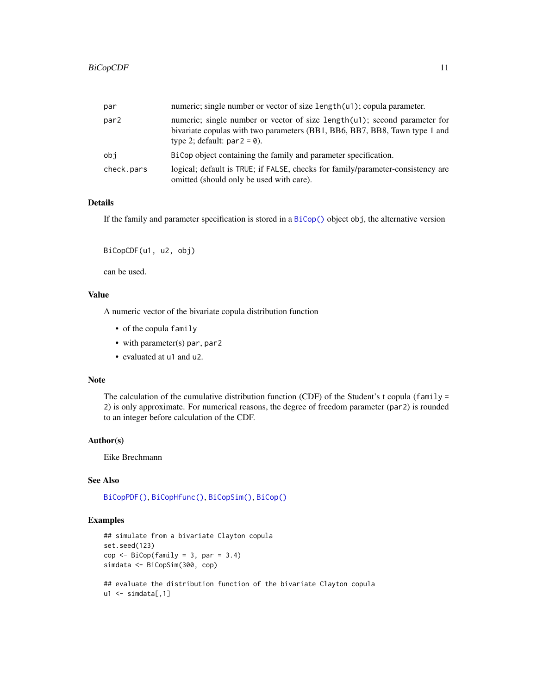| par              | numeric; single number or vector of size length(u1); copula parameter.                                                                                                                    |
|------------------|-------------------------------------------------------------------------------------------------------------------------------------------------------------------------------------------|
| par <sub>2</sub> | numeric; single number or vector of size length(u1); second parameter for<br>bivariate copulas with two parameters (BB1, BB6, BB7, BB8, Tawn type 1 and<br>type 2; default: $par2 = 0$ ). |
| obi              | BiCop object containing the family and parameter specification.                                                                                                                           |
| check.pars       | logical; default is TRUE; if FALSE, checks for family/parameter-consistency are<br>omitted (should only be used with care).                                                               |

#### Details

If the family and parameter specification is stored in a  $BiCop()$  object obj, the alternative version

```
BiCopCDF(u1, u2, obj)
```
can be used.

# Value

A numeric vector of the bivariate copula distribution function

- of the copula family
- with parameter(s) par, par2
- evaluated at u1 and u2.

## Note

The calculation of the cumulative distribution function (CDF) of the Student's t copula (family = 2) is only approximate. For numerical reasons, the degree of freedom parameter (par2) is rounded to an integer before calculation of the CDF.

#### Author(s)

Eike Brechmann

# See Also

[BiCopPDF\(\)](#page-64-1), [BiCopHfunc\(\)](#page-33-1), [BiCopSim\(\)](#page-70-1), [BiCop\(\)](#page-6-1)

# Examples

```
## simulate from a bivariate Clayton copula
set.seed(123)
cop \leq Bicop(family = 3, par = 3.4)simdata <- BiCopSim(300, cop)
```
## evaluate the distribution function of the bivariate Clayton copula  $u1 \leftarrow \text{simdata[, 1]}$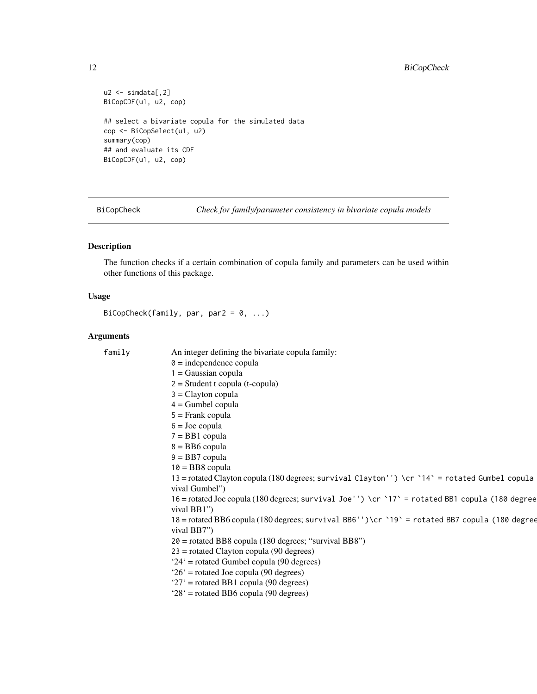# <span id="page-11-0"></span>12 BiCopCheck

```
u2 < - \text{simdata}[,2]
BiCopCDF(u1, u2, cop)
## select a bivariate copula for the simulated data
cop <- BiCopSelect(u1, u2)
summary(cop)
## and evaluate its CDF
BiCopCDF(u1, u2, cop)
```
BiCopCheck *Check for family/parameter consistency in bivariate copula models*

# Description

The function checks if a certain combination of copula family and parameters can be used within other functions of this package.

# Usage

```
BiCopCheck(family, par, par2 = 0, ...)
```

| family | An integer defining the bivariate copula family:                                                |
|--------|-------------------------------------------------------------------------------------------------|
|        | $\theta$ = independence copula                                                                  |
|        | $1 = Gaussian copula$                                                                           |
|        | $2 = Student$ t copula (t-copula)                                                               |
|        | $3 =$ Clayton copula                                                                            |
|        | $4 =$ Gumbel copula                                                                             |
|        | $5 =$ Frank copula                                                                              |
|        | $6 =$ Joe copula                                                                                |
|        | $7 = BB1$ copula                                                                                |
|        | $8 = BB6$ copula                                                                                |
|        | $9 = BB7$ copula                                                                                |
|        | $10 = BB$ copula                                                                                |
|        | 13 = rotated Clayton copula (180 degrees; survival Clayton'') \cr `14` = rotated Gumbel copula  |
|        | vival Gumbel")                                                                                  |
|        | 16 = rotated Joe copula (180 degrees; survival Joe'') \cr `17` = rotated BB1 copula (180 degree |
|        | vival BB1")                                                                                     |
|        | 18 = rotated BB6 copula (180 degrees; survival BB6'')\cr `19' = rotated BB7 copula (180 degree  |
|        | vival BB7")                                                                                     |
|        | 20 = rotated BB8 copula (180 degrees; "survival BB8")                                           |
|        | $23$ = rotated Clayton copula (90 degrees)                                                      |
|        | $24'$ = rotated Gumbel copula (90 degrees)                                                      |
|        | $26'$ = rotated Joe copula (90 degrees)                                                         |
|        | $27'$ = rotated BB1 copula (90 degrees)                                                         |
|        | $28'$ = rotated BB6 copula (90 degrees)                                                         |
|        |                                                                                                 |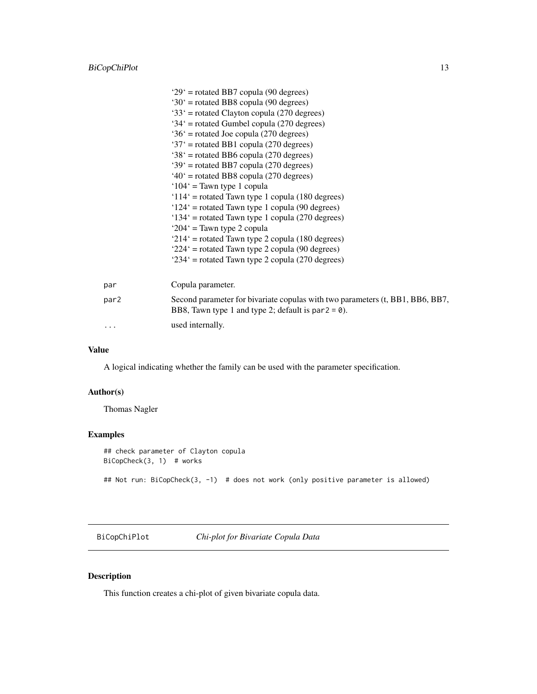<span id="page-12-0"></span>

|          | $29'$ = rotated BB7 copula (90 degrees)                                                                                                |
|----------|----------------------------------------------------------------------------------------------------------------------------------------|
|          | $30'$ = rotated BB8 copula (90 degrees)                                                                                                |
|          | $33'$ = rotated Clayton copula (270 degrees)                                                                                           |
|          | $34'$ = rotated Gumbel copula (270 degrees)                                                                                            |
|          | $36'$ = rotated Joe copula (270 degrees)                                                                                               |
|          | '37' = rotated BB1 copula (270 degrees)                                                                                                |
|          | $38'$ = rotated BB6 copula (270 degrees)                                                                                               |
|          | '39' = rotated BB7 copula (270 degrees)                                                                                                |
|          | $40^{\circ}$ = rotated BB8 copula (270 degrees)                                                                                        |
|          | $104'$ = Tawn type 1 copula                                                                                                            |
|          | ' $114$ ' = rotated Tawn type 1 copula (180 degrees)                                                                                   |
|          | $124'$ = rotated Tawn type 1 copula (90 degrees)                                                                                       |
|          | '134' = rotated Tawn type 1 copula (270 degrees)                                                                                       |
|          | ' $204$ ' = Tawn type 2 copula                                                                                                         |
|          | $214'$ = rotated Tawn type 2 copula (180 degrees)                                                                                      |
|          | '224' = rotated Tawn type 2 copula (90 degrees)                                                                                        |
|          | '234' = rotated Tawn type 2 copula (270 degrees)                                                                                       |
| par      | Copula parameter.                                                                                                                      |
| par2     | Second parameter for bivariate copulas with two parameters (t, BB1, BB6, BB7,<br>BB8, Tawn type 1 and type 2; default is par $2 = 0$ . |
| $\ddots$ | used internally.                                                                                                                       |

#### Value

A logical indicating whether the family can be used with the parameter specification.

#### Author(s)

Thomas Nagler

#### Examples

## check parameter of Clayton copula BiCopCheck(3, 1) # works ## Not run: BiCopCheck(3, -1) # does not work (only positive parameter is allowed)

BiCopChiPlot *Chi-plot for Bivariate Copula Data*

# Description

This function creates a chi-plot of given bivariate copula data.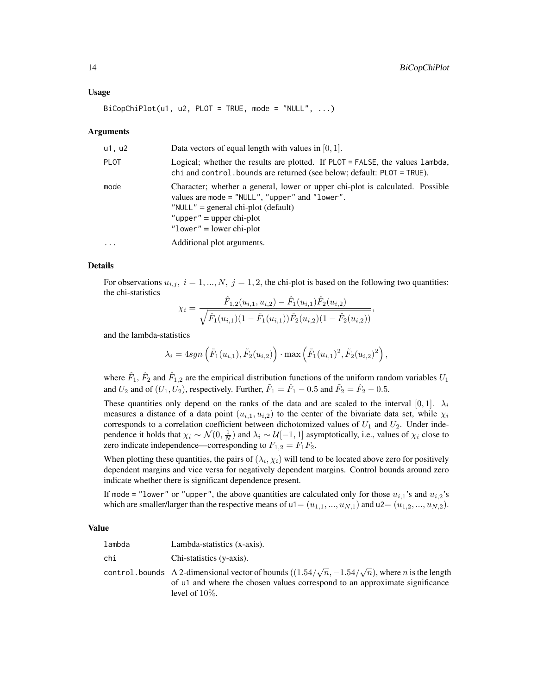#### Usage

 $BiCopChiPlot(u1, u2, PLOT = TRUE, mode = "NULL", ...)$ 

#### Arguments

| u1, u2      | Data vectors of equal length with values in $[0, 1]$ .                                                                                                                                                                                 |
|-------------|----------------------------------------------------------------------------------------------------------------------------------------------------------------------------------------------------------------------------------------|
| <b>PLOT</b> | Logical; whether the results are plotted. If PLOT = FALSE, the values lambda,<br>chi and control. bounds are returned (see below; default: PLOT = TRUE).                                                                               |
| mode        | Character; whether a general, lower or upper chi-plot is calculated. Possible<br>values are mode $=$ "NULL", "upper" and "lower".<br>" $NULL"$ = general chi-plot (default)<br>"upper" = upper chi-plot<br>" $lower" = lower chi-plot$ |
| .           | Additional plot arguments.                                                                                                                                                                                                             |

#### Details

For observations  $u_{i,j}$ ,  $i = 1, ..., N$ ,  $j = 1, 2$ , the chi-plot is based on the following two quantities: the chi-statistics

$$
\chi_i = \frac{\hat{F}_{1,2}(u_{i,1}, u_{i,2}) - \hat{F}_1(u_{i,1})\hat{F}_2(u_{i,2})}{\sqrt{\hat{F}_1(u_{i,1})(1 - \hat{F}_1(u_{i,1}))\hat{F}_2(u_{i,2})(1 - \hat{F}_2(u_{i,2}))}},
$$

and the lambda-statistics

$$
\lambda_i = 4sgn\left(\tilde{F}_1(u_{i,1}), \tilde{F}_2(u_{i,2})\right) \cdot \max\left(\tilde{F}_1(u_{i,1})^2, \tilde{F}_2(u_{i,2})^2\right),
$$

where  $\hat{F}_1$ ,  $\hat{F}_2$  and  $\hat{F}_{1,2}$  are the empirical distribution functions of the uniform random variables  $U_1$ and  $U_2$  and of  $(U_1, U_2)$ , respectively. Further,  $\tilde{F}_1 = \hat{F}_1 - 0.5$  and  $\tilde{F}_2 = \hat{F}_2 - 0.5$ .

These quantities only depend on the ranks of the data and are scaled to the interval [0, 1].  $\lambda_i$ measures a distance of a data point  $(u_{i,1}, u_{i,2})$  to the center of the bivariate data set, while  $\chi_i$ corresponds to a correlation coefficient between dichotomized values of  $U_1$  and  $U_2$ . Under independence it holds that  $\chi_i \sim \mathcal{N}(0, \frac{1}{N})$  and  $\lambda_i \sim \mathcal{U}[-1, 1]$  asymptotically, i.e., values of  $\chi_i$  close to zero indicate independence—corresponding to  $F_{1,2} = F_1F_2$ .

When plotting these quantities, the pairs of  $(\lambda_i, \chi_i)$  will tend to be located above zero for positively dependent margins and vice versa for negatively dependent margins. Control bounds around zero indicate whether there is significant dependence present.

If mode = "lower" or "upper", the above quantities are calculated only for those  $u_{i,1}$ 's and  $u_{i,2}$ 's which are smaller/larger than the respective means of  $u_1=(u_{1,1},...,u_{N,1})$  and  $u_2=(u_{1,2},...,u_{N,2})$ .

#### Value

| lambda | Lambda-statistics (x-axis). |
|--------|-----------------------------|
| chi    | Chi-statistics (y-axis).    |

control. bounds A 2-dimensional vector of bounds  $((1.54/\sqrt{n}, -1.54/\sqrt{n}))$ , where n is the length of u1 and where the chosen values correspond to an approximate significance level of 10%.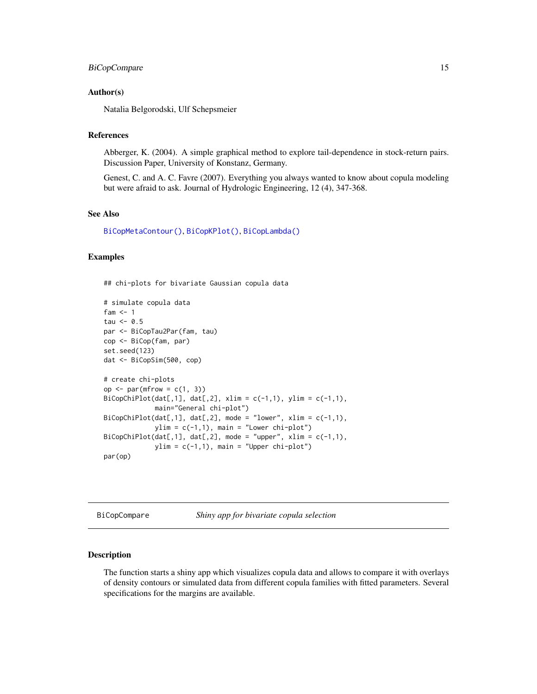#### <span id="page-14-0"></span>BiCopCompare 15

#### Author(s)

Natalia Belgorodski, Ulf Schepsmeier

# References

Abberger, K. (2004). A simple graphical method to explore tail-dependence in stock-return pairs. Discussion Paper, University of Konstanz, Germany.

Genest, C. and A. C. Favre (2007). Everything you always wanted to know about copula modeling but were afraid to ask. Journal of Hydrologic Engineering, 12 (4), 347-368.

# See Also

[BiCopMetaContour\(\)](#page-50-1), [BiCopKPlot\(\)](#page-46-1), [BiCopLambda\(\)](#page-47-1)

### Examples

## chi-plots for bivariate Gaussian copula data

```
# simulate copula data
fam <-1tau \leq -0.5par <- BiCopTau2Par(fam, tau)
cop <- BiCop(fam, par)
set.seed(123)
dat <- BiCopSim(500, cop)
# create chi-plots
op \leq par(mfrow = c(1, 3))
BiCopChiPlot(data[, 1], dat[, 2], xlim = c(-1,1), ylim = c(-1,1),main="General chi-plot")
BiCopChiPlot(dat[,1], dat[,2], mode = "lower", xlim = c(-1,1),
             ylim = c(-1,1), main = "Lower chi-plot")
BiCopChiPlot(dat[,1], dat[,2], mode = "upper", xlim = c(-1,1),
             ylim = c(-1,1), main = "Upper chi-plot")
par(op)
```
BiCopCompare *Shiny app for bivariate copula selection*

#### Description

The function starts a shiny app which visualizes copula data and allows to compare it with overlays of density contours or simulated data from different copula families with fitted parameters. Several specifications for the margins are available.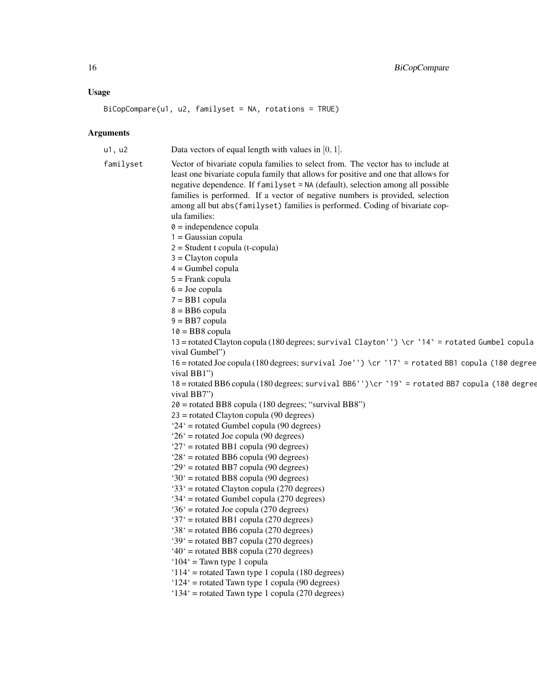#### Usage

BiCopCompare(u1, u2, familyset = NA, rotations = TRUE)

```
u1, u2 Data vectors of equal length with values in [0, 1].
familyset Vector of bivariate copula families to select from. The vector has to include at
                  least one bivariate copula family that allows for positive and one that allows for
                  negative dependence. If familyset = NA (default), selection among all possible
                  families is performed. If a vector of negative numbers is provided, selection
                  among all but abs(familyset) families is performed. Coding of bivariate cop-
                  ula families:
                  0 = independence copula
                  1 = Gaussian copula
                  2 = Student t copula (t-copula)
                  3 = Clayton copula
                  4 = Gumbel copula
                  5 = Frank copula
                  6 = Joe copula
                  7 = BB1 copula
                  8 = BB6 copula
                  9 = BB7 copula
                  10 = BB8 copula
                  13 = rotated Clayton copula (180 degrees; survival Clayton'') \cr `14` = rotated Gumbel copula
                  vival Gumbel")
                   16 = rotated Joe copula (180 degrees; survival Joe'') \cr `17` = rotated BB1 copula (180 degrees; sur-
                  vival BB1")
                  18 = rotated BB6 copula (180 degrees; survival BB6'')\cr `19` = rotated BB7 copula (180 degrees; sur-
                  vival BB7")
                  20 = rotated BB8 copula (180 degrees; "survival BB8")
                  23 = rotated Clayton copula (90 degrees)
                   '24' = rotated Gumbel copula (90 degrees)
                   '26' = rotated Joe copula (90 degrees)
                   '27' = rotated BB1 copula (90 degrees)
                   '28' = rotated BB6 copula (90 degrees)
                   '29' = rotated BB7 copula (90 degrees)
                   '30' = rotated BB8 copula (90 degrees)
                   '33' = rotated Clayton copula (270 degrees)
                   '34' = rotated Gumbel copula (270 degrees)
                   '36' = rotated Joe copula (270 degrees)
                   '37' = rotated BB1 copula (270 degrees)
                   '38' = rotated BB6 copula (270 degrees)
                   '39' = rotated BB7 copula (270 degrees)
                   '40' = rotated BB8 copula (270 degrees)
                   '104' = Tawn type 1 copula
                   '114' = rotated Tawn type 1 copula (180 degrees)
                   '124' = rotated Tawn type 1 copula (90 degrees)
                  '134' = rotated Tawn type 1 copula (270 degrees)
```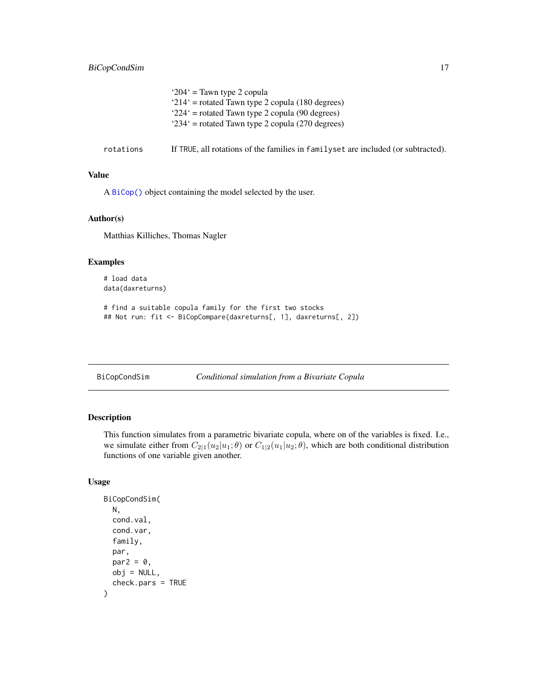<span id="page-16-0"></span>

|           | '204' = Tawn type 2 copula<br>$214'$ = rotated Tawn type 2 copula (180 degrees)<br>$224'$ = rotated Tawn type 2 copula (90 degrees)<br>' $234$ ' = rotated Tawn type 2 copula (270 degrees) |
|-----------|---------------------------------------------------------------------------------------------------------------------------------------------------------------------------------------------|
| rotations | If TRUE, all rotations of the families in familyset are included (or subtracted).                                                                                                           |

# Value

A [BiCop\(\)](#page-6-1) object containing the model selected by the user.

# Author(s)

Matthias Killiches, Thomas Nagler

#### Examples

# load data data(daxreturns)

```
# find a suitable copula family for the first two stocks
## Not run: fit <- BiCopCompare(daxreturns[, 1], daxreturns[, 2])
```
BiCopCondSim *Conditional simulation from a Bivariate Copula*

# Description

This function simulates from a parametric bivariate copula, where on of the variables is fixed. I.e., we simulate either from  $C_{2|1}(u_2|u_1;\theta)$  or  $C_{1|2}(u_1|u_2;\theta)$ , which are both conditional distribution functions of one variable given another.

# Usage

```
BiCopCondSim(
 N,
  cond.val,
  cond.var,
  family,
 par,
 par2 = 0,
 obj = NULL,check.pars = TRUE
)
```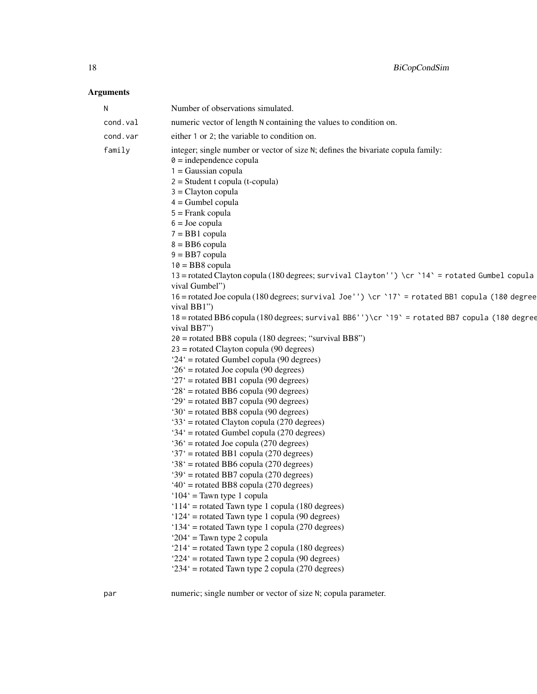# Arguments

par numeric; single number or vector of size N; copula parameter.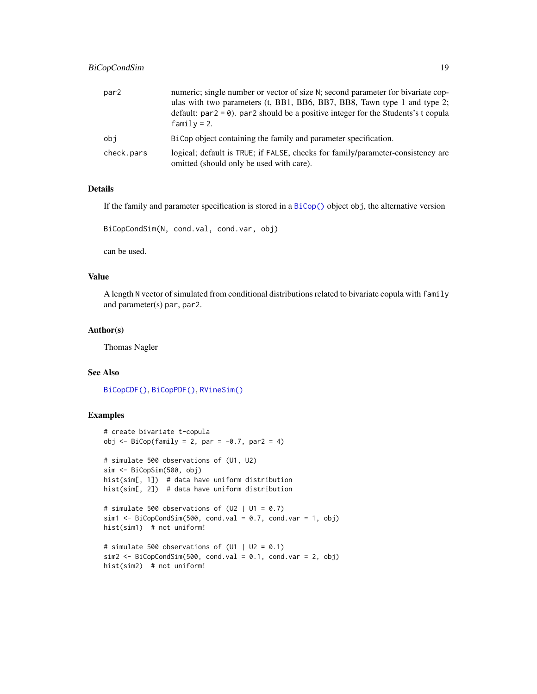# BiCopCondSim 19

| par <sub>2</sub> | numeric; single number or vector of size N; second parameter for bivariate cop-<br>ulas with two parameters (t, BB1, BB6, BB7, BB8, Tawn type 1 and type 2;<br>default: $par2 = 0$ ). par2 should be a positive integer for the Students's t copula<br>$family = 2.$ |
|------------------|----------------------------------------------------------------------------------------------------------------------------------------------------------------------------------------------------------------------------------------------------------------------|
| obi              | BiCop object containing the family and parameter specification.                                                                                                                                                                                                      |
| check.pars       | logical; default is TRUE; if FALSE, checks for family/parameter-consistency are<br>omitted (should only be used with care).                                                                                                                                          |

# Details

If the family and parameter specification is stored in a [BiCop\(\)](#page-6-1) object obj, the alternative version

BiCopCondSim(N, cond.val, cond.var, obj)

can be used.

## Value

A length N vector of simulated from conditional distributions related to bivariate copula with family and parameter(s) par, par2.

# Author(s)

Thomas Nagler

#### See Also

[BiCopCDF\(\)](#page-8-1), [BiCopPDF\(\)](#page-64-1), [RVineSim\(\)](#page-127-1)

# Examples

```
# create bivariate t-copula
obj \leq BiCop(family = 2, par = -0.7, par2 = 4)
# simulate 500 observations of (U1, U2)
sim <- BiCopSim(500, obj)
hist(sim[, 1]) # data have uniform distribution
hist(sim[, 2]) # data have uniform distribution
# simulate 500 observations of (U2 | U1 = 0.7)sim1 <- BiCopCondSim(500, cond.val = 0.7, cond.var = 1, obj)
hist(sim1) # not uniform!
# simulate 500 observations of (U1 | U2 = 0.1)sim2 <- BiCopCondSim(500, cond.val = 0.1, cond.var = 2, obj)
hist(sim2) # not uniform!
```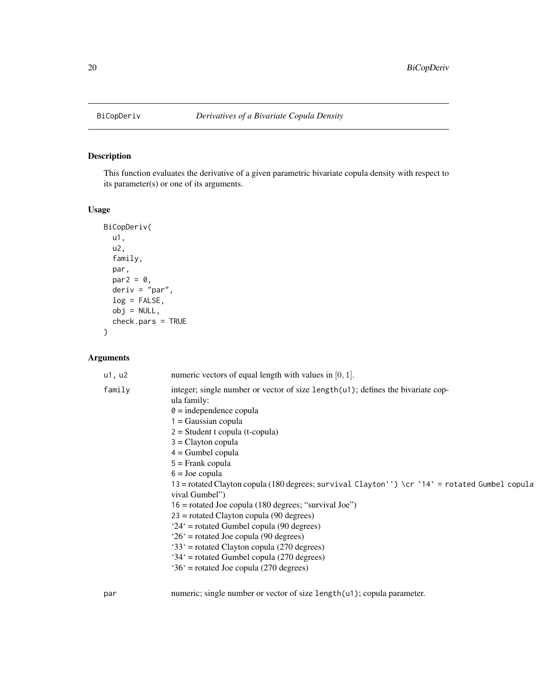<span id="page-19-1"></span><span id="page-19-0"></span>

# Description

This function evaluates the derivative of a given parametric bivariate copula density with respect to its parameter(s) or one of its arguments.

# Usage

```
BiCopDeriv(
 u1,
 u2,
 family,
 par,
 par2 = 0,
 deriv = "par",
 log = FALSE,
 obj = NULL,check.pars = TRUE
)
```
# Arguments

| integer; single number or vector of size length $(u)$ ; defines the bivariate cop-<br>family<br>ula family:<br>$\theta$ = independence copula<br>$1 = Gaussian copula$<br>$2 = Student$ t copula (t-copula)<br>$3 =$ Clayton copula<br>$4 =$ Gumbel copula<br>$5 =$ Frank copula<br>$6 =$ Joe copula<br>13 = rotated Clayton copula (180 degrees; survival Clayton'') \cr `14` = rotated Gumbel copula<br>vival Gumbel")<br>$16$ = rotated Joe copula (180 degrees; "survival Joe")<br>$23$ = rotated Clayton copula (90 degrees)<br>$24'$ = rotated Gumbel copula (90 degrees)<br>$26'$ = rotated Joe copula (90 degrees)<br>'33' = rotated Clayton copula (270 degrees)<br>$34'$ = rotated Gumbel copula (270 degrees)<br>$36'$ = rotated Joe copula (270 degrees) |  |
|----------------------------------------------------------------------------------------------------------------------------------------------------------------------------------------------------------------------------------------------------------------------------------------------------------------------------------------------------------------------------------------------------------------------------------------------------------------------------------------------------------------------------------------------------------------------------------------------------------------------------------------------------------------------------------------------------------------------------------------------------------------------|--|

par numeric; single number or vector of size length(u1); copula parameter.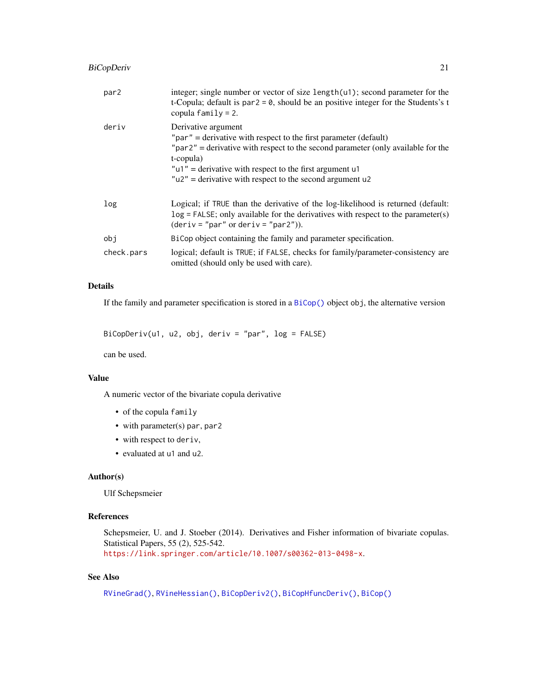# BiCopDeriv 21

| par2       | integer; single number or vector of size length $(u)$ ; second parameter for the<br>t-Copula; default is par $2 = 0$ , should be an positive integer for the Students's t<br>copula $family = 2$ .                                                                                                                               |
|------------|----------------------------------------------------------------------------------------------------------------------------------------------------------------------------------------------------------------------------------------------------------------------------------------------------------------------------------|
| deriv      | Derivative argument<br>" $par$ " = derivative with respect to the first parameter (default)<br>" $par2"$ = derivative with respect to the second parameter (only available for the<br>t-copula)<br>" $u1$ " = derivative with respect to the first argument $u1$<br>$"u2"$ = derivative with respect to the second argument $u2$ |
| log        | Logical; if TRUE than the derivative of the log-likelihood is returned (default:<br>$log = FALSE$ ; only available for the derivatives with respect to the parameter(s)<br>$(deriv = "par" or deriv = "par2").$                                                                                                                  |
| obj        | BiCop object containing the family and parameter specification.                                                                                                                                                                                                                                                                  |
| check.pars | logical; default is TRUE; if FALSE, checks for family/parameter-consistency are<br>omitted (should only be used with care).                                                                                                                                                                                                      |

# Details

If the family and parameter specification is stored in a [BiCop\(\)](#page-6-1) object obj, the alternative version

```
BiCopDeriv(u1, u2, obj, deriv = "par", log = FALSE)
```
can be used.

### Value

A numeric vector of the bivariate copula derivative

- of the copula family
- with parameter(s) par, par2
- with respect to deriv,
- evaluated at u1 and u2.

## Author(s)

Ulf Schepsmeier

#### References

Schepsmeier, U. and J. Stoeber (2014). Derivatives and Fisher information of bivariate copulas. Statistical Papers, 55 (2), 525-542. <https://link.springer.com/article/10.1007/s00362-013-0498-x>.

# See Also

```
RVineGrad(), RVineHessian(), BiCopDeriv2(), BiCopHfuncDeriv(), BiCop()
```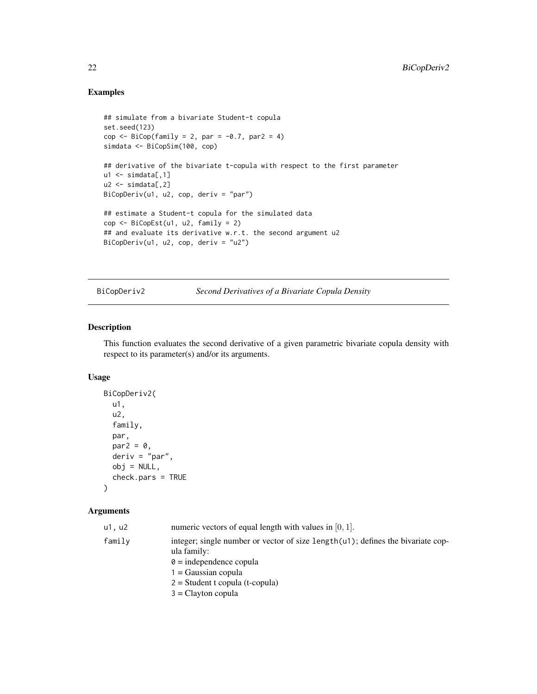# Examples

```
## simulate from a bivariate Student-t copula
set.seed(123)
cop \leftarrow \text{BiCop}(\text{family} = 2, \text{ par} = -0.7, \text{ par2} = 4)simdata <- BiCopSim(100, cop)
## derivative of the bivariate t-copula with respect to the first parameter
ul \leftarrow simdata[,1]
u2 \le - \text{simdata}[,2]
BiCopDeriv(u1, u2, cop, deriv = "par")
## estimate a Student-t copula for the simulated data
cop <- BiCopEst(u1, u2, family = 2)
## and evaluate its derivative w.r.t. the second argument u2
BiCopDeriv(u1, u2, cop, deriv = "u2")
```
<span id="page-21-1"></span>BiCopDeriv2 *Second Derivatives of a Bivariate Copula Density*

#### Description

This function evaluates the second derivative of a given parametric bivariate copula density with respect to its parameter(s) and/or its arguments.

### Usage

```
BiCopDeriv2(
  u1,
  u2,
  family,
 par,
 par2 = 0,
 deriv = "par",
 obj = NULL,check.pars = TRUE
)
```

| u1, u2 | numeric vectors of equal length with values in $[0, 1]$ .                                      |
|--------|------------------------------------------------------------------------------------------------|
| family | integer; single number or vector of size length(u1); defines the bivariate cop-<br>ula family: |
|        | $\theta$ = independence copula                                                                 |
|        | $1 = Gaussian copula$                                                                          |
|        | $2 = Student$ t copula (t-copula)                                                              |
|        | $3 =$ Clayton copula                                                                           |

<span id="page-21-0"></span>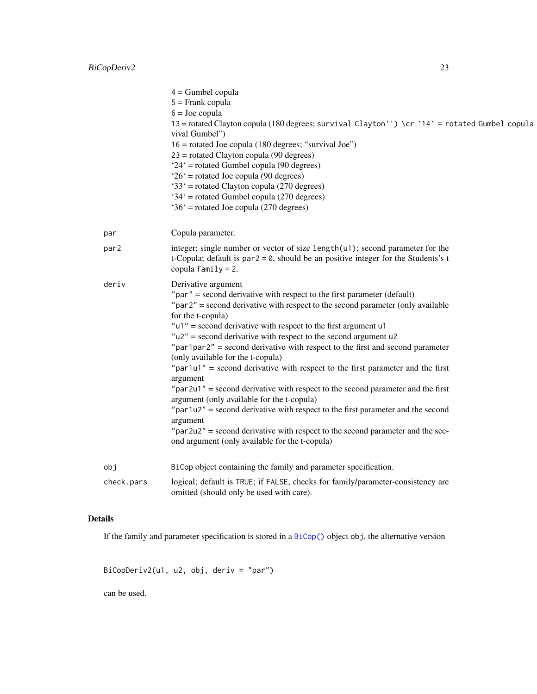|                  | $4 =$ Gumbel copula<br>$5 =$ Frank copula                                                                                                 |
|------------------|-------------------------------------------------------------------------------------------------------------------------------------------|
|                  | $6 =$ Joe copula                                                                                                                          |
|                  | 13 = rotated Clayton copula (180 degrees; survival Clayton'') \cr `14` = rotated Gumbel copula<br>vival Gumbel")                          |
|                  | 16 = rotated Joe copula (180 degrees; "survival Joe")                                                                                     |
|                  | $23$ = rotated Clayton copula (90 degrees)                                                                                                |
|                  | $24'$ = rotated Gumbel copula (90 degrees)                                                                                                |
|                  | $26'$ = rotated Joe copula (90 degrees)                                                                                                   |
|                  | '33' = rotated Clayton copula (270 degrees)<br>$34'$ = rotated Gumbel copula (270 degrees)                                                |
|                  | $36'$ = rotated Joe copula (270 degrees)                                                                                                  |
|                  |                                                                                                                                           |
| par              | Copula parameter.                                                                                                                         |
| par <sub>2</sub> | integer; single number or vector of size length(u1); second parameter for the                                                             |
|                  | t-Copula; default is par $2 = 0$ , should be an positive integer for the Students's t<br>copula $family = 2$ .                            |
| deriv            | Derivative argument                                                                                                                       |
|                  | " $par$ " = second derivative with respect to the first parameter (default)                                                               |
|                  | "par2" = second derivative with respect to the second parameter (only available                                                           |
|                  | for the t-copula)                                                                                                                         |
|                  | " $u1$ " = second derivative with respect to the first argument $u1$<br>$"u2"$ = second derivative with respect to the second argument u2 |
|                  | "par1par2" = second derivative with respect to the first and second parameter                                                             |
|                  | (only available for the t-copula)                                                                                                         |
|                  | " $par1u1"$ = second derivative with respect to the first parameter and the first<br>argument                                             |
|                  | $"par2u1"$ = second derivative with respect to the second parameter and the first                                                         |
|                  | argument (only available for the t-copula)                                                                                                |
|                  | " $par1u2"$ = second derivative with respect to the first parameter and the second                                                        |
|                  | argument<br>"par2u2" = second derivative with respect to the second parameter and the sec-                                                |
|                  | ond argument (only available for the t-copula)                                                                                            |
| obj              | BiCop object containing the family and parameter specification.                                                                           |
| check.pars       | logical; default is TRUE; if FALSE, checks for family/parameter-consistency are<br>omitted (should only be used with care).               |

# Details

If the family and parameter specification is stored in a [BiCop\(\)](#page-6-1) object obj, the alternative version

BiCopDeriv2(u1, u2, obj, deriv = "par")

can be used.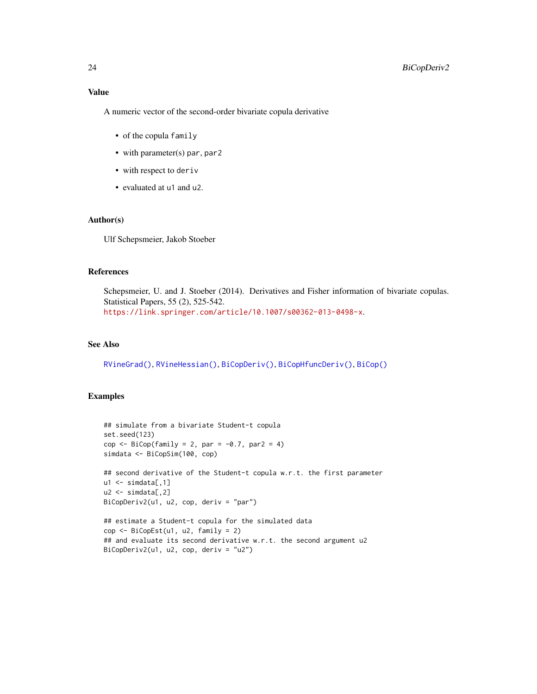A numeric vector of the second-order bivariate copula derivative

- of the copula family
- with parameter(s) par, par2
- with respect to deriv
- evaluated at u1 and u2.

#### Author(s)

Ulf Schepsmeier, Jakob Stoeber

#### References

Schepsmeier, U. and J. Stoeber (2014). Derivatives and Fisher information of bivariate copulas. Statistical Papers, 55 (2), 525-542. <https://link.springer.com/article/10.1007/s00362-013-0498-x>.

#### See Also

[RVineGrad\(\)](#page-101-1), [RVineHessian\(\)](#page-104-1), [BiCopDeriv\(\)](#page-19-1), [BiCopHfuncDeriv\(\)](#page-36-1), [BiCop\(\)](#page-6-1)

# Examples

```
## simulate from a bivariate Student-t copula
set.seed(123)
cop \leq BiCop(family = 2, par = -0.7, par2 = 4)
simdata <- BiCopSim(100, cop)
## second derivative of the Student-t copula w.r.t. the first parameter
u1 \leftarrow \text{simdata}[, 1]u2 \le - \text{simdata}[,2]
BiCopDeriv2(u1, u2, cop, deriv = "par")
## estimate a Student-t copula for the simulated data
cop <- BiCopEst(u1, u2, family = 2)
## and evaluate its second derivative w.r.t. the second argument u2
BiCopDeriv2(u1, u2, cop, deriv = "u2")
```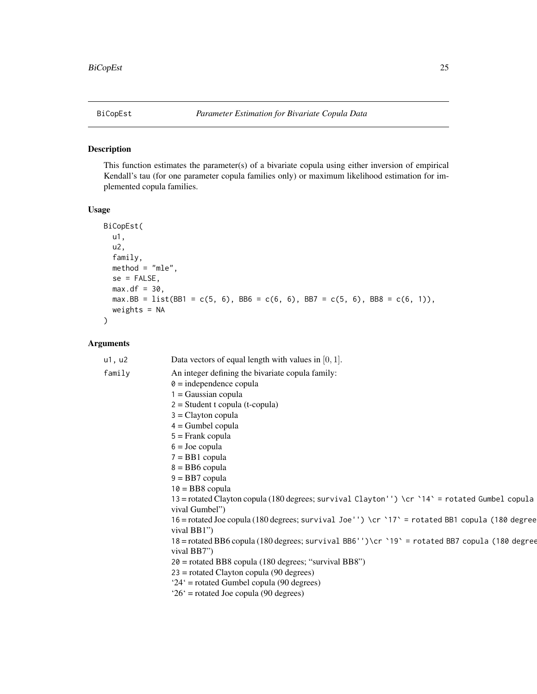<span id="page-24-1"></span><span id="page-24-0"></span>

# Description

This function estimates the parameter(s) of a bivariate copula using either inversion of empirical Kendall's tau (for one parameter copula families only) or maximum likelihood estimation for implemented copula families.

#### Usage

```
BiCopEst(
 u1,
 u2,
 family,
 method = "mle",se = FALSE,max.df = 30,
 max.BB = list(BB1 = c(5, 6), BB6 = c(6, 6), BB7 = c(5, 6), BB8 = c(6, 1)),weights = NA
)
```

| u1, u2 | Data vectors of equal length with values in $[0, 1]$ .                                           |
|--------|--------------------------------------------------------------------------------------------------|
| family | An integer defining the bivariate copula family:                                                 |
|        | $\theta$ = independence copula                                                                   |
|        | $1 = Gaussian copula$                                                                            |
|        | $2 = Student$ t copula (t-copula)                                                                |
|        | $3 =$ Clayton copula                                                                             |
|        | $4 =$ Gumbel copula                                                                              |
|        | $5 =$ Frank copula                                                                               |
|        | $6 =$ Joe copula                                                                                 |
|        | $7 = BB1$ copula                                                                                 |
|        | $8 = BB6$ copula                                                                                 |
|        | $9 = BB7$ copula                                                                                 |
|        | $10 = BB8$ copula                                                                                |
|        | 13 = rotated Clayton copula (180 degrees; survival Clayton'') \cr `14` = rotated Gumbel copula   |
|        | vival Gumbel")                                                                                   |
|        | 16 = rotated Joe copula (180 degrees; survival Joe'') \cr `17 ` = rotated BB1 copula (180 degree |
|        | vival BB1")                                                                                      |
|        | 18 = rotated BB6 copula (180 degrees; survival BB6'')\cr `19` = rotated BB7 copula (180 degree   |
|        | vival BB7")                                                                                      |
|        | $20$ = rotated BB8 copula (180 degrees; "survival BB8")                                          |
|        | $23$ = rotated Clayton copula (90 degrees)                                                       |
|        | '24' = rotated Gumbel copula (90 degrees)                                                        |
|        | $26'$ = rotated Joe copula (90 degrees)                                                          |
|        |                                                                                                  |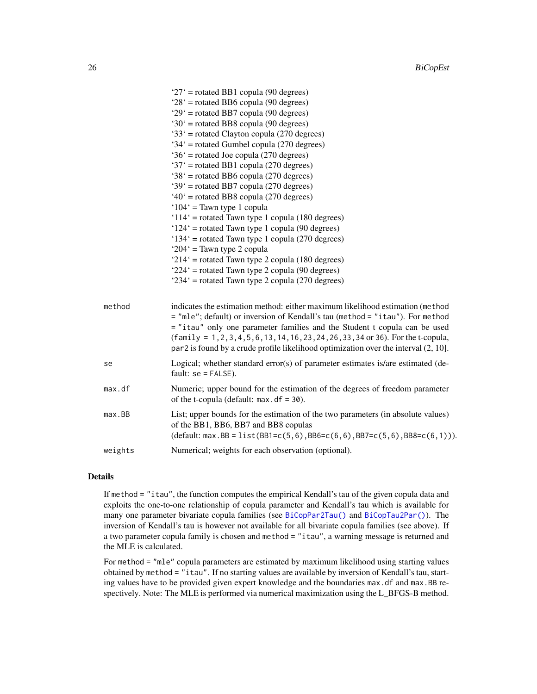|         | $27'$ = rotated BB1 copula (90 degrees)                                                                                                                                                                                                                                                                                                                                                                                           |
|---------|-----------------------------------------------------------------------------------------------------------------------------------------------------------------------------------------------------------------------------------------------------------------------------------------------------------------------------------------------------------------------------------------------------------------------------------|
|         | $28'$ = rotated BB6 copula (90 degrees)                                                                                                                                                                                                                                                                                                                                                                                           |
|         | $29'$ = rotated BB7 copula (90 degrees)                                                                                                                                                                                                                                                                                                                                                                                           |
|         | '30' = rotated BB8 copula (90 degrees)                                                                                                                                                                                                                                                                                                                                                                                            |
|         | '33' = rotated Clayton copula (270 degrees)                                                                                                                                                                                                                                                                                                                                                                                       |
|         | $34'$ = rotated Gumbel copula (270 degrees)                                                                                                                                                                                                                                                                                                                                                                                       |
|         | $36'$ = rotated Joe copula (270 degrees)                                                                                                                                                                                                                                                                                                                                                                                          |
|         | '37' = rotated BB1 copula (270 degrees)                                                                                                                                                                                                                                                                                                                                                                                           |
|         | $38'$ = rotated BB6 copula (270 degrees)                                                                                                                                                                                                                                                                                                                                                                                          |
|         | $39'$ = rotated BB7 copula (270 degrees)                                                                                                                                                                                                                                                                                                                                                                                          |
|         | $40'$ = rotated BB8 copula (270 degrees)                                                                                                                                                                                                                                                                                                                                                                                          |
|         | $104'$ = Tawn type 1 copula                                                                                                                                                                                                                                                                                                                                                                                                       |
|         | ' $114$ ' = rotated Tawn type 1 copula (180 degrees)                                                                                                                                                                                                                                                                                                                                                                              |
|         | $124'$ = rotated Tawn type 1 copula (90 degrees)                                                                                                                                                                                                                                                                                                                                                                                  |
|         | '134' = rotated Tawn type 1 copula (270 degrees)                                                                                                                                                                                                                                                                                                                                                                                  |
|         | ' $204$ ' = Tawn type 2 copula                                                                                                                                                                                                                                                                                                                                                                                                    |
|         | ' $214$ ' = rotated Tawn type 2 copula (180 degrees)                                                                                                                                                                                                                                                                                                                                                                              |
|         | $224'$ = rotated Tawn type 2 copula (90 degrees)                                                                                                                                                                                                                                                                                                                                                                                  |
|         | $234'$ = rotated Tawn type 2 copula (270 degrees)                                                                                                                                                                                                                                                                                                                                                                                 |
| method  | indicates the estimation method: either maximum likelihood estimation (method<br>= "mle"; default) or inversion of Kendall's tau (method = "itau"). For method<br>= "itau" only one parameter families and the Student t copula can be used<br>$(family = 1, 2, 3, 4, 5, 6, 13, 14, 16, 23, 24, 26, 33, 34$ or 36). For the t-copula,<br>$par2$ is found by a crude profile likelihood optimization over the interval $(2, 10]$ . |
| se      | Logical; whether standard error(s) of parameter estimates is/are estimated (de-<br>fault: $se = FALSE$ ).                                                                                                                                                                                                                                                                                                                         |
| max. df | Numeric; upper bound for the estimation of the degrees of freedom parameter<br>of the t-copula (default: $max. df = 30$ ).                                                                                                                                                                                                                                                                                                        |
| max.BB  | List; upper bounds for the estimation of the two parameters (in absolute values)<br>of the BB1, BB6, BB7 and BB8 copulas<br>$(default: max.BB = list(BB1 = c(5, 6), BB6 = c(6, 6), BB7 = c(5, 6), BB8 = c(6, 1))).$                                                                                                                                                                                                               |
| weights | Numerical; weights for each observation (optional).                                                                                                                                                                                                                                                                                                                                                                               |

## Details

If method = "itau", the function computes the empirical Kendall's tau of the given copula data and exploits the one-to-one relationship of copula parameter and Kendall's tau which is available for many one parameter bivariate copula families (see [BiCopPar2Tau\(\)](#page-61-1) and [BiCopTau2Par\(\)](#page-72-1)). The inversion of Kendall's tau is however not available for all bivariate copula families (see above). If a two parameter copula family is chosen and method = "itau", a warning message is returned and the MLE is calculated.

For method = "mle" copula parameters are estimated by maximum likelihood using starting values obtained by method = "itau". If no starting values are available by inversion of Kendall's tau, starting values have to be provided given expert knowledge and the boundaries max.df and max.BB respectively. Note: The MLE is performed via numerical maximization using the L\_BFGS-B method.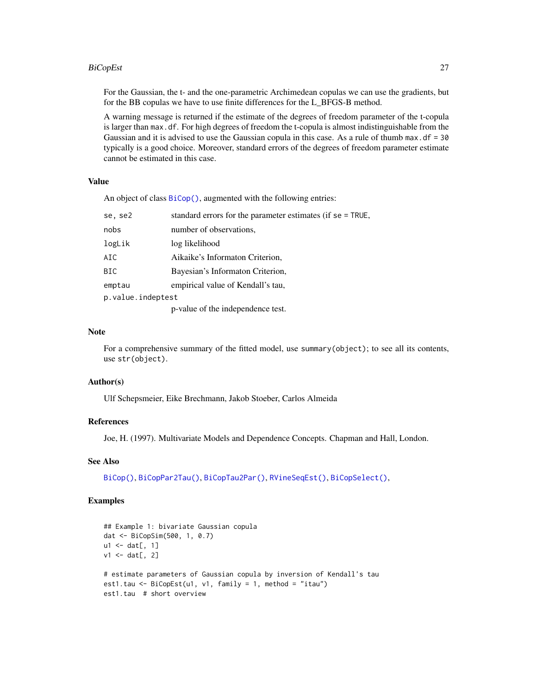#### BiCopEst 27

For the Gaussian, the t- and the one-parametric Archimedean copulas we can use the gradients, but for the BB copulas we have to use finite differences for the L\_BFGS-B method.

A warning message is returned if the estimate of the degrees of freedom parameter of the t-copula is larger than max.df. For high degrees of freedom the t-copula is almost indistinguishable from the Gaussian and it is advised to use the Gaussian copula in this case. As a rule of thumb max.df =  $30$ typically is a good choice. Moreover, standard errors of the degrees of freedom parameter estimate cannot be estimated in this case.

#### Value

An object of class [BiCop\(\)](#page-6-1), augmented with the following entries:

| se, se2           | standard errors for the parameter estimates (if se = TRUE, |  |
|-------------------|------------------------------------------------------------|--|
| nobs              | number of observations,                                    |  |
| logLik            | log likelihood                                             |  |
| AIC               | Aikaike's Informaton Criterion,                            |  |
| BIC               | Bayesian's Informaton Criterion,                           |  |
| emptau            | empirical value of Kendall's tau,                          |  |
| p.value.indeptest |                                                            |  |
|                   | p-value of the independence test.                          |  |

# Note

For a comprehensive summary of the fitted model, use summary(object); to see all its contents, use str(object).

#### Author(s)

Ulf Schepsmeier, Eike Brechmann, Jakob Stoeber, Carlos Almeida

#### References

Joe, H. (1997). Multivariate Models and Dependence Concepts. Chapman and Hall, London.

#### See Also

[BiCop\(\)](#page-6-1), [BiCopPar2Tau\(\)](#page-61-1), [BiCopTau2Par\(\)](#page-72-1), [RVineSeqEst\(\)](#page-125-1), [BiCopSelect\(\)](#page-66-1),

#### Examples

```
## Example 1: bivariate Gaussian copula
dat <- BiCopSim(500, 1, 0.7)
u1 \leftarrow dat[, 1]v1 \leq dat[, 2]
# estimate parameters of Gaussian copula by inversion of Kendall's tau
est1.tau <- BiCopEst(u1, v1, family = 1, method = "itau")
est1.tau # short overview
```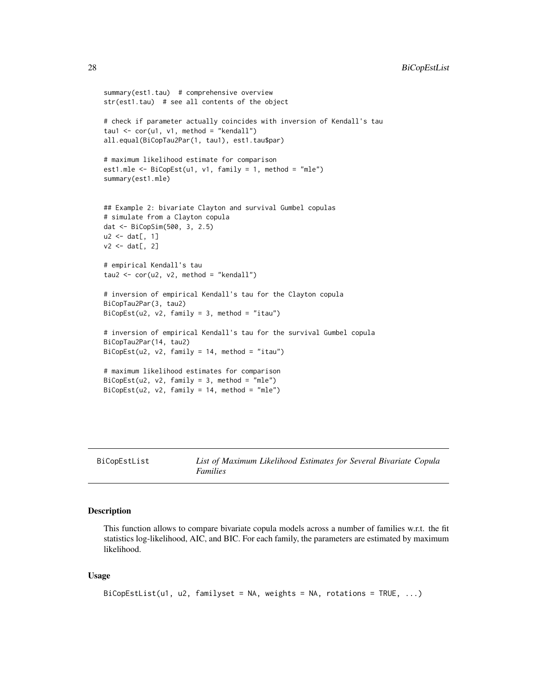```
summary(est1.tau) # comprehensive overview
str(est1.tau) # see all contents of the object
# check if parameter actually coincides with inversion of Kendall's tau
tau1 \le cor(u1, v1, method = "kendall")
all.equal(BiCopTau2Par(1, tau1), est1.tau$par)
# maximum likelihood estimate for comparison
est1.mle <- BiCopEst(u1, v1, family = 1, method = "mle")summary(est1.mle)
## Example 2: bivariate Clayton and survival Gumbel copulas
# simulate from a Clayton copula
dat <- BiCopSim(500, 3, 2.5)
u2 <- dat[, 1]
v2 \leq -\text{dat}[, 2]
# empirical Kendall's tau
tau2 <- cor(u2, v2, method = "kendall")# inversion of empirical Kendall's tau for the Clayton copula
BiCopTau2Par(3, tau2)
BiCopEst(u2, v2, family = 3, method = "itau")
# inversion of empirical Kendall's tau for the survival Gumbel copula
BiCopTau2Par(14, tau2)
BiCopEst(u2, v2, family = 14, method = "itau")
# maximum likelihood estimates for comparison
BiCopEst(u2, v2, family = 3, method = "mle")BiCopEst(u2, v2, family = 14, method = "mle")
```

```
BiCopEstList List of Maximum Likelihood Estimates for Several Bivariate Copula
                       Families
```
#### Description

This function allows to compare bivariate copula models across a number of families w.r.t. the fit statistics log-likelihood, AIC, and BIC. For each family, the parameters are estimated by maximum likelihood.

#### Usage

```
BiCopEstList(u1, u2, familyset = NA, weights = NA, rotations = TRUE, \ldots)
```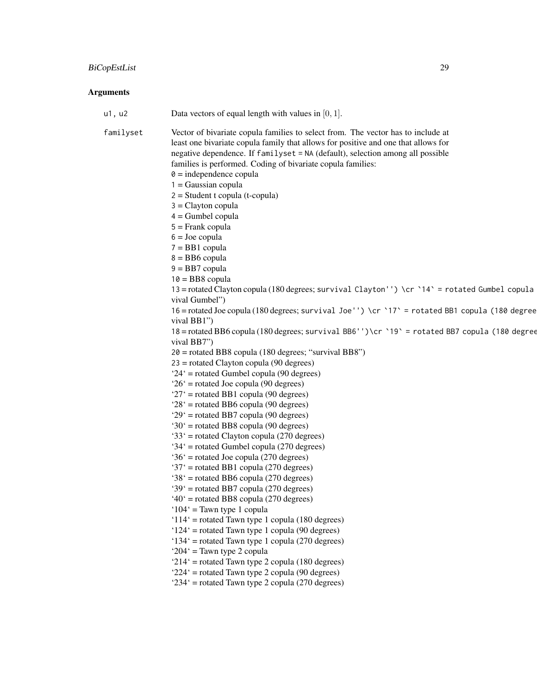# BiCopEstList 29

| u1, u2    | Data vectors of equal length with values in $[0, 1]$ .                                           |
|-----------|--------------------------------------------------------------------------------------------------|
| familyset | Vector of bivariate copula families to select from. The vector has to include at                 |
|           | least one bivariate copula family that allows for positive and one that allows for               |
|           | negative dependence. If familyset = NA (default), selection among all possible                   |
|           | families is performed. Coding of bivariate copula families:                                      |
|           | $\theta$ = independence copula                                                                   |
|           | $1 = Gaussian copula$                                                                            |
|           | $2 = Student$ t copula (t-copula)                                                                |
|           | $3 =$ Clayton copula                                                                             |
|           | $4 =$ Gumbel copula                                                                              |
|           | $5 =$ Frank copula                                                                               |
|           | $6 =$ Joe copula                                                                                 |
|           | $7 = BB1$ copula                                                                                 |
|           | $8 = BB6$ copula                                                                                 |
|           | $9 = BB7$ copula                                                                                 |
|           | $10 = BB8$ copula                                                                                |
|           | 13 = rotated Clayton copula (180 degrees; survival Clayton'') \cr `14 ` = rotated Gumbel copula  |
|           | vival Gumbel")                                                                                   |
|           | 16 = rotated Joe copula (180 degrees; survival Joe'') \cr `17 ` = rotated BB1 copula (180 degree |
|           | vival BB1")                                                                                      |
|           | 18 = rotated BB6 copula (180 degrees; survival BB6'')\cr `19` = rotated BB7 copula (180 degree   |
|           | vival BB7")                                                                                      |
|           | $20 =$ rotated BB8 copula (180 degrees; "survival BB8")                                          |
|           | $23$ = rotated Clayton copula (90 degrees)                                                       |
|           | $24'$ = rotated Gumbel copula (90 degrees)                                                       |
|           | $26'$ = rotated Joe copula (90 degrees)                                                          |
|           | $27'$ = rotated BB1 copula (90 degrees)                                                          |
|           | $28'$ = rotated BB6 copula (90 degrees)                                                          |
|           | '29' = rotated BB7 copula (90 degrees)                                                           |
|           | $30'$ = rotated BB8 copula (90 degrees)                                                          |
|           | '33' = rotated Clayton copula (270 degrees)                                                      |
|           | $34'$ = rotated Gumbel copula (270 degrees)                                                      |
|           | '36' = rotated Joe copula (270 degrees)                                                          |
|           | '37' = rotated BB1 copula (270 degrees)                                                          |
|           | '38' = rotated BB6 copula (270 degrees)                                                          |
|           | '39' = rotated BB7 copula (270 degrees)                                                          |
|           | $40^{\circ}$ = rotated BB8 copula (270 degrees)                                                  |
|           | ' $104$ ' = Tawn type 1 copula                                                                   |
|           | ' $114$ ' = rotated Tawn type 1 copula (180 degrees)                                             |
|           | $124'$ = rotated Tawn type 1 copula (90 degrees)                                                 |
|           | '134' = rotated Tawn type 1 copula (270 degrees)                                                 |
|           | ' $204$ ' = Tawn type 2 copula                                                                   |
|           | '214' = rotated Tawn type 2 copula (180 degrees)                                                 |
|           | '224' = rotated Tawn type 2 copula (90 degrees)                                                  |
|           | $234'$ = rotated Tawn type 2 copula (270 degrees)                                                |
|           |                                                                                                  |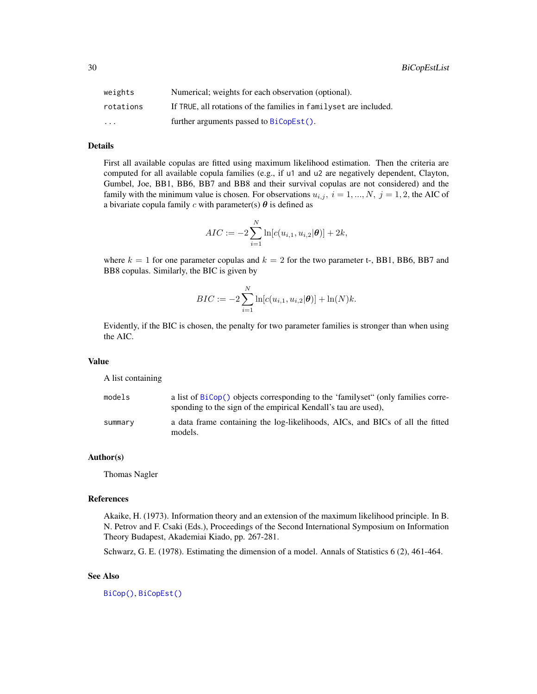30 BiCopEstList

| weights   | Numerical; weights for each observation (optional).                |
|-----------|--------------------------------------------------------------------|
| rotations | If TRUE, all rotations of the families in family set are included. |
| $\cdots$  | further arguments passed to BiCopEst().                            |

#### Details

First all available copulas are fitted using maximum likelihood estimation. Then the criteria are computed for all available copula families (e.g., if u1 and u2 are negatively dependent, Clayton, Gumbel, Joe, BB1, BB6, BB7 and BB8 and their survival copulas are not considered) and the family with the minimum value is chosen. For observations  $u_{i,j}$ ,  $i = 1, ..., N$ ,  $j = 1, 2$ , the AIC of a bivariate copula family c with parameter(s)  $\theta$  is defined as

$$
AIC := -2\sum_{i=1}^{N} \ln[c(u_{i,1}, u_{i,2}|\boldsymbol{\theta})] + 2k,
$$

where  $k = 1$  for one parameter copulas and  $k = 2$  for the two parameter t-, BB1, BB6, BB7 and BB8 copulas. Similarly, the BIC is given by

$$
BIC := -2\sum_{i=1}^{N} \ln[c(u_{i,1}, u_{i,2}|\boldsymbol{\theta})] + \ln(N)k.
$$

Evidently, if the BIC is chosen, the penalty for two parameter families is stronger than when using the AIC.

#### Value

A list containing

| models  | a list of BiCop() objects corresponding to the 'familyset" (only families corre-<br>sponding to the sign of the empirical Kendall's tau are used). |
|---------|----------------------------------------------------------------------------------------------------------------------------------------------------|
| summary | a data frame containing the log-likelihoods, AICs, and BICs of all the fitted<br>models.                                                           |

#### Author(s)

Thomas Nagler

#### References

Akaike, H. (1973). Information theory and an extension of the maximum likelihood principle. In B. N. Petrov and F. Csaki (Eds.), Proceedings of the Second International Symposium on Information Theory Budapest, Akademiai Kiado, pp. 267-281.

Schwarz, G. E. (1978). Estimating the dimension of a model. Annals of Statistics 6 (2), 461-464.

#### See Also

[BiCop\(\)](#page-6-1), [BiCopEst\(\)](#page-24-1)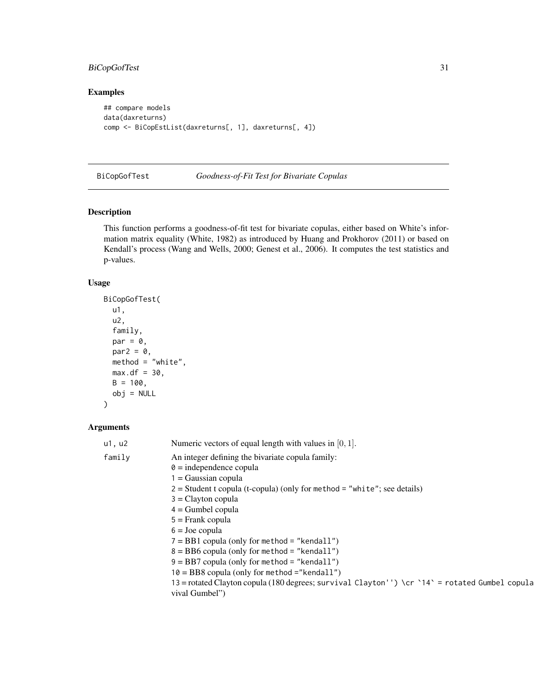# <span id="page-30-0"></span>BiCopGofTest 31

# Examples

```
## compare models
data(daxreturns)
comp <- BiCopEstList(daxreturns[, 1], daxreturns[, 4])
```
BiCopGofTest *Goodness-of-Fit Test for Bivariate Copulas*

# Description

This function performs a goodness-of-fit test for bivariate copulas, either based on White's information matrix equality (White, 1982) as introduced by Huang and Prokhorov (2011) or based on Kendall's process (Wang and Wells, 2000; Genest et al., 2006). It computes the test statistics and p-values.

#### Usage

```
BiCopGofTest(
 u1,
 u2,
 family,
 par = 0,par2 = 0,
 method = "white",max.df = 30,B = 100,obj = NULL)
```

| u1, u2 | Numeric vectors of equal length with values in $[0, 1]$ .                                      |
|--------|------------------------------------------------------------------------------------------------|
| family | An integer defining the bivariate copula family:                                               |
|        | $\theta$ = independence copula                                                                 |
|        | $1 = Gaussian copula$                                                                          |
|        | $2 = Student$ t copula (t-copula) (only for method = "white"; see details)                     |
|        | $3 =$ Clayton copula                                                                           |
|        | $4 =$ Gumbel copula                                                                            |
|        | $5 =$ Frank copula                                                                             |
|        | $6 =$ Joe copula                                                                               |
|        | $7 = BB1$ copula (only for method = "kendall")                                                 |
|        | $8 = BB6$ copula (only for method = "kendall")                                                 |
|        | $9 = BB7$ copula (only for method = "kendall")                                                 |
|        | $10 = BBS$ copula (only for method ="kendall")                                                 |
|        | 13 = rotated Clayton copula (180 degrees; survival Clayton'') \cr `14` = rotated Gumbel copula |
|        | vival Gumbel")                                                                                 |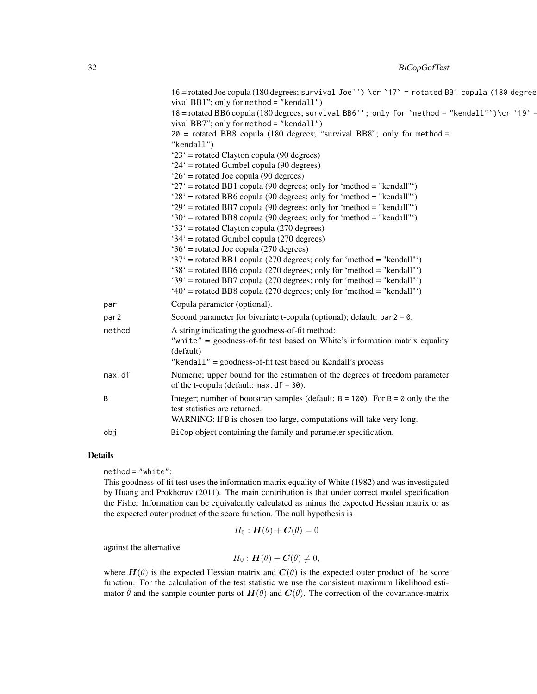|        | 16 = rotated Joe copula (180 degrees; survival Joe'') \cr `17` = rotated BB1 copula (180 degree<br>vival BB1"; only for method = "kendall")<br>18 = rotated BB6 copula (180 degrees; survival BB6''; only for 'method = "kendall")\cr '19' =<br>vival BB7"; only for method = "kendall")<br>$20$ = rotated BB8 copula (180 degrees; "survival BB8"; only for method =<br>"kendall")<br>$23'$ = rotated Clayton copula (90 degrees)<br>$24'$ = rotated Gumbel copula (90 degrees)<br>$26'$ = rotated Joe copula (90 degrees)<br>' $27'$ = rotated BB1 copula (90 degrees; only for 'method = "kendall"')<br>$28^\circ$ = rotated BB6 copula (90 degrees; only for 'method = "kendall"')<br>'29' = rotated BB7 copula (90 degrees; only for 'method = "kendall"')<br>'30' = rotated BB8 copula (90 degrees; only for 'method = "kendall"')<br>'33' = rotated Clayton copula (270 degrees)<br>'34' = rotated Gumbel copula (270 degrees)<br>$36'$ = rotated Joe copula (270 degrees)<br>'37' = rotated BB1 copula (270 degrees; only for 'method = "kendall"')<br>'38' = rotated BB6 copula (270 degrees; only for 'method = "kendall"')<br>'39' = rotated BB7 copula (270 degrees; only for 'method = "kendall"') |
|--------|-----------------------------------------------------------------------------------------------------------------------------------------------------------------------------------------------------------------------------------------------------------------------------------------------------------------------------------------------------------------------------------------------------------------------------------------------------------------------------------------------------------------------------------------------------------------------------------------------------------------------------------------------------------------------------------------------------------------------------------------------------------------------------------------------------------------------------------------------------------------------------------------------------------------------------------------------------------------------------------------------------------------------------------------------------------------------------------------------------------------------------------------------------------------------------------------------------------------|
| par    | '40' = rotated BB8 copula (270 degrees; only for 'method = "kendall"')<br>Copula parameter (optional).                                                                                                                                                                                                                                                                                                                                                                                                                                                                                                                                                                                                                                                                                                                                                                                                                                                                                                                                                                                                                                                                                                          |
| par2   | Second parameter for bivariate t-copula (optional); default: $par2 = 0$ .                                                                                                                                                                                                                                                                                                                                                                                                                                                                                                                                                                                                                                                                                                                                                                                                                                                                                                                                                                                                                                                                                                                                       |
| method | A string indicating the goodness-of-fit method:<br>"white" = $goodness-of-fit$ test based on White's information matrix equality<br>(default)<br>"kendal $1$ " = goodness-of-fit test based on Kendall's process                                                                                                                                                                                                                                                                                                                                                                                                                                                                                                                                                                                                                                                                                                                                                                                                                                                                                                                                                                                                |
| max.df | Numeric; upper bound for the estimation of the degrees of freedom parameter<br>of the t-copula (default: $max. df = 30$ ).                                                                                                                                                                                                                                                                                                                                                                                                                                                                                                                                                                                                                                                                                                                                                                                                                                                                                                                                                                                                                                                                                      |
| B      | Integer; number of bootstrap samples (default: $B = 100$ ). For $B = 0$ only the the<br>test statistics are returned.<br>WARNING: If B is chosen too large, computations will take very long.                                                                                                                                                                                                                                                                                                                                                                                                                                                                                                                                                                                                                                                                                                                                                                                                                                                                                                                                                                                                                   |
| obi    | BiCop object containing the family and parameter specification.                                                                                                                                                                                                                                                                                                                                                                                                                                                                                                                                                                                                                                                                                                                                                                                                                                                                                                                                                                                                                                                                                                                                                 |

#### Details

method = "white":

This goodness-of fit test uses the information matrix equality of White (1982) and was investigated by Huang and Prokhorov (2011). The main contribution is that under correct model specification the Fisher Information can be equivalently calculated as minus the expected Hessian matrix or as the expected outer product of the score function. The null hypothesis is

$$
H_0: \boldsymbol{H}(\theta) + \boldsymbol{C}(\theta) = 0
$$

against the alternative

$$
H_0: \boldsymbol{H}(\theta) + \boldsymbol{C}(\theta) \neq 0,
$$

where  $H(\theta)$  is the expected Hessian matrix and  $C(\theta)$  is the expected outer product of the score function. For the calculation of the test statistic we use the consistent maximum likelihood estimator  $\hat{\theta}$  and the sample counter parts of  $H(\theta)$  and  $C(\theta)$ . The correction of the covariance-matrix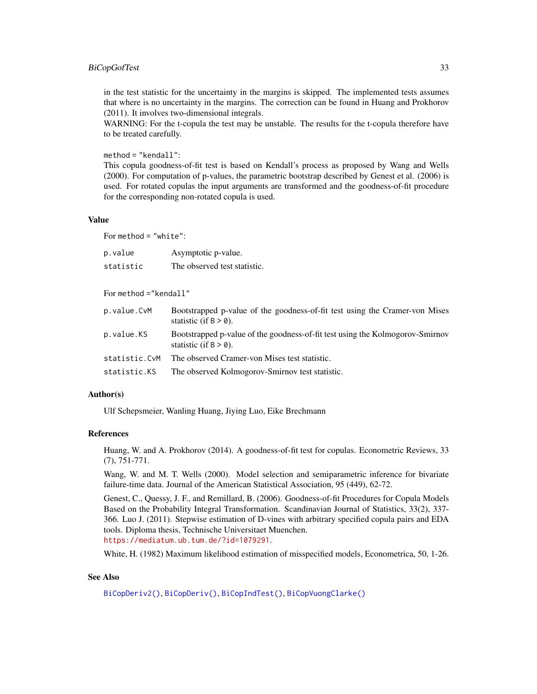#### BiCopGofTest 33

in the test statistic for the uncertainty in the margins is skipped. The implemented tests assumes that where is no uncertainty in the margins. The correction can be found in Huang and Prokhorov (2011). It involves two-dimensional integrals.

WARNING: For the t-copula the test may be unstable. The results for the t-copula therefore have to be treated carefully.

method = "kendall":

This copula goodness-of-fit test is based on Kendall's process as proposed by Wang and Wells (2000). For computation of p-values, the parametric bootstrap described by Genest et al. (2006) is used. For rotated copulas the input arguments are transformed and the goodness-of-fit procedure for the corresponding non-rotated copula is used.

#### Value

For method = "white":

| p.value   | Asymptotic p-value.          |
|-----------|------------------------------|
| statistic | The observed test statistic. |

For method ="kendall"

| p.value.CvM   | Bootstrapped p-value of the goodness-of-fit test using the Cramer-von Mises<br>statistic (if $B > 0$ ).   |
|---------------|-----------------------------------------------------------------------------------------------------------|
| p.value.KS    | Bootstrapped p-value of the goodness-of-fit test using the Kolmogorov-Smirnov<br>statistic (if $B > 0$ ). |
| statistic.CvM | The observed Cramer-von Mises test statistic.                                                             |
| statistic.KS  | The observed Kolmogorov-Smirnov test statistic.                                                           |

# Author(s)

Ulf Schepsmeier, Wanling Huang, Jiying Luo, Eike Brechmann

# References

Huang, W. and A. Prokhorov (2014). A goodness-of-fit test for copulas. Econometric Reviews, 33 (7), 751-771.

Wang, W. and M. T. Wells (2000). Model selection and semiparametric inference for bivariate failure-time data. Journal of the American Statistical Association, 95 (449), 62-72.

Genest, C., Quessy, J. F., and Remillard, B. (2006). Goodness-of-fit Procedures for Copula Models Based on the Probability Integral Transformation. Scandinavian Journal of Statistics, 33(2), 337- 366. Luo J. (2011). Stepwise estimation of D-vines with arbitrary specified copula pairs and EDA tools. Diploma thesis, Technische Universitaet Muenchen. <https://mediatum.ub.tum.de/?id=1079291>.

White, H. (1982) Maximum likelihood estimation of misspecified models, Econometrica, 50, 1-26.

# See Also

[BiCopDeriv2\(\)](#page-21-1), [BiCopDeriv\(\)](#page-19-1), [BiCopIndTest\(\)](#page-43-1), [BiCopVuongClarke\(\)](#page-74-1)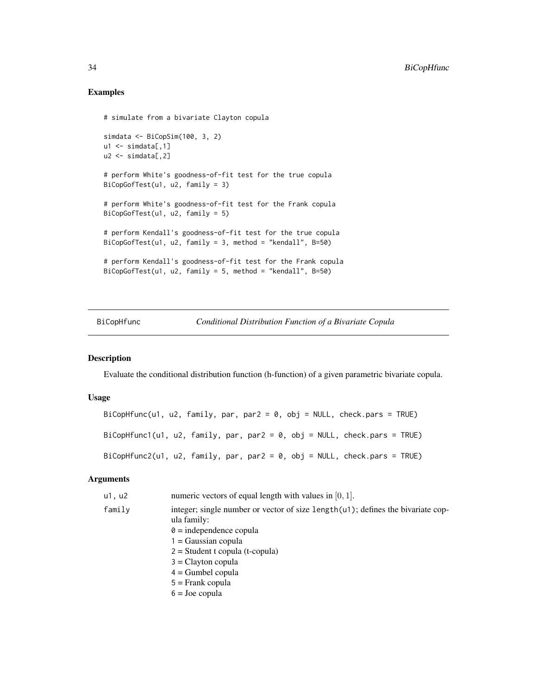#### Examples

```
# simulate from a bivariate Clayton copula
simdata <- BiCopSim(100, 3, 2)
ul \leftarrow simdata[,1]
u2 \le - \sin\theta \text{data}[,2]
# perform White's goodness-of-fit test for the true copula
BiCopGofTest(u1, u2, family = 3)
# perform White's goodness-of-fit test for the Frank copula
BiCopGofTest(u1, u2, family = 5)
# perform Kendall's goodness-of-fit test for the true copula
BiCopGofTest(u1, u2, family = 3, method = "kendall", B=50)
# perform Kendall's goodness-of-fit test for the Frank copula
BiCopGofTest(u1, u2, family = 5, method = "kendall", B=50)
```
<span id="page-33-1"></span>BiCopHfunc *Conditional Distribution Function of a Bivariate Copula*

## Description

Evaluate the conditional distribution function (h-function) of a given parametric bivariate copula.

#### Usage

```
BiCopHfunc(u1, u2, family, par, par2 = 0, obj = NULL, check.pars = TRUE)
BiCopHfunc1(u1, u2, family, par, par2 = 0, obj = NULL, check.pars = TRUE)
BiCopHfunc2(u1, u2, family, par, par2 = 0, obj = NULL, check.pars = TRUE)
```

| u1, u2 | numeric vectors of equal length with values in $[0, 1]$ .                                         |
|--------|---------------------------------------------------------------------------------------------------|
| family | integer; single number or vector of size length $(u)$ ; defines the bivariate cop-<br>ula family: |
|        | $\theta$ = independence copula                                                                    |
|        | $1 = Gaussian copula$                                                                             |
|        | $2 = Student$ t copula (t-copula)                                                                 |
|        | $3 =$ Clayton copula                                                                              |
|        | $4 =$ Gumbel copula                                                                               |
|        | $5 =$ Frank copula                                                                                |
|        | $6 =$ Joe copula                                                                                  |

<span id="page-33-0"></span>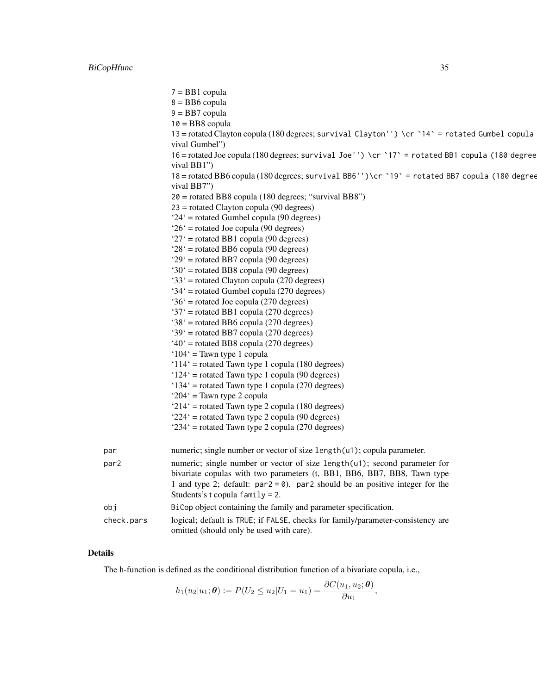7 = BB1 copula  $8 = BB6$  copula  $9 = BB7$  copula  $10 = B<sub>B</sub>8$  copula 13 = rotated Clayton copula (180 degrees; survival Clayton'') \cr `14` = rotated Gumbel copula vival Gumbel") 16 = rotated Joe copula (180 degrees; survival Joe'') \cr `17` = rotated BB1 copula (180 degrees; survival BB1") 18 = rotated BB6 copula (180 degrees; survival BB6'')\cr `19` = rotated BB7 copula (180 degrees; survival BB7") 20 = rotated BB8 copula (180 degrees; "survival BB8") 23 = rotated Clayton copula (90 degrees) '24' = rotated Gumbel copula (90 degrees) '26' = rotated Joe copula (90 degrees) '27' = rotated BB1 copula (90 degrees) '28' = rotated BB6 copula (90 degrees) '29' = rotated BB7 copula (90 degrees) '30' = rotated BB8 copula (90 degrees) '33' = rotated Clayton copula (270 degrees) '34' = rotated Gumbel copula (270 degrees) '36' = rotated Joe copula (270 degrees)  $37'$  = rotated BB1 copula (270 degrees) '38' = rotated BB6 copula (270 degrees) '39' = rotated BB7 copula (270 degrees)  $40^\circ$  = rotated BB8 copula (270 degrees) '104' = Tawn type 1 copula '114' = rotated Tawn type 1 copula (180 degrees) '124' = rotated Tawn type 1 copula (90 degrees) '134' = rotated Tawn type 1 copula (270 degrees) '204' = Tawn type 2 copula '214' = rotated Tawn type 2 copula (180 degrees) '224' = rotated Tawn type 2 copula (90 degrees) '234' = rotated Tawn type 2 copula (270 degrees) par numeric; single number or vector of size length(u1); copula parameter. par2 numeric; single number or vector of size length(u1); second parameter for bivariate copulas with two parameters (t, BB1, BB6, BB7, BB8, Tawn type 1 and type 2; default:  $par2 = 0$ ). par2 should be an positive integer for the Students's t copula family = 2. obj BiCop object containing the family and parameter specification. check.pars logical; default is TRUE; if FALSE, checks for family/parameter-consistency are omitted (should only be used with care).

#### Details

The h-function is defined as the conditional distribution function of a bivariate copula, i.e.,

$$
h_1(u_2|u_1;\boldsymbol{\theta}) := P(U_2 \leq u_2|U_1 = u_1) = \frac{\partial C(u_1, u_2; \boldsymbol{\theta})}{\partial u_1},
$$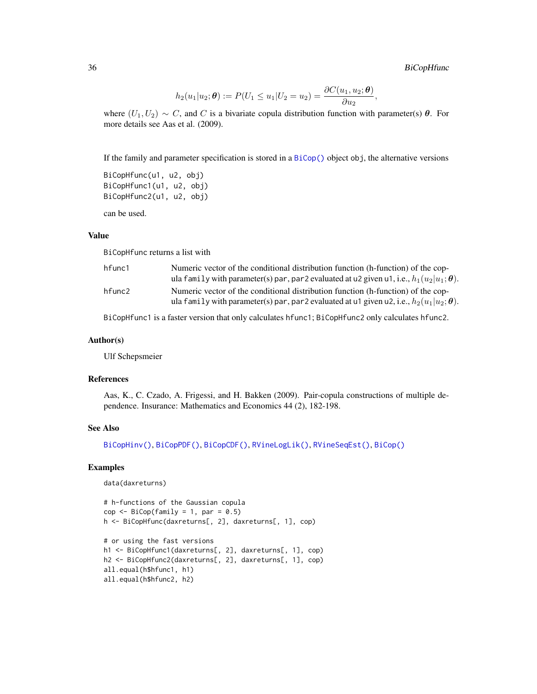,

$$
h_2(u_1|u_2; \theta) := P(U_1 \le u_1|U_2 = u_2) = \frac{\partial C(u_1, u_2; \theta)}{\partial u_2}
$$

where  $(U_1, U_2) \sim C$ , and C is a bivariate copula distribution function with parameter(s)  $\theta$ . For more details see Aas et al. (2009).

If the family and parameter specification is stored in a [BiCop\(\)](#page-6-1) object obj, the alternative versions

```
BiCopHfunc(u1, u2, obj)
BiCopHfunc1(u1, u2, obj)
BiCopHfunc2(u1, u2, obj)
```
can be used.

#### Value

BiCopHfunc returns a list with

| hfunc1 | Numeric vector of the conditional distribution function (h-function) of the cop-                                                                                                    |
|--------|-------------------------------------------------------------------------------------------------------------------------------------------------------------------------------------|
|        | ula family with parameter(s) par, par 2 evaluated at u2 given u1, i.e., $h_1(u_2 u_1;\theta)$ .                                                                                     |
| hfunc2 | Numeric vector of the conditional distribution function (h-function) of the cop-<br>ula family with parameter(s) par, par 2 evaluated at u1 given u2, i.e., $h_2(u_1 u_2;\theta)$ . |
|        |                                                                                                                                                                                     |

BiCopHfunc1 is a faster version that only calculates hfunc1; BiCopHfunc2 only calculates hfunc2.

#### Author(s)

Ulf Schepsmeier

#### References

Aas, K., C. Czado, A. Frigessi, and H. Bakken (2009). Pair-copula constructions of multiple dependence. Insurance: Mathematics and Economics 44 (2), 182-198.

# See Also

```
BiCopHinv(), BiCopPDF(), BiCopCDF(), RVineLogLik(), RVineSeqEst(), BiCop()
```
#### Examples

```
data(daxreturns)
```

```
# h-functions of the Gaussian copula
cop \leq Bicop(family = 1, par = 0.5)h <- BiCopHfunc(daxreturns[, 2], daxreturns[, 1], cop)
# or using the fast versions
h1 <- BiCopHfunc1(daxreturns[, 2], daxreturns[, 1], cop)
h2 <- BiCopHfunc2(daxreturns[, 2], daxreturns[, 1], cop)
all.equal(h$hfunc1, h1)
all.equal(h$hfunc2, h2)
```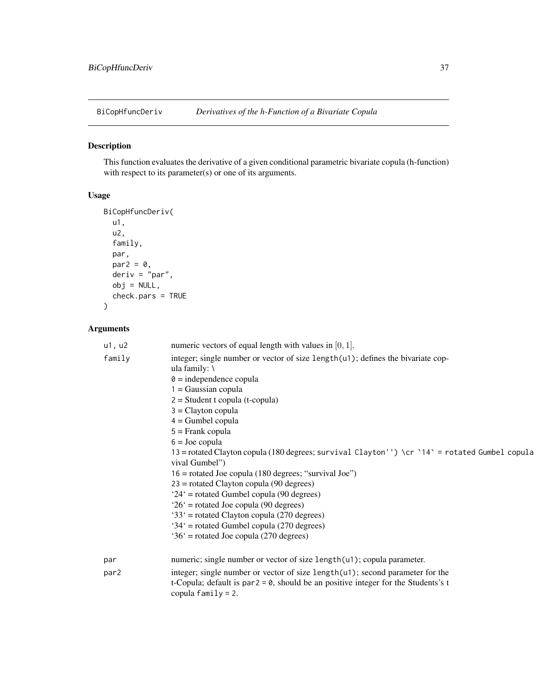<span id="page-36-0"></span>

# Description

This function evaluates the derivative of a given conditional parametric bivariate copula (h-function) with respect to its parameter(s) or one of its arguments.

### Usage

```
BiCopHfuncDeriv(
 u1,
 u2,
  family,
 par,
 par2 = 0,
 deriv = "par",
 obj = NULL,check.pars = TRUE
)
```

| u1, u2           | numeric vectors of equal length with values in $[0, 1]$ .                                                                                                                                                                                                                                                                                                                                                                                                                                                                                                                                                                                                                                                                                                         |
|------------------|-------------------------------------------------------------------------------------------------------------------------------------------------------------------------------------------------------------------------------------------------------------------------------------------------------------------------------------------------------------------------------------------------------------------------------------------------------------------------------------------------------------------------------------------------------------------------------------------------------------------------------------------------------------------------------------------------------------------------------------------------------------------|
| family           | integer; single number or vector of size length(u1); defines the bivariate cop-<br>ula family: $\langle$<br>$\theta$ = independence copula<br>$1 = Gaussian copula$<br>$2 = Student$ t copula (t-copula)<br>$3 =$ Clayton copula<br>$4 =$ Gumbel copula<br>$5 =$ Frank copula<br>$6 =$ Joe copula<br>13 = rotated Clayton copula (180 degrees; survival Clayton'') \cr `14` = rotated Gumbel copula<br>vival Gumbel")<br>$16$ = rotated Joe copula (180 degrees; "survival Joe")<br>$23$ = rotated Clayton copula (90 degrees)<br>'24' = rotated Gumbel copula (90 degrees)<br>$26'$ = rotated Joe copula (90 degrees)<br>$33'$ = rotated Clayton copula (270 degrees)<br>$34'$ = rotated Gumbel copula (270 degrees)<br>$36'$ = rotated Joe copula (270 degrees) |
| par              | numeric; single number or vector of size length(u1); copula parameter.                                                                                                                                                                                                                                                                                                                                                                                                                                                                                                                                                                                                                                                                                            |
| par <sub>2</sub> | integer; single number or vector of size length(u1); second parameter for the<br>t-Copula; default is par $2 = 0$ , should be an positive integer for the Students's t<br>copula $family = 2$ .                                                                                                                                                                                                                                                                                                                                                                                                                                                                                                                                                                   |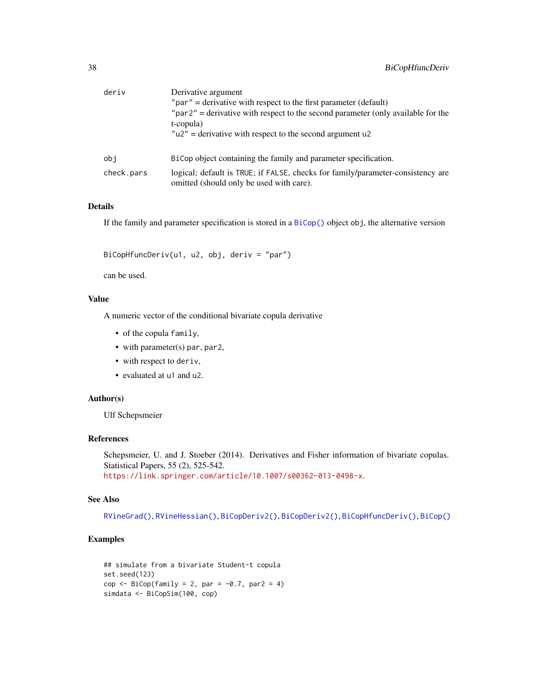| deriv      | Derivative argument                                                                                                         |  |  |
|------------|-----------------------------------------------------------------------------------------------------------------------------|--|--|
|            | " $par$ " = derivative with respect to the first parameter (default)                                                        |  |  |
|            | $\mu$ par2" = derivative with respect to the second parameter (only available for the<br>t-copula)                          |  |  |
|            | $"u2"$ = derivative with respect to the second argument u2                                                                  |  |  |
| obi        | BiCop object containing the family and parameter specification.                                                             |  |  |
| check.pars | logical; default is TRUE; if FALSE, checks for family/parameter-consistency are<br>omitted (should only be used with care). |  |  |

### Details

If the family and parameter specification is stored in a [BiCop\(\)](#page-6-0) object obj, the alternative version

BiCopHfuncDeriv(u1, u2, obj, deriv = "par")

can be used.

## Value

A numeric vector of the conditional bivariate copula derivative

- of the copula family,
- with parameter(s) par, par2,
- with respect to deriv,
- evaluated at u1 and u2.

### Author(s)

Ulf Schepsmeier

#### References

Schepsmeier, U. and J. Stoeber (2014). Derivatives and Fisher information of bivariate copulas. Statistical Papers, 55 (2), 525-542. <https://link.springer.com/article/10.1007/s00362-013-0498-x>.

#### See Also

[RVineGrad\(\)](#page-101-0), [RVineHessian\(\)](#page-104-0), [BiCopDeriv2\(\)](#page-21-0), [BiCopDeriv2\(\)](#page-21-0), [BiCopHfuncDeriv\(\)](#page-36-0), [BiCop\(\)](#page-6-0)

# Examples

```
## simulate from a bivariate Student-t copula
set.seed(123)
cop \leq BiCop(family = 2, par = -0.7, par2 = 4)
simdata <- BiCopSim(100, cop)
```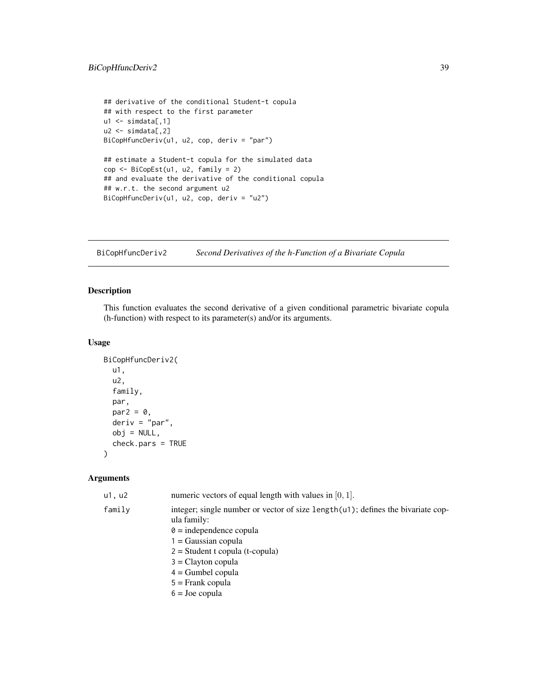```
## derivative of the conditional Student-t copula
## with respect to the first parameter
u1 \le simdata[,1]
u2 \le - \text{simdata}[,2]
BiCopHfuncDeriv(u1, u2, cop, deriv = "par")
## estimate a Student-t copula for the simulated data
cop <- BiCopEst(u1, u2, family = 2)
## and evaluate the derivative of the conditional copula
## w.r.t. the second argument u2
BiCopHfuncDeriv(u1, u2, cop, deriv = "u2")
```
BiCopHfuncDeriv2 *Second Derivatives of the h-Function of a Bivariate Copula*

# Description

This function evaluates the second derivative of a given conditional parametric bivariate copula (h-function) with respect to its parameter(s) and/or its arguments.

# Usage

```
BiCopHfuncDeriv2(
  u1,
  u2,
  family,
  par,
  par2 = 0,
  deriv = "par",
  obj = NULL,check.pars = TRUE
\lambda
```

| u1, u2 | numeric vectors of equal length with values in $[0, 1]$ .                                         |
|--------|---------------------------------------------------------------------------------------------------|
| family | integer; single number or vector of size length $(u)$ ; defines the bivariate cop-<br>ula family: |
|        | $\theta$ = independence copula                                                                    |
|        | $1 = Gaussian copula$                                                                             |
|        | $2 = Student$ t copula (t-copula)                                                                 |
|        | $3 =$ Clayton copula                                                                              |
|        | $4 =$ Gumbel copula                                                                               |
|        | $5 =$ Frank copula                                                                                |
|        | $6 =$ Joe copula                                                                                  |
|        |                                                                                                   |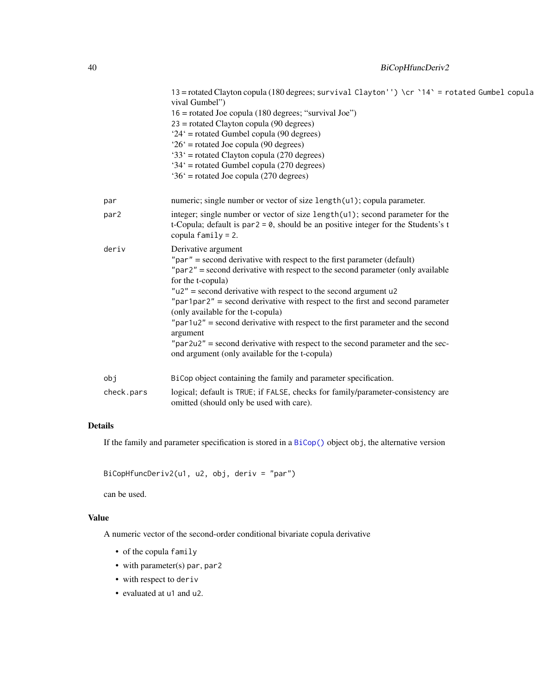|                   | 13 = rotated Clayton copula (180 degrees; survival Clayton'') \cr `14` = rotated Gumbel copula<br>vival Gumbel")<br>$16$ = rotated Joe copula (180 degrees; "survival Joe")<br>$23$ = rotated Clayton copula (90 degrees)<br>'24' = rotated Gumbel copula (90 degrees)<br>$26'$ = rotated Joe copula (90 degrees)<br>$33'$ = rotated Clayton copula (270 degrees)<br>'34' = rotated Gumbel copula (270 degrees)<br>$36'$ = rotated Joe copula (270 degrees)                                                                                                                                                                                        |
|-------------------|----------------------------------------------------------------------------------------------------------------------------------------------------------------------------------------------------------------------------------------------------------------------------------------------------------------------------------------------------------------------------------------------------------------------------------------------------------------------------------------------------------------------------------------------------------------------------------------------------------------------------------------------------|
| par               | numeric; single number or vector of size length(u1); copula parameter.                                                                                                                                                                                                                                                                                                                                                                                                                                                                                                                                                                             |
| par2              | integer; single number or vector of size length(u1); second parameter for the<br>t-Copula; default is par $2 = 0$ , should be an positive integer for the Students's t<br>copula $family = 2$ .                                                                                                                                                                                                                                                                                                                                                                                                                                                    |
| deriv             | Derivative argument<br>" $par$ " = second derivative with respect to the first parameter (default)<br>" $par2"$ = second derivative with respect to the second parameter (only available<br>for the t-copula)<br>$"u2"$ = second derivative with respect to the second argument $u2$<br>"par1par2" = second derivative with respect to the first and second parameter<br>(only available for the t-copula)<br>" $par1u2"$ = second derivative with respect to the first parameter and the second<br>argument<br>$"par2u2"$ = second derivative with respect to the second parameter and the sec-<br>ond argument (only available for the t-copula) |
| obj<br>check.pars | BiCop object containing the family and parameter specification.<br>logical; default is TRUE; if FALSE, checks for family/parameter-consistency are                                                                                                                                                                                                                                                                                                                                                                                                                                                                                                 |
|                   | omitted (should only be used with care).                                                                                                                                                                                                                                                                                                                                                                                                                                                                                                                                                                                                           |

# Details

If the family and parameter specification is stored in a [BiCop\(\)](#page-6-0) object obj, the alternative version

BiCopHfuncDeriv2(u1, u2, obj, deriv = "par")

can be used.

# Value

A numeric vector of the second-order conditional bivariate copula derivative

- of the copula family
- with parameter(s) par, par2
- with respect to deriv
- evaluated at u1 and u2.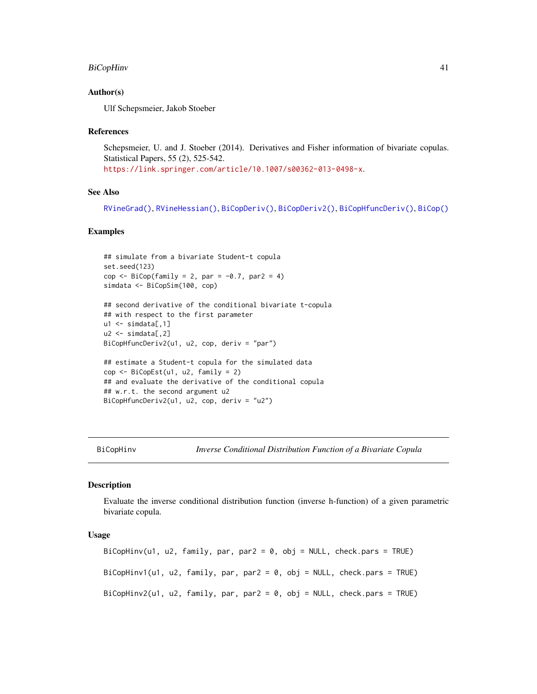### BiCopHinv 41

### Author(s)

Ulf Schepsmeier, Jakob Stoeber

#### References

Schepsmeier, U. and J. Stoeber (2014). Derivatives and Fisher information of bivariate copulas. Statistical Papers, 55 (2), 525-542. <https://link.springer.com/article/10.1007/s00362-013-0498-x>.

### See Also

[RVineGrad\(\)](#page-101-0), [RVineHessian\(\)](#page-104-0), [BiCopDeriv\(\)](#page-19-0), [BiCopDeriv2\(\)](#page-21-0), [BiCopHfuncDeriv\(\)](#page-36-0), [BiCop\(\)](#page-6-0)

#### Examples

```
## simulate from a bivariate Student-t copula
set.seed(123)
cop \leftarrow \text{BiCop}(\text{family} = 2, \text{ par} = -0.7, \text{ par2} = 4)simdata <- BiCopSim(100, cop)
## second derivative of the conditional bivariate t-copula
## with respect to the first parameter
u1 \leftarrow \text{simdata}[, 1]u2 \le - \sin\theta \text{data}[,2]
BiCopHfuncDeriv2(u1, u2, cop, deriv = "par")
## estimate a Student-t copula for the simulated data
cop \leq - \text{BiCopEst}(u1, u2, family = 2)## and evaluate the derivative of the conditional copula
## w.r.t. the second argument u2
BiCopHfuncDeriv2(u1, u2, cop, deriv = "u2")
```
BiCopHinv *Inverse Conditional Distribution Function of a Bivariate Copula*

#### Description

Evaluate the inverse conditional distribution function (inverse h-function) of a given parametric bivariate copula.

#### Usage

```
BiCopHinv(u1, u2, family, par, par2 = 0, obj = NULL, check.pars = TRUE)
BiCopHinv1(u1, u2, family, par, par2 = 0, obj = NULL, check.pars = TRUE)
BiCopHinv2(u1, u2, family, par, par2 = 0, obj = NULL, check.pars = TRUE)
```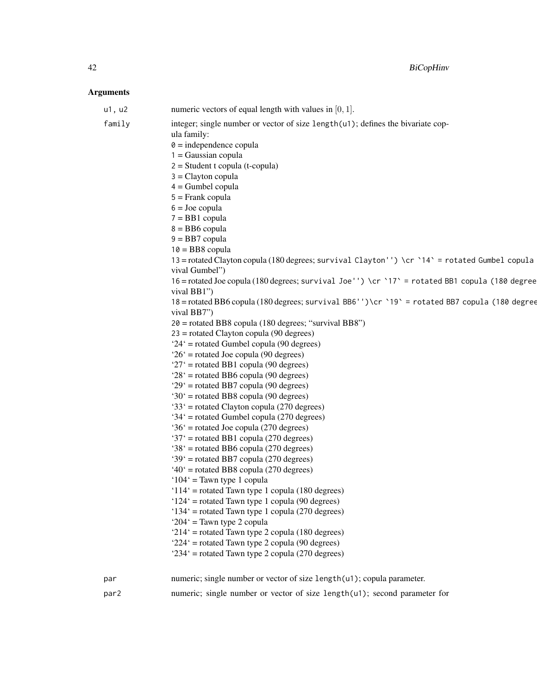| u1, u2 | numeric vectors of equal length with values in $[0, 1]$ .                                                                                                                                                                                                                                                                                                                                                                                                                                                                                                                                                                                                                                                                                                                                                                                                                                                                                                                                                                                                                                                                                                                                                                                                                                                                                                                                                                                                                                                                                                                                                                                                                   |
|--------|-----------------------------------------------------------------------------------------------------------------------------------------------------------------------------------------------------------------------------------------------------------------------------------------------------------------------------------------------------------------------------------------------------------------------------------------------------------------------------------------------------------------------------------------------------------------------------------------------------------------------------------------------------------------------------------------------------------------------------------------------------------------------------------------------------------------------------------------------------------------------------------------------------------------------------------------------------------------------------------------------------------------------------------------------------------------------------------------------------------------------------------------------------------------------------------------------------------------------------------------------------------------------------------------------------------------------------------------------------------------------------------------------------------------------------------------------------------------------------------------------------------------------------------------------------------------------------------------------------------------------------------------------------------------------------|
| family | integer; single number or vector of size length(u1); defines the bivariate cop-<br>ula family:<br>$\theta$ = independence copula<br>$1 = Gaussian copula$<br>$2 = Student$ t copula (t-copula)<br>$3 =$ Clayton copula<br>$4 =$ Gumbel copula<br>$5 =$ Frank copula<br>$6 =$ Joe copula<br>$7 = BB1$ copula<br>$8 = BB6$ copula<br>$9 = BB7$ copula<br>$10 = BB8$ copula<br>13 = rotated Clayton copula (180 degrees; survival Clayton'') \cr `14` = rotated Gumbel copula<br>vival Gumbel")<br>16 = rotated Joe copula (180 degrees; survival Joe'') \cr `17' = rotated BB1 copula (180 degree<br>vival BB1")<br>18 = rotated BB6 copula (180 degrees; survival BB6'')\cr `19' = rotated BB7 copula (180 degree<br>vival BB7")<br>20 = rotated BB8 copula (180 degrees; "survival BB8")<br>$23$ = rotated Clayton copula (90 degrees)<br>'24' = rotated Gumbel copula (90 degrees)<br>$26'$ = rotated Joe copula (90 degrees)<br>' $27'$ = rotated BB1 copula (90 degrees)<br>$28'$ = rotated BB6 copula (90 degrees)<br>$29'$ = rotated BB7 copula (90 degrees)<br>' $30'$ = rotated BB8 copula (90 degrees)<br>'33' = rotated Clayton copula (270 degrees)<br>'34' = rotated Gumbel copula (270 degrees)<br>$36'$ = rotated Joe copula (270 degrees)<br>'37' = rotated BB1 copula (270 degrees)<br>'38' = rotated BB6 copula (270 degrees)<br>'39' = rotated BB7 copula (270 degrees)<br>$40^{\circ}$ = rotated BB8 copula (270 degrees)<br>' $104$ ' = Tawn type 1 copula<br>'114' = rotated Tawn type 1 copula (180 degrees)<br>$124'$ = rotated Tawn type 1 copula (90 degrees)<br>'134' = rotated Tawn type 1 copula (270 degrees)<br>' $204$ ' = Tawn type 2 copula |
|        |                                                                                                                                                                                                                                                                                                                                                                                                                                                                                                                                                                                                                                                                                                                                                                                                                                                                                                                                                                                                                                                                                                                                                                                                                                                                                                                                                                                                                                                                                                                                                                                                                                                                             |
|        |                                                                                                                                                                                                                                                                                                                                                                                                                                                                                                                                                                                                                                                                                                                                                                                                                                                                                                                                                                                                                                                                                                                                                                                                                                                                                                                                                                                                                                                                                                                                                                                                                                                                             |
|        |                                                                                                                                                                                                                                                                                                                                                                                                                                                                                                                                                                                                                                                                                                                                                                                                                                                                                                                                                                                                                                                                                                                                                                                                                                                                                                                                                                                                                                                                                                                                                                                                                                                                             |
|        | ' $214$ ' = rotated Tawn type 2 copula (180 degrees)                                                                                                                                                                                                                                                                                                                                                                                                                                                                                                                                                                                                                                                                                                                                                                                                                                                                                                                                                                                                                                                                                                                                                                                                                                                                                                                                                                                                                                                                                                                                                                                                                        |
|        | $224'$ = rotated Tawn type 2 copula (90 degrees)<br>' $234$ ' = rotated Tawn type 2 copula (270 degrees)                                                                                                                                                                                                                                                                                                                                                                                                                                                                                                                                                                                                                                                                                                                                                                                                                                                                                                                                                                                                                                                                                                                                                                                                                                                                                                                                                                                                                                                                                                                                                                    |
| par    | numeric; single number or vector of size length(u1); copula parameter.                                                                                                                                                                                                                                                                                                                                                                                                                                                                                                                                                                                                                                                                                                                                                                                                                                                                                                                                                                                                                                                                                                                                                                                                                                                                                                                                                                                                                                                                                                                                                                                                      |
| par2   | numeric; single number or vector of size length(u1); second parameter for                                                                                                                                                                                                                                                                                                                                                                                                                                                                                                                                                                                                                                                                                                                                                                                                                                                                                                                                                                                                                                                                                                                                                                                                                                                                                                                                                                                                                                                                                                                                                                                                   |
|        |                                                                                                                                                                                                                                                                                                                                                                                                                                                                                                                                                                                                                                                                                                                                                                                                                                                                                                                                                                                                                                                                                                                                                                                                                                                                                                                                                                                                                                                                                                                                                                                                                                                                             |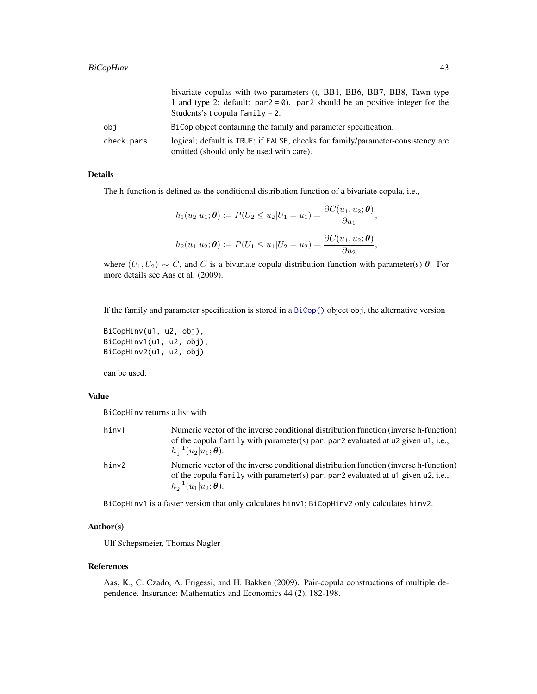|            | bivariate copulas with two parameters (t, BB1, BB6, BB7, BB8, Tawn type<br>1 and type 2; default: $par2 = 0$ ). par2 should be an positive integer for the<br>Students's t copula $family = 2$ . |
|------------|--------------------------------------------------------------------------------------------------------------------------------------------------------------------------------------------------|
| obi        | BiCop object containing the family and parameter specification.                                                                                                                                  |
| check.pars | logical; default is TRUE; if FALSE, checks for family/parameter-consistency are<br>omitted (should only be used with care).                                                                      |

# Details

The h-function is defined as the conditional distribution function of a bivariate copula, i.e.,

$$
h_1(u_2|u_1;\boldsymbol{\theta}) := P(U_2 \le u_2|U_1 = u_1) = \frac{\partial C(u_1, u_2; \boldsymbol{\theta})}{\partial u_1},
$$
  

$$
h_2(u_1|u_2; \boldsymbol{\theta}) := P(U_1 \le u_1|U_2 = u_2) = \frac{\partial C(u_1, u_2; \boldsymbol{\theta})}{\partial u_2},
$$

where  $(U_1, U_2) \sim C$ , and C is a bivariate copula distribution function with parameter(s)  $\theta$ . For more details see Aas et al. (2009).

If the family and parameter specification is stored in a [BiCop\(\)](#page-6-0) object obj, the alternative version

```
BiCopHinv(u1, u2, obj),
BiCopHinv1(u1, u2, obj),
BiCopHinv2(u1, u2, obj)
```
can be used.

### Value

BiCopHinv returns a list with

| hinv1 | Numeric vector of the inverse conditional distribution function (inverse h-function)<br>of the copula family with parameter(s) par, par 2 evaluated at u2 given u1, i.e.,<br>$h_1^{-1}(u_2 u_1;\boldsymbol{\theta}).$ |
|-------|-----------------------------------------------------------------------------------------------------------------------------------------------------------------------------------------------------------------------|
| hinv2 | Numeric vector of the inverse conditional distribution function (inverse h-function)<br>of the copula family with parameter(s) par, par 2 evaluated at u1 given u2, i.e.,<br>$h_2^{-1}(u_1 u_2;\boldsymbol{\theta}).$ |

BiCopHinv1 is a faster version that only calculates hinv1; BiCopHinv2 only calculates hinv2.

#### Author(s)

Ulf Schepsmeier, Thomas Nagler

#### References

Aas, K., C. Czado, A. Frigessi, and H. Bakken (2009). Pair-copula constructions of multiple dependence. Insurance: Mathematics and Economics 44 (2), 182-198.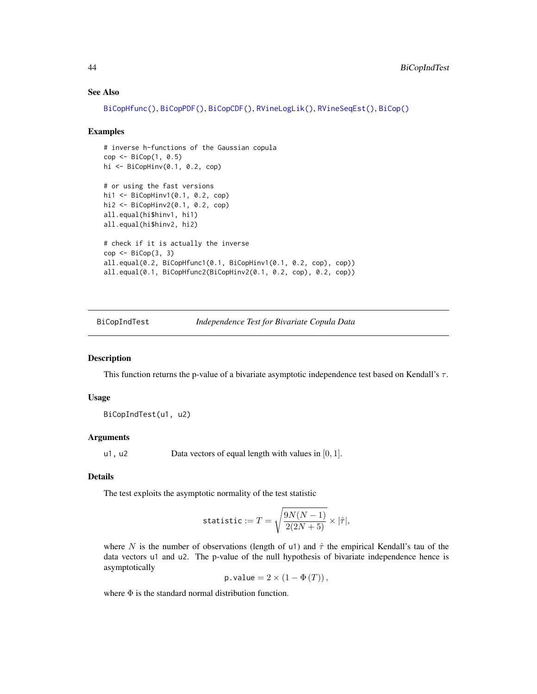#### See Also

[BiCopHfunc\(\)](#page-33-0), [BiCopPDF\(\)](#page-64-0), [BiCopCDF\(\)](#page-8-0), [RVineLogLik\(\)](#page-106-0), [RVineSeqEst\(\)](#page-125-0), [BiCop\(\)](#page-6-0)

#### Examples

```
# inverse h-functions of the Gaussian copula
cop \leftarrow \text{BiCop}(1, 0.5)hi <- BiCopHinv(0.1, 0.2, cop)
# or using the fast versions
hi1 <- BiCopHinv1(0.1, 0.2, cop)
hi2 <- BiCopHinv2(0.1, 0.2, cop)
all.equal(hi$hinv1, hi1)
all.equal(hi$hinv2, hi2)
# check if it is actually the inverse
cop <- BiCop(3, 3)
all.equal(0.2, BiCopHfunc1(0.1, BiCopHinv1(0.1, 0.2, cop), cop))
all.equal(0.1, BiCopHfunc2(BiCopHinv2(0.1, 0.2, cop), 0.2, cop))
```
<span id="page-43-0"></span>BiCopIndTest *Independence Test for Bivariate Copula Data*

#### Description

This function returns the p-value of a bivariate asymptotic independence test based on Kendall's  $\tau$ .

#### Usage

BiCopIndTest(u1, u2)

#### Arguments

u1, u2 Data vectors of equal length with values in  $[0, 1]$ .

# Details

The test exploits the asymptotic normality of the test statistic

$$
\texttt{statistic} := T = \sqrt{\frac{9N(N-1)}{2(2N+5)}} \times |\hat{\tau}|,
$$

where N is the number of observations (length of u1) and  $\hat{\tau}$  the empirical Kendall's tau of the data vectors u1 and u2. The p-value of the null hypothesis of bivariate independence hence is asymptotically

p.value =  $2 \times (1 - \Phi(T))$ ,

where  $\Phi$  is the standard normal distribution function.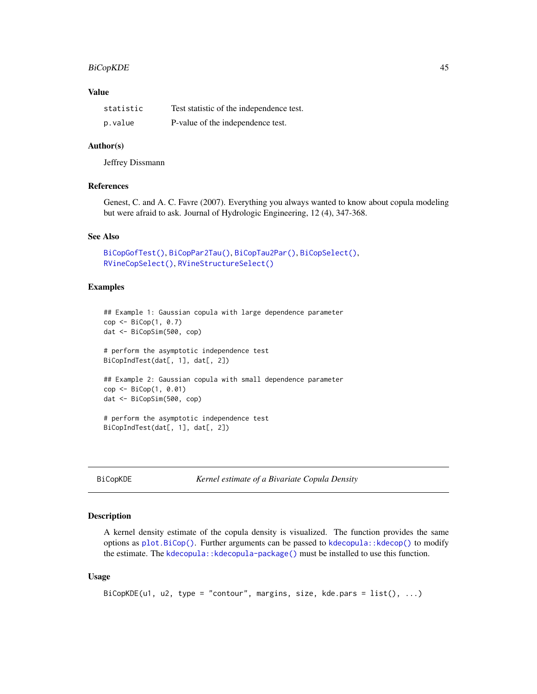# BiCopKDE 45

### Value

| statistic | Test statistic of the independence test. |
|-----------|------------------------------------------|
| p.value   | P-value of the independence test.        |

#### Author(s)

Jeffrey Dissmann

#### References

Genest, C. and A. C. Favre (2007). Everything you always wanted to know about copula modeling but were afraid to ask. Journal of Hydrologic Engineering, 12 (4), 347-368.

# See Also

```
BiCopGofTest(), BiCopPar2Tau(), BiCopTau2Par(), BiCopSelect(),
RVineCopSelect(), RVineStructureSelect()
```
### Examples

```
## Example 1: Gaussian copula with large dependence parameter
cop <- BiCop(1, 0.7)
dat <- BiCopSim(500, cop)
# perform the asymptotic independence test
BiCopIndTest(dat[, 1], dat[, 2])
## Example 2: Gaussian copula with small dependence parameter
cop <- BiCop(1, 0.01)
dat <- BiCopSim(500, cop)
# perform the asymptotic independence test
BiCopIndTest(dat[, 1], dat[, 2])
```
<span id="page-44-0"></span>BiCopKDE *Kernel estimate of a Bivariate Copula Density*

#### Description

A kernel density estimate of the copula density is visualized. The function provides the same options as [plot.BiCop\(\)](#page-85-0). Further arguments can be passed to [kdecopula::kdecop\(\)](#page-0-0) to modify the estimate. The kdecopula:: kdecopula-package() must be installed to use this function.

#### Usage

```
BiCopKDE(u1, u2, type = "contour", margins, size, kde.pars = list(), ...)
```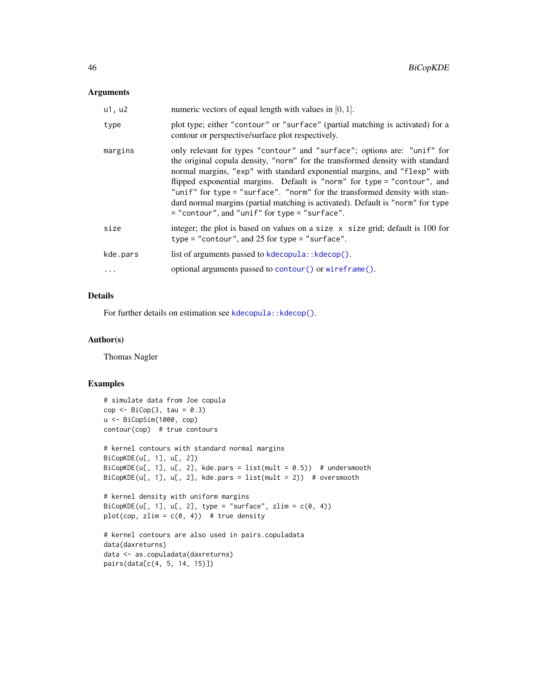### Arguments

| u1, u2   | numeric vectors of equal length with values in $[0, 1]$ .                                                                                                                                                                                                                                                                                                                                                                                                                                                                            |
|----------|--------------------------------------------------------------------------------------------------------------------------------------------------------------------------------------------------------------------------------------------------------------------------------------------------------------------------------------------------------------------------------------------------------------------------------------------------------------------------------------------------------------------------------------|
| type     | plot type; either "contour" or "surface" (partial matching is activated) for a<br>contour or perspective/surface plot respectively.                                                                                                                                                                                                                                                                                                                                                                                                  |
| margins  | only relevant for types "contour" and "surface"; options are: "unif" for<br>the original copula density, "norm" for the transformed density with standard<br>normal margins, "exp" with standard exponential margins, and "flexp" with<br>flipped exponential margins. Default is "norm" for type = "contour", and<br>"unif" for type = "surface". "norm" for the transformed density with stan-<br>dard normal margins (partial matching is activated). Default is "norm" for type<br>= "contour", and "unif" for type = "surface". |
| size     | integer; the plot is based on values on a size $x$ size grid; default is 100 for<br>type = "contour", and $25$ for type = "surface".                                                                                                                                                                                                                                                                                                                                                                                                 |
| kde.pars | list of arguments passed to kdecopula:: kdecop().                                                                                                                                                                                                                                                                                                                                                                                                                                                                                    |
| $\cdots$ | optional arguments passed to contour () or wireframe ().                                                                                                                                                                                                                                                                                                                                                                                                                                                                             |

## Details

For further details on estimation see kdecopula:: kdecop().

#### Author(s)

Thomas Nagler

#### Examples

```
# simulate data from Joe copula
cop \leftarrow \text{BiCop}(3, \text{ tau} = 0.3)u <- BiCopSim(1000, cop)
contour(cop) # true contours
# kernel contours with standard normal margins
BiCopKDE(u[, 1], u[, 2])
BiCopKDE(u[, 1], u[, 2], kde.pars = list(mult = 0.5)) # undersmooth
BiCopKDE(u[, 1], u[, 2], kde.pars = list(mult = 2)) # oversmooth
# kernel density with uniform margins
BiCopKDE(u[, 1], u[, 2], type = "surface", zlim = c(0, 4))
plot(cop, zlim = c(0, 4)) # true density
# kernel contours are also used in pairs.copuladata
data(daxreturns)
data <- as.copuladata(daxreturns)
pairs(data[c(4, 5, 14, 15)])
```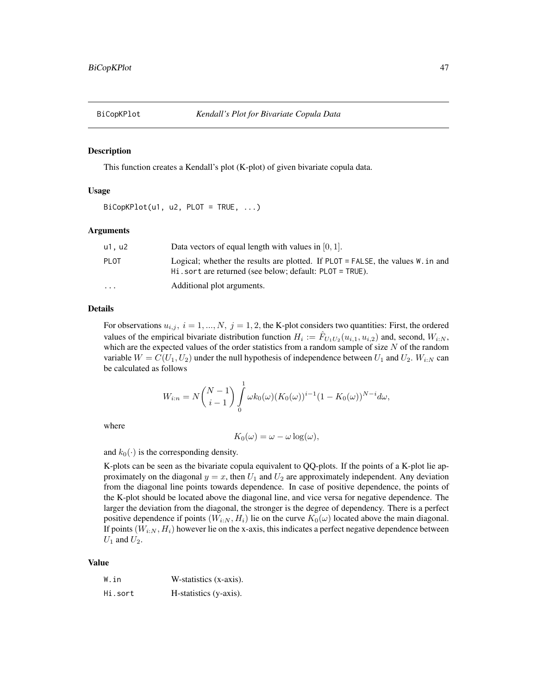<span id="page-46-0"></span>

#### Description

This function creates a Kendall's plot (K-plot) of given bivariate copula data.

#### Usage

 $BiCopKPlot(u1, u2, PLOT = TRUE, ...)$ 

### Arguments

| u1. u2                  | Data vectors of equal length with values in $[0, 1]$ .                                                                                                       |
|-------------------------|--------------------------------------------------------------------------------------------------------------------------------------------------------------|
| PI 0T                   | Logical; whether the results are plotted. If PLOT = FALSE, the values $W \cdot \text{in}$ and<br>$Hi$ . sort are returned (see below; default: PLOT = TRUE). |
| $\cdot$ $\cdot$ $\cdot$ | Additional plot arguments.                                                                                                                                   |

#### Details

For observations  $u_{i,j}$ ,  $i = 1, ..., N$ ,  $j = 1, 2$ , the K-plot considers two quantities: First, the ordered values of the empirical bivariate distribution function  $H_i := \hat{F}_{U_1U_2}(u_{i,1}, u_{i,2})$  and, second,  $W_{i:N}$ , which are the expected values of the order statistics from a random sample of size  $N$  of the random variable  $W = C(U_1, U_2)$  under the null hypothesis of independence between  $U_1$  and  $U_2$ .  $W_{i:N}$  can be calculated as follows

$$
W_{i:n} = N\binom{N-1}{i-1} \int_{0}^{1} \omega k_0(\omega) (K_0(\omega))^{i-1} (1 - K_0(\omega))^{N-i} d\omega,
$$

where

$$
K_0(\omega) = \omega - \omega \log(\omega),
$$

and  $k_0(\cdot)$  is the corresponding density.

K-plots can be seen as the bivariate copula equivalent to QQ-plots. If the points of a K-plot lie approximately on the diagonal  $y = x$ , then  $U_1$  and  $U_2$  are approximately independent. Any deviation from the diagonal line points towards dependence. In case of positive dependence, the points of the K-plot should be located above the diagonal line, and vice versa for negative dependence. The larger the deviation from the diagonal, the stronger is the degree of dependency. There is a perfect positive dependence if points  $(W_{i:N}, H_i)$  lie on the curve  $K_0(\omega)$  located above the main diagonal. If points  $(W_{i:N}, H_i)$  however lie on the x-axis, this indicates a perfect negative dependence between  $U_1$  and  $U_2$ .

# Value

| W.in    | W-statistics (x-axis). |
|---------|------------------------|
| Hi.sort | H-statistics (y-axis). |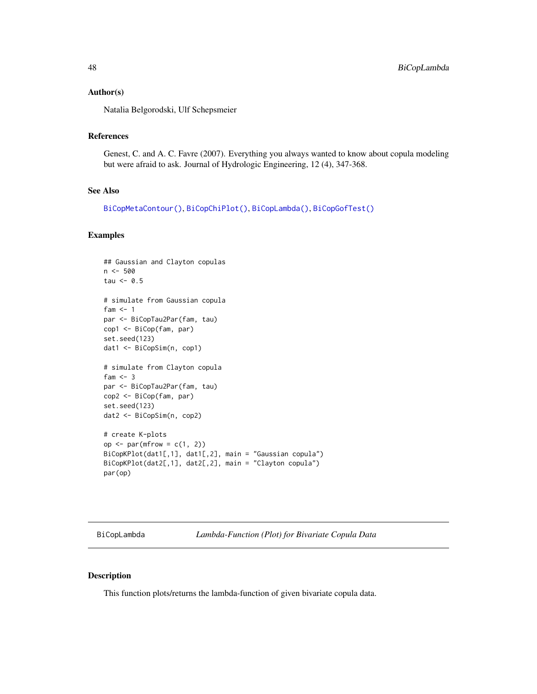#### Author(s)

Natalia Belgorodski, Ulf Schepsmeier

#### References

Genest, C. and A. C. Favre (2007). Everything you always wanted to know about copula modeling but were afraid to ask. Journal of Hydrologic Engineering, 12 (4), 347-368.

### See Also

[BiCopMetaContour\(\)](#page-50-0), [BiCopChiPlot\(\)](#page-12-0), [BiCopLambda\(\)](#page-47-0), [BiCopGofTest\(\)](#page-30-0)

### Examples

```
## Gaussian and Clayton copulas
n <- 500
tau <-0.5# simulate from Gaussian copula
fam <-1par <- BiCopTau2Par(fam, tau)
cop1 <- BiCop(fam, par)
set.seed(123)
dat1 <- BiCopSim(n, cop1)
# simulate from Clayton copula
fam <-3par <- BiCopTau2Par(fam, tau)
cop2 <- BiCop(fam, par)
set.seed(123)
dat2 <- BiCopSim(n, cop2)
# create K-plots
op \leq par(mfrow = c(1, 2))
BiCopKPlot(dat1[,1], dat1[,2], main = "Gaussian copula")
BiCopKPlot(dat2[,1], dat2[,2], main = "Clayton copula")
par(op)
```
<span id="page-47-0"></span>BiCopLambda *Lambda-Function (Plot) for Bivariate Copula Data*

#### Description

This function plots/returns the lambda-function of given bivariate copula data.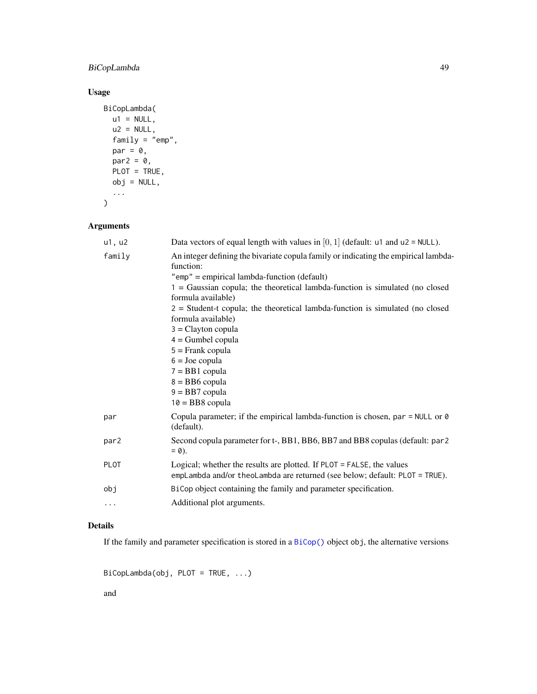# BiCopLambda 49

# Usage

```
BiCopLambda(
  u1 = NULL,u2 = NULL,family = "emp",
  par = 0,par2 = 0,PLOT = TRUE,obj = NULL,...
\mathcal{L}
```
# Arguments

| u1, u2      | Data vectors of equal length with values in $[0, 1]$ (default: u1 and u2 = NULL).                                                                                                                                                                                                                                                                                                                                                                                                                                                            |
|-------------|----------------------------------------------------------------------------------------------------------------------------------------------------------------------------------------------------------------------------------------------------------------------------------------------------------------------------------------------------------------------------------------------------------------------------------------------------------------------------------------------------------------------------------------------|
| family      | An integer defining the bivariate copula family or indicating the empirical lambda-<br>function:<br>$"emp" = empirical lambda-function (default)$<br>$1 = Gaussian$ copula; the theoretical lambda-function is simulated (no closed<br>formula available)<br>$2 = Student-t$ copula; the theoretical lambda-function is simulated (no closed<br>formula available)<br>$3 =$ Clayton copula<br>$4 =$ Gumbel copula<br>$5 =$ Frank copula<br>$6 =$ Joe copula<br>$7 = BB1$ copula<br>$8 = BB6$ copula<br>$9 = BB7$ copula<br>$10 = BB8$ copula |
| par         | Copula parameter; if the empirical lambda-function is chosen, par = NULL or $\theta$<br>(default).                                                                                                                                                                                                                                                                                                                                                                                                                                           |
| par2        | Second copula parameter for t-, BB1, BB6, BB7 and BB8 copulas (default: par2<br>$= 0$ ).                                                                                                                                                                                                                                                                                                                                                                                                                                                     |
| <b>PLOT</b> | Logical; whether the results are plotted. If PLOT = FALSE, the values<br>empLambda and/or theoLambda are returned (see below; default: PLOT = TRUE).                                                                                                                                                                                                                                                                                                                                                                                         |
| obj         | BiCop object containing the family and parameter specification.                                                                                                                                                                                                                                                                                                                                                                                                                                                                              |
| $\cdots$    | Additional plot arguments.                                                                                                                                                                                                                                                                                                                                                                                                                                                                                                                   |

# Details

If the family and parameter specification is stored in a [BiCop\(\)](#page-6-0) object obj, the alternative versions

BiCopLambda(obj, PLOT = TRUE, ...)

and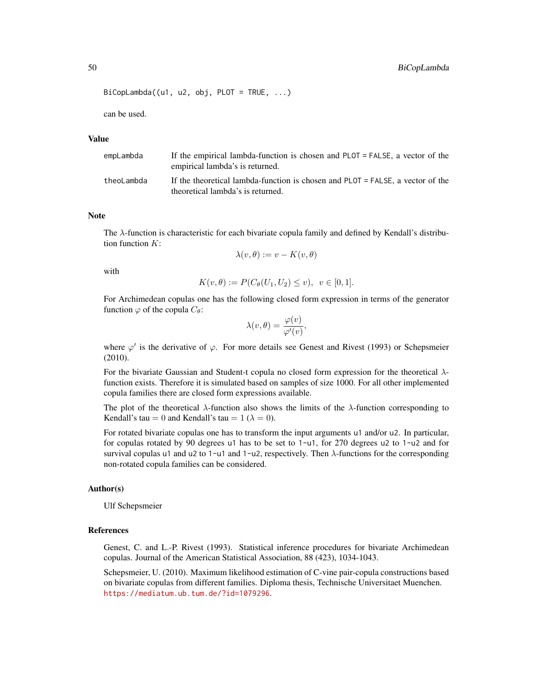#### 50 BiCopLambda

```
Bicombda((u1, u2, obj, PLOT = TRUE, ...))
```
can be used.

### Value

| empLambda  | If the empirical lambda-function is chosen and PLOT = FALSE, a vector of the<br>empirical lambda's is returned.        |
|------------|------------------------------------------------------------------------------------------------------------------------|
| theoLambda | If the theoretical lambda-function is chosen and $PLOT = FALSE$ . a vector of the<br>theoretical lambda's is returned. |

#### Note

The  $\lambda$ -function is characteristic for each bivariate copula family and defined by Kendall's distribution function  $K$ :

$$
\lambda(v,\theta) := v - K(v,\theta)
$$

with

$$
K(v, \theta) := P(C_{\theta}(U_1, U_2) \le v), \ \ v \in [0, 1].
$$

For Archimedean copulas one has the following closed form expression in terms of the generator function  $\varphi$  of the copula  $C_{\theta}$ :

$$
\lambda(v,\theta) = \frac{\varphi(v)}{\varphi'(v)},
$$

where  $\varphi'$  is the derivative of  $\varphi$ . For more details see Genest and Rivest (1993) or Schepsmeier (2010).

For the bivariate Gaussian and Student-t copula no closed form expression for the theoretical  $\lambda$ function exists. Therefore it is simulated based on samples of size 1000. For all other implemented copula families there are closed form expressions available.

The plot of the theoretical  $\lambda$ -function also shows the limits of the  $\lambda$ -function corresponding to Kendall's tau = 0 and Kendall's tau =  $1 (\lambda = 0)$ .

For rotated bivariate copulas one has to transform the input arguments u1 and/or u2. In particular, for copulas rotated by 90 degrees u1 has to be set to 1-u1, for 270 degrees u2 to 1-u2 and for survival copulas u1 and u2 to 1-u1 and 1-u2, respectively. Then  $\lambda$ -functions for the corresponding non-rotated copula families can be considered.

#### Author(s)

Ulf Schepsmeier

#### References

Genest, C. and L.-P. Rivest (1993). Statistical inference procedures for bivariate Archimedean copulas. Journal of the American Statistical Association, 88 (423), 1034-1043.

Schepsmeier, U. (2010). Maximum likelihood estimation of C-vine pair-copula constructions based on bivariate copulas from different families. Diploma thesis, Technische Universitaet Muenchen. <https://mediatum.ub.tum.de/?id=1079296>.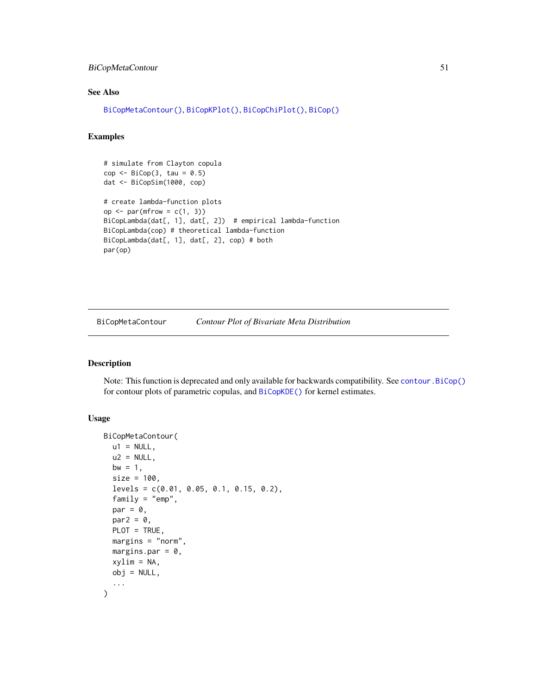# BiCopMetaContour 51

# See Also

```
BiCopMetaContour(), BiCopKPlot(), BiCopChiPlot(), BiCop()
```
#### Examples

```
# simulate from Clayton copula
cop \leftarrow \text{BiCop}(3, \text{tau} = 0.5)dat <- BiCopSim(1000, cop)
# create lambda-function plots
op \leq par(mfrow = c(1, 3))
BiCopLambda(dat[, 1], dat[, 2]) # empirical lambda-function
BiCopLambda(cop) # theoretical lambda-function
BiCopLambda(dat[, 1], dat[, 2], cop) # both
par(op)
```
<span id="page-50-0"></span>BiCopMetaContour *Contour Plot of Bivariate Meta Distribution*

#### Description

Note: This function is deprecated and only available for backwards compatibility. See [contour.BiCop\(\)](#page-85-1) for contour plots of parametric copulas, and [BiCopKDE\(\)](#page-44-0) for kernel estimates.

# Usage

```
BiCopMetaContour(
 u1 = NULL,u2 = NULL,bw = 1,
  size = 100,
  levels = c(0.01, 0.05, 0.1, 0.15, 0.2),
  family = "emp",
  par = 0,par2 = 0,
 PLOT = TRUE,
 margins = "norm",
 margins.par = 0,
  xylim = NA,
  obj = NULL,...
)
```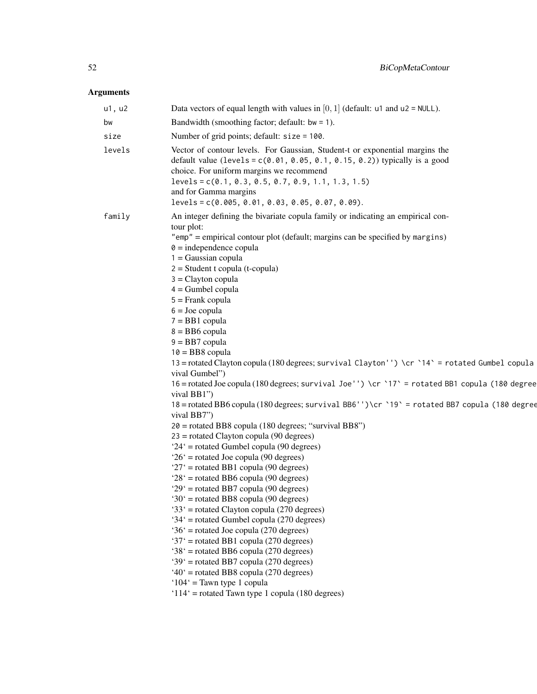| u1, u2 | Data vectors of equal length with values in $[0, 1]$ (default: u1 and u2 = NULL).                                                                                                                                                                                                                                                                                                                                                                                                                                                                                                                                                                                                                                                                                                                                                                                                                                                                                                                                                                                                                                                                                                                                                                                                                                                                                                                                                                                                                                                                                                                                  |
|--------|--------------------------------------------------------------------------------------------------------------------------------------------------------------------------------------------------------------------------------------------------------------------------------------------------------------------------------------------------------------------------------------------------------------------------------------------------------------------------------------------------------------------------------------------------------------------------------------------------------------------------------------------------------------------------------------------------------------------------------------------------------------------------------------------------------------------------------------------------------------------------------------------------------------------------------------------------------------------------------------------------------------------------------------------------------------------------------------------------------------------------------------------------------------------------------------------------------------------------------------------------------------------------------------------------------------------------------------------------------------------------------------------------------------------------------------------------------------------------------------------------------------------------------------------------------------------------------------------------------------------|
| bw     | Bandwidth (smoothing factor; default: $bw = 1$ ).                                                                                                                                                                                                                                                                                                                                                                                                                                                                                                                                                                                                                                                                                                                                                                                                                                                                                                                                                                                                                                                                                                                                                                                                                                                                                                                                                                                                                                                                                                                                                                  |
| size   | Number of grid points; default: size = 100.                                                                                                                                                                                                                                                                                                                                                                                                                                                                                                                                                                                                                                                                                                                                                                                                                                                                                                                                                                                                                                                                                                                                                                                                                                                                                                                                                                                                                                                                                                                                                                        |
| levels | Vector of contour levels. For Gaussian, Student-t or exponential margins the<br>default value (levels = $c(0.01, 0.05, 0.1, 0.15, 0.2)$ ) typically is a good<br>choice. For uniform margins we recommend<br>$levels = c(0.1, 0.3, 0.5, 0.7, 0.9, 1.1, 1.3, 1.5)$<br>and for Gamma margins<br>$levels = c(0.005, 0.01, 0.03, 0.05, 0.07, 0.09).$                                                                                                                                                                                                                                                                                                                                                                                                                                                                                                                                                                                                                                                                                                                                                                                                                                                                                                                                                                                                                                                                                                                                                                                                                                                                   |
| family | An integer defining the bivariate copula family or indicating an empirical con-<br>tour plot:<br>"emp" = empirical contour plot (default; margins can be specified by margins)<br>$\theta$ = independence copula<br>$1 = Gaussian copula$<br>$2 = Student$ t copula (t-copula)<br>$3 =$ Clayton copula<br>$4 =$ Gumbel copula<br>$5 =$ Frank copula<br>$6 =$ Joe copula<br>$7 = BB1$ copula<br>$8 = BB6$ copula<br>$9 = BB7$ copula<br>$10 = BB8$ copula<br>13 = rotated Clayton copula (180 degrees; survival Clayton'') \cr `14` = rotated Gumbel copula<br>vival Gumbel")<br>16 = rotated Joe copula (180 degrees; survival Joe'') \cr `17' = rotated BB1 copula (180 degree<br>vival BB1")<br>18 = rotated BB6 copula (180 degrees; survival BB6'')\cr `19' = rotated BB7 copula (180 degree<br>vival BB7")<br>$20$ = rotated BB8 copula (180 degrees; "survival BB8")<br>$23$ = rotated Clayton copula (90 degrees)<br>$24'$ = rotated Gumbel copula (90 degrees)<br>$26'$ = rotated Joe copula (90 degrees)<br>$27'$ = rotated BB1 copula (90 degrees)<br>$28'$ = rotated BB6 copula (90 degrees)<br>$29'$ = rotated BB7 copula (90 degrees)<br>$30'$ = rotated BB8 copula (90 degrees)<br>'33' = rotated Clayton copula (270 degrees)<br>'34' = rotated Gumbel copula (270 degrees)<br>$36'$ = rotated Joe copula (270 degrees)<br>'37' = rotated BB1 copula (270 degrees)<br>'38' = rotated BB6 copula (270 degrees)<br>'39' = rotated BB7 copula (270 degrees)<br>$40^\circ$ = rotated BB8 copula (270 degrees)<br>' $104$ ' = Tawn type 1 copula<br>' $114$ ' = rotated Tawn type 1 copula (180 degrees) |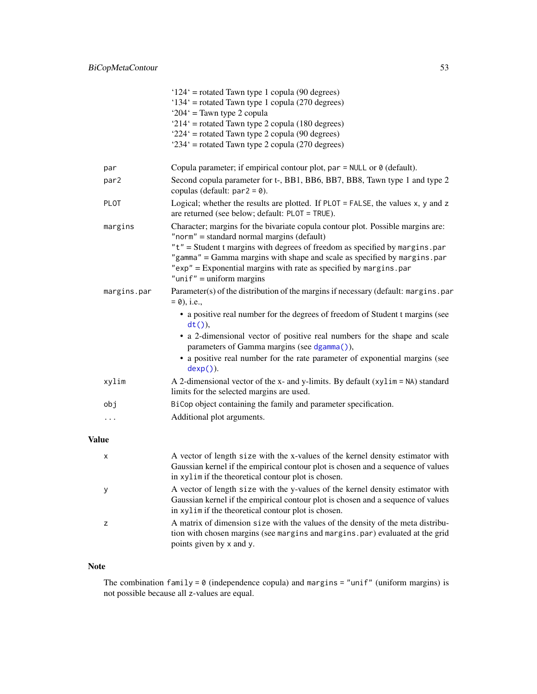|             | $124'$ = rotated Tawn type 1 copula (90 degrees)<br>$134'$ = rotated Tawn type 1 copula (270 degrees)                                                                                                                                                       |
|-------------|-------------------------------------------------------------------------------------------------------------------------------------------------------------------------------------------------------------------------------------------------------------|
|             | ' $204$ ' = Tawn type 2 copula                                                                                                                                                                                                                              |
|             | ' $214$ ' = rotated Tawn type 2 copula (180 degrees)                                                                                                                                                                                                        |
|             | $224'$ = rotated Tawn type 2 copula (90 degrees)                                                                                                                                                                                                            |
|             | $234'$ = rotated Tawn type 2 copula (270 degrees)                                                                                                                                                                                                           |
| par         | Copula parameter; if empirical contour plot, par $=$ NULL or $\theta$ (default).                                                                                                                                                                            |
| par2        | Second copula parameter for t-, BB1, BB6, BB7, BB8, Tawn type 1 and type 2<br>copulas (default: $par2 = 0$ ).                                                                                                                                               |
| <b>PLOT</b> | Logical; whether the results are plotted. If $PLOT = FALSE$ , the values x, y and z<br>are returned (see below; default: PLOT = TRUE).                                                                                                                      |
| margins     | Character; margins for the bivariate copula contour plot. Possible margins are:<br>"norm" = standard normal margins (default)                                                                                                                               |
|             | "t" = Student t margins with degrees of freedom as specified by margins.par<br>"gamma" = Gamma margins with shape and scale as specified by margins.par<br>"exp" = Exponential margins with rate as specified by margins.par<br>" $unif" = uniform margins$ |
| margins.par | Parameter(s) of the distribution of the margins if necessary (default: margins.par<br>$= 0$ , i.e.,                                                                                                                                                         |
|             | • a positive real number for the degrees of freedom of Student t margins (see<br>$dt()$ ),                                                                                                                                                                  |
|             | • a 2-dimensional vector of positive real numbers for the shape and scale<br>parameters of Gamma margins (see dgamma()),                                                                                                                                    |
|             | • a positive real number for the rate parameter of exponential margins (see<br>$dexp()$ .                                                                                                                                                                   |
| xylim       | A 2-dimensional vector of the x- and y-limits. By default $(xylim = NA)$ standard<br>limits for the selected margins are used.                                                                                                                              |
| obj         | BiCop object containing the family and parameter specification.                                                                                                                                                                                             |
| .           | Additional plot arguments.                                                                                                                                                                                                                                  |
|             |                                                                                                                                                                                                                                                             |

# Value

| $\boldsymbol{\mathsf{x}}$ | A vector of length size with the x-values of the kernel density estimator with<br>Gaussian kernel if the empirical contour plot is chosen and a sequence of values<br>in xylim if the theoretical contour plot is chosen. |
|---------------------------|---------------------------------------------------------------------------------------------------------------------------------------------------------------------------------------------------------------------------|
|                           | A vector of length size with the y-values of the kernel density estimator with<br>Gaussian kernel if the empirical contour plot is chosen and a sequence of values<br>in xylim if the theoretical contour plot is chosen. |
|                           | A matrix of dimension size with the values of the density of the meta distribu-<br>tion with chosen margins (see margins and margins, par) evaluated at the grid<br>points given by x and y.                              |

# Note

The combination family =  $\theta$  (independence copula) and margins = "unif" (uniform margins) is not possible because all z-values are equal.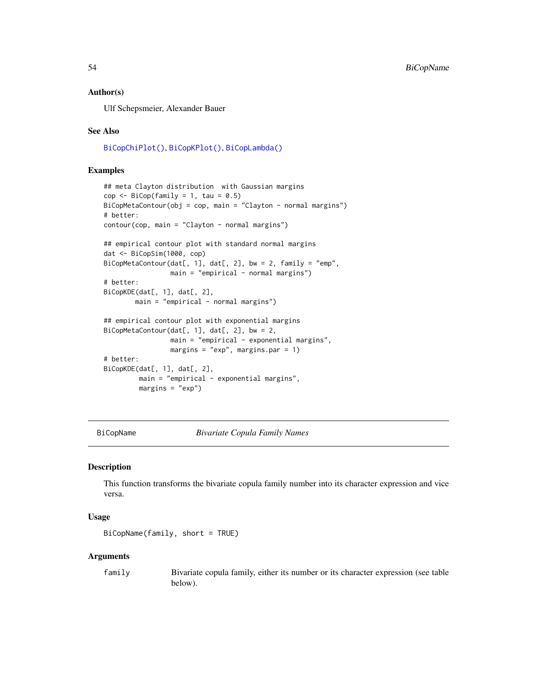### Author(s)

Ulf Schepsmeier, Alexander Bauer

#### See Also

[BiCopChiPlot\(\)](#page-12-0), [BiCopKPlot\(\)](#page-46-0), [BiCopLambda\(\)](#page-47-0)

### Examples

```
## meta Clayton distribution with Gaussian margins
cop \leq - \text{BiCop}(\text{family} = 1, \text{ tau} = 0.5)BiCopMetaContour(obj = cop, main = "Clayton - normal margins")# better:
contour(cop, main = "Clayton - normal margins")
## empirical contour plot with standard normal margins
dat <- BiCopSim(1000, cop)
BiCopMetaContour(dat[, 1], dat[, 2], bw = 2, family = "emp",
                 main = "empirical - normal margins")# better:
BiCopKDE(dat[, 1], dat[, 2],
        main = "empirical - normal margins")
## empirical contour plot with exponential margins
BiCopMetaContour(dat[, 1], dat[, 2], bw = 2,
                 main = "empirical - exponential margin's",margins = "exp", margins.par = 1)
# better:
BiCopKDE(dat[, 1], dat[, 2],
         main = "empirical - exponential margins",
         margins = "exp")
```
BiCopName *Bivariate Copula Family Names*

### Description

This function transforms the bivariate copula family number into its character expression and vice versa.

#### Usage

BiCopName(family, short = TRUE)

#### Arguments

family Bivariate copula family, either its number or its character expression (see table below).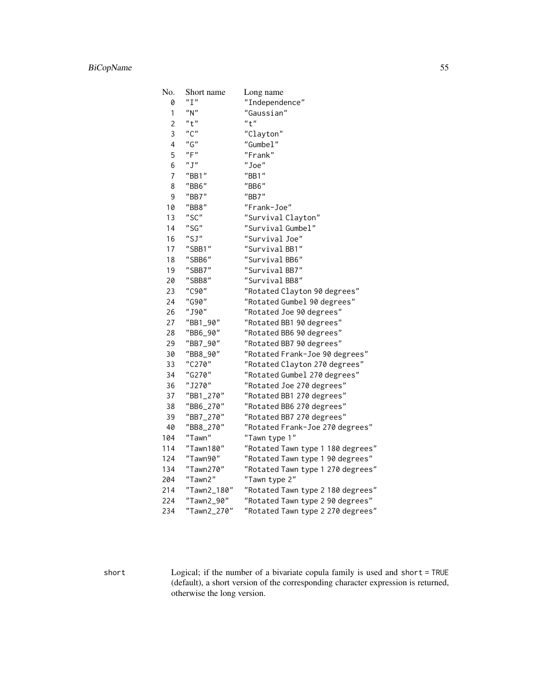| No.                     | Short name  | Long name                         |
|-------------------------|-------------|-----------------------------------|
| 0                       | "I"         | "Independence"                    |
| 1                       | "N"         | "Gaussian"                        |
| $\overline{2}$          | "t"         | "t"                               |
| 3                       | "C"         | "Clayton"                         |
| $\overline{\mathbf{4}}$ | "G"         | "Gumbel"                          |
| 5                       | "F"         | "Frank"                           |
| 6                       | "J"         | "Joe"                             |
| 7                       | "BB1"       | "BB1"                             |
| 8                       | "BB6"       | "BB6"                             |
| 9                       | "BB7"       | "BB7"                             |
| 10                      | "BB8"       | "Frank-Joe"                       |
| 13                      | "SC"        | "Survival Clayton"                |
| 14                      | "SG"        | "Survival Gumbel"                 |
| 16                      | "SJ"        | "Survival Joe"                    |
| 17                      | "SBB1"      | "Survival BB1"                    |
| 18                      | "SBB6"      | "Survival BB6"                    |
| 19                      | "SBB7"      | "Survival BB7"                    |
| 20                      | "SBB8"      | "Survival BB8"                    |
| 23                      | "C90"       | "Rotated Clayton 90 degrees"      |
| 24                      | "G90"       | "Rotated Gumbel 90 degrees"       |
| 26                      | "J90"       | "Rotated Joe 90 degrees"          |
| 27                      | "BB1_90"    | "Rotated BB1 90 degrees"          |
| 28                      | "BB6_90"    | "Rotated BB6 90 degrees"          |
| 29                      | "BB7_90"    | "Rotated BB7 90 degrees"          |
| 30                      | "BB8_90"    | "Rotated Frank-Joe 90 degrees"    |
| 33                      | "C270"      | "Rotated Clayton 270 degrees"     |
| 34                      | "G270"      | "Rotated Gumbel 270 degrees"      |
| 36                      | "J270"      | "Rotated Joe 270 degrees"         |
| 37                      | "BB1_270"   | "Rotated BB1 270 degrees"         |
| 38                      | "BB6_270"   | "Rotated BB6 270 degrees"         |
| 39                      | "BB7_270"   | "Rotated BB7 270 degrees"         |
| 40                      | "BB8_270"   | "Rotated Frank-Joe 270 degrees"   |
| 104                     | "Tawn"      | "Tawn type 1"                     |
| 114                     | "Tawn180"   | "Rotated Tawn type 1 180 degrees" |
| 124                     | "Tawn90"    | "Rotated Tawn type 1 90 degrees"  |
| 134                     | "Tawn270"   | "Rotated Tawn type 1 270 degrees" |
| 204                     | "Tawn2"     | "Tawn type 2"                     |
| 214                     | "Tawn2_180" | "Rotated Tawn type 2 180 degrees" |
| 224                     | "Tawn2_90"  | "Rotated Tawn type 2 90 degrees"  |
| 234                     | "Tawn2_270" | "Rotated Tawn type 2 270 degrees" |

short Logical; if the number of a bivariate copula family is used and short = TRUE (default), a short version of the corresponding character expression is returned, otherwise the long version.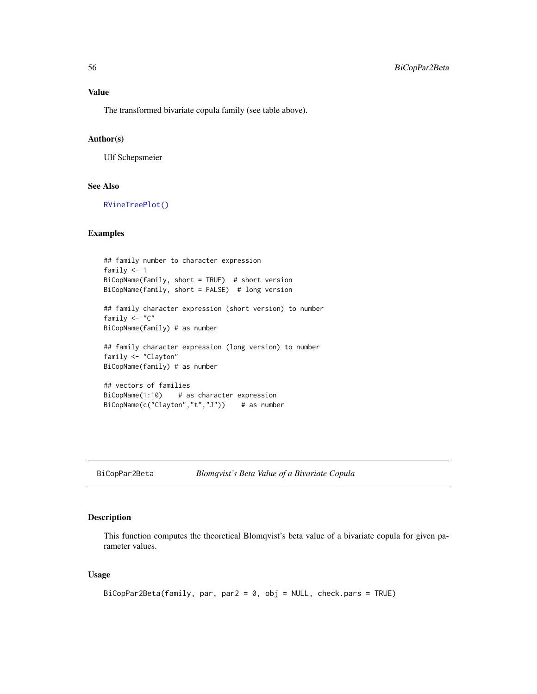The transformed bivariate copula family (see table above).

# Author(s)

Ulf Schepsmeier

#### See Also

[RVineTreePlot\(\)](#page-135-0)

#### Examples

```
## family number to character expression
family <-1BiCopName(family, short = TRUE) # short version
BiCopName(family, short = FALSE) # long version
## family character expression (short version) to number
family <- "C"
BiCopName(family) # as number
## family character expression (long version) to number
family <- "Clayton"
BiCopName(family) # as number
## vectors of families
BiCopName(1:10) # as character expression
BiCopName(c("Clayton","t","J")) # as number
```
BiCopPar2Beta *Blomqvist's Beta Value of a Bivariate Copula*

#### Description

This function computes the theoretical Blomqvist's beta value of a bivariate copula for given parameter values.

# Usage

```
BiCopPar2Beta(family, par, par2 = 0, obj = NULL, check.pars = TRUE)
```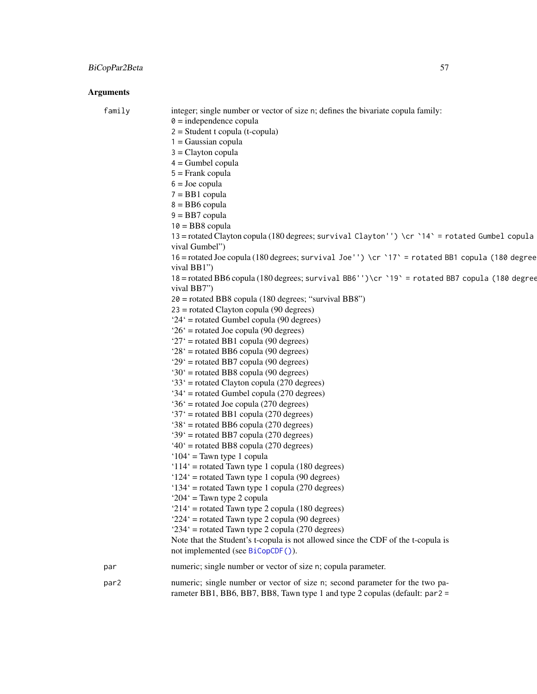| family | integer; single number or vector of size n; defines the bivariate copula family:<br>$\theta$ = independence copula<br>$2 = Student$ t copula (t-copula)     |
|--------|-------------------------------------------------------------------------------------------------------------------------------------------------------------|
|        | $1 = Gaussian copula$<br>$3 =$ Clayton copula                                                                                                               |
|        | $4 =$ Gumbel copula                                                                                                                                         |
|        | $5 =$ Frank copula                                                                                                                                          |
|        | $6 =$ Joe copula                                                                                                                                            |
|        | $7 = BB1$ copula                                                                                                                                            |
|        | $8 = BB6$ copula                                                                                                                                            |
|        | $9 = BB7$ copula                                                                                                                                            |
|        | $10 = BB8$ copula<br>13 = rotated Clayton copula (180 degrees; survival Clayton'') \cr `14` = rotated Gumbel copula                                         |
|        | vival Gumbel")                                                                                                                                              |
|        | 16 = rotated Joe copula (180 degrees; survival Joe'') \cr `17' = rotated BB1 copula (180 degree<br>vival BB1")                                              |
|        | 18 = rotated BB6 copula (180 degrees; survival BB6'')\cr `19` = rotated BB7 copula (180 degree<br>vival BB7")                                               |
|        | $20$ = rotated BB8 copula (180 degrees; "survival BB8")                                                                                                     |
|        | $23$ = rotated Clayton copula (90 degrees)                                                                                                                  |
|        | $24'$ = rotated Gumbel copula (90 degrees)                                                                                                                  |
|        | $26'$ = rotated Joe copula (90 degrees)                                                                                                                     |
|        | $27'$ = rotated BB1 copula (90 degrees)<br>$28'$ = rotated BB6 copula (90 degrees)                                                                          |
|        | $29'$ = rotated BB7 copula (90 degrees)                                                                                                                     |
|        | $30'$ = rotated BB8 copula (90 degrees)                                                                                                                     |
|        | '33' = rotated Clayton copula (270 degrees)                                                                                                                 |
|        | '34' = rotated Gumbel copula (270 degrees)                                                                                                                  |
|        | $36'$ = rotated Joe copula (270 degrees)                                                                                                                    |
|        | '37' = rotated BB1 copula (270 degrees)                                                                                                                     |
|        | $38'$ = rotated BB6 copula (270 degrees)                                                                                                                    |
|        | '39' = rotated BB7 copula (270 degrees)<br>$40^{\circ}$ = rotated BB8 copula (270 degrees)                                                                  |
|        | ' $104$ ' = Tawn type 1 copula                                                                                                                              |
|        | ' $114$ ' = rotated Tawn type 1 copula (180 degrees)                                                                                                        |
|        | $124'$ = rotated Tawn type 1 copula (90 degrees)                                                                                                            |
|        | '134' = rotated Tawn type 1 copula (270 degrees)                                                                                                            |
|        | ' $204$ ' = Tawn type 2 copula                                                                                                                              |
|        | ' $214$ ' = rotated Tawn type 2 copula (180 degrees)                                                                                                        |
|        | $224'$ = rotated Tawn type 2 copula (90 degrees)                                                                                                            |
|        | $234'$ = rotated Tawn type 2 copula (270 degrees)<br>Note that the Student's t-copula is not allowed since the CDF of the t-copula is                       |
|        | not implemented (see BiCopCDF()).                                                                                                                           |
| par    | numeric; single number or vector of size n; copula parameter.                                                                                               |
| par2   | numeric; single number or vector of size n; second parameter for the two pa-<br>rameter BB1, BB6, BB7, BB8, Tawn type 1 and type 2 copulas (default: par2 = |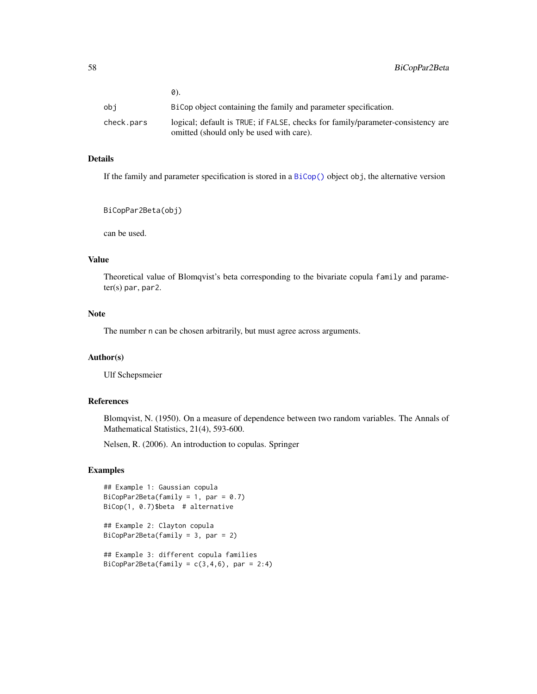|            | 0).                                                                             |
|------------|---------------------------------------------------------------------------------|
| obi        | BiCop object containing the family and parameter specification.                 |
| check.pars | logical; default is TRUE; if FALSE, checks for family/parameter-consistency are |
|            | omitted (should only be used with care).                                        |

# Details

If the family and parameter specification is stored in a [BiCop\(\)](#page-6-0) object obj, the alternative version

BiCopPar2Beta(obj)

can be used.

# Value

Theoretical value of Blomqvist's beta corresponding to the bivariate copula family and parameter(s) par, par2.

### Note

The number n can be chosen arbitrarily, but must agree across arguments.

### Author(s)

Ulf Schepsmeier

# References

Blomqvist, N. (1950). On a measure of dependence between two random variables. The Annals of Mathematical Statistics, 21(4), 593-600.

Nelsen, R. (2006). An introduction to copulas. Springer

# Examples

```
## Example 1: Gaussian copula
BiCopPar2Beta(family = 1, par = 0.7)
BiCop(1, 0.7)$beta # alternative
```
## Example 2: Clayton copula BiCopPar2Beta(family = 3, par = 2)

## Example 3: different copula families BiCopPar2Beta(family =  $c(3,4,6)$ , par = 2:4)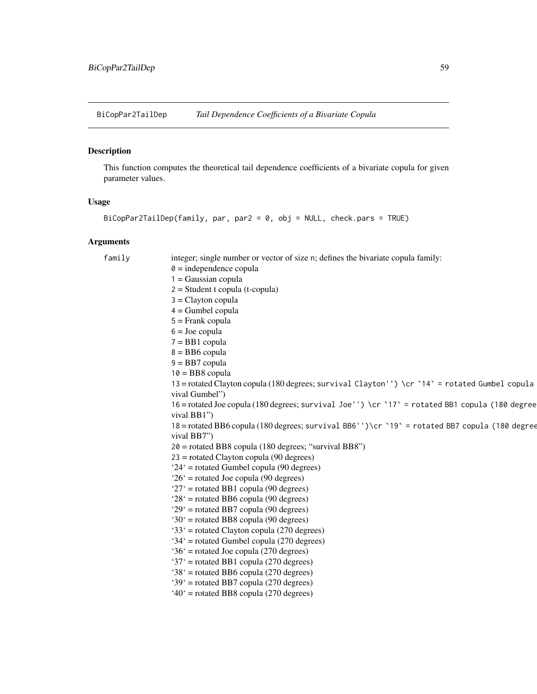BiCopPar2TailDep *Tail Dependence Coefficients of a Bivariate Copula*

# Description

This function computes the theoretical tail dependence coefficients of a bivariate copula for given parameter values.

# Usage

```
BiCopPar2TailDep(family, par, par2 = 0, obj = NULL, check.pars = TRUE)
```

| family | integer; single number or vector of size n; defines the bivariate copula family:                |
|--------|-------------------------------------------------------------------------------------------------|
|        | $\theta$ = independence copula                                                                  |
|        | $1 = Gaussian copula$                                                                           |
|        | $2 = Student$ t copula (t-copula)                                                               |
|        | $3 =$ Clayton copula                                                                            |
|        | $4 =$ Gumbel copula                                                                             |
|        | $5 =$ Frank copula                                                                              |
|        | $6 =$ Joe copula                                                                                |
|        | $7 = BB1$ copula                                                                                |
|        | $8 = BB6$ copula                                                                                |
|        | $9 = BB7$ copula                                                                                |
|        | $10 = BB8$ copula                                                                               |
|        | 13 = rotated Clayton copula (180 degrees; survival Clayton'') \cr `14` = rotated Gumbel copula  |
|        | vival Gumbel")                                                                                  |
|        | 16 = rotated Joe copula (180 degrees; survival Joe'') \cr `17' = rotated BB1 copula (180 degree |
|        | vival BB1")                                                                                     |
|        | 18 = rotated BB6 copula (180 degrees; survival BB6'')\cr `19` = rotated BB7 copula (180 degree  |
|        | vival BB7")                                                                                     |
|        | $20$ = rotated BB8 copula (180 degrees; "survival BB8")                                         |
|        | $23$ = rotated Clayton copula (90 degrees)                                                      |
|        | $24'$ = rotated Gumbel copula (90 degrees)                                                      |
|        | $26'$ = rotated Joe copula (90 degrees)                                                         |
|        | ' $27$ ' = rotated BB1 copula (90 degrees)                                                      |
|        | $28'$ = rotated BB6 copula (90 degrees)                                                         |
|        | $29'$ = rotated BB7 copula (90 degrees)                                                         |
|        | $30'$ = rotated BB8 copula (90 degrees)                                                         |
|        | $33'$ = rotated Clayton copula (270 degrees)                                                    |
|        | $34'$ = rotated Gumbel copula (270 degrees)                                                     |
|        | $36'$ = rotated Joe copula (270 degrees)                                                        |
|        | '37' = rotated BB1 copula (270 degrees)                                                         |
|        | $38'$ = rotated BB6 copula (270 degrees)                                                        |
|        | '39' = rotated BB7 copula (270 degrees)                                                         |
|        | $40^{\circ}$ = rotated BB8 copula (270 degrees)                                                 |
|        |                                                                                                 |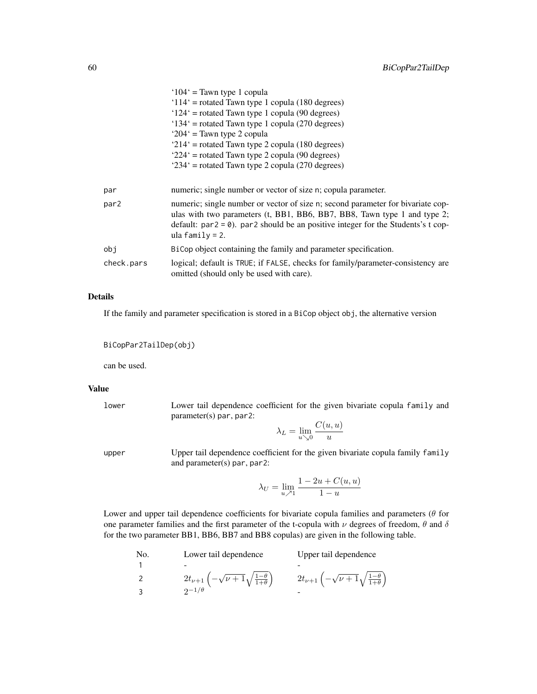|                  | $104'$ = Tawn type 1 copula                                                                                                                                                                                                                                           |
|------------------|-----------------------------------------------------------------------------------------------------------------------------------------------------------------------------------------------------------------------------------------------------------------------|
|                  | $114'$ = rotated Tawn type 1 copula (180 degrees)                                                                                                                                                                                                                     |
|                  | $124'$ = rotated Tawn type 1 copula (90 degrees)                                                                                                                                                                                                                      |
|                  | $134'$ = rotated Tawn type 1 copula (270 degrees)                                                                                                                                                                                                                     |
|                  | ' $204$ ' = Tawn type 2 copula                                                                                                                                                                                                                                        |
|                  | $214'$ = rotated Tawn type 2 copula (180 degrees)                                                                                                                                                                                                                     |
|                  | $224'$ = rotated Tawn type 2 copula (90 degrees)                                                                                                                                                                                                                      |
|                  | $234'$ = rotated Tawn type 2 copula (270 degrees)                                                                                                                                                                                                                     |
|                  |                                                                                                                                                                                                                                                                       |
| par              | numeric; single number or vector of size n; copula parameter.                                                                                                                                                                                                         |
| par <sub>2</sub> | numeric; single number or vector of size n; second parameter for bivariate cop-<br>ulas with two parameters (t, BB1, BB6, BB7, BB8, Tawn type 1 and type 2;<br>default: $par2 = 0$ ). par2 should be an positive integer for the Students's t cop-<br>ula family = 2. |
| obj              | BiCop object containing the family and parameter specification.                                                                                                                                                                                                       |
| check.pars       | logical; default is TRUE; if FALSE, checks for family/parameter-consistency are<br>omitted (should only be used with care).                                                                                                                                           |

# Details

If the family and parameter specification is stored in a BiCop object obj, the alternative version

```
BiCopPar2TailDep(obj)
```
can be used.

#### Value

lower Lower tail dependence coefficient for the given bivariate copula family and parameter(s) par, par2:

$$
\lambda_L = \lim_{u \searrow 0} \frac{C(u, u)}{u}
$$

upper Upper tail dependence coefficient for the given bivariate copula family family and parameter(s) par, par2:

$$
\lambda_U = \lim_{u \nearrow 1} \frac{1 - 2u + C(u, u)}{1 - u}
$$

Lower and upper tail dependence coefficients for bivariate copula families and parameters ( $\theta$  for one parameter families and the first parameter of the t-copula with  $\nu$  degrees of freedom,  $\theta$  and  $\delta$ for the two parameter BB1, BB6, BB7 and BB8 copulas) are given in the following table.

```
No. Lower tail dependence Upper tail dependence
1 - -
2 2t_{\nu+1}\left(-\sqrt{\nu+1}\sqrt{\frac{1-\theta}{1+\theta}}\right) 2t_{\nu+1}\left(-\sqrt{\nu+1}\sqrt{\frac{1-\theta}{1+\theta}}\right)3 2^{-1/\theta}
```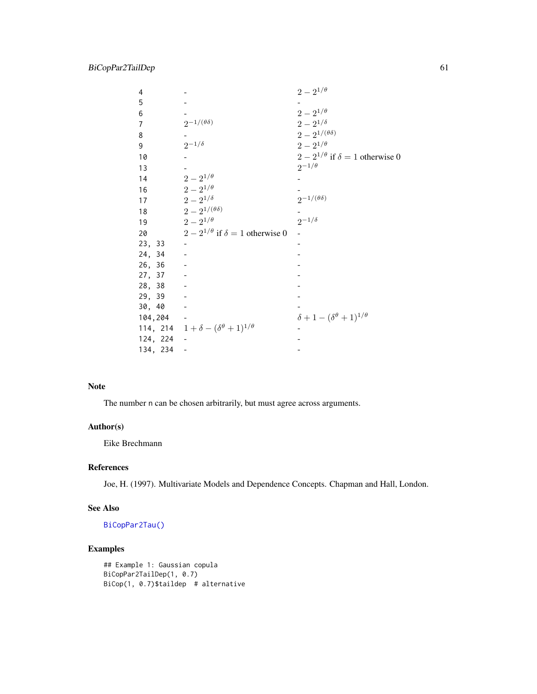| 4              |                                                    | $2 - 2^{1/\theta}$                              |
|----------------|----------------------------------------------------|-------------------------------------------------|
| 5              |                                                    |                                                 |
| 6              |                                                    | $2 - 2^{1/\theta}$                              |
| $\overline{7}$ | $2^{-1/(\theta\delta)}$                            | $2-2^{1/\delta}$                                |
| 8              |                                                    | $2-2^{1/(\theta\delta)}$                        |
| 9              | $2^{-1/\delta}$                                    | $2 - 2^{1/\theta}$                              |
| 10             |                                                    | $2 - 2^{1/\theta}$ if $\delta = 1$ otherwise 0  |
| 13             |                                                    | $2^{-1/\theta}$                                 |
| 14             | $2 - 2^{1/\theta}$                                 |                                                 |
| 16             | $2 - 2^{1/\theta}$                                 |                                                 |
| 17             | $2 - 2^{1/\delta}$                                 | $2^{-1/(\theta\delta)}$                         |
| 18             | $2-2^{1/(\theta\delta)}$                           |                                                 |
| 19             | $2 - 2^{1/\theta}$                                 | $2^{-1/\delta}$                                 |
| 20             | $2 - 2^{1/\theta}$ if $\delta = 1$ otherwise 0     |                                                 |
| 23, 33         |                                                    |                                                 |
| 24, 34         |                                                    |                                                 |
| 26, 36         |                                                    |                                                 |
| 27, 37         |                                                    |                                                 |
| 28, 38         |                                                    |                                                 |
| 29, 39         |                                                    |                                                 |
| 30, 40         |                                                    |                                                 |
| 104,204        |                                                    | $\delta + 1 - (\delta^{\theta} + 1)^{1/\theta}$ |
|                | 114, 214 $1+\delta-(\delta^{\theta}+1)^{1/\theta}$ |                                                 |
| 124, 224       |                                                    |                                                 |
| 134, 234       |                                                    |                                                 |

# Note

The number n can be chosen arbitrarily, but must agree across arguments.

### Author(s)

Eike Brechmann

# References

Joe, H. (1997). Multivariate Models and Dependence Concepts. Chapman and Hall, London.

# See Also

[BiCopPar2Tau\(\)](#page-61-0)

# Examples

```
## Example 1: Gaussian copula
BiCopPar2TailDep(1, 0.7)
BiCop(1, 0.7)$taildep # alternative
```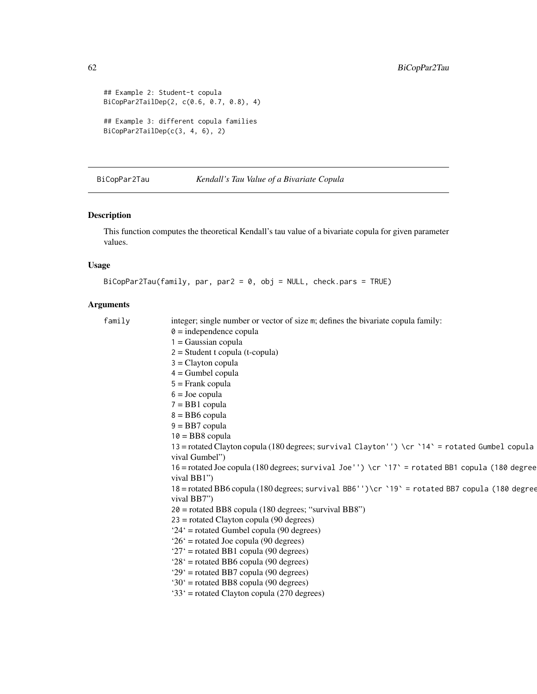```
## Example 2: Student-t copula
BiCopPar2TailDep(2, c(0.6, 0.7, 0.8), 4)
## Example 3: different copula families
BiCopPar2TailDep(c(3, 4, 6), 2)
```
<span id="page-61-0"></span>BiCopPar2Tau *Kendall's Tau Value of a Bivariate Copula*

# Description

This function computes the theoretical Kendall's tau value of a bivariate copula for given parameter values.

# Usage

```
BiCopPar2Tau(family, par, par2 = 0, obj = NULL, check.pars = TRUE)
```

| family | integer; single number or vector of size m; defines the bivariate copula family:                |
|--------|-------------------------------------------------------------------------------------------------|
|        | $\theta$ = independence copula                                                                  |
|        | $1 = Gaussian copula$                                                                           |
|        | $2 = Student$ t copula (t-copula)                                                               |
|        | $3 =$ Clayton copula                                                                            |
|        | $4 =$ Gumbel copula                                                                             |
|        | $5 =$ Frank copula                                                                              |
|        | $6 =$ Joe copula                                                                                |
|        | $7 = BB1$ copula                                                                                |
|        | $8 = BB6$ copula                                                                                |
|        | $9 = BB7$ copula                                                                                |
|        | $10 = BB8$ copula                                                                               |
|        | 13 = rotated Clayton copula (180 degrees; survival Clayton'') \cr `14` = rotated Gumbel copula  |
|        | vival Gumbel")                                                                                  |
|        | 16 = rotated Joe copula (180 degrees; survival Joe'') \cr `17' = rotated BB1 copula (180 degree |
|        | vival BB1"                                                                                      |
|        | 18 = rotated BB6 copula (180 degrees; survival BB6'')\cr `19` = rotated BB7 copula (180 degree  |
|        | vival BB7")                                                                                     |
|        | $20$ = rotated BB8 copula (180 degrees; "survival BB8")                                         |
|        | $23$ = rotated Clayton copula (90 degrees)                                                      |
|        | $24'$ = rotated Gumbel copula (90 degrees)                                                      |
|        | $26'$ = rotated Joe copula (90 degrees)                                                         |
|        | ' $27$ ' = rotated BB1 copula (90 degrees)                                                      |
|        | $28'$ = rotated BB6 copula (90 degrees)                                                         |
|        | $29'$ = rotated BB7 copula (90 degrees)                                                         |
|        | $30^{\circ}$ = rotated BB8 copula (90 degrees)                                                  |
|        | '33' = rotated Clayton copula (270 degrees)                                                     |
|        |                                                                                                 |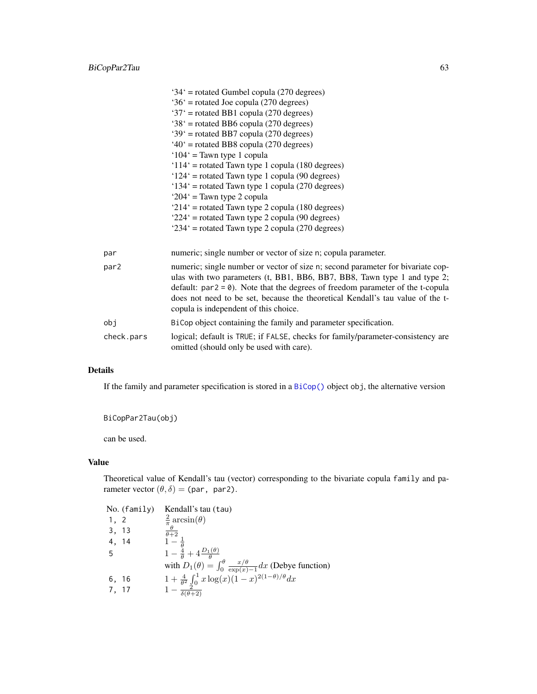|            | $34'$ = rotated Gumbel copula (270 degrees)                                                                                                                                                                                                                                                                                                                                 |
|------------|-----------------------------------------------------------------------------------------------------------------------------------------------------------------------------------------------------------------------------------------------------------------------------------------------------------------------------------------------------------------------------|
|            | $36'$ = rotated Joe copula (270 degrees)                                                                                                                                                                                                                                                                                                                                    |
|            | '37' = rotated BB1 copula (270 degrees)                                                                                                                                                                                                                                                                                                                                     |
|            | $38'$ = rotated BB6 copula (270 degrees)                                                                                                                                                                                                                                                                                                                                    |
|            | $39'$ = rotated BB7 copula (270 degrees)                                                                                                                                                                                                                                                                                                                                    |
|            | $40^{\circ}$ = rotated BB8 copula (270 degrees)                                                                                                                                                                                                                                                                                                                             |
|            | ' $104$ ' = Tawn type 1 copula                                                                                                                                                                                                                                                                                                                                              |
|            | ' $114$ ' = rotated Tawn type 1 copula (180 degrees)                                                                                                                                                                                                                                                                                                                        |
|            | $124'$ = rotated Tawn type 1 copula (90 degrees)                                                                                                                                                                                                                                                                                                                            |
|            | '134' = rotated Tawn type 1 copula (270 degrees)                                                                                                                                                                                                                                                                                                                            |
|            | ' $204$ ' = Tawn type 2 copula                                                                                                                                                                                                                                                                                                                                              |
|            | '214' = rotated Tawn type 2 copula (180 degrees)                                                                                                                                                                                                                                                                                                                            |
|            | $224'$ = rotated Tawn type 2 copula (90 degrees)                                                                                                                                                                                                                                                                                                                            |
|            | $234'$ = rotated Tawn type 2 copula (270 degrees)                                                                                                                                                                                                                                                                                                                           |
| par        | numeric; single number or vector of size n; copula parameter.                                                                                                                                                                                                                                                                                                               |
| par2       | numeric; single number or vector of size n; second parameter for bivariate cop-<br>ulas with two parameters (t, BB1, BB6, BB7, BB8, Tawn type 1 and type 2;<br>default: $par2 = 0$ ). Note that the degrees of freedom parameter of the t-copula<br>does not need to be set, because the theoretical Kendall's tau value of the t-<br>copula is independent of this choice. |
| obj        | BiCop object containing the family and parameter specification.                                                                                                                                                                                                                                                                                                             |
| check.pars | logical; default is TRUE; if FALSE, checks for family/parameter-consistency are<br>omitted (should only be used with care).                                                                                                                                                                                                                                                 |

### Details

If the family and parameter specification is stored in a [BiCop\(\)](#page-6-0) object obj, the alternative version

BiCopPar2Tau(obj)

can be used.

# Value

Theoretical value of Kendall's tau (vector) corresponding to the bivariate copula family and parameter vector  $(\theta, \delta)$  = (par, par2).

|       | No. (family) | Kendall's tau (tau)                                                                                                                                                                                  |
|-------|--------------|------------------------------------------------------------------------------------------------------------------------------------------------------------------------------------------------------|
| 1, 2  |              | $rac{2}{\pi} \arcsin(\theta)$                                                                                                                                                                        |
| 3, 13 |              |                                                                                                                                                                                                      |
| 4, 14 |              | $\frac{\overline{\theta+2}}{1-\frac{1}{\theta}}$                                                                                                                                                     |
| -5    |              | $1-\frac{4}{\theta}+4\frac{D_1(\theta)}{\theta}$                                                                                                                                                     |
|       |              |                                                                                                                                                                                                      |
| 6, 16 |              |                                                                                                                                                                                                      |
| 7, 17 |              | with $D_1(\theta) = \int_0^{\theta} \frac{x/\theta}{\exp(x)-1} dx$ (Debye function)<br>$1 + \frac{4}{\theta^2} \int_0^1 x \log(x) (1-x)^{2(1-\theta)/\theta} dx$<br>$1 - \frac{2}{\delta(\theta+2)}$ |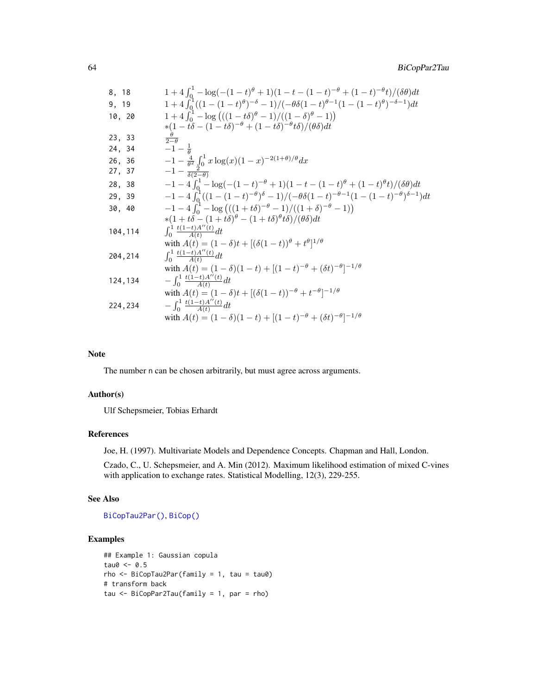8, 18  
\n1 + 4 
$$
\int_0^1 -\log(-(1-t)^{\theta} + 1)(1 - t - (1 - t)^{-\theta} + (1 - t)^{-\theta}t)/(\delta\theta)dt
$$
  
\n9, 19  
\n1 + 4  $\int_0^1 ((1 - (1 - t)^{\theta})^{-\delta} - 1)/(-\theta\delta(1 - t)^{\theta-1}(1 - (1 - t)^{\theta})^{-\delta-1})dt$   
\n10, 20  
\n1 + 4  $\int_0^1 -\log(((1 - t\delta)^{\theta} - 1)/((1 - \delta)^{\theta} - 1))$   
\n\*(1 - t\delta - (1 - t\delta)^{-\theta} + (1 - t\delta)^{-\theta}t\delta)/(\theta\delta)dt  
\n23, 33  
\n $\frac{\theta}{2-\theta}$   
\n24, 34  
\n $-1 - \frac{1}{\theta}$   
\n26, 36  
\n $-1 - \frac{4}{\theta^2} \int_0^1 x \log(x)(1 - x)^{-2(1+\theta)/\theta} dx$   
\n27, 37  
\n $-1 - \frac{7}{\delta(2-\theta)}$   
\n28, 38  
\n $-1 - 4 \int_0^1 -\log(-(1 - t)^{-\theta} + 1)(1 - t - (1 - t)^{\theta} + (1 - t)^{\theta}t)/(\delta\theta)dt$   
\n29, 39  
\n $-1 - 4 \int_0^1 ((1 - (1 - t)^{-\theta})^{\delta} - 1)/(-\theta\delta(1 - t)^{-\theta-1}(1 - (1 - t)^{-\theta})^{\delta-1})dt$   
\n30, 40  
\n $-1 - 4 \int_0^1 -\log(((1 + t\delta)^{-\theta} - 1)/((1 + \delta)^{-\theta} - 1))$   
\n\*(1 + t\delta - (1 + t\delta)^{\theta} - (1 + t\delta)^{\theta}t\delta)/(\theta\delta)dt  
\n104, 114  
\n $\int_0^1 \frac{t(1-t)A''(t)}{A(t)}$   
\nwith  $A(t) = (1 - \delta)t + [(\delta(1 - t))^{\theta} + t^{\theta}]^{1/\theta}$   
\n204, 214  
\n $\int_0^1 \frac{t(1-t)A''(t)}{A(t)}$   
\

#### Note

The number n can be chosen arbitrarily, but must agree across arguments.

# Author(s)

Ulf Schepsmeier, Tobias Erhardt

# References

Joe, H. (1997). Multivariate Models and Dependence Concepts. Chapman and Hall, London.

Czado, C., U. Schepsmeier, and A. Min (2012). Maximum likelihood estimation of mixed C-vines with application to exchange rates. Statistical Modelling, 12(3), 229-255.

### See Also

[BiCopTau2Par\(\)](#page-72-0), [BiCop\(\)](#page-6-0)

# Examples

```
## Example 1: Gaussian copula
tau0 < -0.5rho <- BiCopTau2Par(family = 1, tau = tau0)
# transform back
tau <- BiCopPar2Tau(family = 1, par = rho)
```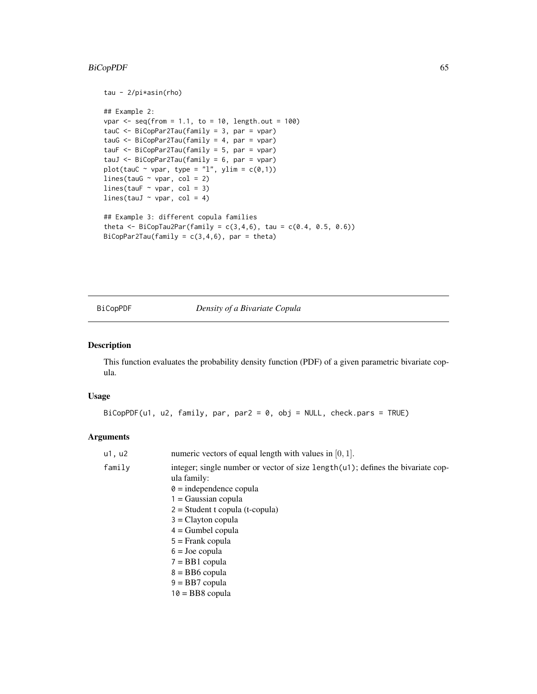# BiCopPDF 65

```
tau - 2/pi*asin(rho)
## Example 2:
vpar \leq seq(from = 1.1, to = 10, length.out = 100)
tauC <- BiCopPar2Tau(family = 3, par = vpar)
tauG <- BiCopPar2Tau(family = 4, par = vpar)
tauF <- BiCopPar2Tau(family = 5, par = vpar)
tauJ <- BiCopPar2Tau(family = 6, par = vpar)
plot(tauC \sim vpar, type = "l", ylim = c(\theta,1))
lines(tauG \sim vpar, col = 2)
lines(tauF \sim vpar, col = 3)
lines(tauJ \sim vpar, col = 4)
## Example 3: different copula families
theta <- BiCopTau2Par(family = c(3,4,6), tau = c(0.4, 0.5, 0.6))
BiCopPar2Tau(family = c(3,4,6), par = theta)
```
<span id="page-64-0"></span>BiCopPDF *Density of a Bivariate Copula*

#### Description

This function evaluates the probability density function (PDF) of a given parametric bivariate copula.

## Usage

BiCopPDF(u1, u2, family, par, par2 = 0, obj = NULL, check.pars = TRUE)

| numeric vectors of equal length with values in $[0, 1]$ .                                         |
|---------------------------------------------------------------------------------------------------|
| integer; single number or vector of size length $(u)$ ; defines the bivariate cop-<br>ula family: |
| $\theta$ = independence copula<br>$1 = Gaussian copula$                                           |
| $2 = Student$ t copula (t-copula)                                                                 |
| $3 =$ Clayton copula                                                                              |
| $4 =$ Gumbel copula                                                                               |
| $5 =$ Frank copula                                                                                |
| $6 =$ Joe copula                                                                                  |
| $7 = BB1$ copula                                                                                  |
| $8 = BB6$ copula                                                                                  |
| $9 = BB7$ copula                                                                                  |
| $10 = BB8$ copula                                                                                 |
|                                                                                                   |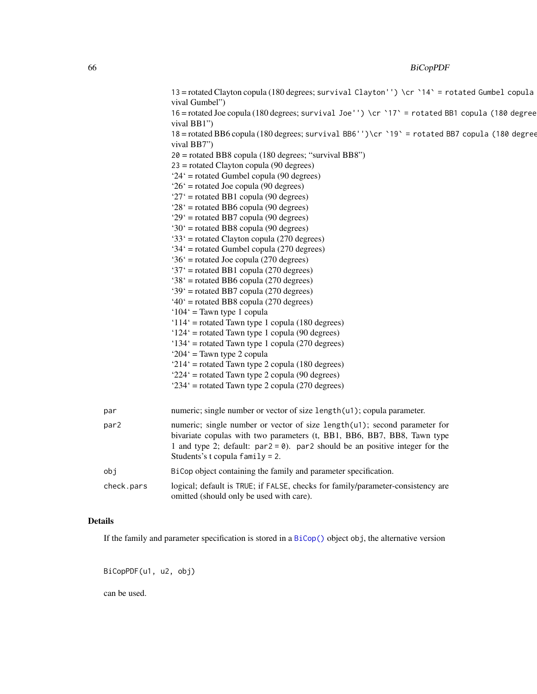# 66 BiCopPDF

|            | 13 = rotated Clayton copula (180 degrees; survival Clayton'') \cr `14` = rotated Gumbel copula<br>vival Gumbel")                                                                                                                                                              |
|------------|-------------------------------------------------------------------------------------------------------------------------------------------------------------------------------------------------------------------------------------------------------------------------------|
|            | 16 = rotated Joe copula (180 degrees; survival Joe'') \cr '17' = rotated BB1 copula (180 degree                                                                                                                                                                               |
|            | vival BB1")<br>18 = rotated BB6 copula (180 degrees; survival BB6'')\cr `19` = rotated BB7 copula (180 degree                                                                                                                                                                 |
|            | vival BB7")                                                                                                                                                                                                                                                                   |
|            | 20 = rotated BB8 copula (180 degrees; "survival BB8")                                                                                                                                                                                                                         |
|            | $23$ = rotated Clayton copula (90 degrees)                                                                                                                                                                                                                                    |
|            | $24'$ = rotated Gumbel copula (90 degrees)                                                                                                                                                                                                                                    |
|            | $26'$ = rotated Joe copula (90 degrees)                                                                                                                                                                                                                                       |
|            | ' $27'$ = rotated BB1 copula (90 degrees)                                                                                                                                                                                                                                     |
|            | $28'$ = rotated BB6 copula (90 degrees)                                                                                                                                                                                                                                       |
|            | $29'$ = rotated BB7 copula (90 degrees)                                                                                                                                                                                                                                       |
|            | '30' = rotated BB8 copula (90 degrees)                                                                                                                                                                                                                                        |
|            | '33' = rotated Clayton copula (270 degrees)                                                                                                                                                                                                                                   |
|            | '34' = rotated Gumbel copula (270 degrees)                                                                                                                                                                                                                                    |
|            | $36'$ = rotated Joe copula (270 degrees)                                                                                                                                                                                                                                      |
|            | '37' = rotated BB1 copula (270 degrees)                                                                                                                                                                                                                                       |
|            | '38' = rotated BB6 copula (270 degrees)                                                                                                                                                                                                                                       |
|            | '39' = rotated BB7 copula (270 degrees)                                                                                                                                                                                                                                       |
|            | $40^{\circ}$ = rotated BB8 copula (270 degrees)                                                                                                                                                                                                                               |
|            | ' $104$ ' = Tawn type 1 copula                                                                                                                                                                                                                                                |
|            | ' $114$ ' = rotated Tawn type 1 copula (180 degrees)                                                                                                                                                                                                                          |
|            | $124'$ = rotated Tawn type 1 copula (90 degrees)                                                                                                                                                                                                                              |
|            | $134'$ = rotated Tawn type 1 copula (270 degrees)                                                                                                                                                                                                                             |
|            | ' $204$ ' = Tawn type 2 copula                                                                                                                                                                                                                                                |
|            | ' $214$ ' = rotated Tawn type 2 copula (180 degrees)                                                                                                                                                                                                                          |
|            | $224'$ = rotated Tawn type 2 copula (90 degrees)<br>$234'$ = rotated Tawn type 2 copula (270 degrees)                                                                                                                                                                         |
|            |                                                                                                                                                                                                                                                                               |
| par        | numeric; single number or vector of size length(u1); copula parameter.                                                                                                                                                                                                        |
| par2       | numeric; single number or vector of size length(u1); second parameter for<br>bivariate copulas with two parameters (t, BB1, BB6, BB7, BB8, Tawn type<br>1 and type 2; default: $par2 = 0$ ). par2 should be an positive integer for the<br>Students's t copula $family = 2$ . |
| obj        | BiCop object containing the family and parameter specification.                                                                                                                                                                                                               |
| check.pars | logical; default is TRUE; if FALSE, checks for family/parameter-consistency are<br>omitted (should only be used with care).                                                                                                                                                   |

# Details

If the family and parameter specification is stored in a [BiCop\(\)](#page-6-0) object obj, the alternative version

BiCopPDF(u1, u2, obj)

can be used.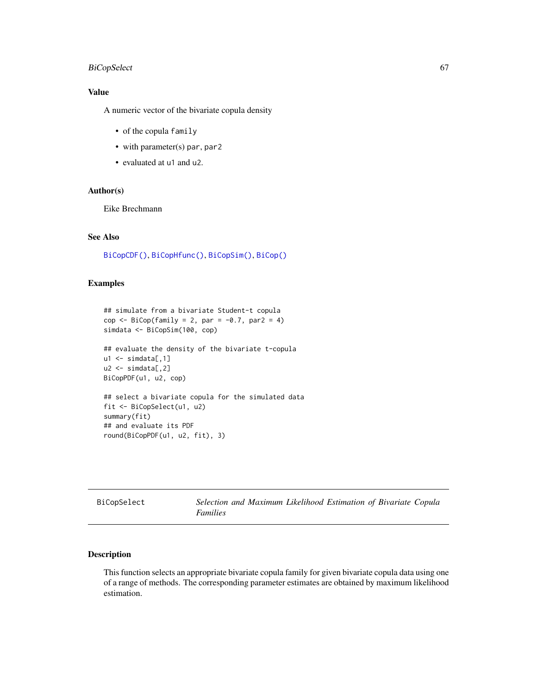# BiCopSelect 67

## Value

A numeric vector of the bivariate copula density

- of the copula family
- with parameter(s) par, par2
- evaluated at u1 and u2.

## Author(s)

Eike Brechmann

# See Also

[BiCopCDF\(\)](#page-8-0), [BiCopHfunc\(\)](#page-33-0), [BiCopSim\(\)](#page-70-0), [BiCop\(\)](#page-6-0)

# Examples

```
## simulate from a bivariate Student-t copula
cop \leq BiCop(family = 2, par = -0.7, par2 = 4)
simdata <- BiCopSim(100, cop)
## evaluate the density of the bivariate t-copula
u1 \leftarrow \text{simdata}[,1]u2 \le - \text{simdata}[,2]
BiCopPDF(u1, u2, cop)
## select a bivariate copula for the simulated data
fit <- BiCopSelect(u1, u2)
summary(fit)
## and evaluate its PDF
round(BiCopPDF(u1, u2, fit), 3)
```
<span id="page-66-0"></span>

| BiCopSelect |
|-------------|
|             |

Selection and Maximum Likelihood Estimation of Bivariate Copula *Families*

# Description

This function selects an appropriate bivariate copula family for given bivariate copula data using one of a range of methods. The corresponding parameter estimates are obtained by maximum likelihood estimation.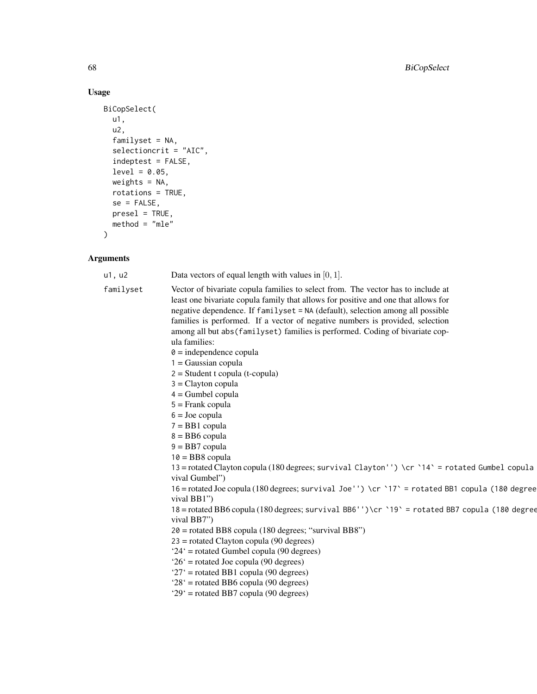# Usage

```
BiCopSelect(
  u1,
  u2,
  familyset = NA,
  selectioncrit = "AIC",
  indeptest = FALSE,
  level = 0.05,weights = NA,
  rotations = TRUE,
  se = FALSE,presel = TRUE,
  method = "mle"\mathcal{L}
```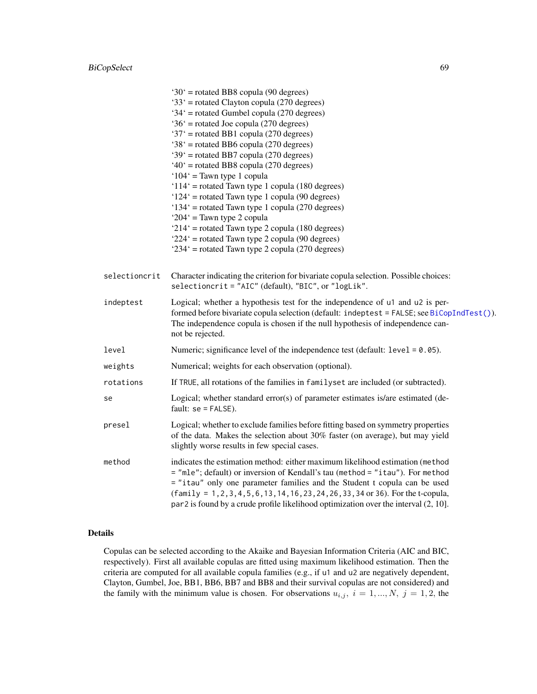# BiCopSelect 69

|               | $30'$ = rotated BB8 copula (90 degrees)                                                                                                                                                                                                                                                                                                                                                                                             |
|---------------|-------------------------------------------------------------------------------------------------------------------------------------------------------------------------------------------------------------------------------------------------------------------------------------------------------------------------------------------------------------------------------------------------------------------------------------|
|               | '33' = rotated Clayton copula (270 degrees)                                                                                                                                                                                                                                                                                                                                                                                         |
|               | $34'$ = rotated Gumbel copula (270 degrees)                                                                                                                                                                                                                                                                                                                                                                                         |
|               | $36'$ = rotated Joe copula (270 degrees)                                                                                                                                                                                                                                                                                                                                                                                            |
|               | '37' = rotated BB1 copula (270 degrees)                                                                                                                                                                                                                                                                                                                                                                                             |
|               | '38' = rotated BB6 copula (270 degrees)                                                                                                                                                                                                                                                                                                                                                                                             |
|               | '39' = rotated BB7 copula (270 degrees)                                                                                                                                                                                                                                                                                                                                                                                             |
|               | $40^{\circ}$ = rotated BB8 copula (270 degrees)                                                                                                                                                                                                                                                                                                                                                                                     |
|               | ' $104'$ = Tawn type 1 copula                                                                                                                                                                                                                                                                                                                                                                                                       |
|               | ' $114$ ' = rotated Tawn type 1 copula (180 degrees)                                                                                                                                                                                                                                                                                                                                                                                |
|               | $124'$ = rotated Tawn type 1 copula (90 degrees)                                                                                                                                                                                                                                                                                                                                                                                    |
|               | '134' = rotated Tawn type 1 copula (270 degrees)                                                                                                                                                                                                                                                                                                                                                                                    |
|               | ' $204$ ' = Tawn type 2 copula                                                                                                                                                                                                                                                                                                                                                                                                      |
|               | ' $214$ ' = rotated Tawn type 2 copula (180 degrees)                                                                                                                                                                                                                                                                                                                                                                                |
|               | $224'$ = rotated Tawn type 2 copula (90 degrees)                                                                                                                                                                                                                                                                                                                                                                                    |
|               | $234'$ = rotated Tawn type 2 copula (270 degrees)                                                                                                                                                                                                                                                                                                                                                                                   |
| selectioncrit | Character indicating the criterion for bivariate copula selection. Possible choices:<br>selectioncrit = "AIC" (default), "BIC", or "logLik".                                                                                                                                                                                                                                                                                        |
| indeptest     | Logical; whether a hypothesis test for the independence of u1 and u2 is per-<br>formed before bivariate copula selection (default: indeptest = FALSE; see BiCopIndTest()).<br>The independence copula is chosen if the null hypothesis of independence can-<br>not be rejected.                                                                                                                                                     |
| level         | Numeric; significance level of the independence test (default: $level = 0.05$ ).                                                                                                                                                                                                                                                                                                                                                    |
| weights       | Numerical; weights for each observation (optional).                                                                                                                                                                                                                                                                                                                                                                                 |
| rotations     | If TRUE, all rotations of the families in familyset are included (or subtracted).                                                                                                                                                                                                                                                                                                                                                   |
| se            | Logical; whether standard error(s) of parameter estimates is/are estimated (de-<br>fault: $se = FALSE$ ).                                                                                                                                                                                                                                                                                                                           |
| presel        | Logical; whether to exclude families before fitting based on symmetry properties<br>of the data. Makes the selection about 30% faster (on average), but may yield<br>slightly worse results in few special cases.                                                                                                                                                                                                                   |
| method        | indicates the estimation method: either maximum likelihood estimation (method<br>= "mle"; default) or inversion of Kendall's tau (method = "itau"). For method<br>= "itau" only one parameter families and the Student t copula can be used<br>$(family = 1, 2, 3, 4, 5, 6, 13, 14, 16, 23, 24, 26, 33, 34, or 36)$ . For the t-copula,<br>$par2$ is found by a crude profile likelihood optimization over the interval $(2, 10]$ . |

# Details

Copulas can be selected according to the Akaike and Bayesian Information Criteria (AIC and BIC, respectively). First all available copulas are fitted using maximum likelihood estimation. Then the criteria are computed for all available copula families (e.g., if u1 and u2 are negatively dependent, Clayton, Gumbel, Joe, BB1, BB6, BB7 and BB8 and their survival copulas are not considered) and the family with the minimum value is chosen. For observations  $u_{i,j}$ ,  $i = 1, ..., N$ ,  $j = 1, 2$ , the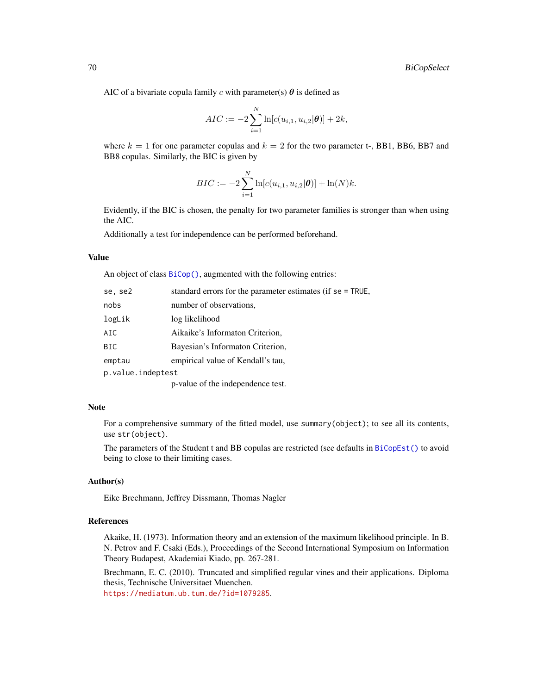AIC of a bivariate copula family c with parameter(s)  $\theta$  is defined as

$$
AIC := -2\sum_{i=1}^{N} \ln[c(u_{i,1}, u_{i,2}|\boldsymbol{\theta})] + 2k,
$$

where  $k = 1$  for one parameter copulas and  $k = 2$  for the two parameter t-, BB1, BB6, BB7 and BB8 copulas. Similarly, the BIC is given by

$$
BIC := -2\sum_{i=1}^{N} \ln[c(u_{i,1}, u_{i,2}|\boldsymbol{\theta})] + \ln(N)k.
$$

Evidently, if the BIC is chosen, the penalty for two parameter families is stronger than when using the AIC.

Additionally a test for independence can be performed beforehand.

#### Value

An object of class [BiCop\(\)](#page-6-0), augmented with the following entries:

| se, se2           | standard errors for the parameter estimates (if se = TRUE, |
|-------------------|------------------------------------------------------------|
| nobs              | number of observations,                                    |
| logLik            | log likelihood                                             |
| AIC               | Aikaike's Informaton Criterion,                            |
| BIC               | Bayesian's Informaton Criterion,                           |
| emptau            | empirical value of Kendall's tau,                          |
| p.value.indeptest |                                                            |
|                   | p-value of the independence test.                          |

## Note

For a comprehensive summary of the fitted model, use summary(object); to see all its contents, use str(object).

The parameters of the Student t and BB copulas are restricted (see defaults in [BiCopEst\(\)](#page-24-0) to avoid being to close to their limiting cases.

# Author(s)

Eike Brechmann, Jeffrey Dissmann, Thomas Nagler

# References

Akaike, H. (1973). Information theory and an extension of the maximum likelihood principle. In B. N. Petrov and F. Csaki (Eds.), Proceedings of the Second International Symposium on Information Theory Budapest, Akademiai Kiado, pp. 267-281.

Brechmann, E. C. (2010). Truncated and simplified regular vines and their applications. Diploma thesis, Technische Universitaet Muenchen.

<https://mediatum.ub.tum.de/?id=1079285>.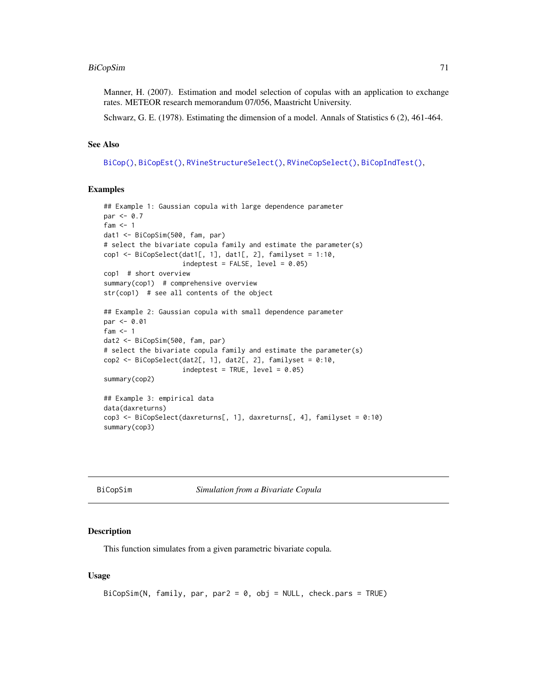# BiCopSim 71

Manner, H. (2007). Estimation and model selection of copulas with an application to exchange rates. METEOR research memorandum 07/056, Maastricht University.

Schwarz, G. E. (1978). Estimating the dimension of a model. Annals of Statistics 6 (2), 461-464.

#### See Also

[BiCop\(\)](#page-6-0), [BiCopEst\(\)](#page-24-0), [RVineStructureSelect\(\)](#page-131-0), [RVineCopSelect\(\)](#page-92-0), [BiCopIndTest\(\)](#page-43-0),

#### Examples

```
## Example 1: Gaussian copula with large dependence parameter
par < -0.7fam <-1dat1 <- BiCopSim(500, fam, par)
# select the bivariate copula family and estimate the parameter(s)
cop1 <- BiCopSelect(dat1[, 1], dat1[, 2], familyset = 1:10,
                    indepth = FALSE, level = 0.05)cop1 # short overview
summary(cop1) # comprehensive overview
str(cop1) # see all contents of the object
## Example 2: Gaussian copula with small dependence parameter
par <- 0.01
fam <-1dat2 <- BiCopSim(500, fam, par)
# select the bivariate copula family and estimate the parameter(s)
cop2 <- BiCopSelect(dat2[, 1], dat2[, 2], familyset = 0:10,
                    indepth = TRUE, level = 0.05)summary(cop2)
## Example 3: empirical data
data(daxreturns)
cop3 <- BiCopSelect(daxreturns[, 1], daxreturns[, 4], familyset = 0:10)
summary(cop3)
```
<span id="page-70-0"></span>

BiCopSim *Simulation from a Bivariate Copula*

#### Description

This function simulates from a given parametric bivariate copula.

#### Usage

```
BiCopSim(N, family, par, par2 = 0, obj = NULL, check.pars = TRUE)
```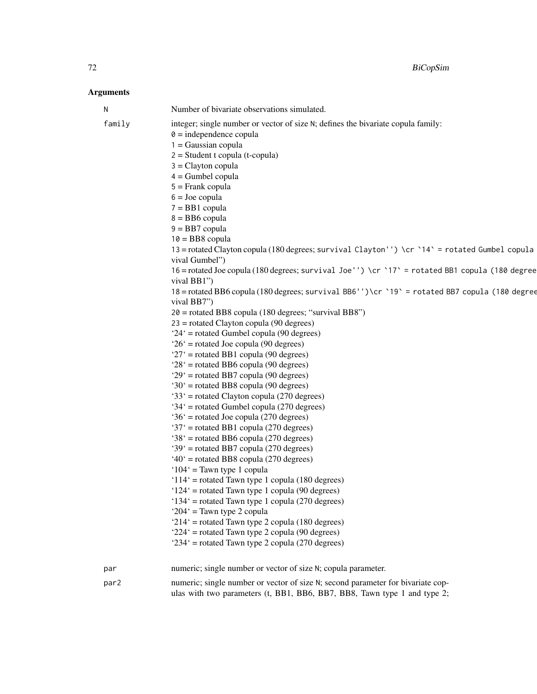| N      | Number of bivariate observations simulated.                                                                                                                                                                                                                                                                                                                                                                                                                                                                                                                                                                                                                                                                                                                                                                                                                                                                                                                                                                                                                                                                                                                                                                                                                                                                                                                                                                                                                                                                                                                                                                                                                                                                                                                                                                                     |
|--------|---------------------------------------------------------------------------------------------------------------------------------------------------------------------------------------------------------------------------------------------------------------------------------------------------------------------------------------------------------------------------------------------------------------------------------------------------------------------------------------------------------------------------------------------------------------------------------------------------------------------------------------------------------------------------------------------------------------------------------------------------------------------------------------------------------------------------------------------------------------------------------------------------------------------------------------------------------------------------------------------------------------------------------------------------------------------------------------------------------------------------------------------------------------------------------------------------------------------------------------------------------------------------------------------------------------------------------------------------------------------------------------------------------------------------------------------------------------------------------------------------------------------------------------------------------------------------------------------------------------------------------------------------------------------------------------------------------------------------------------------------------------------------------------------------------------------------------|
| family | integer; single number or vector of size N; defines the bivariate copula family:<br>$\theta$ = independence copula<br>$1 = Gaussian copula$<br>$2 = Student$ t copula (t-copula)<br>$3 =$ Clayton copula<br>$4 =$ Gumbel copula<br>$5 =$ Frank copula<br>$6 =$ Joe copula<br>$7 = BB1$ copula<br>$8 = BB6$ copula<br>$9 = BB7$ copula<br>$10 = BB8$ copula<br>13 = rotated Clayton copula (180 degrees; survival Clayton'') \cr `14` = rotated Gumbel copula<br>vival Gumbel")<br>16 = rotated Joe copula (180 degrees; survival Joe'') \cr '17' = rotated BB1 copula (180 degree<br>vival BB1")<br>18 = rotated BB6 copula (180 degrees; survival BB6'')\cr `19` = rotated BB7 copula (180 degree<br>vival BB7")<br>20 = rotated BB8 copula (180 degrees; "survival BB8")<br>$23$ = rotated Clayton copula (90 degrees)<br>$24'$ = rotated Gumbel copula (90 degrees)<br>$26'$ = rotated Joe copula (90 degrees)<br>$27'$ = rotated BB1 copula (90 degrees)<br>$28'$ = rotated BB6 copula (90 degrees)<br>$29'$ = rotated BB7 copula (90 degrees)<br>$30'$ = rotated BB8 copula (90 degrees)<br>'33' = rotated Clayton copula (270 degrees)<br>$34'$ = rotated Gumbel copula (270 degrees)<br>$36'$ = rotated Joe copula (270 degrees)<br>'37' = rotated BB1 copula (270 degrees)<br>$38'$ = rotated BB6 copula (270 degrees)<br>'39' = rotated BB7 copula (270 degrees)<br>$40^{\circ}$ = rotated BB8 copula (270 degrees)<br>$104'$ = Tawn type 1 copula<br>' $114$ ' = rotated Tawn type 1 copula (180 degrees)<br>$124'$ = rotated Tawn type 1 copula (90 degrees)<br>$134'$ = rotated Tawn type 1 copula (270 degrees)<br>' $204$ ' = Tawn type 2 copula<br>' $214$ ' = rotated Tawn type 2 copula (180 degrees)<br>$224'$ = rotated Tawn type 2 copula (90 degrees)<br>$234'$ = rotated Tawn type 2 copula (270 degrees) |
|        |                                                                                                                                                                                                                                                                                                                                                                                                                                                                                                                                                                                                                                                                                                                                                                                                                                                                                                                                                                                                                                                                                                                                                                                                                                                                                                                                                                                                                                                                                                                                                                                                                                                                                                                                                                                                                                 |
| par    | numeric; single number or vector of size N; copula parameter.                                                                                                                                                                                                                                                                                                                                                                                                                                                                                                                                                                                                                                                                                                                                                                                                                                                                                                                                                                                                                                                                                                                                                                                                                                                                                                                                                                                                                                                                                                                                                                                                                                                                                                                                                                   |
| par2   | numeric; single number or vector of size N; second parameter for bivariate cop-<br>ulas with two parameters (t, BB1, BB6, BB7, BB8, Tawn type 1 and type 2;                                                                                                                                                                                                                                                                                                                                                                                                                                                                                                                                                                                                                                                                                                                                                                                                                                                                                                                                                                                                                                                                                                                                                                                                                                                                                                                                                                                                                                                                                                                                                                                                                                                                     |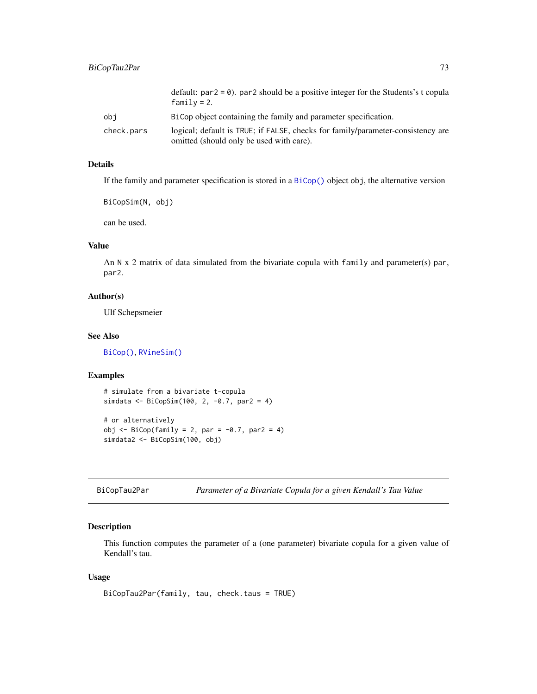|            | default: $par2 = 0$ ). par2 should be a positive integer for the Students's t copula<br>$family = 2.$                       |
|------------|-----------------------------------------------------------------------------------------------------------------------------|
| obi        | BiCop object containing the family and parameter specification.                                                             |
| check.pars | logical; default is TRUE; if FALSE, checks for family/parameter-consistency are<br>omitted (should only be used with care). |

# Details

If the family and parameter specification is stored in a [BiCop\(\)](#page-6-0) object obj, the alternative version

BiCopSim(N, obj)

can be used.

# Value

An N x 2 matrix of data simulated from the bivariate copula with family and parameter(s) par, par2.

#### Author(s)

Ulf Schepsmeier

#### See Also

[BiCop\(\)](#page-6-0), [RVineSim\(\)](#page-127-0)

# Examples

```
# simulate from a bivariate t-copula
simdata <- BiCopSim(100, 2, -0.7, par2 = 4)
# or alternatively
obj \leq BiCop(family = 2, par = -0.7, par2 = 4)
simdata2 <- BiCopSim(100, obj)
```
BiCopTau2Par *Parameter of a Bivariate Copula for a given Kendall's Tau Value*

# Description

This function computes the parameter of a (one parameter) bivariate copula for a given value of Kendall's tau.

#### Usage

```
BiCopTau2Par(family, tau, check.taus = TRUE)
```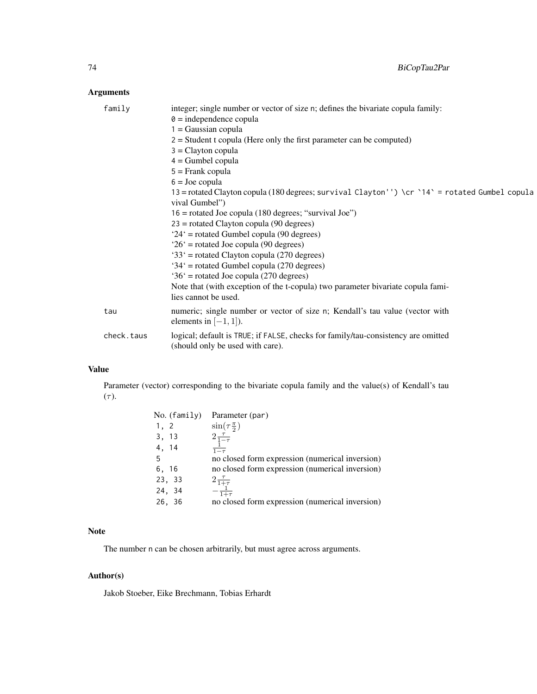# Arguments

| family     | integer; single number or vector of size n; defines the bivariate copula family:<br>$\theta$ = independence copula<br>$1 = Gaussian copula$<br>$2 =$ Student t copula (Here only the first parameter can be computed)<br>$3 =$ Clayton copula<br>$4 =$ Gumbel copula<br>$5 =$ Frank copula<br>$6 =$ Joe copula |
|------------|----------------------------------------------------------------------------------------------------------------------------------------------------------------------------------------------------------------------------------------------------------------------------------------------------------------|
|            | 13 = rotated Clayton copula (180 degrees; survival Clayton'') \cr `14` = rotated Gumbel copula<br>vival Gumbel")<br>$16$ = rotated Joe copula (180 degrees; "survival Joe")                                                                                                                                    |
|            | $23$ = rotated Clayton copula (90 degrees)<br>$24'$ = rotated Gumbel copula (90 degrees)                                                                                                                                                                                                                       |
|            | $26'$ = rotated Joe copula (90 degrees)<br>$33'$ = rotated Clayton copula (270 degrees)                                                                                                                                                                                                                        |
|            | $34'$ = rotated Gumbel copula (270 degrees)<br>$36'$ = rotated Joe copula (270 degrees)                                                                                                                                                                                                                        |
|            | Note that (with exception of the t-copula) two parameter bivariate copula fami-<br>lies cannot be used.                                                                                                                                                                                                        |
| tau        | numeric; single number or vector of size n; Kendall's tau value (vector with<br>elements in $[-1, 1]$ ).                                                                                                                                                                                                       |
| check.taus | logical; default is TRUE; if FALSE, checks for family/tau-consistency are omitted<br>(should only be used with care).                                                                                                                                                                                          |
|            |                                                                                                                                                                                                                                                                                                                |

# Value

Parameter (vector) corresponding to the bivariate copula family and the value(s) of Kendall's tau  $(\tau)$ .

|       | No. (family) | Parameter (par)                                          |
|-------|--------------|----------------------------------------------------------|
| 1, 2  |              | $\sin(\tau \frac{\pi}{2})$                               |
| 3, 13 |              | $2\frac{\tau}{1-\tau}$                                   |
| 4, 14 |              | $\frac{1}{1-\tau}$                                       |
| -5    |              | no closed form expression (numerical inversion)          |
| 6, 16 |              | no closed form expression (numerical inversion)          |
|       | 23, 33       |                                                          |
|       | 24, 34       | $2\frac{\tau}{1+\tau}\newline -\frac{1}{1+\tau}\newline$ |
|       | 26, 36       | no closed form expression (numerical inversion)          |

# Note

The number n can be chosen arbitrarily, but must agree across arguments.

# Author(s)

Jakob Stoeber, Eike Brechmann, Tobias Erhardt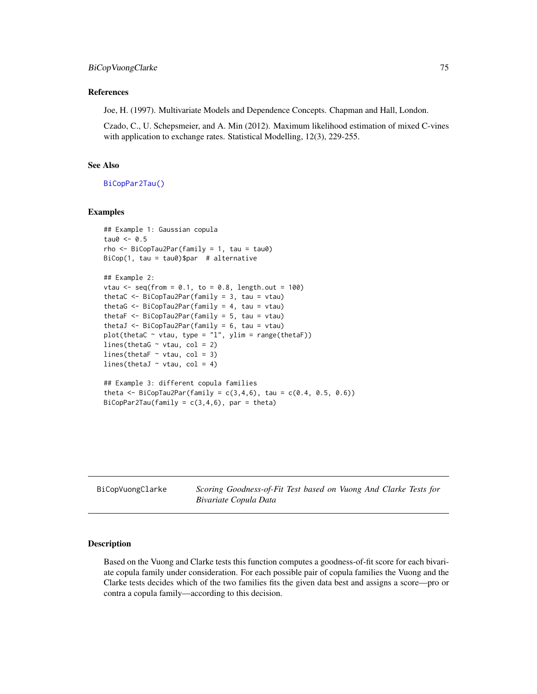#### References

Joe, H. (1997). Multivariate Models and Dependence Concepts. Chapman and Hall, London.

Czado, C., U. Schepsmeier, and A. Min (2012). Maximum likelihood estimation of mixed C-vines with application to exchange rates. Statistical Modelling, 12(3), 229-255.

# See Also

[BiCopPar2Tau\(\)](#page-61-0)

#### Examples

```
## Example 1: Gaussian copula
tau0 < -0.5rho \leq BiCopTau2Par(family = 1, tau = tau0)
BiCop(1, tau = tau0)$par # alternative
## Example 2:
vtau \leq seq(from = 0.1, to = 0.8, length.out = 100)
thetaC <- BiCopTau2Par(family = 3, tau = vtau)
thetaG <- BiCopTau2Par(family = 4, tau = vtau)
thetaF <- BiCopTau2Par(family = 5, tau = vtau)
thetaJ <- BiCopTau2Par(family = 6, tau = vtau)
plot(thetaC \sim vtau, type = "l", ylim = range(thetaF))
lines(thetaG \sim vtau, col = 2)
lines(thetaF \sim vtau, col = 3)
lines(thetaJ \sim vtau, col = 4)
## Example 3: different copula families
theta \leq BiCopTau2Par(family = c(3, 4, 6), tau = c(0.4, 0.5, 0.6))
```

```
BiCopPar2Tau(family = c(3, 4, 6), par = theta)
```
BiCopVuongClarke *Scoring Goodness-of-Fit Test based on Vuong And Clarke Tests for Bivariate Copula Data*

# Description

Based on the Vuong and Clarke tests this function computes a goodness-of-fit score for each bivariate copula family under consideration. For each possible pair of copula families the Vuong and the Clarke tests decides which of the two families fits the given data best and assigns a score—pro or contra a copula family—according to this decision.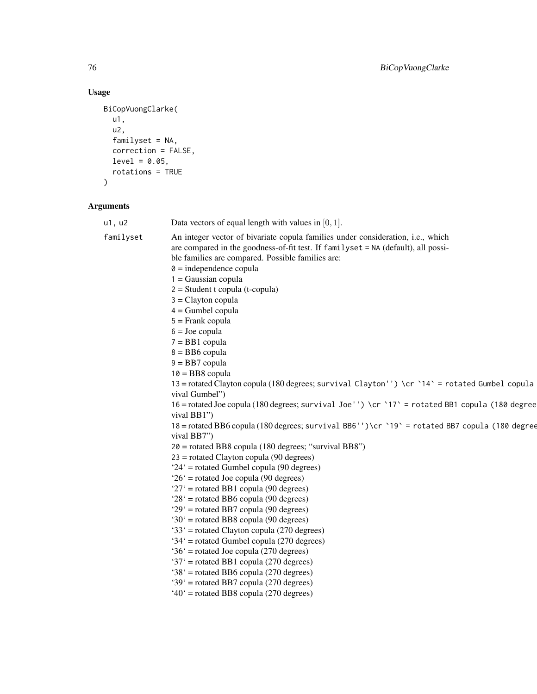# Usage

```
BiCopVuongClarke(
  u1,
  u2,
  familyset = NA,
  correction = FALSE,
  level = 0.05,rotations = TRUE
\mathcal{L}
```

| u1, u2    | Data vectors of equal length with values in $[0, 1]$ .                                           |
|-----------|--------------------------------------------------------------------------------------------------|
| familyset | An integer vector of bivariate copula families under consideration, i.e., which                  |
|           | are compared in the goodness-of-fit test. If familyset = NA (default), all possi-                |
|           | ble families are compared. Possible families are:                                                |
|           | $\theta$ = independence copula                                                                   |
|           | $1 = Gaussian copula$                                                                            |
|           | $2 = Student$ t copula (t-copula)                                                                |
|           | $3 =$ Clayton copula                                                                             |
|           | $4 =$ Gumbel copula                                                                              |
|           | $5 =$ Frank copula                                                                               |
|           | $6 =$ Joe copula                                                                                 |
|           | $7 = BB1$ copula                                                                                 |
|           | $8 = BB6$ copula                                                                                 |
|           | $9 = BB7$ copula                                                                                 |
|           | $10 = BB8$ copula                                                                                |
|           | 13 = rotated Clayton copula (180 degrees; survival Clayton'') \cr `14` = rotated Gumbel copula   |
|           | vival Gumbel")                                                                                   |
|           | 16 = rotated Joe copula (180 degrees; survival Joe'') \cr `17 ` = rotated BB1 copula (180 degree |
|           | vival BB1")                                                                                      |
|           | 18 = rotated BB6 copula (180 degrees; survival BB6'')\cr `19` = rotated BB7 copula (180 degree   |
|           | vival BB7")                                                                                      |
|           | $20$ = rotated BB8 copula (180 degrees; "survival BB8")                                          |
|           | $23$ = rotated Clayton copula (90 degrees)                                                       |
|           | $24'$ = rotated Gumbel copula (90 degrees)                                                       |
|           | $26'$ = rotated Joe copula (90 degrees)                                                          |
|           | ' $27'$ = rotated BB1 copula (90 degrees)                                                        |
|           | $28'$ = rotated BB6 copula (90 degrees)                                                          |
|           | ' $29'$ = rotated BB7 copula (90 degrees)                                                        |
|           | ' $30'$ = rotated BB8 copula (90 degrees)                                                        |
|           | '33' = rotated Clayton copula (270 degrees)                                                      |
|           | $34'$ = rotated Gumbel copula (270 degrees)                                                      |
|           | $36'$ = rotated Joe copula (270 degrees)                                                         |
|           | '37' = rotated BB1 copula (270 degrees)                                                          |
|           | $38'$ = rotated BB6 copula (270 degrees)                                                         |
|           | '39' = rotated BB7 copula (270 degrees)                                                          |
|           | $40^{\circ}$ = rotated BB8 copula (270 degrees)                                                  |
|           |                                                                                                  |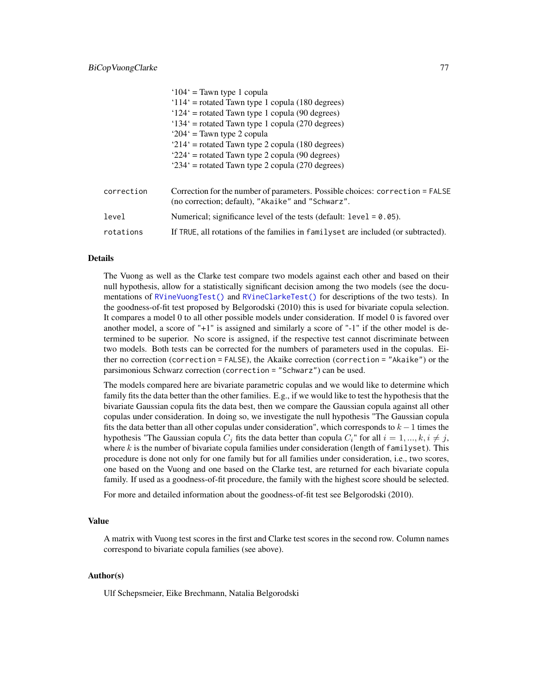|            | $104'$ = Tawn type 1 copula                                                                                                        |
|------------|------------------------------------------------------------------------------------------------------------------------------------|
|            | $114'$ = rotated Tawn type 1 copula (180 degrees)                                                                                  |
|            | $124'$ = rotated Tawn type 1 copula (90 degrees)                                                                                   |
|            | $134'$ = rotated Tawn type 1 copula (270 degrees)                                                                                  |
|            | ' $204$ ' = Tawn type 2 copula                                                                                                     |
|            | $214'$ = rotated Tawn type 2 copula (180 degrees)                                                                                  |
|            | $224'$ = rotated Tawn type 2 copula (90 degrees)                                                                                   |
|            | $234'$ = rotated Tawn type 2 copula (270 degrees)                                                                                  |
|            |                                                                                                                                    |
| correction | Correction for the number of parameters. Possible choices: correction = FALSE<br>(no correction; default), "Akaike" and "Schwarz". |
| level      | Numerical; significance level of the tests (default: $level = 0.05$ ).                                                             |
| rotations  | If TRUE, all rotations of the families in familyset are included (or subtracted).                                                  |

#### Details

The Vuong as well as the Clarke test compare two models against each other and based on their null hypothesis, allow for a statistically significant decision among the two models (see the documentations of [RVineVuongTest\(\)](#page-136-0) and [RVineClarkeTest\(\)](#page-90-0) for descriptions of the two tests). In the goodness-of-fit test proposed by Belgorodski (2010) this is used for bivariate copula selection. It compares a model 0 to all other possible models under consideration. If model 0 is favored over another model, a score of "+1" is assigned and similarly a score of "-1" if the other model is determined to be superior. No score is assigned, if the respective test cannot discriminate between two models. Both tests can be corrected for the numbers of parameters used in the copulas. Either no correction (correction = FALSE), the Akaike correction (correction = "Akaike") or the parsimonious Schwarz correction (correction = "Schwarz") can be used.

The models compared here are bivariate parametric copulas and we would like to determine which family fits the data better than the other families. E.g., if we would like to test the hypothesis that the bivariate Gaussian copula fits the data best, then we compare the Gaussian copula against all other copulas under consideration. In doing so, we investigate the null hypothesis "The Gaussian copula fits the data better than all other copulas under consideration", which corresponds to  $k - 1$  times the hypothesis "The Gaussian copula  $C_j$  fits the data better than copula  $C_i$ " for all  $i = 1, ..., k, i \neq j$ , where  $k$  is the number of bivariate copula families under consideration (length of familyset). This procedure is done not only for one family but for all families under consideration, i.e., two scores, one based on the Vuong and one based on the Clarke test, are returned for each bivariate copula family. If used as a goodness-of-fit procedure, the family with the highest score should be selected.

For more and detailed information about the goodness-of-fit test see Belgorodski (2010).

# Value

A matrix with Vuong test scores in the first and Clarke test scores in the second row. Column names correspond to bivariate copula families (see above).

#### Author(s)

Ulf Schepsmeier, Eike Brechmann, Natalia Belgorodski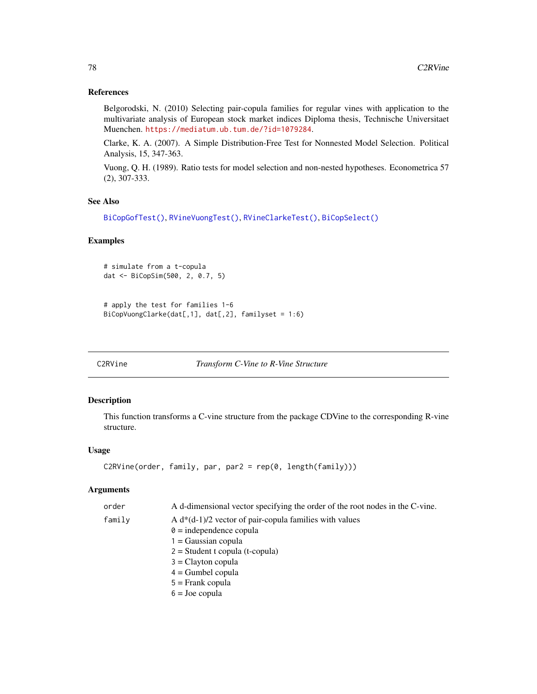# References

Belgorodski, N. (2010) Selecting pair-copula families for regular vines with application to the multivariate analysis of European stock market indices Diploma thesis, Technische Universitaet Muenchen. <https://mediatum.ub.tum.de/?id=1079284>.

Clarke, K. A. (2007). A Simple Distribution-Free Test for Nonnested Model Selection. Political Analysis, 15, 347-363.

Vuong, Q. H. (1989). Ratio tests for model selection and non-nested hypotheses. Econometrica 57 (2), 307-333.

# See Also

```
BiCopGofTest(), RVineVuongTest(), RVineClarkeTest(), BiCopSelect()
```
# Examples

```
# simulate from a t-copula
dat <- BiCopSim(500, 2, 0.7, 5)
```

```
# apply the test for families 1-6
BiCopVuongClarke(dat[,1], dat[,2], familyset = 1:6)
```
<span id="page-77-0"></span>C2RVine *Transform C-Vine to R-Vine Structure*

# Description

This function transforms a C-vine structure from the package CDVine to the corresponding R-vine structure.

# Usage

```
C2RVine(order, family, par, par2 = rep(0, length(family)))
```

| order  | A d-dimensional vector specifying the order of the root nodes in the C-vine. |
|--------|------------------------------------------------------------------------------|
| family | A $d*(d-1)/2$ vector of pair-copula families with values                     |
|        | $\theta$ = independence copula                                               |
|        | $1 = Gaussian copula$                                                        |
|        | $2 = Student$ t copula (t-copula)                                            |
|        | $3 =$ Clayton copula                                                         |
|        | $4 =$ Gumbel copula                                                          |
|        | $5 =$ Frank copula                                                           |
|        | $6 =$ Joe copula                                                             |
|        |                                                                              |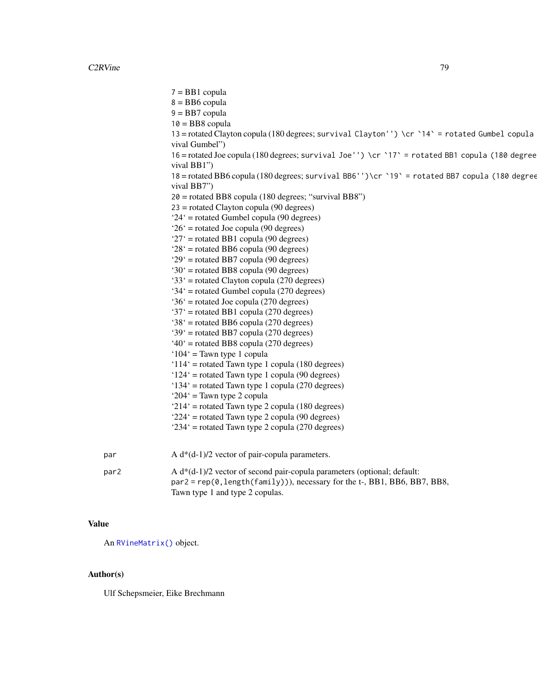7 = BB1 copula  $8 = BB6$  copula  $9 = BB7$  copula  $10 = B<sub>B</sub>8$  copula 13 = rotated Clayton copula (180 degrees; survival Clayton'') \cr `14` = rotated Gumbel copula vival Gumbel") 16 = rotated Joe copula (180 degrees; survival Joe'') \cr `17` = rotated BB1 copula (180 degrees; survival BB1") 18 = rotated BB6 copula (180 degrees; survival BB6'')\cr `19` = rotated BB7 copula (180 degrees; survival BB7") 20 = rotated BB8 copula (180 degrees; "survival BB8") 23 = rotated Clayton copula (90 degrees) '24' = rotated Gumbel copula (90 degrees) '26' = rotated Joe copula (90 degrees) '27' = rotated BB1 copula (90 degrees) '28' = rotated BB6 copula (90 degrees) '29' = rotated BB7 copula (90 degrees) '30' = rotated BB8 copula (90 degrees) '33' = rotated Clayton copula (270 degrees) '34' = rotated Gumbel copula (270 degrees) '36' = rotated Joe copula (270 degrees)  $37'$  = rotated BB1 copula (270 degrees) '38' = rotated BB6 copula (270 degrees) '39' = rotated BB7 copula (270 degrees)  $40^\circ$  = rotated BB8 copula (270 degrees) '104' = Tawn type 1 copula '114' = rotated Tawn type 1 copula (180 degrees) '124' = rotated Tawn type 1 copula (90 degrees) '134' = rotated Tawn type 1 copula (270 degrees) '204' = Tawn type 2 copula '214' = rotated Tawn type 2 copula (180 degrees) '224' = rotated Tawn type 2 copula (90 degrees) '234' = rotated Tawn type 2 copula (270 degrees) par  $A d*(d-1)/2$  vector of pair-copula parameters. par2 A d\*(d-1)/2 vector of second pair-copula parameters (optional; default: par2 = rep(0, length(family))), necessary for the t-, BB1, BB6, BB7, BB8, Tawn type 1 and type 2 copulas.

# Value

An [RVineMatrix\(\)](#page-109-0) object.

# Author(s)

Ulf Schepsmeier, Eike Brechmann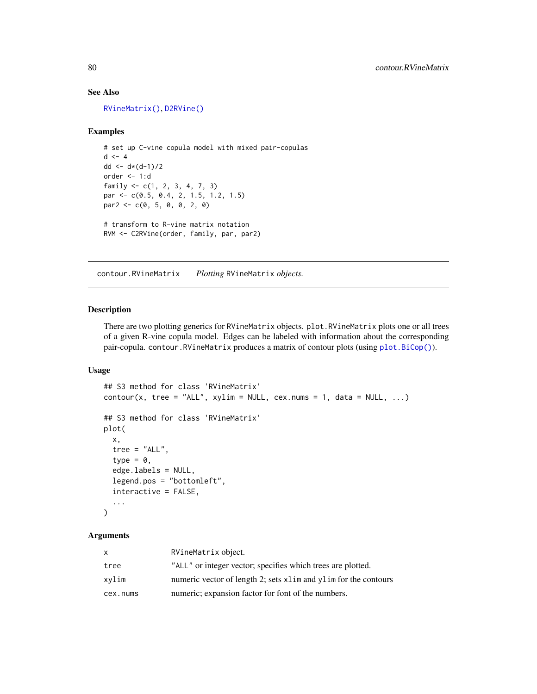# See Also

[RVineMatrix\(\)](#page-109-0), [D2RVine\(\)](#page-81-0)

#### Examples

```
# set up C-vine copula model with mixed pair-copulas
d \leq -4dd <- d*(d-1)/2order <- 1:d
family <- c(1, 2, 3, 4, 7, 3)
par <- c(0.5, 0.4, 2, 1.5, 1.2, 1.5)
par2 < -c(0, 5, 0, 0, 2, 0)# transform to R-vine matrix notation
RVM <- C2RVine(order, family, par, par2)
```
<span id="page-79-1"></span>contour.RVineMatrix *Plotting* RVineMatrix *objects.*

#### <span id="page-79-0"></span>Description

There are two plotting generics for RVineMatrix objects. plot. RVineMatrix plots one or all trees of a given R-vine copula model. Edges can be labeled with information about the corresponding pair-copula. contour.RVineMatrix produces a matrix of contour plots (using [plot.BiCop\(\)](#page-85-0)).

# Usage

```
## S3 method for class 'RVineMatrix'
contour(x, tree = "ALL", xylinder = NULL, cex.nums = 1, data = NULL, ...)## S3 method for class 'RVineMatrix'
plot(
  x,
  tree = "ALL",
  type = \theta,
  edge.labels = NULL,
  legend.pos = "bottomleft",
  interactive = FALSE,
  ...
\mathcal{L}
```

| x        | RVineMatrix object.                                             |
|----------|-----------------------------------------------------------------|
| tree     | "ALL" or integer vector; specifies which trees are plotted.     |
| xvlim    | numeric vector of length 2; sets x1im and y1im for the contours |
| cex.nums | numeric; expansion factor for font of the numbers.              |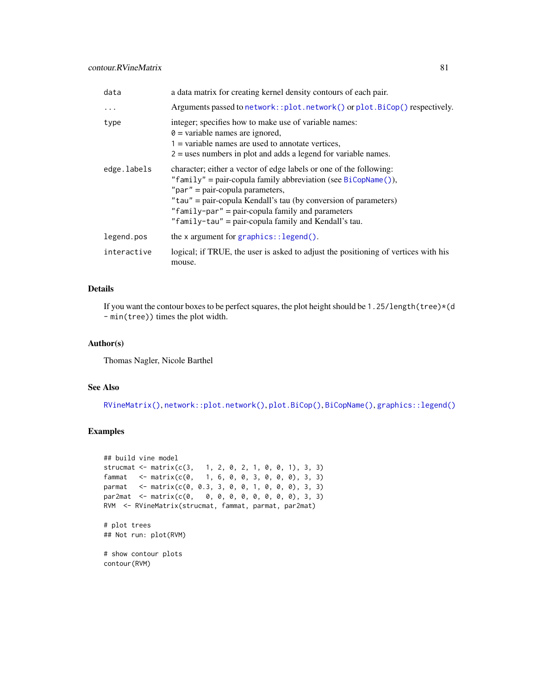# contour.RVineMatrix 81

| data        | a data matrix for creating kernel density contours of each pair.                                                                                                                                                                                                                                                                                          |
|-------------|-----------------------------------------------------------------------------------------------------------------------------------------------------------------------------------------------------------------------------------------------------------------------------------------------------------------------------------------------------------|
| .           | Arguments passed to network::plot.network() or plot.BiCop() respectively.                                                                                                                                                                                                                                                                                 |
| type        | integer; specifies how to make use of variable names:<br>$\theta$ = variable names are ignored,<br>$1 =$ variable names are used to annotate vertices,<br>$2 =$ uses numbers in plot and adds a legend for variable names.                                                                                                                                |
| edge.labels | character; either a vector of edge labels or one of the following:<br>"family" = pair-copula family abbreviation (see BiCopName()),<br>" $par$ " = pair-copula parameters,<br>"tau" = pair-copula Kendall's tau (by conversion of parameters)<br>"family-par" = pair-copula family and parameters<br>"family-tau" = pair-copula family and Kendall's tau. |
| legend.pos  | the x argument for graphics:: $legend()$ .                                                                                                                                                                                                                                                                                                                |
| interactive | logical; if TRUE, the user is asked to adjust the positioning of vertices with his<br>mouse.                                                                                                                                                                                                                                                              |

# Details

If you want the contour boxes to be perfect squares, the plot height should be 1.25/length(tree)\*(d - min(tree)) times the plot width.

# Author(s)

Thomas Nagler, Nicole Barthel

# See Also

[RVineMatrix\(\)](#page-109-0), [network::plot.network\(\)](#page-0-0), [plot.BiCop\(\)](#page-85-0), [BiCopName\(\)](#page-53-0), [graphics::legend\(\)](#page-0-0)

# Examples

```
## build vine model
strucmat <- matrix(c(3, 1, 2, 0, 2, 1, 0, 0, 1), 3, 3)
fammat <- matrix(c(0, 1, 6, 0, 0, 3, 0, 0, 0), 3, 3)
parmat <- matrix(c(0, 0.3, 3, 0, 0, 1, 0, 0, 0), 3, 3)
par2mat <- matrix(c(0, 0, 0, 0, 0, 0, 0, 0, 0), 3, 3)
RVM <- RVineMatrix(strucmat, fammat, parmat, par2mat)
# plot trees
## Not run: plot(RVM)
# show contour plots
contour(RVM)
```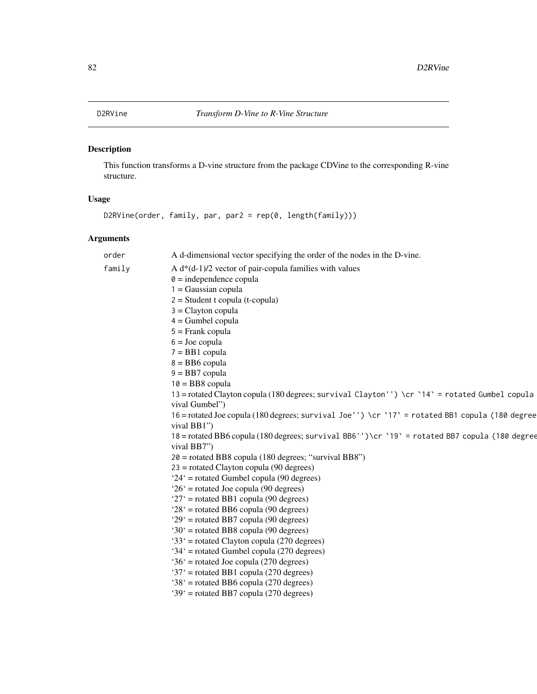<span id="page-81-0"></span>

# Description

This function transforms a D-vine structure from the package CDVine to the corresponding R-vine structure.

# Usage

D2RVine(order, family, par, par2 = rep(0, length(family)))

| order  | A d-dimensional vector specifying the order of the nodes in the D-vine.                         |
|--------|-------------------------------------------------------------------------------------------------|
| family | A $d*(d-1)/2$ vector of pair-copula families with values                                        |
|        | $\theta$ = independence copula                                                                  |
|        | $1 = Gaussian copula$                                                                           |
|        | $2 = Student$ t copula (t-copula)                                                               |
|        | $3 =$ Clayton copula                                                                            |
|        | $4 =$ Gumbel copula                                                                             |
|        | $5 =$ Frank copula                                                                              |
|        | $6 =$ Joe copula                                                                                |
|        | $7 = BB1$ copula                                                                                |
|        | $8 = BB6$ copula                                                                                |
|        | $9 = BB7$ copula                                                                                |
|        | $10 = BB8$ copula                                                                               |
|        | 13 = rotated Clayton copula (180 degrees; survival Clayton'') \cr `14` = rotated Gumbel copula  |
|        | vival Gumbel")                                                                                  |
|        | 16 = rotated Joe copula (180 degrees; survival Joe'') \cr `17' = rotated BB1 copula (180 degree |
|        | vival BB1")                                                                                     |
|        | 18 = rotated BB6 copula (180 degrees; survival BB6'')\cr `19` = rotated BB7 copula (180 degree  |
|        | vival BB7")                                                                                     |
|        | $20$ = rotated BB8 copula (180 degrees; "survival BB8")                                         |
|        | $23$ = rotated Clayton copula (90 degrees)                                                      |
|        | $24'$ = rotated Gumbel copula (90 degrees)                                                      |
|        | $26'$ = rotated Joe copula (90 degrees)                                                         |
|        | $27'$ = rotated BB1 copula (90 degrees)                                                         |
|        | $28'$ = rotated BB6 copula (90 degrees)                                                         |
|        | $29'$ = rotated BB7 copula (90 degrees)                                                         |
|        | '30' = rotated BB8 copula (90 degrees)                                                          |
|        | $33'$ = rotated Clayton copula (270 degrees)                                                    |
|        | '34' = rotated Gumbel copula (270 degrees)                                                      |
|        | $36'$ = rotated Joe copula (270 degrees)                                                        |
|        | '37' = rotated BB1 copula (270 degrees)                                                         |
|        | $38'$ = rotated BB6 copula (270 degrees)                                                        |
|        | '39' = rotated BB7 copula (270 degrees)                                                         |
|        |                                                                                                 |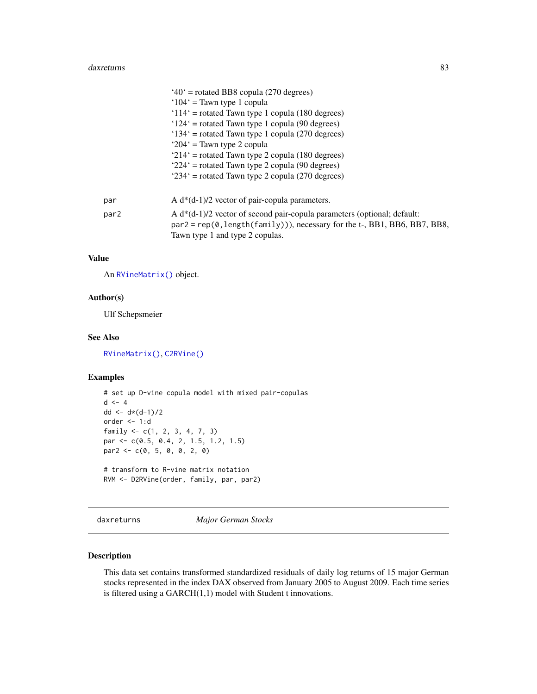#### daxreturns 83

|      | $40^\circ$ = rotated BB8 copula (270 degrees)                               |
|------|-----------------------------------------------------------------------------|
|      | $104'$ = Tawn type 1 copula                                                 |
|      | $114'$ = rotated Tawn type 1 copula (180 degrees)                           |
|      | $124'$ = rotated Tawn type 1 copula (90 degrees)                            |
|      | $134'$ = rotated Tawn type 1 copula (270 degrees)                           |
|      | ' $204$ ' = Tawn type 2 copula                                              |
|      | $214'$ = rotated Tawn type 2 copula (180 degrees)                           |
|      | $224'$ = rotated Tawn type 2 copula (90 degrees)                            |
|      | '234' = rotated Tawn type 2 copula (270 degrees)                            |
|      |                                                                             |
| par  | A $d*(d-1)/2$ vector of pair-copula parameters.                             |
| par2 | A $d*(d-1)/2$ vector of second pair-copula parameters (optional; default:   |
|      | $par2 = rep(0, length(family))),$ necessary for the t-, BB1, BB6, BB7, BB8, |
|      | Tawn type 1 and type 2 copulas.                                             |

## Value

An [RVineMatrix\(\)](#page-109-0) object.

# Author(s)

Ulf Schepsmeier

# See Also

[RVineMatrix\(\)](#page-109-0), [C2RVine\(\)](#page-77-0)

# Examples

```
# set up D-vine copula model with mixed pair-copulas
d \leq -4dd <- d * (d-1)/2order <- 1:d
family <- c(1, 2, 3, 4, 7, 3)
par <- c(0.5, 0.4, 2, 1.5, 1.2, 1.5)
par2 < -c(0, 5, 0, 0, 2, 0)# transform to R-vine matrix notation
RVM <- D2RVine(order, family, par, par2)
```
daxreturns *Major German Stocks*

# Description

This data set contains transformed standardized residuals of daily log returns of 15 major German stocks represented in the index DAX observed from January 2005 to August 2009. Each time series is filtered using a GARCH(1,1) model with Student t innovations.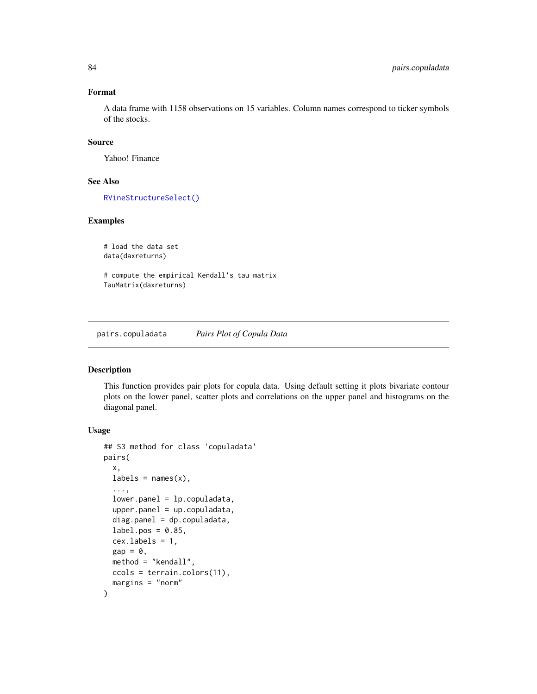# Format

A data frame with 1158 observations on 15 variables. Column names correspond to ticker symbols of the stocks.

# Source

Yahoo! Finance

# See Also

[RVineStructureSelect\(\)](#page-131-0)

# Examples

```
# load the data set
data(daxreturns)
```
# compute the empirical Kendall's tau matrix TauMatrix(daxreturns)

pairs.copuladata *Pairs Plot of Copula Data*

#### Description

This function provides pair plots for copula data. Using default setting it plots bivariate contour plots on the lower panel, scatter plots and correlations on the upper panel and histograms on the diagonal panel.

#### Usage

```
## S3 method for class 'copuladata'
pairs(
 x,
 labels = names(x),
  ...,
  lower.panel = lp.copulatedata,upper.path = up.copulated,diag.panel = dp.copuladata,label.pos = 0.85,
  cex.labels = 1,
 gap = 0,
 method = "kendall",
 ccols = terrain.colors(11),
 margins = "norm"
)
```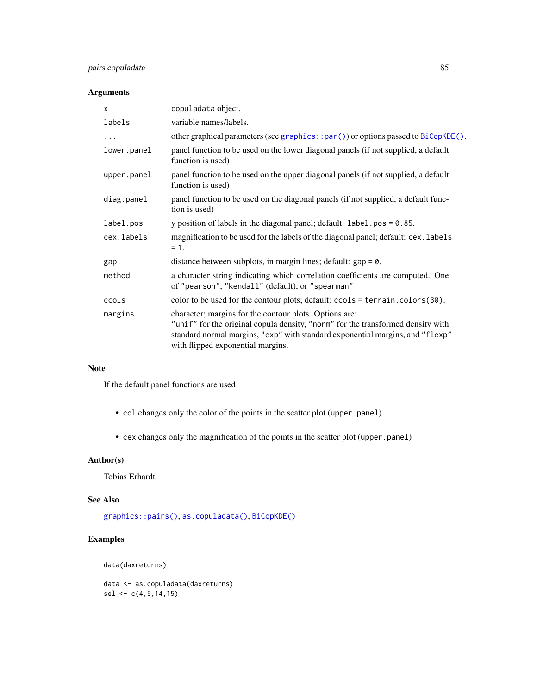# pairs.copuladata 85

# Arguments

| $\times$    | copuladata object.                                                                                                                                                                                                                                              |
|-------------|-----------------------------------------------------------------------------------------------------------------------------------------------------------------------------------------------------------------------------------------------------------------|
| labels      | variable names/labels.                                                                                                                                                                                                                                          |
| .           | other graphical parameters (see graphics::par()) or options passed to $BiCopKDE()$ .                                                                                                                                                                            |
| lower.panel | panel function to be used on the lower diagonal panels (if not supplied, a default<br>function is used)                                                                                                                                                         |
| upper.panel | panel function to be used on the upper diagonal panels (if not supplied, a default<br>function is used)                                                                                                                                                         |
| diag.panel  | panel function to be used on the diagonal panels (if not supplied, a default func-<br>tion is used)                                                                                                                                                             |
| label.pos   | y position of labels in the diagonal panel; default: $label.pos = 0.85$ .                                                                                                                                                                                       |
| cex.labels  | magnification to be used for the labels of the diagonal panel; default: cex. labels<br>$= 1.$                                                                                                                                                                   |
| gap         | distance between subplots, in margin lines; default: $gap = 0$ .                                                                                                                                                                                                |
| method      | a character string indicating which correlation coefficients are computed. One<br>of "pearson", "kendall" (default), or "spearman"                                                                                                                              |
| ccols       | color to be used for the contour plots; default: ccols = terrain.colors(30).                                                                                                                                                                                    |
| margins     | character; margins for the contour plots. Options are:<br>"unif" for the original copula density, "norm" for the transformed density with<br>standard normal margins, "exp" with standard exponential margins, and "flexp"<br>with flipped exponential margins. |

# Note

If the default panel functions are used

- col changes only the color of the points in the scatter plot (upper.panel)
- cex changes only the magnification of the points in the scatter plot (upper.panel)

# Author(s)

Tobias Erhardt

# See Also

[graphics::pairs\(\)](#page-0-0), [as.copuladata\(\)](#page-4-0), [BiCopKDE\(\)](#page-44-0)

# Examples

data(daxreturns)

data <- as.copuladata(daxreturns) sel  $\leq c(4,5,14,15)$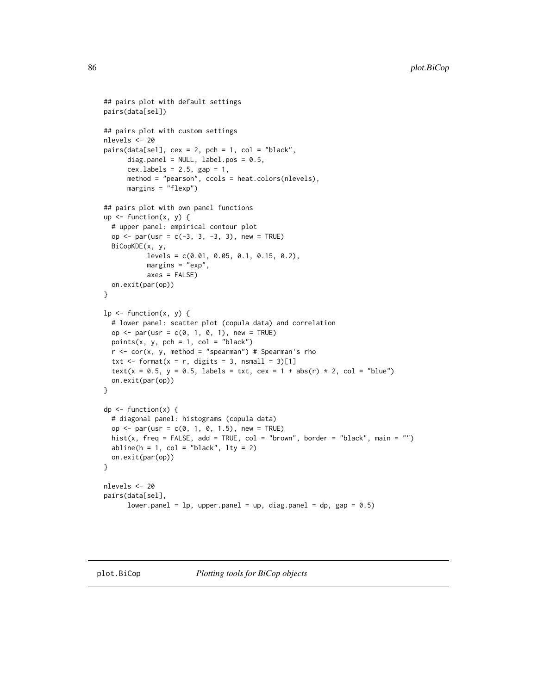```
## pairs plot with default settings
pairs(data[sel])
## pairs plot with custom settings
nlevels <- 20
pairs(data[sel], cex = 2, pch = 1, col = "black",diag.panel = NULL, label.pos = 0.5,
      cex.labels = 2.5, gap = 1,
      method = "pearson", ccols = heat.colors(nlevels),
      margins = "flexp")
## pairs plot with own panel functions
up \leq function(x, y) {
  # upper panel: empirical contour plot
  op <- par(usr = c(-3, 3, -3, 3), new = TRUE)
  BiCopKDE(x, y,
           levels = c(0.01, 0.05, 0.1, 0.15, 0.2),
           margins = "exp",
           axes = FALSE)on.exit(par(op))
}
lp \leftarrow function(x, y) {
  # lower panel: scatter plot (copula data) and correlation
  op <- par(usr = c(0, 1, 0, 1), new = TRUE)
  points(x, y, pch = 1, col = "black")r < -\text{cor}(x, y, \text{ method} = "spearman") # Spearman's rho
  txt <- format(x = r, digits = 3, nsmall = 3)[1]
  text(x = 0.5, y = 0.5, labels = txt, cex = 1 + abs(r) * 2, col = "blue")on.exit(par(op))
}
dp \leftarrow function(x) {
  # diagonal panel: histograms (copula data)
  op <- par(usr = c(0, 1, 0, 1.5), new = TRUE)
  hist(x, freq = FALSE, add = TRUE, col = "brown", border = "black", main = "")
  abline(h = 1, col = "black", lty = 2)on.exit(par(op))
}
nlevels <- 20
pairs(data[sel],
      lower.panel = lp, upper.panel = up, diag.panel = dp, gap = 0.5)
```
<span id="page-85-0"></span>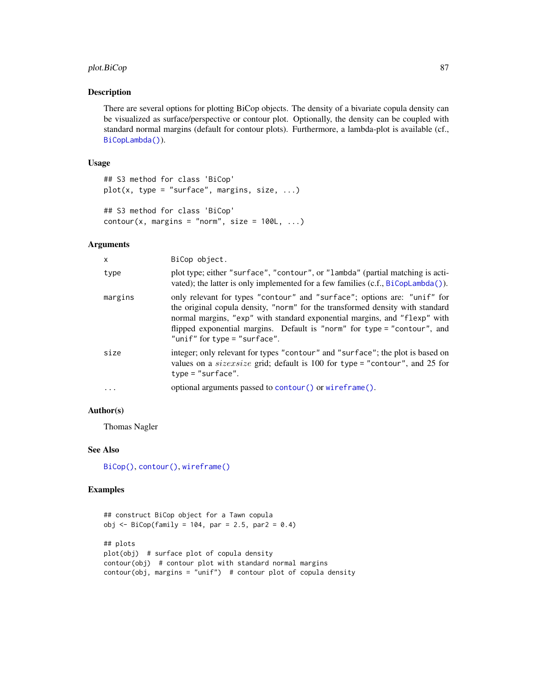# plot.BiCop 87

# Description

There are several options for plotting BiCop objects. The density of a bivariate copula density can be visualized as surface/perspective or contour plot. Optionally, the density can be coupled with standard normal margins (default for contour plots). Furthermore, a lambda-plot is available (cf., [BiCopLambda\(\)](#page-47-0)).

# Usage

```
## S3 method for class 'BiCop'
plot(x, type = "surface", margins, size, ...)## S3 method for class 'BiCop'
contour(x, margins = "norm", size = 100L, ...)
```
#### Arguments

| X          | BiCop object.                                                                                                                                                                                                                                                                                                                                      |
|------------|----------------------------------------------------------------------------------------------------------------------------------------------------------------------------------------------------------------------------------------------------------------------------------------------------------------------------------------------------|
| type       | plot type; either "surface", "contour", or "lambda" (partial matching is acti-<br>vated); the latter is only implemented for a few families $(c.f., BiCopLambda(a))$ .                                                                                                                                                                             |
| margins    | only relevant for types "contour" and "surface"; options are: "unif" for<br>the original copula density, "norm" for the transformed density with standard<br>normal margins, "exp" with standard exponential margins, and "flexp" with<br>flipped exponential margins. Default is "norm" for type = "contour", and<br>"unif" for type = "surface". |
| size       | integer; only relevant for types "contour" and "surface"; the plot is based on<br>values on a <i>sizexsize</i> grid; default is 100 for type = "contour", and 25 for<br>$type = "surface".$                                                                                                                                                        |
| $\ddots$ . | optional arguments passed to contour () or wireframe ().                                                                                                                                                                                                                                                                                           |

# Author(s)

Thomas Nagler

# See Also

[BiCop\(\)](#page-6-0), [contour\(\)](#page-0-0), [wireframe\(\)](#page-0-0)

#### Examples

```
## construct BiCop object for a Tawn copula
obj <- BiCop(family = 104, par = 2.5, par2 = 0.4)
## plots
plot(obj) # surface plot of copula density
contour(obj) # contour plot with standard normal margins
contour(obj, margins = "unif") # contour plot of copula density
```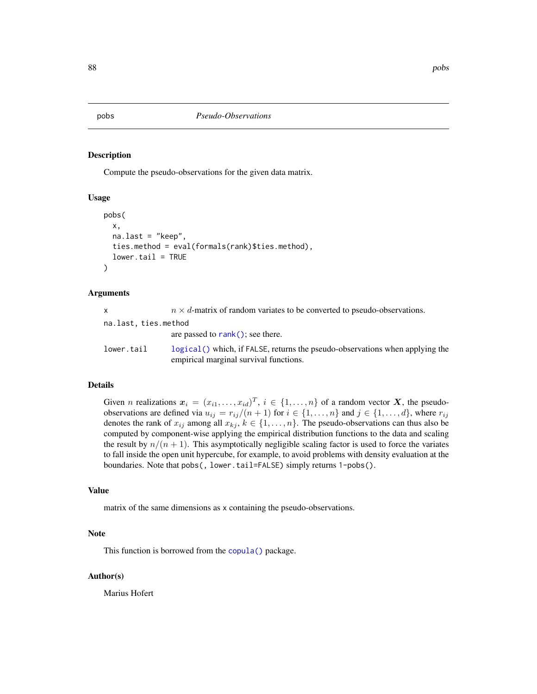pobs *Pseudo-Observations*

#### Description

Compute the pseudo-observations for the given data matrix.

#### Usage

```
pobs(
  x,
  na.last = "keep",
  ties.method = eval(formals(rank)$ties.method),
  lower.tail = TRUE)
```
#### Arguments

| X                    | $n \times d$ -matrix of random variates to be converted to pseudo-observations.                                          |
|----------------------|--------------------------------------------------------------------------------------------------------------------------|
| na.last, ties.method |                                                                                                                          |
|                      | are passed to $rank()$ ; see there.                                                                                      |
| lower.tail           | $logical()$ which, if FALSE, returns the pseudo-observations when applying the<br>empirical marginal survival functions. |

#### Details

Given *n* realizations  $x_i = (x_{i1}, \dots, x_{id})^T$ ,  $i \in \{1, \dots, n\}$  of a random vector X, the pseudoobservations are defined via  $u_{ij} = r_{ij}/(n+1)$  for  $i \in \{1, ..., n\}$  and  $j \in \{1, ..., d\}$ , where  $r_{ij}$ denotes the rank of  $x_{ij}$  among all  $x_{kj}$ ,  $k \in \{1, \ldots, n\}$ . The pseudo-observations can thus also be computed by component-wise applying the empirical distribution functions to the data and scaling the result by  $n/(n + 1)$ . This asymptotically negligible scaling factor is used to force the variates to fall inside the open unit hypercube, for example, to avoid problems with density evaluation at the boundaries. Note that pobs(, lower.tail=FALSE) simply returns 1-pobs().

# Value

matrix of the same dimensions as x containing the pseudo-observations.

# Note

This function is borrowed from the [copula\(\)](#page-0-0) package.

# Author(s)

Marius Hofert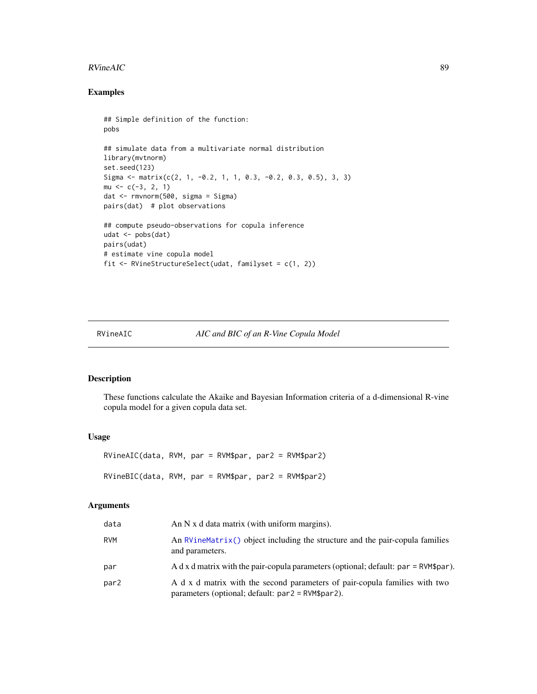#### $RVineAIC$  89

# Examples

```
## Simple definition of the function:
pobs
## simulate data from a multivariate normal distribution
library(mvtnorm)
set.seed(123)
Sigma \leq matrix(c(2, 1, -0.2, 1, 1, 0.3, -0.2, 0.3, 0.5), 3, 3)
mu \leftarrow c(-3, 2, 1)dat <- rmvnorm(500, sigma = Sigma)
pairs(dat) # plot observations
## compute pseudo-observations for copula inference
udat <- pobs(dat)
pairs(udat)
# estimate vine copula model
fit <- RVineStructureSelect(udat, familyset = c(1, 2))
```
<span id="page-88-0"></span>RVineAIC *AIC and BIC of an R-Vine Copula Model*

# <span id="page-88-1"></span>Description

These functions calculate the Akaike and Bayesian Information criteria of a d-dimensional R-vine copula model for a given copula data set.

#### Usage

RVineAIC(data, RVM, par = RVM\$par, par2 = RVM\$par2) RVineBIC(data, RVM, par = RVM\$par, par2 = RVM\$par2)

| data | An $N \times d$ data matrix (with uniform margins).                                                                             |
|------|---------------------------------------------------------------------------------------------------------------------------------|
| RVM  | An RVineMatrix() object including the structure and the pair-copula families<br>and parameters.                                 |
| par  | A d x d matrix with the pair-copula parameters (optional; default: $par = RVM\$par$ ).                                          |
| par2 | A d x d matrix with the second parameters of pair-copula families with two<br>parameters (optional; default: par2 = RVM\$par2). |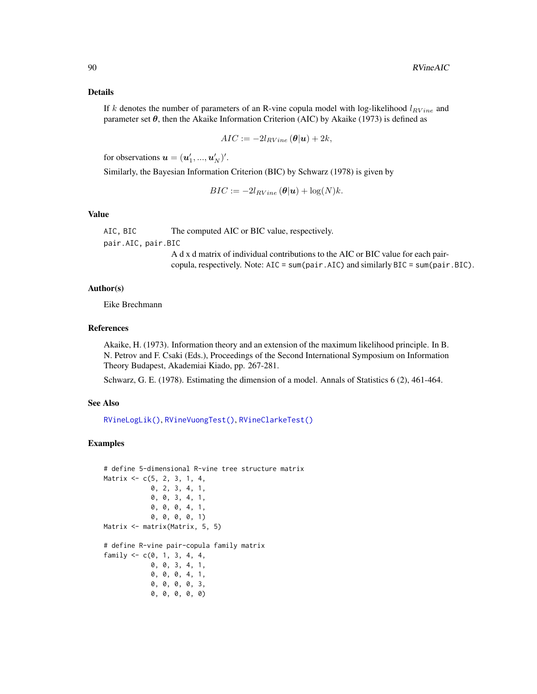#### Details

If k denotes the number of parameters of an R-vine copula model with log-likelihood  $l_{RVine}$  and parameter set  $\theta$ , then the Akaike Information Criterion (AIC) by Akaike (1973) is defined as

$$
AIC := -2l_{RVine}(\boldsymbol{\theta}|\boldsymbol{u}) + 2k,
$$

for observations  $\boldsymbol{u} = (\boldsymbol{u}'_1, ..., \boldsymbol{u}'_N)'$ .

Similarly, the Bayesian Information Criterion (BIC) by Schwarz (1978) is given by

$$
BIC := -2l_{RVine}(\boldsymbol{\theta}|\mathbf{u}) + \log(N)k.
$$

#### Value

AIC, BIC The computed AIC or BIC value, respectively.

pair.AIC, pair.BIC

A d x d matrix of individual contributions to the AIC or BIC value for each paircopula, respectively. Note: AIC = sum(pair.AIC) and similarly BIC = sum(pair.BIC).

#### Author(s)

Eike Brechmann

#### References

Akaike, H. (1973). Information theory and an extension of the maximum likelihood principle. In B. N. Petrov and F. Csaki (Eds.), Proceedings of the Second International Symposium on Information Theory Budapest, Akademiai Kiado, pp. 267-281.

Schwarz, G. E. (1978). Estimating the dimension of a model. Annals of Statistics 6 (2), 461-464.

#### See Also

[RVineLogLik\(\)](#page-106-0), [RVineVuongTest\(\)](#page-136-0), [RVineClarkeTest\(\)](#page-90-0)

## Examples

```
# define 5-dimensional R-vine tree structure matrix
Matrix <- c(5, 2, 3, 1, 4,
            0, 2, 3, 4, 1,
            0, 0, 3, 4, 1,
            0, 0, 0, 4, 1,
            0, 0, 0, 0, 1)
Matrix <- matrix(Matrix, 5, 5)
# define R-vine pair-copula family matrix
family <-c(0, 1, 3, 4, 4,0, 0, 3, 4, 1,
            0, 0, 0, 4, 1,
            0, 0, 0, 0, 3,
            0, 0, 0, 0, 0)
```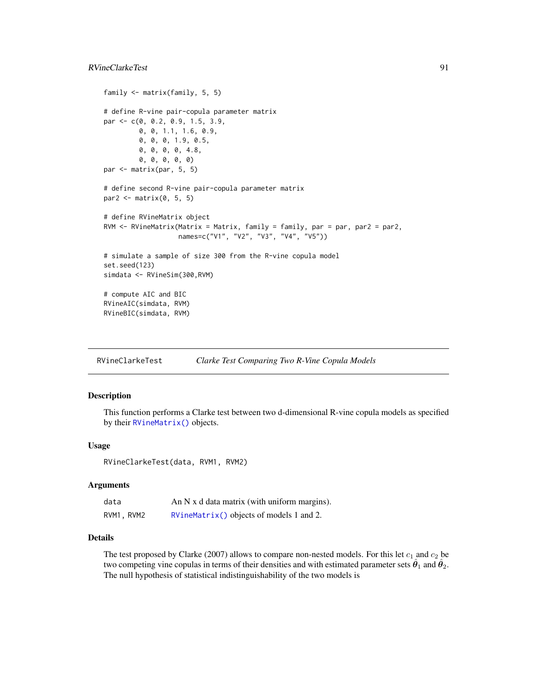# RVineClarkeTest 91

```
family <- matrix(family, 5, 5)
# define R-vine pair-copula parameter matrix
par <- c(0, 0.2, 0.9, 1.5, 3.9,
         0, 0, 1.1, 1.6, 0.9,
        0, 0, 0, 1.9, 0.5,
        0, 0, 0, 0, 4.8,
        0, 0, 0, 0, 0)
par <- matrix(par, 5, 5)
# define second R-vine pair-copula parameter matrix
par2 <- matrix(0, 5, 5)
# define RVineMatrix object
RVM <- RVineMatrix(Matrix = Matrix, family = family, par = par, par2 = par2,
                   names=c("V1", "V2", "V3", "V4", "V5"))
# simulate a sample of size 300 from the R-vine copula model
set.seed(123)
simdata <- RVineSim(300,RVM)
# compute AIC and BIC
RVineAIC(simdata, RVM)
RVineBIC(simdata, RVM)
```
<span id="page-90-0"></span>RVineClarkeTest *Clarke Test Comparing Two R-Vine Copula Models*

# Description

This function performs a Clarke test between two d-dimensional R-vine copula models as specified by their [RVineMatrix\(\)](#page-109-0) objects.

#### Usage

RVineClarkeTest(data, RVM1, RVM2)

#### Arguments

| data       | An N x d data matrix (with uniform margins). |
|------------|----------------------------------------------|
| RVM1, RVM2 | $RVinematrix()$ objects of models 1 and 2.   |

### Details

The test proposed by Clarke (2007) allows to compare non-nested models. For this let  $c_1$  and  $c_2$  be two competing vine copulas in terms of their densities and with estimated parameter sets  $\hat{\theta}_1$  and  $\hat{\theta}_2$ . The null hypothesis of statistical indistinguishability of the two models is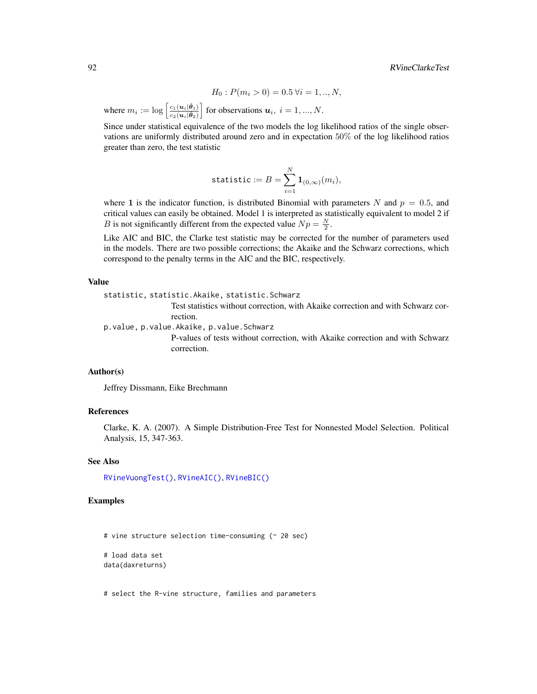$$
H_0: P(m_i > 0) = 0.5 \,\forall i = 1,..,N,
$$

where  $m_i := \log \left[ \frac{c_1(u_i|\hat{\theta}_1)}{c_2(u_i|\hat{\theta}_2)} \right]$  $\overline{c_2(\boldsymbol{u}_i|\hat{\boldsymbol{\theta}}_2)}$ of for observations  $u_i$ ,  $i = 1, ..., N$ .

Since under statistical equivalence of the two models the log likelihood ratios of the single observations are uniformly distributed around zero and in expectation 50% of the log likelihood ratios greater than zero, the test statistic

$$
\mathtt{statistic} := B = \sum_{i=1}^N \mathbf{1}_{(0,\infty)}(m_i),
$$

where 1 is the indicator function, is distributed Binomial with parameters N and  $p = 0.5$ , and critical values can easily be obtained. Model 1 is interpreted as statistically equivalent to model 2 if *B* is not significantly different from the expected value  $Np = \frac{N}{2}$ .

Like AIC and BIC, the Clarke test statistic may be corrected for the number of parameters used in the models. There are two possible corrections; the Akaike and the Schwarz corrections, which correspond to the penalty terms in the AIC and the BIC, respectively.

#### Value

statistic, statistic.Akaike, statistic.Schwarz

Test statistics without correction, with Akaike correction and with Schwarz correction.

p.value, p.value.Akaike, p.value.Schwarz

P-values of tests without correction, with Akaike correction and with Schwarz correction.

#### Author(s)

Jeffrey Dissmann, Eike Brechmann

#### References

Clarke, K. A. (2007). A Simple Distribution-Free Test for Nonnested Model Selection. Political Analysis, 15, 347-363.

#### See Also

[RVineVuongTest\(\)](#page-136-0), [RVineAIC\(\)](#page-88-0), [RVineBIC\(\)](#page-88-1)

# Examples

# vine structure selection time-consuming (~ 20 sec)

# load data set data(daxreturns)

# select the R-vine structure, families and parameters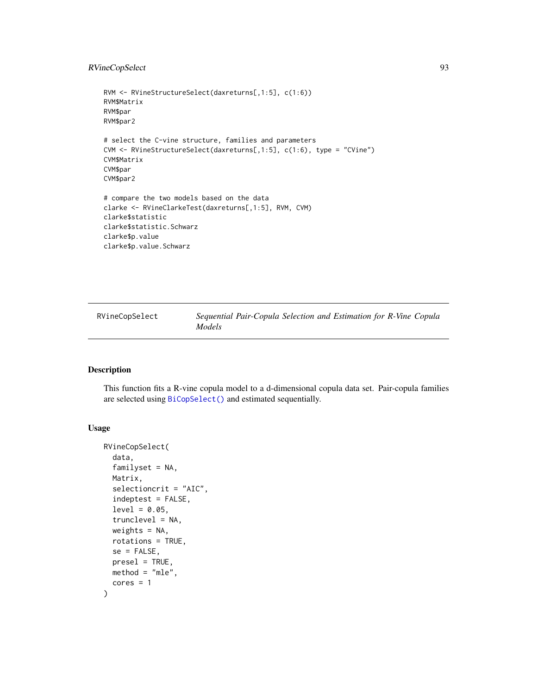# RVineCopSelect 93

```
RVM <- RVineStructureSelect(daxreturns[,1:5], c(1:6))
RVM$Matrix
RVM$par
RVM$par2
# select the C-vine structure, families and parameters
CVM <- RVineStructureSelect(daxreturns[,1:5], c(1:6), type = "CVine")
CVM$Matrix
CVM$par
CVM$par2
# compare the two models based on the data
clarke <- RVineClarkeTest(daxreturns[,1:5], RVM, CVM)
clarke$statistic
clarke$statistic.Schwarz
clarke$p.value
clarke$p.value.Schwarz
```
RVineCopSelect *Sequential Pair-Copula Selection and Estimation for R-Vine Copula Models*

# Description

This function fits a R-vine copula model to a d-dimensional copula data set. Pair-copula families are selected using [BiCopSelect\(\)](#page-66-0) and estimated sequentially.

# Usage

```
RVineCopSelect(
  data,
  familyset = NA,
 Matrix,
  selectioncrit = "AIC",
  indeptest = FALSE,
  level = 0.05,trunclevel = NA,
 weights = NA,
  rotations = TRUE,
  se = FALSE,presel = TRUE,
 method = "mle",cores = 1)
```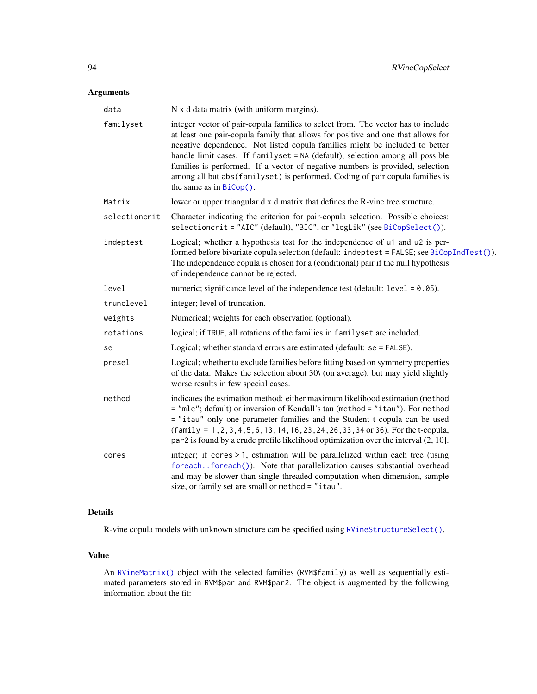# Arguments

| data          | N x d data matrix (with uniform margins).                                                                                                                                                                                                                                                                                                                                                                                                                                                                                            |
|---------------|--------------------------------------------------------------------------------------------------------------------------------------------------------------------------------------------------------------------------------------------------------------------------------------------------------------------------------------------------------------------------------------------------------------------------------------------------------------------------------------------------------------------------------------|
| familyset     | integer vector of pair-copula families to select from. The vector has to include<br>at least one pair-copula family that allows for positive and one that allows for<br>negative dependence. Not listed copula families might be included to better<br>handle limit cases. If familyset = NA (default), selection among all possible<br>families is performed. If a vector of negative numbers is provided, selection<br>among all but abs (familyset) is performed. Coding of pair copula families is<br>the same as in $BiCop()$ . |
| Matrix        | lower or upper triangular d x d matrix that defines the R-vine tree structure.                                                                                                                                                                                                                                                                                                                                                                                                                                                       |
| selectioncrit | Character indicating the criterion for pair-copula selection. Possible choices:<br>selectioncrit = "AIC" (default), "BIC", or "logLik" (see BiCopSelect()).                                                                                                                                                                                                                                                                                                                                                                          |
| indeptest     | Logical; whether a hypothesis test for the independence of u1 and u2 is per-<br>formed before bivariate copula selection (default: indeptest = FALSE; see BiCopIndTest()).<br>The independence copula is chosen for a (conditional) pair if the null hypothesis<br>of independence cannot be rejected.                                                                                                                                                                                                                               |
| level         | numeric; significance level of the independence test (default: $level = 0.05$ ).                                                                                                                                                                                                                                                                                                                                                                                                                                                     |
| trunclevel    | integer; level of truncation.                                                                                                                                                                                                                                                                                                                                                                                                                                                                                                        |
| weights       | Numerical; weights for each observation (optional).                                                                                                                                                                                                                                                                                                                                                                                                                                                                                  |
| rotations     | logical; if TRUE, all rotations of the families in familyset are included.                                                                                                                                                                                                                                                                                                                                                                                                                                                           |
| se            | Logical; whether standard errors are estimated (default: se = FALSE).                                                                                                                                                                                                                                                                                                                                                                                                                                                                |
| presel        | Logical; whether to exclude families before fitting based on symmetry properties<br>of the data. Makes the selection about 30\ (on average), but may yield slightly<br>worse results in few special cases.                                                                                                                                                                                                                                                                                                                           |
| method        | indicates the estimation method: either maximum likelihood estimation (method<br>= "mle"; default) or inversion of Kendall's tau (method = "itau"). For method<br>= "itau" only one parameter families and the Student t copula can be used<br>$(family = 1, 2, 3, 4, 5, 6, 13, 14, 16, 23, 24, 26, 33, 34$ or 36). For the t-copula,<br>par 2 is found by a crude profile likelihood optimization over the interval $(2, 10]$ .                                                                                                     |
| cores         | integer; if cores $> 1$ , estimation will be parallelized within each tree (using<br>foreach::foreach()). Note that parallelization causes substantial overhead<br>and may be slower than single-threaded computation when dimension, sample<br>size, or family set are small or method = "itau".                                                                                                                                                                                                                                    |

# Details

R-vine copula models with unknown structure can be specified using [RVineStructureSelect\(\)](#page-131-0).

# Value

An [RVineMatrix\(\)](#page-109-0) object with the selected families (RVM\$family) as well as sequentially estimated parameters stored in RVM\$par and RVM\$par2. The object is augmented by the following information about the fit: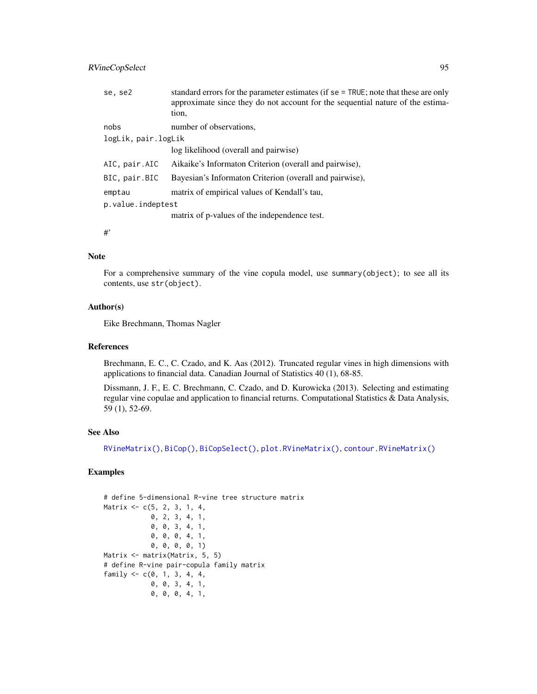# RVineCopSelect 95

| se, se2             | standard errors for the parameter estimates (if se = TRUE; note that these are only<br>approximate since they do not account for the sequential nature of the estima-<br>tion, |
|---------------------|--------------------------------------------------------------------------------------------------------------------------------------------------------------------------------|
| nobs                | number of observations,                                                                                                                                                        |
| logLik, pair.logLik |                                                                                                                                                                                |
|                     | log likelihood (overall and pairwise)                                                                                                                                          |
| AIC, pair.AIC       | Aikaike's Informaton Criterion (overall and pairwise),                                                                                                                         |
| BIC, pair.BIC       | Bayesian's Informaton Criterion (overall and pairwise),                                                                                                                        |
| emptau              | matrix of empirical values of Kendall's tau,                                                                                                                                   |
| p.value.indeptest   |                                                                                                                                                                                |
|                     | matrix of p-values of the independence test.                                                                                                                                   |
| #                   |                                                                                                                                                                                |

#### Note

For a comprehensive summary of the vine copula model, use summary(object); to see all its contents, use str(object).

# Author(s)

Eike Brechmann, Thomas Nagler

#### References

Brechmann, E. C., C. Czado, and K. Aas (2012). Truncated regular vines in high dimensions with applications to financial data. Canadian Journal of Statistics 40 (1), 68-85.

Dissmann, J. F., E. C. Brechmann, C. Czado, and D. Kurowicka (2013). Selecting and estimating regular vine copulae and application to financial returns. Computational Statistics & Data Analysis, 59 (1), 52-69.

## See Also

[RVineMatrix\(\)](#page-109-0), [BiCop\(\)](#page-6-0), [BiCopSelect\(\)](#page-66-0), [plot.RVineMatrix\(\)](#page-79-0), [contour.RVineMatrix\(\)](#page-79-1)

# Examples

```
# define 5-dimensional R-vine tree structure matrix
Matrix <- c(5, 2, 3, 1, 4,
            0, 2, 3, 4, 1,
            0, 0, 3, 4, 1,
            0, 0, 0, 4, 1,
            0, 0, 0, 0, 1)
Matrix <- matrix(Matrix, 5, 5)
# define R-vine pair-copula family matrix
family <-c(0, 1, 3, 4, 4,0, 0, 3, 4, 1,
            0, 0, 0, 4, 1,
```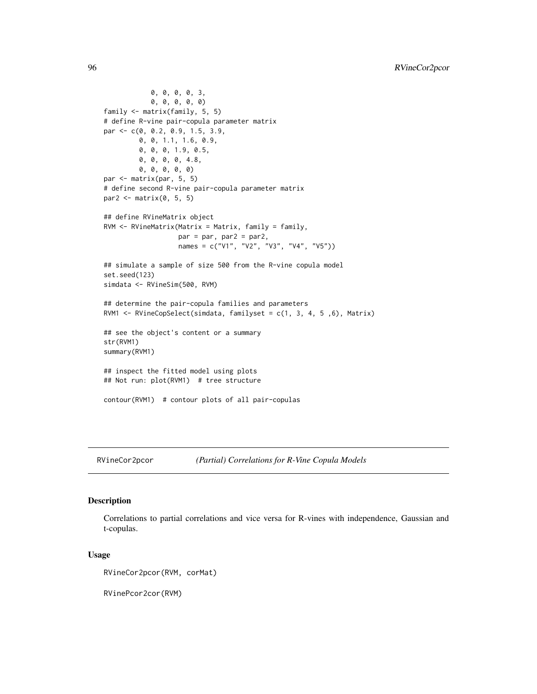```
0, 0, 0, 0, 3,
            0, 0, 0, 0, 0)
family <- matrix(family, 5, 5)
# define R-vine pair-copula parameter matrix
par <- c(0, 0.2, 0.9, 1.5, 3.9,
        0, 0, 1.1, 1.6, 0.9,
         0, 0, 0, 1.9, 0.5,
         0, 0, 0, 0, 4.8,
         0, 0, 0, 0, 0)
par <- matrix(par, 5, 5)
# define second R-vine pair-copula parameter matrix
par2 <- matrix(0, 5, 5)
## define RVineMatrix object
RVM <- RVineMatrix(Matrix = Matrix, family = family,
                   par = par, par2 = par2,
                   names = c("V1", "V2", "V3", "V4", "V5"))
## simulate a sample of size 500 from the R-vine copula model
set.seed(123)
simdata <- RVineSim(500, RVM)
## determine the pair-copula families and parameters
RVM1 <- RVineCopSelect(simdata, familyset = c(1, 3, 4, 5 ,6), Matrix)
## see the object's content or a summary
str(RVM1)
summary(RVM1)
## inspect the fitted model using plots
## Not run: plot(RVM1) # tree structure
contour(RVM1) # contour plots of all pair-copulas
```
RVineCor2pcor *(Partial) Correlations for R-Vine Copula Models*

# Description

Correlations to partial correlations and vice versa for R-vines with independence, Gaussian and t-copulas.

#### Usage

```
RVineCor2pcor(RVM, corMat)
```
RVinePcor2cor(RVM)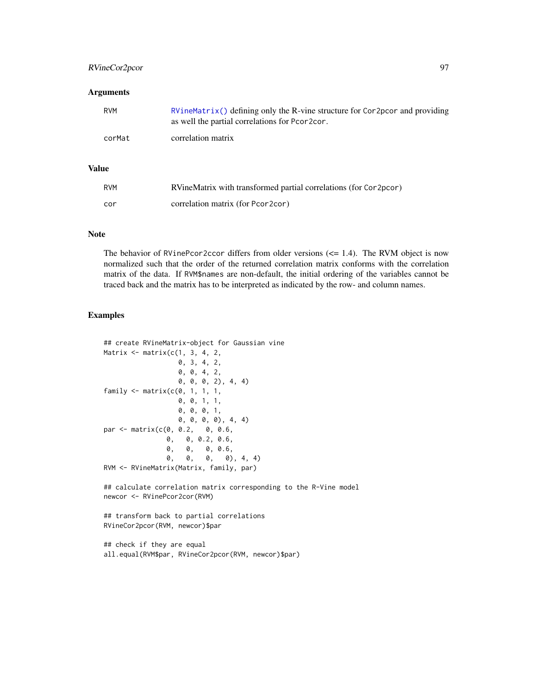# RVineCor2pcor 97

#### **Arguments**

| RVM    | RVineMatrix() defining only the R-vine structure for Cor2pcor and providing<br>as well the partial correlations for Pcor2cor. |
|--------|-------------------------------------------------------------------------------------------------------------------------------|
| corMat | correlation matrix                                                                                                            |

# Value

| <b>RVM</b> | RVineMatrix with transformed partial correlations (for Cor2pcor) |
|------------|------------------------------------------------------------------|
| cor        | correlation matrix (for Pcor2cor)                                |

# Note

The behavior of RVinePcor2ccor differs from older versions  $\ll$  1.4). The RVM object is now normalized such that the order of the returned correlation matrix conforms with the correlation matrix of the data. If RVM\$names are non-default, the initial ordering of the variables cannot be traced back and the matrix has to be interpreted as indicated by the row- and column names.

#### Examples

```
## create RVineMatrix-object for Gaussian vine
Matrix \leq matrix(c(1, 3, 4, 2, 1)0, 3, 4, 2,
                   0, 0, 4, 2,
                   0, 0, 0, 2), 4, 4)
family \leq matrix(c(0, 1, 1, 1,0, 0, 1, 1,
                   0, 0, 0, 1,
                   0, 0, 0, 0), 4, 4)
par <- matrix(c(0, 0.2, 0, 0.6,
                0, 0, 0.2, 0.6,
                0, 0, 0, 0.6,<br>0, 0, 0, 0)
                0, 0, 0, 0), 4, 4)
RVM <- RVineMatrix(Matrix, family, par)
```
## calculate correlation matrix corresponding to the R-Vine model newcor <- RVinePcor2cor(RVM)

```
## transform back to partial correlations
RVineCor2pcor(RVM, newcor)$par
```
## check if they are equal all.equal(RVM\$par, RVineCor2pcor(RVM, newcor)\$par)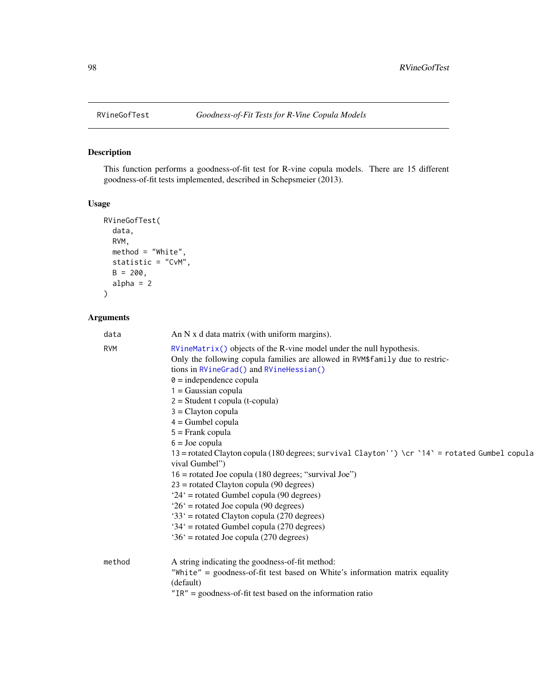# Description

This function performs a goodness-of-fit test for R-vine copula models. There are 15 different goodness-of-fit tests implemented, described in Schepsmeier (2013).

# Usage

```
RVineGofTest(
 data,
 RVM,
 method = "White",statistic = "CvM",
 B = 200,alpha = 2)
```

| data       | An $N \times d$ data matrix (with uniform margins).                                             |
|------------|-------------------------------------------------------------------------------------------------|
| <b>RVM</b> | $RVineMatrix()$ objects of the $R$ -vine model under the null hypothesis.                       |
|            | Only the following copula families are allowed in RVM\$family due to restric-                   |
|            | tions in RVineGrad() and RVineHessian()                                                         |
|            | $\theta$ = independence copula                                                                  |
|            | $1 = Gaussian copula$                                                                           |
|            | $2 = Student$ t copula (t-copula)                                                               |
|            | $3 =$ Clayton copula                                                                            |
|            | $4 =$ Gumbel copula                                                                             |
|            | $5 =$ Frank copula                                                                              |
|            | $6 =$ Joe copula                                                                                |
|            | 13 = rotated Clayton copula (180 degrees; survival Clayton'') \cr `14 ` = rotated Gumbel copula |
|            | vival Gumbel")                                                                                  |
|            | $16$ = rotated Joe copula (180 degrees; "survival Joe")                                         |
|            | $23$ = rotated Clayton copula (90 degrees)                                                      |
|            | $24'$ = rotated Gumbel copula (90 degrees)                                                      |
|            | $26'$ = rotated Joe copula (90 degrees)                                                         |
|            | '33' = rotated Clayton copula (270 degrees)                                                     |
|            | $34'$ = rotated Gumbel copula (270 degrees)                                                     |
|            | $36'$ = rotated Joe copula (270 degrees)                                                        |
| method     | A string indicating the goodness-of-fit method:                                                 |
|            | "White" = goodness-of-fit test based on White's information matrix equality                     |
|            | (default)                                                                                       |
|            | $"IR" = goodness-of-fit test based on the information ratio$                                    |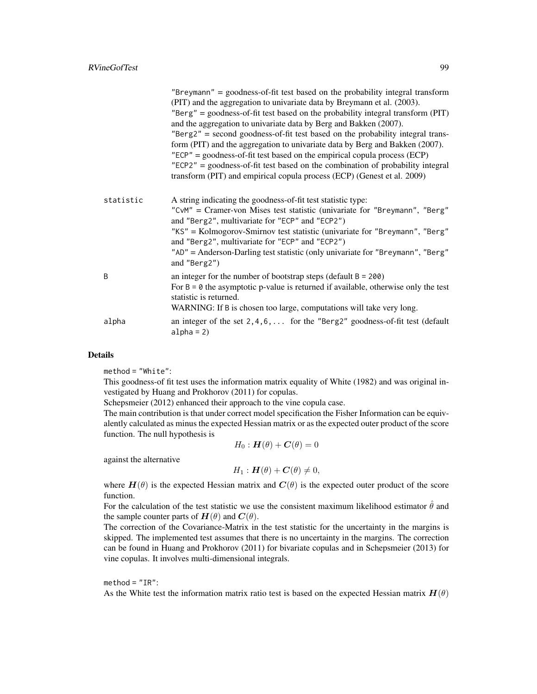|           | "Breymann" = goodness-of-fit test based on the probability integral transform<br>(PIT) and the aggregation to univariate data by Breymann et al. (2003).<br>"Berg" = goodness-of-fit test based on the probability integral transform $(PIT)$<br>and the aggregation to univariate data by Berg and Bakken (2007).<br>"Berg2" = second goodness-of-fit test based on the probability integral trans-<br>form (PIT) and the aggregation to univariate data by Berg and Bakken (2007).<br>$"ECP" = goodness-of-fit test based on the empirical copula process (ECP)$<br>$"ECP2" = goodness-of-fit test based on the combination of probability integral$<br>transform (PIT) and empirical copula process (ECP) (Genest et al. 2009) |
|-----------|-----------------------------------------------------------------------------------------------------------------------------------------------------------------------------------------------------------------------------------------------------------------------------------------------------------------------------------------------------------------------------------------------------------------------------------------------------------------------------------------------------------------------------------------------------------------------------------------------------------------------------------------------------------------------------------------------------------------------------------|
| statistic | A string indicating the goodness-of-fit test statistic type:<br>"CvM" = Cramer-von Mises test statistic (univariate for "Breymann", "Berg"<br>and "Berg2", multivariate for "ECP" and "ECP2")<br>"KS" = Kolmogorov-Smirnov test statistic (univariate for "Breymann", "Berg"<br>and "Berg2", multivariate for "ECP" and "ECP2")<br>"AD" = Anderson-Darling test statistic (only univariate for "Breymann", "Berg"<br>and "Berg2")                                                                                                                                                                                                                                                                                                 |
| B         | an integer for the number of bootstrap steps (default $B = 200$ )<br>For $B = \emptyset$ the asymptotic p-value is returned if available, otherwise only the test<br>statistic is returned.<br>WARNING: If B is chosen too large, computations will take very long.                                                                                                                                                                                                                                                                                                                                                                                                                                                               |
| alpha     | an integer of the set $2, 4, 6, \ldots$ for the "Berg2" goodness-of-fit test (default<br>$alpha = 2)$                                                                                                                                                                                                                                                                                                                                                                                                                                                                                                                                                                                                                             |

# Details

method = "White":

This goodness-of fit test uses the information matrix equality of White (1982) and was original investigated by Huang and Prokhorov (2011) for copulas.

Schepsmeier (2012) enhanced their approach to the vine copula case.

The main contribution is that under correct model specification the Fisher Information can be equivalently calculated as minus the expected Hessian matrix or as the expected outer product of the score function. The null hypothesis is

$$
H_0: \boldsymbol{H}(\theta) + \boldsymbol{C}(\theta) = 0
$$

against the alternative

$$
H_1: \boldsymbol{H}(\theta) + \boldsymbol{C}(\theta) \neq 0,
$$

where  $H(\theta)$  is the expected Hessian matrix and  $C(\theta)$  is the expected outer product of the score function.

For the calculation of the test statistic we use the consistent maximum likelihood estimator  $\hat{\theta}$  and the sample counter parts of  $H(\theta)$  and  $C(\theta)$ .

The correction of the Covariance-Matrix in the test statistic for the uncertainty in the margins is skipped. The implemented test assumes that there is no uncertainty in the margins. The correction can be found in Huang and Prokhorov (2011) for bivariate copulas and in Schepsmeier (2013) for vine copulas. It involves multi-dimensional integrals.

## $method = "IR":$

As the White test the information matrix ratio test is based on the expected Hessian matrix  $H(\theta)$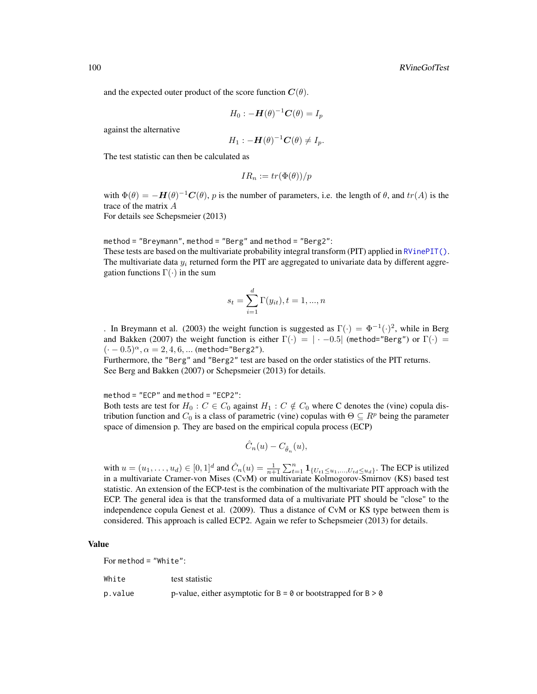and the expected outer product of the score function  $C(\theta)$ .

$$
H_0: -\boldsymbol{H}(\theta)^{-1}\boldsymbol{C}(\theta) = I_p
$$

against the alternative

$$
H_1: -\boldsymbol{H}(\theta)^{-1}\boldsymbol{C}(\theta) \neq I_p.
$$

The test statistic can then be calculated as

$$
IR_n := tr(\Phi(\theta))/p
$$

with  $\Phi(\theta) = -H(\theta)^{-1}C(\theta)$ , p is the number of parameters, i.e. the length of  $\theta$ , and  $tr(A)$  is the trace of the matrix A

For details see Schepsmeier (2013)

method = "Breymann", method = "Berg" and method = "Berg2":

These tests are based on the multivariate probability integral transform (PIT) applied in [RVinePIT\(\)](#page-123-0). The multivariate data  $y_i$  returned form the PIT are aggregated to univariate data by different aggregation functions  $\Gamma(\cdot)$  in the sum

$$
s_t = \sum_{i=1}^d \Gamma(y_{it}), t = 1, ..., n
$$

. In Breymann et al. (2003) the weight function is suggested as  $\Gamma(\cdot) = \Phi^{-1}(\cdot)^2$ , while in Berg and Bakken (2007) the weight function is either  $\Gamma(\cdot) = |\cdot -0.5|$  (method="Berg") or  $\Gamma(\cdot) =$  $(-0.5)^{\alpha}, \alpha = 2, 4, 6, ...$  (method="Berg2").

Furthermore, the "Berg" and "Berg2" test are based on the order statistics of the PIT returns. See Berg and Bakken (2007) or Schepsmeier (2013) for details.

method = "ECP" and method = "ECP2":

Both tests are test for  $H_0$ :  $C \in C_0$  against  $H_1 : C \notin C_0$  where C denotes the (vine) copula distribution function and  $C_0$  is a class of parametric (vine) copulas with  $\Theta \subseteq R^p$  being the parameter space of dimension p. They are based on the empirical copula process (ECP)

$$
\hat{C}_n(u)-C_{\hat{\theta}_n}(u),
$$

with  $u = (u_1, \ldots, u_d) \in [0, 1]^d$  and  $\hat{C}_n(u) = \frac{1}{n+1} \sum_{t=1}^n \mathbf{1}_{\{U_{t1} \le u_1, \ldots, U_{td} \le u_d\}}$ . The ECP is utilized in a multivariate Cramer-von Mises (CvM) or multivariate Kolmogorov-Smirnov (KS) based test statistic. An extension of the ECP-test is the combination of the multivariate PIT approach with the ECP. The general idea is that the transformed data of a multivariate PIT should be "close" to the independence copula Genest et al. (2009). Thus a distance of CvM or KS type between them is considered. This approach is called ECP2. Again we refer to Schepsmeier (2013) for details.

# Value

For method = "White":

| White   | test statistic                                                     |
|---------|--------------------------------------------------------------------|
| p.value | p-value, either asymptotic for $B = 0$ or bootstrapped for $B > 0$ |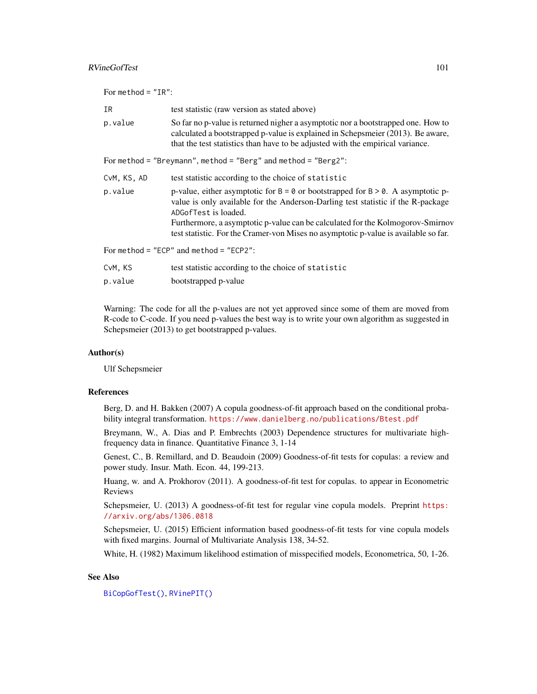# RVineGofTest 101

| For method = $"IR":$ |                                                                                                                                                                                                                                                                                                                                                                                           |
|----------------------|-------------------------------------------------------------------------------------------------------------------------------------------------------------------------------------------------------------------------------------------------------------------------------------------------------------------------------------------------------------------------------------------|
| IR.                  | test statistic (raw version as stated above)                                                                                                                                                                                                                                                                                                                                              |
| p.value              | So far no p-value is returned nigher a asymptotic nor a bootstrapped one. How to<br>calculated a bootstrapped p-value is explained in Schepsmeier (2013). Be aware,<br>that the test statistics than have to be adjusted with the empirical variance.                                                                                                                                     |
|                      | For method = "Breymann", method = "Berg" and method = "Berg2":                                                                                                                                                                                                                                                                                                                            |
| CvM, KS, AD          | test statistic according to the choice of statistic                                                                                                                                                                                                                                                                                                                                       |
| p.value              | p-value, either asymptotic for $B = \emptyset$ or bootstrapped for $B > \emptyset$ . A asymptotic p-<br>value is only available for the Anderson-Darling test statistic if the R-package<br>ADGofTest is loaded.<br>Furthermore, a asymptotic p-value can be calculated for the Kolmogorov-Smirnov<br>test statistic. For the Cramer-von Mises no asymptotic p-value is available so far. |
|                      | For method = "ECP" and method = "ECP2":                                                                                                                                                                                                                                                                                                                                                   |
| CvM, KS              | test statistic according to the choice of statistic                                                                                                                                                                                                                                                                                                                                       |
| p.value              | bootstrapped p-value                                                                                                                                                                                                                                                                                                                                                                      |

Warning: The code for all the p-values are not yet approved since some of them are moved from R-code to C-code. If you need p-values the best way is to write your own algorithm as suggested in Schepsmeier (2013) to get bootstrapped p-values.

# Author(s)

Ulf Schepsmeier

# References

Berg, D. and H. Bakken (2007) A copula goodness-of-fit approach based on the conditional probability integral transformation. <https://www.danielberg.no/publications/Btest.pdf>

Breymann, W., A. Dias and P. Embrechts (2003) Dependence structures for multivariate highfrequency data in finance. Quantitative Finance 3, 1-14

Genest, C., B. Remillard, and D. Beaudoin (2009) Goodness-of-fit tests for copulas: a review and power study. Insur. Math. Econ. 44, 199-213.

Huang, w. and A. Prokhorov (2011). A goodness-of-fit test for copulas. to appear in Econometric Reviews

Schepsmeier, U. (2013) A goodness-of-fit test for regular vine copula models. Preprint [https:](https://arxiv.org/abs/1306.0818) [//arxiv.org/abs/1306.0818](https://arxiv.org/abs/1306.0818)

Schepsmeier, U. (2015) Efficient information based goodness-of-fit tests for vine copula models with fixed margins. Journal of Multivariate Analysis 138, 34-52.

White, H. (1982) Maximum likelihood estimation of misspecified models, Econometrica, 50, 1-26.

# See Also

[BiCopGofTest\(\)](#page-30-0), [RVinePIT\(\)](#page-123-0)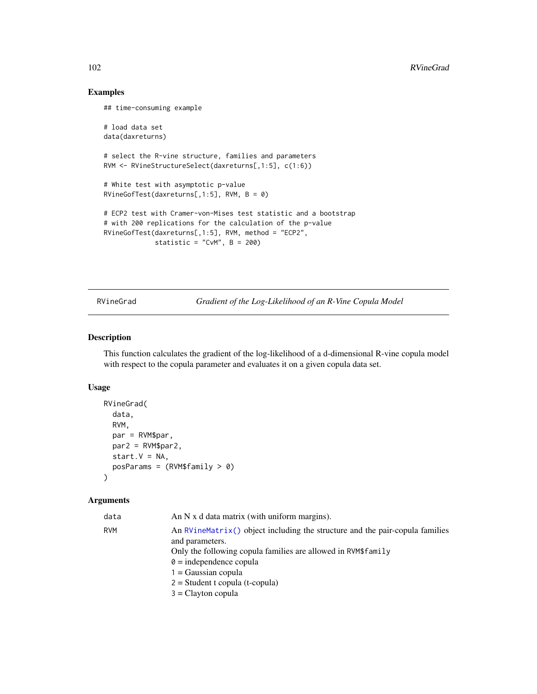# Examples

## time-consuming example

```
# load data set
data(daxreturns)
```
# select the R-vine structure, families and parameters RVM <- RVineStructureSelect(daxreturns[,1:5], c(1:6))

```
# White test with asymptotic p-value
RVineGofTest(daxreturns[,1:5], RVM, B = 0)
```

```
# ECP2 test with Cramer-von-Mises test statistic and a bootstrap
# with 200 replications for the calculation of the p-value
RVineGofTest(daxreturns[,1:5], RVM, method = "ECP2",
            statistic = "CvM", B = 200)
```
<span id="page-101-0"></span>RVineGrad *Gradient of the Log-Likelihood of an R-Vine Copula Model*

# Description

This function calculates the gradient of the log-likelihood of a d-dimensional R-vine copula model with respect to the copula parameter and evaluates it on a given copula data set.

## Usage

```
RVineGrad(
  data,
 RVM,
 par = RVM$par,
 par2 = RVM$par2,
 start.V = NA,
 posParams = (RVM$family > 0)\lambda
```

| data | An $N \times d$ data matrix (with uniform margins).                                              |
|------|--------------------------------------------------------------------------------------------------|
| RVM  | An RVineMatrix () object including the structure and the pair-copula families<br>and parameters. |
|      | Only the following copula families are allowed in RVM\$family                                    |
|      | $\theta$ = independence copula                                                                   |
|      | $1 = Gaussian copula$                                                                            |
|      | $2 = Student$ t copula (t-copula)                                                                |
|      | $3 =$ Clayton copula                                                                             |
|      |                                                                                                  |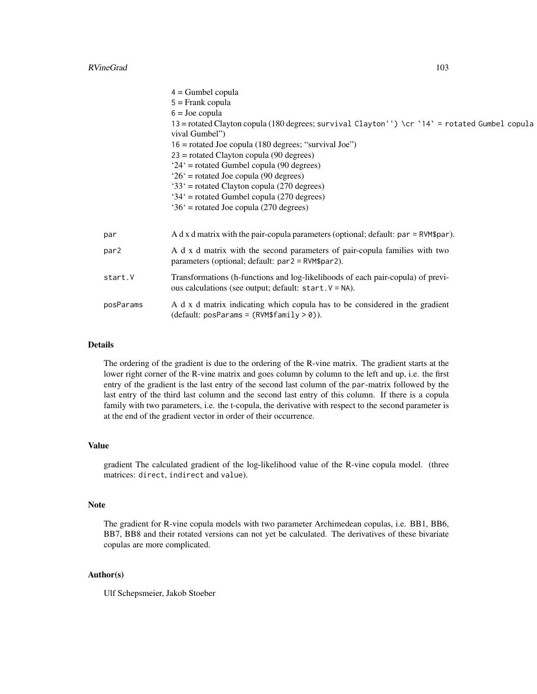|           | $4 =$ Gumbel copula                                                                                                                         |
|-----------|---------------------------------------------------------------------------------------------------------------------------------------------|
|           | $5 =$ Frank copula                                                                                                                          |
|           | $6 =$ Joe copula                                                                                                                            |
|           | 13 = rotated Clayton copula (180 degrees; survival Clayton'') \cr `14` = rotated Gumbel copula                                              |
|           | vival Gumbel")                                                                                                                              |
|           | $16$ = rotated Joe copula (180 degrees; "survival Joe")                                                                                     |
|           | $23$ = rotated Clayton copula (90 degrees)                                                                                                  |
|           | '24' = rotated Gumbel copula (90 degrees)                                                                                                   |
|           | $26'$ = rotated Joe copula (90 degrees)                                                                                                     |
|           | '33' = rotated Clayton copula (270 degrees)                                                                                                 |
|           | $34'$ = rotated Gumbel copula (270 degrees)                                                                                                 |
|           | '36' = rotated Joe copula (270 degrees)                                                                                                     |
|           |                                                                                                                                             |
| par       | A d x d matrix with the pair-copula parameters (optional; default: par = RVM\$par).                                                         |
| par2      | A d x d matrix with the second parameters of pair-copula families with two<br>parameters (optional; default: $par2 = RVM\$par2$ ).          |
| start.V   | Transformations (h-functions and log-likelihoods of each pair-copula) of previ-<br>ous calculations (see output; default: $start.V = NA$ ). |
| posParams | A d x d matrix indicating which copula has to be considered in the gradient<br>$(detault: posParameters = (RVM$family > 0)).$               |
|           |                                                                                                                                             |

#### Details

The ordering of the gradient is due to the ordering of the R-vine matrix. The gradient starts at the lower right corner of the R-vine matrix and goes column by column to the left and up, i.e. the first entry of the gradient is the last entry of the second last column of the par-matrix followed by the last entry of the third last column and the second last entry of this column. If there is a copula family with two parameters, i.e. the t-copula, the derivative with respect to the second parameter is at the end of the gradient vector in order of their occurrence.

#### Value

gradient The calculated gradient of the log-likelihood value of the R-vine copula model. (three matrices: direct, indirect and value).

#### Note

The gradient for R-vine copula models with two parameter Archimedean copulas, i.e. BB1, BB6, BB7, BB8 and their rotated versions can not yet be calculated. The derivatives of these bivariate copulas are more complicated.

# Author(s)

Ulf Schepsmeier, Jakob Stoeber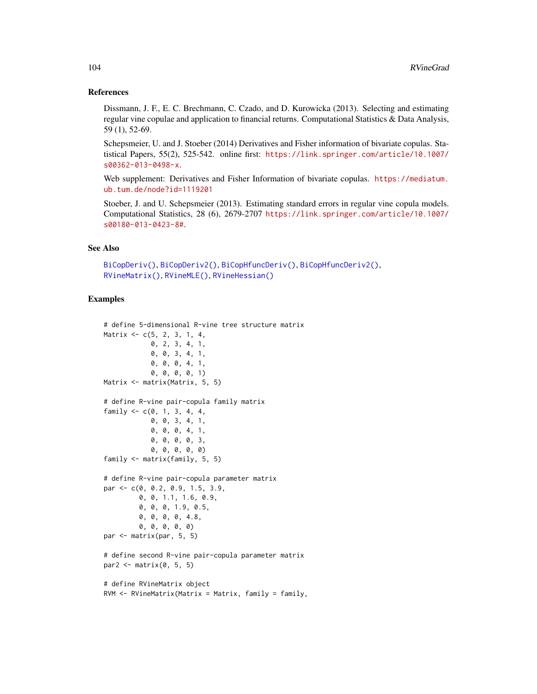#### References

Dissmann, J. F., E. C. Brechmann, C. Czado, and D. Kurowicka (2013). Selecting and estimating regular vine copulae and application to financial returns. Computational Statistics & Data Analysis, 59 (1), 52-69.

Schepsmeier, U. and J. Stoeber (2014) Derivatives and Fisher information of bivariate copulas. Statistical Papers, 55(2), 525-542. online first: [https://link.springer.com/article/10.1007/](https://link.springer.com/article/10.1007/s00362-013-0498-x) [s00362-013-0498-x](https://link.springer.com/article/10.1007/s00362-013-0498-x).

Web supplement: Derivatives and Fisher Information of bivariate copulas. [https://mediatum.](https://mediatum.ub.tum.de/node?id=1119201) [ub.tum.de/node?id=1119201](https://mediatum.ub.tum.de/node?id=1119201)

Stoeber, J. and U. Schepsmeier (2013). Estimating standard errors in regular vine copula models. Computational Statistics, 28 (6), 2679-2707 [https://link.springer.com/article/10.1007/](https://link.springer.com/article/10.1007/s00180-013-0423-8#) [s00180-013-0423-8#](https://link.springer.com/article/10.1007/s00180-013-0423-8#).

# See Also

```
BiCopDeriv(), BiCopDeriv2(), BiCopHfuncDeriv(), BiCopHfuncDeriv2(),
RVineMatrix(), RVineMLE(), RVineHessian()
```
#### Examples

```
# define 5-dimensional R-vine tree structure matrix
Matrix <- c(5, 2, 3, 1, 4,
            0, 2, 3, 4, 1,
            0, 0, 3, 4, 1,
            0, 0, 0, 4, 1,
            0, 0, 0, 0, 1)
Matrix <- matrix(Matrix, 5, 5)
# define R-vine pair-copula family matrix
family <-c(0, 1, 3, 4, 4,0, 0, 3, 4, 1,
            0, 0, 0, 4, 1,
            0, 0, 0, 0, 3,
            0, 0, 0, 0, 0)
family <- matrix(family, 5, 5)
# define R-vine pair-copula parameter matrix
par <- c(0, 0.2, 0.9, 1.5, 3.9,
         0, 0, 1.1, 1.6, 0.9,
         0, 0, 0, 1.9, 0.5,
         0, 0, 0, 0, 4.8,
         0, 0, 0, 0, 0)
par <- matrix(par, 5, 5)
# define second R-vine pair-copula parameter matrix
par2 \leq matrix(0, 5, 5)
# define RVineMatrix object
RVM <- RVineMatrix(Matrix = Matrix, family = family,
```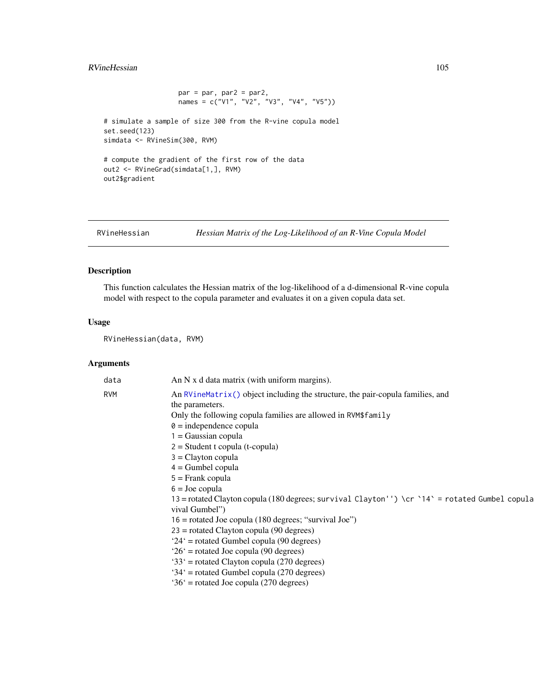# RVineHessian 105

 $par = par$ ,  $par2 = par2$ , names = c("V1", "V2", "V3", "V4", "V5")) # simulate a sample of size 300 from the R-vine copula model set.seed(123) simdata <- RVineSim(300, RVM) # compute the gradient of the first row of the data out2 <- RVineGrad(simdata[1,], RVM) out2\$gradient

<span id="page-104-0"></span>RVineHessian *Hessian Matrix of the Log-Likelihood of an R-Vine Copula Model*

# Description

This function calculates the Hessian matrix of the log-likelihood of a d-dimensional R-vine copula model with respect to the copula parameter and evaluates it on a given copula data set.

# Usage

RVineHessian(data, RVM)

| data       | An N x d data matrix (with uniform margins).                                                   |
|------------|------------------------------------------------------------------------------------------------|
| <b>RVM</b> | An RVineMatrix() object including the structure, the pair-copula families, and                 |
|            | the parameters.                                                                                |
|            | Only the following copula families are allowed in RVM\$family                                  |
|            | $\theta$ = independence copula                                                                 |
|            | 1 = Gaussian copula                                                                            |
|            | $2 = Student$ t copula (t-copula)                                                              |
|            | $3 =$ Clayton copula                                                                           |
|            | $4 =$ Gumbel copula                                                                            |
|            | $5 =$ Frank copula                                                                             |
|            | $6 =$ Joe copula                                                                               |
|            | 13 = rotated Clayton copula (180 degrees; survival Clayton'') \cr `14` = rotated Gumbel copula |
|            | vival Gumbel")                                                                                 |
|            | $16$ = rotated Joe copula (180 degrees; "survival Joe")                                        |
|            | $23$ = rotated Clayton copula (90 degrees)                                                     |
|            | $24'$ = rotated Gumbel copula (90 degrees)                                                     |
|            | $26'$ = rotated Joe copula (90 degrees)                                                        |
|            | $33'$ = rotated Clayton copula (270 degrees)                                                   |
|            | $34'$ = rotated Gumbel copula (270 degrees)                                                    |
|            | $36'$ = rotated Joe copula (270 degrees)                                                       |
|            |                                                                                                |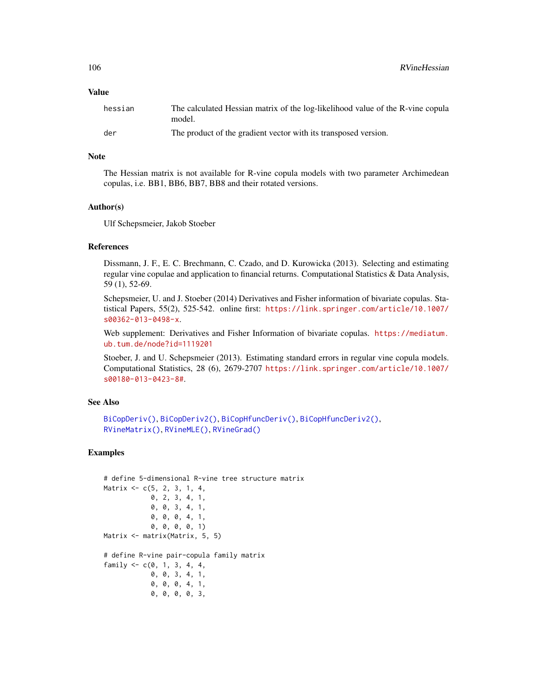### Value

| hessian | The calculated Hessian matrix of the log-likelihood value of the R-vine copula<br>model. |
|---------|------------------------------------------------------------------------------------------|
| der     | The product of the gradient vector with its transposed version.                          |

## Note

The Hessian matrix is not available for R-vine copula models with two parameter Archimedean copulas, i.e. BB1, BB6, BB7, BB8 and their rotated versions.

# Author(s)

Ulf Schepsmeier, Jakob Stoeber

#### References

Dissmann, J. F., E. C. Brechmann, C. Czado, and D. Kurowicka (2013). Selecting and estimating regular vine copulae and application to financial returns. Computational Statistics & Data Analysis, 59 (1), 52-69.

Schepsmeier, U. and J. Stoeber (2014) Derivatives and Fisher information of bivariate copulas. Statistical Papers, 55(2), 525-542. online first: [https://link.springer.com/article/10.1007/](https://link.springer.com/article/10.1007/s00362-013-0498-x) [s00362-013-0498-x](https://link.springer.com/article/10.1007/s00362-013-0498-x).

Web supplement: Derivatives and Fisher Information of bivariate copulas. [https://mediatum.](https://mediatum.ub.tum.de/node?id=1119201) [ub.tum.de/node?id=1119201](https://mediatum.ub.tum.de/node?id=1119201)

Stoeber, J. and U. Schepsmeier (2013). Estimating standard errors in regular vine copula models. Computational Statistics, 28 (6), 2679-2707 [https://link.springer.com/article/10.1007/](https://link.springer.com/article/10.1007/s00180-013-0423-8#) [s00180-013-0423-8#](https://link.springer.com/article/10.1007/s00180-013-0423-8#).

#### See Also

```
BiCopDeriv(), BiCopDeriv2(), BiCopHfuncDeriv(), BiCopHfuncDeriv2(),
RVineMatrix(), RVineMLE(), RVineGrad()
```
# Examples

```
# define 5-dimensional R-vine tree structure matrix
Matrix <- c(5, 2, 3, 1, 4,
            0, 2, 3, 4, 1,
            0, 0, 3, 4, 1,
            0, 0, 0, 4, 1,
            0, 0, 0, 0, 1)
Matrix <- matrix(Matrix, 5, 5)
# define R-vine pair-copula family matrix
family <-c(0, 1, 3, 4, 4,0, 0, 3, 4, 1,
            0, 0, 0, 4, 1,
            0, 0, 0, 0, 3,
```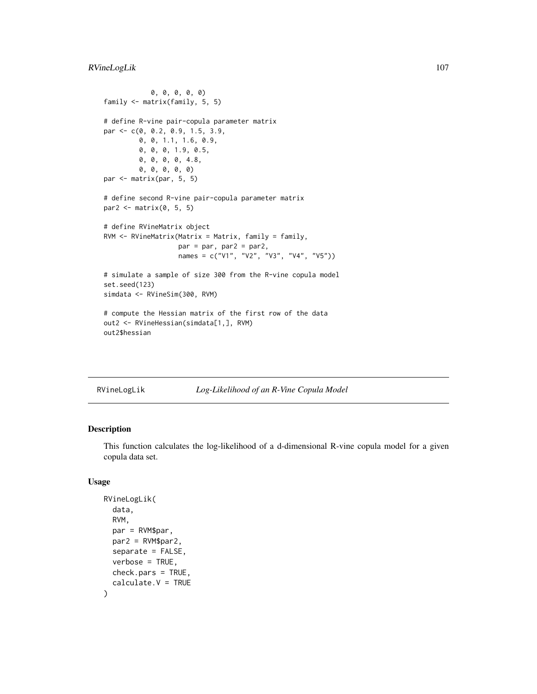# RVineLogLik 107

```
0, 0, 0, 0, 0)
family <- matrix(family, 5, 5)
# define R-vine pair-copula parameter matrix
par <- c(0, 0.2, 0.9, 1.5, 3.9,
        0, 0, 1.1, 1.6, 0.9,
        0, 0, 0, 1.9, 0.5,
         0, 0, 0, 0, 4.8,
         0, 0, 0, 0, 0)
par <- matrix(par, 5, 5)
# define second R-vine pair-copula parameter matrix
par2 <- matrix(0, 5, 5)
# define RVineMatrix object
RVM <- RVineMatrix(Matrix = Matrix, family = family,
                  par = par, par2 = par2,
                  names = c("V1", "V2", "V3", "V4", "V5"))
# simulate a sample of size 300 from the R-vine copula model
set.seed(123)
simdata <- RVineSim(300, RVM)
# compute the Hessian matrix of the first row of the data
out2 <- RVineHessian(simdata[1,], RVM)
out2$hessian
```
<span id="page-106-0"></span>RVineLogLik *Log-Likelihood of an R-Vine Copula Model*

# Description

This function calculates the log-likelihood of a d-dimensional R-vine copula model for a given copula data set.

# Usage

```
RVineLogLik(
  data,
  RVM,
 par = RVM$par,
 par2 = RVM$par2,
  separate = FALSE,
  verbose = TRUE,
 check.pars = TRUE,
  calculate.V = TRUE
)
```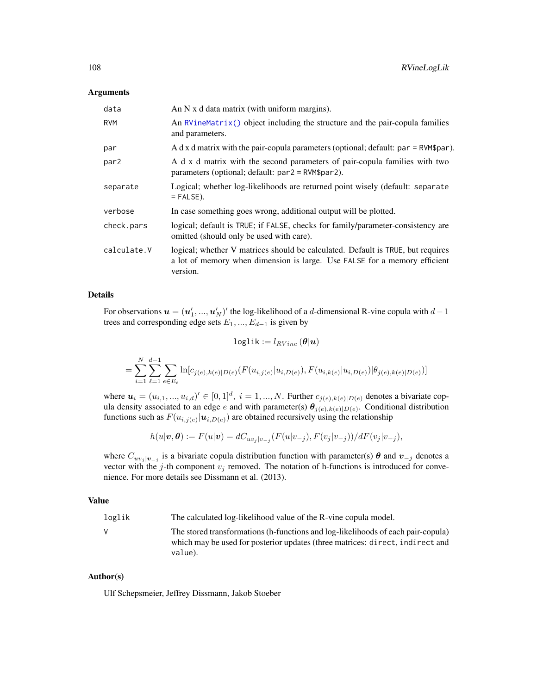#### Arguments

| data        | An $N$ x d data matrix (with uniform margins).                                                                                                                           |  |
|-------------|--------------------------------------------------------------------------------------------------------------------------------------------------------------------------|--|
| <b>RVM</b>  | An RVineMatrix() object including the structure and the pair-copula families<br>and parameters.                                                                          |  |
| par         | A d x d matrix with the pair-copula parameters (optional; default: $par = RVM\$                                                                                          |  |
| par2        | A d x d matrix with the second parameters of pair-copula families with two<br>parameters (optional; default: $par2 = RVM\$par2$ ).                                       |  |
| separate    | Logical; whether log-likelihoods are returned point wisely (default: separate<br>$=$ FALSE).                                                                             |  |
| verbose     | In case something goes wrong, additional output will be plotted.                                                                                                         |  |
| check.pars  | logical; default is TRUE; if FALSE, checks for family/parameter-consistency are<br>omitted (should only be used with care).                                              |  |
| calculate.V | logical; whether V matrices should be calculated. Default is TRUE, but requires<br>a lot of memory when dimension is large. Use FALSE for a memory efficient<br>version. |  |

# Details

For observations  $\boldsymbol{u} = (\boldsymbol{u}'_1, ..., \boldsymbol{u}'_N)'$  the log-likelihood of a d-dimensional R-vine copula with  $d-1$ trees and corresponding edge sets  $E_1, ..., E_{d-1}$  is given by

$$
\texttt{loglik} := l_{RVine}\left(\bm{\theta} | \bm{u}\right)
$$

$$
= \sum_{i=1}^{N} \sum_{\ell=1}^{d-1} \sum_{e \in E_{\ell}} \ln[c_{j(e),k(e)|D(e)}(F(u_{i,j(e)}|u_{i,D(e)}), F(u_{i,k(e)}|u_{i,D(e)})|\theta_{j(e),k(e)|D(e)})]
$$

where  $u_i = (u_{i,1},...,u_{i,d})' \in [0,1]^d$ ,  $i = 1,...,N$ . Further  $c_{j(e),k(e)|D(e)}$  denotes a bivariate copula density associated to an edge e and with parameter(s)  $\theta_{j(e),k(e)|D(e)}$ . Conditional distribution functions such as  $F(u_{i,j(e)} | u_{i,D(e)})$  are obtained recursively using the relationship

$$
h(u|\boldsymbol{v},\boldsymbol{\theta}) := F(u|\boldsymbol{v}) = dC_{uv_j|v_{-j}}(F(u|v_{-j}), F(v_j|v_{-j}))/dF(v_j|v_{-j}),
$$

where  $C_{uv_j}|_{v_{-j}}$  is a bivariate copula distribution function with parameter(s)  $\theta$  and  $v_{-j}$  denotes a vector with the j-th component  $v_j$  removed. The notation of h-functions is introduced for convenience. For more details see Dissmann et al. (2013).

#### Value

loglik The calculated log-likelihood value of the R-vine copula model.

V The stored transformations (h-functions and log-likelihoods of each pair-copula) which may be used for posterior updates (three matrices: direct, indirect and value).

# Author(s)

Ulf Schepsmeier, Jeffrey Dissmann, Jakob Stoeber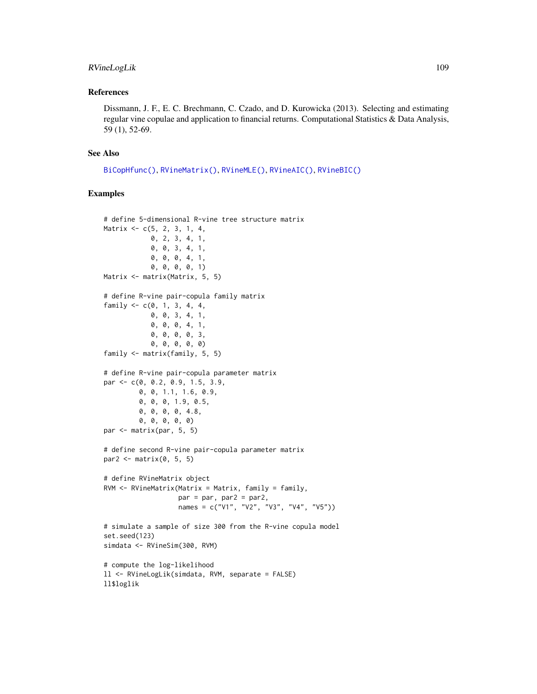## <span id="page-108-0"></span>RVineLogLik 109

#### References

Dissmann, J. F., E. C. Brechmann, C. Czado, and D. Kurowicka (2013). Selecting and estimating regular vine copulae and application to financial returns. Computational Statistics & Data Analysis, 59 (1), 52-69.

## See Also

```
BiCopHfunc(), RVineMatrix(), RVineMLE(), RVineAIC(), RVineBIC()
```

```
# define 5-dimensional R-vine tree structure matrix
Matrix <- c(5, 2, 3, 1, 4,
            0, 2, 3, 4, 1,
            0, 0, 3, 4, 1,
            0, 0, 0, 4, 1,
            0, 0, 0, 0, 1)
Matrix <- matrix(Matrix, 5, 5)
# define R-vine pair-copula family matrix
family <-c(0, 1, 3, 4, 4,0, 0, 3, 4, 1,
            0, 0, 0, 4, 1,
            0, 0, 0, 0, 3,
            0, 0, 0, 0, 0)
family <- matrix(family, 5, 5)
# define R-vine pair-copula parameter matrix
par <- c(0, 0.2, 0.9, 1.5, 3.9,
         0, 0, 1.1, 1.6, 0.9,
         0, 0, 0, 1.9, 0.5,
         0, 0, 0, 0, 4.8,
         0, 0, 0, 0, 0)
par <- matrix(par, 5, 5)
# define second R-vine pair-copula parameter matrix
par2 <- matrix(0, 5, 5)
# define RVineMatrix object
RVM <- RVineMatrix(Matrix = Matrix, family = family,
                   par = par, par2 = par2,
                   names = c("V1", "V2", "V3", "V4", "V5"))
# simulate a sample of size 300 from the R-vine copula model
set.seed(123)
simdata <- RVineSim(300, RVM)
# compute the log-likelihood
ll <- RVineLogLik(simdata, RVM, separate = FALSE)
ll$loglik
```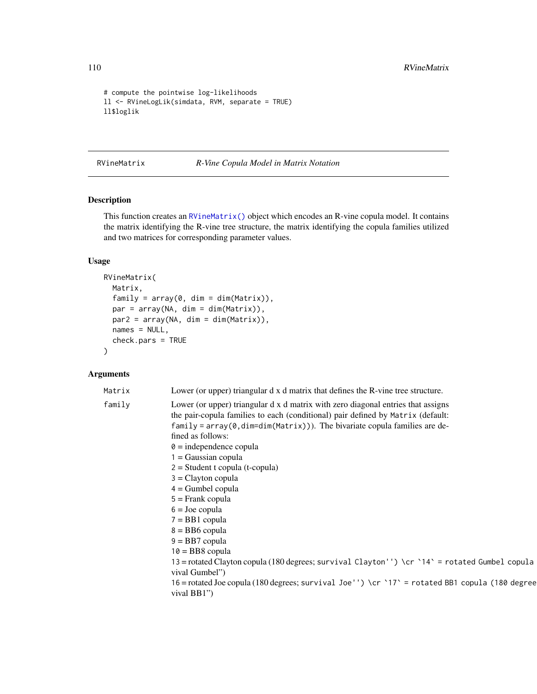```
# compute the pointwise log-likelihoods
ll <- RVineLogLik(simdata, RVM, separate = TRUE)
ll$loglik
```
<span id="page-109-0"></span>RVineMatrix *R-Vine Copula Model in Matrix Notation*

# Description

This function creates an [RVineMatrix\(\)](#page-109-0) object which encodes an R-vine copula model. It contains the matrix identifying the R-vine tree structure, the matrix identifying the copula families utilized and two matrices for corresponding parameter values.

# Usage

```
RVineMatrix(
 Matrix,
  family = array(0, dim = dim(Matrix)),
 par = array(NA, dim = dim(Matrix)),
 par2 = array(NA, dim = dim(Matrix)),
  names = NULL,
  check.pars = TRUE
)
```
#### Arguments

| Matrix | Lower (or upper) triangular d x d matrix that defines the R-vine tree structure.                                                                                                                                                                                                                                                                                                                                                                                                                                                                                                                                                                                                                                                                                          |
|--------|---------------------------------------------------------------------------------------------------------------------------------------------------------------------------------------------------------------------------------------------------------------------------------------------------------------------------------------------------------------------------------------------------------------------------------------------------------------------------------------------------------------------------------------------------------------------------------------------------------------------------------------------------------------------------------------------------------------------------------------------------------------------------|
| family | Lower (or upper) triangular d x d matrix with zero diagonal entries that assigns<br>the pair-copula families to each (conditional) pair defined by Matrix (default:<br>$family = array(0, dim=dim(Matrix)))$ . The bivariate copula families are de-<br>fined as follows:<br>$\theta$ = independence copula<br>$=$ Gaussian copula<br>$2 = Student$ t copula (t-copula)<br>$3 =$ Clayton copula<br>$4 =$ Gumbel copula<br>$5 =$ Frank copula<br>$6 =$ Joe copula<br>$7 = BB1$ copula<br>$8 = BB6$ copula<br>$9 = BB7$ copula<br>$10 = BB8$ copula<br>13 = rotated Clayton copula (180 degrees; survival Clayton'') \cr `14` = rotated Gumbel copula<br>vival Gumbel")<br>16 = rotated Joe copula (180 degrees; survival Joe'') \cr `17 ` = rotated BB1 copula (180 degree |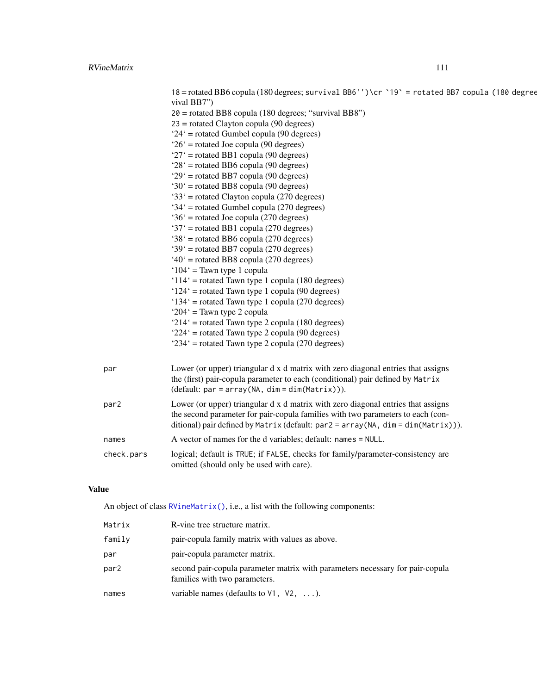| 18 = rotated BB6 copula (180 degrees; survival BB6'')\cr `19` = rotated BB7 copula (180 degree<br>vival BB7") |
|---------------------------------------------------------------------------------------------------------------|
| $20 =$ rotated BB8 copula (180 degrees; "survival BB8")                                                       |
| $23$ = rotated Clayton copula (90 degrees)                                                                    |
| $24'$ = rotated Gumbel copula (90 degrees)                                                                    |
| $26'$ = rotated Joe copula (90 degrees)                                                                       |
| $27'$ = rotated BB1 copula (90 degrees)                                                                       |
| $28'$ = rotated BB6 copula (90 degrees)                                                                       |
| $29'$ = rotated BB7 copula (90 degrees)                                                                       |
| $30'$ = rotated BB8 copula (90 degrees)                                                                       |
| $33'$ = rotated Clayton copula (270 degrees)                                                                  |
| $34'$ = rotated Gumbel copula (270 degrees)                                                                   |
| $36'$ = rotated Joe copula (270 degrees)                                                                      |
| '37' = rotated BB1 copula (270 degrees)                                                                       |
| $38'$ = rotated BB6 copula (270 degrees)                                                                      |
| '39' = rotated BB7 copula (270 degrees)                                                                       |
| $40^{\circ}$ = rotated BB8 copula (270 degrees)                                                               |
| $104'$ = Tawn type 1 copula                                                                                   |
| $114'$ = rotated Tawn type 1 copula (180 degrees)                                                             |
| $124'$ = rotated Tawn type 1 copula (90 degrees)                                                              |
| '134' = rotated Tawn type 1 copula (270 degrees)                                                              |
| ' $204$ ' = Tawn type 2 copula                                                                                |
| ' $214$ ' = rotated Tawn type 2 copula (180 degrees)                                                          |
| $224'$ = rotated Tawn type 2 copula (90 degrees)                                                              |
| $234'$ = rotated Tawn type 2 copula (270 degrees)                                                             |

| par              | Lower (or upper) triangular d x d matrix with zero diagonal entries that assigns<br>the (first) pair-copula parameter to each (conditional) pair defined by Matrix<br>$(default: par = array(NA, dim = dim(Matrix))).$                                   |
|------------------|----------------------------------------------------------------------------------------------------------------------------------------------------------------------------------------------------------------------------------------------------------|
| par <sub>2</sub> | Lower (or upper) triangular d x d matrix with zero diagonal entries that assigns<br>the second parameter for pair-copula families with two parameters to each (con-<br>ditional) pair defined by Matrix (default: par2 = array (NA, dim = dim(Matrix))). |
| names            | A vector of names for the d variables; default: names = NULL.                                                                                                                                                                                            |
| check.pars       | logical; default is TRUE; if FALSE, checks for family/parameter-consistency are<br>omitted (should only be used with care).                                                                                                                              |
|                  |                                                                                                                                                                                                                                                          |

# Value

An object of class [RVineMatrix\(\)](#page-109-0), i.e., a list with the following components:

| Matrix | R-vine tree structure matrix.                                                                                  |
|--------|----------------------------------------------------------------------------------------------------------------|
| family | pair-copula family matrix with values as above.                                                                |
| par    | pair-copula parameter matrix.                                                                                  |
| par2   | second pair-copula parameter matrix with parameters necessary for pair-copula<br>families with two parameters. |
| names  | variable names (defaults to $V1$ , $V2$ , ).                                                                   |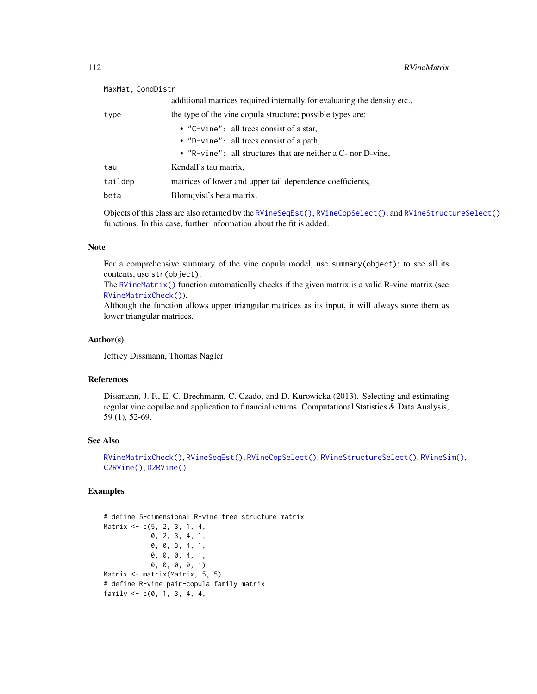<span id="page-111-0"></span>

| MaxMat, CondDistr |                                                                          |
|-------------------|--------------------------------------------------------------------------|
|                   | additional matrices required internally for evaluating the density etc., |
| type              | the type of the vine copula structure; possible types are:               |
|                   | • $"C-vine"$ : all trees consist of a star,                              |
|                   | • $"D$ -vine": all trees consist of a path,                              |
|                   | • $"R\n\nu$ ine": all structures that are neither a C- nor D-vine,       |
| tau               | Kendall's tau matrix,                                                    |
| taildep           | matrices of lower and upper tail dependence coefficients,                |
| beta              | Blomqvist's beta matrix.                                                 |
|                   |                                                                          |

Objects of this class are also returned by the [RVineSeqEst\(\)](#page-125-0), [RVineCopSelect\(\)](#page-92-0), and [RVineStructureSelect\(\)](#page-131-0) functions. In this case, further information about the fit is added.

## Note

For a comprehensive summary of the vine copula model, use summary(object); to see all its contents, use str(object).

The [RVineMatrix\(\)](#page-109-0) function automatically checks if the given matrix is a valid R-vine matrix (see [RVineMatrixCheck\(\)](#page-112-0)).

Although the function allows upper triangular matrices as its input, it will always store them as lower triangular matrices.

#### Author(s)

Jeffrey Dissmann, Thomas Nagler

#### References

Dissmann, J. F., E. C. Brechmann, C. Czado, and D. Kurowicka (2013). Selecting and estimating regular vine copulae and application to financial returns. Computational Statistics & Data Analysis, 59 (1), 52-69.

## See Also

[RVineMatrixCheck\(\)](#page-112-0), [RVineSeqEst\(\)](#page-125-0), [RVineCopSelect\(\)](#page-92-0), [RVineStructureSelect\(\)](#page-131-0), [RVineSim\(\)](#page-127-0), [C2RVine\(\)](#page-77-0), [D2RVine\(\)](#page-81-0)

```
# define 5-dimensional R-vine tree structure matrix
Matrix <- c(5, 2, 3, 1, 4,
            0, 2, 3, 4, 1,
            0, 0, 3, 4, 1,
            0, 0, 0, 4, 1,
            0, 0, 0, 0, 1)
Matrix <- matrix(Matrix, 5, 5)
# define R-vine pair-copula family matrix
family <-c(0, 1, 3, 4, 4,
```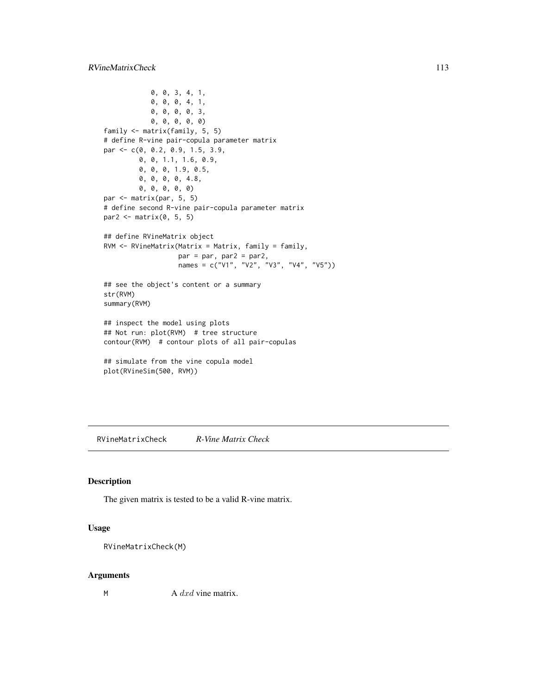```
0, 0, 3, 4, 1,
            0, 0, 0, 4, 1,
            0, 0, 0, 0, 3,
            0, 0, 0, 0, 0)
family <- matrix(family, 5, 5)
# define R-vine pair-copula parameter matrix
par <- c(0, 0.2, 0.9, 1.5, 3.9,
         0, 0, 1.1, 1.6, 0.9,
         0, 0, 0, 1.9, 0.5,
         0, 0, 0, 0, 4.8,
         0, 0, 0, 0, 0)
par <- matrix(par, 5, 5)
# define second R-vine pair-copula parameter matrix
par2 \leq matrix(0, 5, 5)
## define RVineMatrix object
RVM <- RVineMatrix(Matrix = Matrix, family = family,
                   par = par, par2 = par2,
                   names = c("V1", "V2", "V3", "V4", "V5"))
## see the object's content or a summary
str(RVM)
summary(RVM)
## inspect the model using plots
## Not run: plot(RVM) # tree structure
contour(RVM) # contour plots of all pair-copulas
## simulate from the vine copula model
plot(RVineSim(500, RVM))
```
<span id="page-112-0"></span>RVineMatrixCheck *R-Vine Matrix Check*

# Description

The given matrix is tested to be a valid R-vine matrix.

#### Usage

```
RVineMatrixCheck(M)
```
#### Arguments

 $A \, dx \, d$  vine matrix.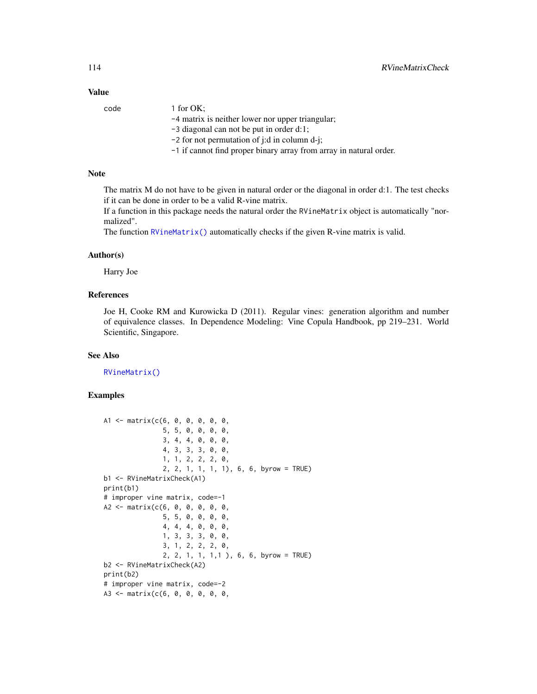## Value

| code | 1 for $OK:$                                                        |
|------|--------------------------------------------------------------------|
|      | -4 matrix is neither lower nor upper triangular;                   |
|      | $-3$ diagonal can not be put in order d:1;                         |
|      | $-2$ for not permutation of j:d in column d-j;                     |
|      | -1 if cannot find proper binary array from array in natural order. |
|      |                                                                    |

# Note

The matrix M do not have to be given in natural order or the diagonal in order d:1. The test checks if it can be done in order to be a valid R-vine matrix.

If a function in this package needs the natural order the RVineMatrix object is automatically "normalized".

The function [RVineMatrix\(\)](#page-109-0) automatically checks if the given R-vine matrix is valid.

#### Author(s)

Harry Joe

# References

Joe H, Cooke RM and Kurowicka D (2011). Regular vines: generation algorithm and number of equivalence classes. In Dependence Modeling: Vine Copula Handbook, pp 219–231. World Scientific, Singapore.

#### See Also

[RVineMatrix\(\)](#page-109-0)

```
A1 <- matrix(c(6, 0, 0, 0, 0, 0,
               5, 5, 0, 0, 0, 0,
               3, 4, 4, 0, 0, 0,
               4, 3, 3, 3, 0, 0,
               1, 1, 2, 2, 2, 0,
               2, 2, 1, 1, 1, 1), 6, 6, byrow = TRUE)
b1 <- RVineMatrixCheck(A1)
print(b1)
# improper vine matrix, code=-1
A2 <- matrix(c(6, 0, 0, 0, 0, 0,
               5, 5, 0, 0, 0, 0,
               4, 4, 4, 0, 0, 0,
               1, 3, 3, 3, 0, 0,
               3, 1, 2, 2, 2, 0,
               2, 2, 1, 1, 1,1 ), 6, 6, byrow = TRUE)
b2 <- RVineMatrixCheck(A2)
print(b2)
# improper vine matrix, code=-2
A3 <- matrix(c(6, 0, 0, 0, 0, 0,
```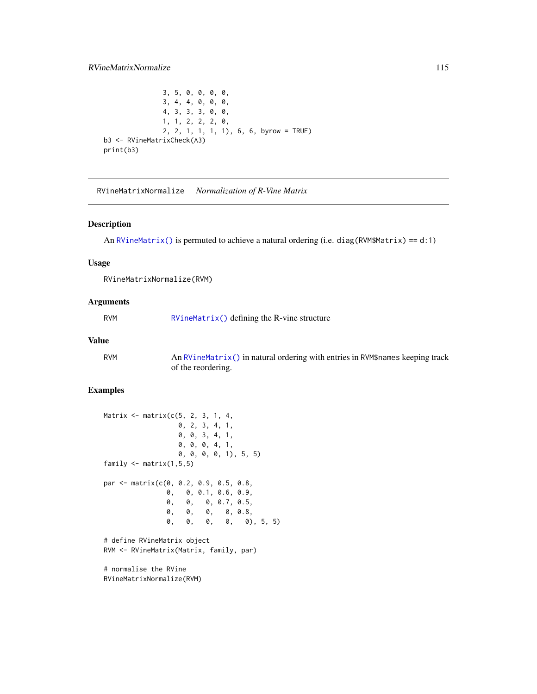```
3, 5, 0, 0, 0, 0,
               3, 4, 4, 0, 0, 0,
               4, 3, 3, 3, 0, 0,
               1, 1, 2, 2, 2, 0,
               2, 2, 1, 1, 1, 1), 6, 6, byrow = TRUE)
b3 <- RVineMatrixCheck(A3)
print(b3)
```
RVineMatrixNormalize *Normalization of R-Vine Matrix*

#### Description

An [RVineMatrix\(\)](#page-109-0) is permuted to achieve a natural ordering (i.e. diag(RVM\$Matrix) == d:1)

#### Usage

RVineMatrixNormalize(RVM)

#### Arguments

RVM [RVineMatrix\(\)](#page-109-0) defining the R-vine structure

### Value

RVM An [RVineMatrix\(\)](#page-109-0) in natural ordering with entries in RVM\$names keeping track of the reordering.

# Examples

```
Matrix \leq matrix(c(5, 2, 3, 1, 4, 4)0, 2, 3, 4, 1,
                  0, 0, 3, 4, 1,
                  0, 0, 0, 4, 1,
                  0, 0, 0, 0, 1), 5, 5)
family \leq matrix(1,5,5)
par <- matrix(c(0, 0.2, 0.9, 0.5, 0.8,
               0, 0, 0.1, 0.6, 0.9,
               0, 0, 0, 0.7, 0.5,
               0, 0, 0, 0, 0.8,
               0, 0, 0, 0, 0), 5, 5)
# define RVineMatrix object
RVM <- RVineMatrix(Matrix, family, par)
# normalise the RVine
```
RVineMatrixNormalize(RVM)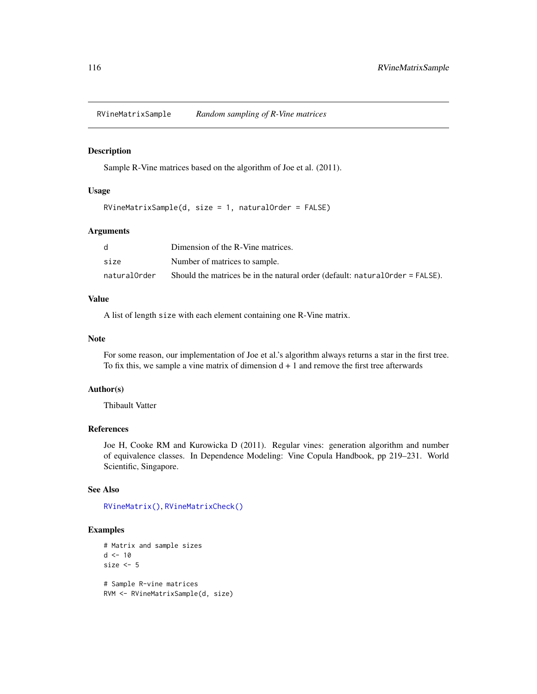RVineMatrixSample *Random sampling of R-Vine matrices*

## Description

Sample R-Vine matrices based on the algorithm of Joe et al. (2011).

#### Usage

```
RVineMatrixSample(d, size = 1, naturalOrder = FALSE)
```
# Arguments

|              | Dimension of the R-Vine matrices.                                             |
|--------------|-------------------------------------------------------------------------------|
| size         | Number of matrices to sample.                                                 |
| naturalOrder | Should the matrices be in the natural order (default: natural Order = FALSE). |

## Value

A list of length size with each element containing one R-Vine matrix.

## Note

For some reason, our implementation of Joe et al.'s algorithm always returns a star in the first tree. To fix this, we sample a vine matrix of dimension  $d + 1$  and remove the first tree afterwards

#### Author(s)

Thibault Vatter

## References

Joe H, Cooke RM and Kurowicka D (2011). Regular vines: generation algorithm and number of equivalence classes. In Dependence Modeling: Vine Copula Handbook, pp 219–231. World Scientific, Singapore.

## See Also

[RVineMatrix\(\)](#page-109-0), [RVineMatrixCheck\(\)](#page-112-0)

```
# Matrix and sample sizes
d < -10size <-5# Sample R-vine matrices
RVM <- RVineMatrixSample(d, size)
```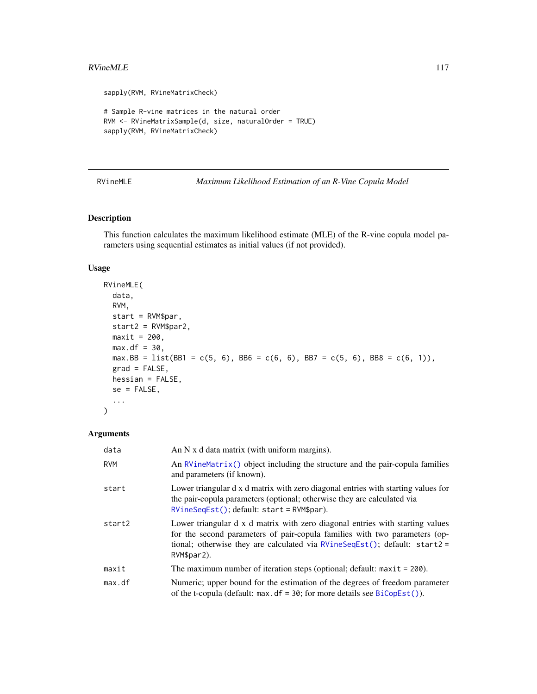#### <span id="page-116-1"></span> $RVineMLE$  117

```
sapply(RVM, RVineMatrixCheck)
# Sample R-vine matrices in the natural order
RVM <- RVineMatrixSample(d, size, naturalOrder = TRUE)
sapply(RVM, RVineMatrixCheck)
```
#### <span id="page-116-0"></span>RVineMLE *Maximum Likelihood Estimation of an R-Vine Copula Model*

## Description

This function calculates the maximum likelihood estimate (MLE) of the R-vine copula model parameters using sequential estimates as initial values (if not provided).

#### Usage

```
RVineMLE(
  data,
 RVM,
 start = RVM$par,
 start2 = RVM$par2,
 maxit = 200,
 max.df = 30,max.BB = list(BB1 = c(5, 6), BB6 = c(6, 6), BB7 = c(5, 6), BB8 = c(6, 1)),
 grad = FALSE,
 hessian = FALSE,se = FALSE,...
)
```
# Arguments

| data       | An $N$ x d data matrix (with uniform margins).                                                                                                                                                                                                              |
|------------|-------------------------------------------------------------------------------------------------------------------------------------------------------------------------------------------------------------------------------------------------------------|
| <b>RVM</b> | An $RV$ ineMatrix() object including the structure and the pair-copula families<br>and parameters (if known).                                                                                                                                               |
| start      | Lower triangular d x d matrix with zero diagonal entries with starting values for<br>the pair-copula parameters (optional; otherwise they are calculated via<br>$RVineSeqEst()$ ; default: start = $RVM\$par$ ).                                            |
| start2     | Lower triangular d x d matrix with zero diagonal entries with starting values<br>for the second parameters of pair-copula families with two parameters (op-<br>tional; otherwise they are calculated via $RVineSeqEst()$ ; default: start2 =<br>RVM\$par2). |
| maxit      | The maximum number of iteration steps (optional; default: $maxit = 200$ ).                                                                                                                                                                                  |
| max. df    | Numeric; upper bound for the estimation of the degrees of freedom parameter<br>of the t-copula (default: $max. df = 30$ ; for more details see $BiCopEst()$ ).                                                                                              |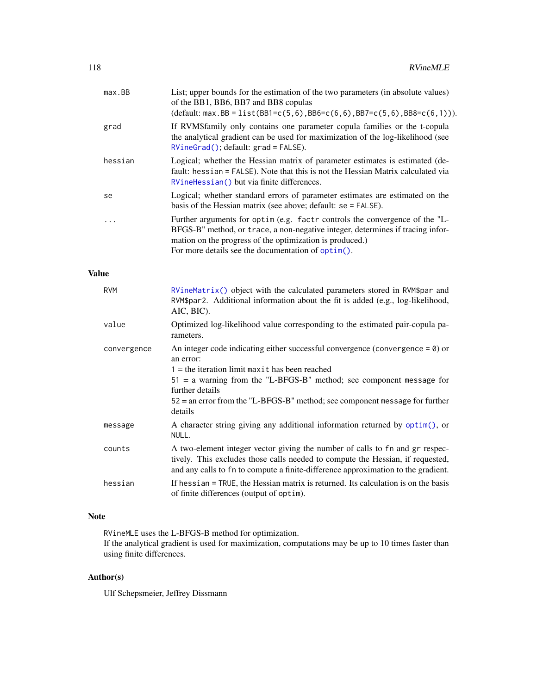| $max$ . BB   | List; upper bounds for the estimation of the two parameters (in absolute values)<br>of the BB1, BB6, BB7 and BB8 copulas<br>$(default: max.BB = list(BB1 = c(5, 6), BB6 = c(6, 6), BB7 = c(5, 6), BB8 = c(6, 1))).$                                                             |
|--------------|---------------------------------------------------------------------------------------------------------------------------------------------------------------------------------------------------------------------------------------------------------------------------------|
| grad         | If RVM\$family only contains one parameter copula families or the t-copula<br>the analytical gradient can be used for maximization of the log-likelihood (see<br>RVineGrad(); default: grad = FALSE).                                                                           |
| hessian      | Logical; whether the Hessian matrix of parameter estimates is estimated (de-<br>fault: hessian = FALSE). Note that this is not the Hessian Matrix calculated via<br>RVineHessian() but via finite differences.                                                                  |
| se           | Logical; whether standard errors of parameter estimates are estimated on the<br>basis of the Hessian matrix (see above; default: se = FALSE).                                                                                                                                   |
| .            | Further arguments for optim (e.g. factr controls the convergence of the "L-<br>BFGS-B" method, or trace, a non-negative integer, determines if tracing infor-<br>mation on the progress of the optimization is produced.)<br>For more details see the documentation of optim(). |
| <b>Value</b> |                                                                                                                                                                                                                                                                                 |
| <b>RVM</b>   | RVineMatrix() object with the calculated parameters stored in RVM\$par and<br>RVM\$par2. Additional information about the fit is added (e.g., log-likelihood,<br>AIC, BIC).                                                                                                     |
| value        | Optimized log-likelihood value corresponding to the estimated pair-copula pa-<br>rameters.                                                                                                                                                                                      |
| convergence  | An integer code indicating either successful convergence (convergence = $\theta$ ) or<br>an error:                                                                                                                                                                              |
|              | $1 =$ the iteration limit maxit has been reached<br>$51 = a$ warning from the "L-BFGS-B" method; see component message for<br>further details<br>$52$ = an error from the "L-BFGS-B" method; see component message for further<br>details                                       |
| message      | A character string giving any additional information returned by optim(), or<br>NULL.                                                                                                                                                                                           |
| counts       | A two-element integer vector giving the number of calls to fn and gr respec-<br>tively. This excludes those calls needed to compute the Hessian, if requested,<br>and any calls to fn to compute a finite-difference approximation to the gradient.                             |
| hessian      | If hessian = TRUE, the Hessian matrix is returned. Its calculation is on the basis<br>of finite differences (output of optim).                                                                                                                                                  |

# Note

RVineMLE uses the L-BFGS-B method for optimization.

If the analytical gradient is used for maximization, computations may be up to 10 times faster than using finite differences.

# Author(s)

Ulf Schepsmeier, Jeffrey Dissmann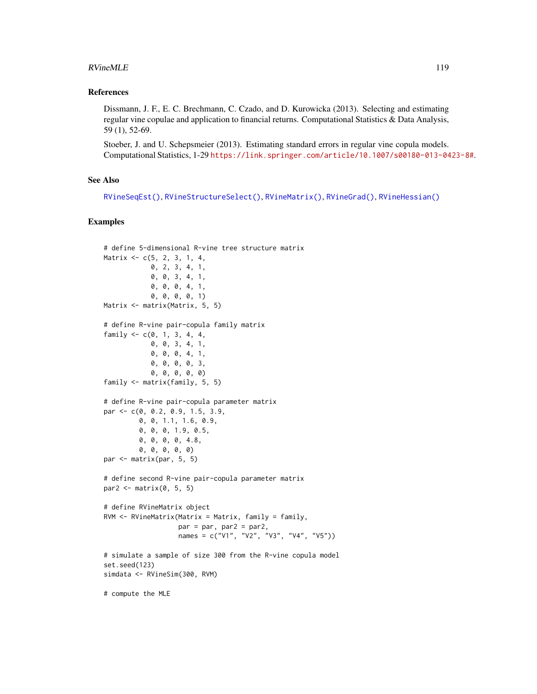#### RVineMLE 2008 2012 119

#### References

Dissmann, J. F., E. C. Brechmann, C. Czado, and D. Kurowicka (2013). Selecting and estimating regular vine copulae and application to financial returns. Computational Statistics & Data Analysis, 59 (1), 52-69.

Stoeber, J. and U. Schepsmeier (2013). Estimating standard errors in regular vine copula models. Computational Statistics, 1-29 <https://link.springer.com/article/10.1007/s00180-013-0423-8#>.

#### See Also

```
RVineSeqEst(), RVineStructureSelect(), RVineMatrix(), RVineGrad(), RVineHessian()
```

```
# define 5-dimensional R-vine tree structure matrix
Matrix <- c(5, 2, 3, 1, 4,
            0, 2, 3, 4, 1,
            0, 0, 3, 4, 1,
            0, 0, 0, 4, 1,
            0, 0, 0, 0, 1)
Matrix <- matrix(Matrix, 5, 5)
# define R-vine pair-copula family matrix
family <-c(0, 1, 3, 4, 4,0, 0, 3, 4, 1,
            0, 0, 0, 4, 1,
            0, 0, 0, 0, 3,
            0, 0, 0, 0, 0)
family <- matrix(family, 5, 5)
# define R-vine pair-copula parameter matrix
par <- c(0, 0.2, 0.9, 1.5, 3.9,
         0, 0, 1.1, 1.6, 0.9,
         0, 0, 0, 1.9, 0.5,
         0, 0, 0, 0, 4.8,
         0, 0, 0, 0, 0)
par <- matrix(par, 5, 5)
# define second R-vine pair-copula parameter matrix
par2 \leq matrix(0, 5, 5)
# define RVineMatrix object
RVM <- RVineMatrix(Matrix = Matrix, family = family,
                   par = par, par2 = par2,
                   names = c("V1", "V2", "V3", "V4", "V5"))
# simulate a sample of size 300 from the R-vine copula model
set.seed(123)
simdata <- RVineSim(300, RVM)
# compute the MLE
```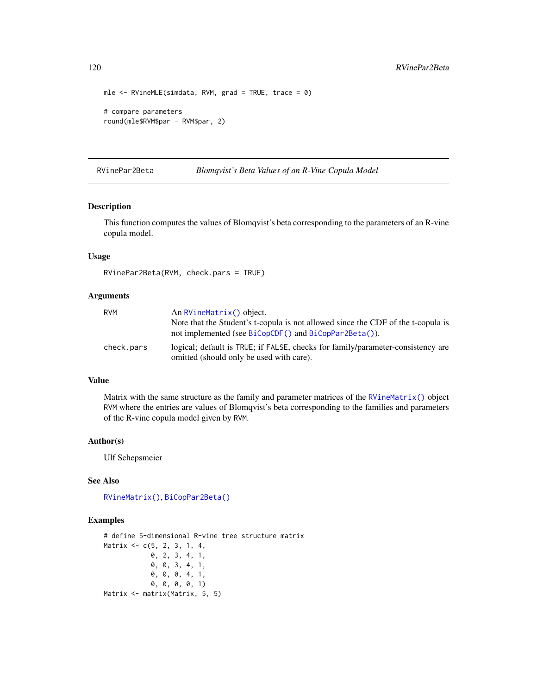```
mle \leq RVineMLE(simdata, RVM, grad = TRUE, trace = 0)
# compare parameters
round(mle$RVM$par - RVM$par, 2)
```
RVinePar2Beta *Blomqvist's Beta Values of an R-Vine Copula Model*

#### Description

This function computes the values of Blomqvist's beta corresponding to the parameters of an R-vine copula model.

## Usage

```
RVinePar2Beta(RVM, check.pars = TRUE)
```
#### Arguments

| <b>RVM</b> | An RVineMatrix() object.                                                                                                    |
|------------|-----------------------------------------------------------------------------------------------------------------------------|
|            | Note that the Student's t-copula is not allowed since the CDF of the t-copula is                                            |
|            | not implemented (see BiCopCDF() and BiCopPar2Beta()).                                                                       |
| check.pars | logical; default is TRUE; if FALSE, checks for family/parameter-consistency are<br>omitted (should only be used with care). |

## Value

Matrix with the same structure as the family and parameter matrices of the [RVineMatrix\(\)](#page-109-0) object RVM where the entries are values of Blomqvist's beta corresponding to the families and parameters of the R-vine copula model given by RVM.

#### Author(s)

Ulf Schepsmeier

#### See Also

[RVineMatrix\(\)](#page-109-0), [BiCopPar2Beta\(\)](#page-55-0)

```
# define 5-dimensional R-vine tree structure matrix
Matrix <- c(5, 2, 3, 1, 4,
            0, 2, 3, 4, 1,
            0, 0, 3, 4, 1,
            0, 0, 0, 4, 1,
            0, 0, 0, 0, 1)
Matrix <- matrix(Matrix, 5, 5)
```
<span id="page-119-0"></span>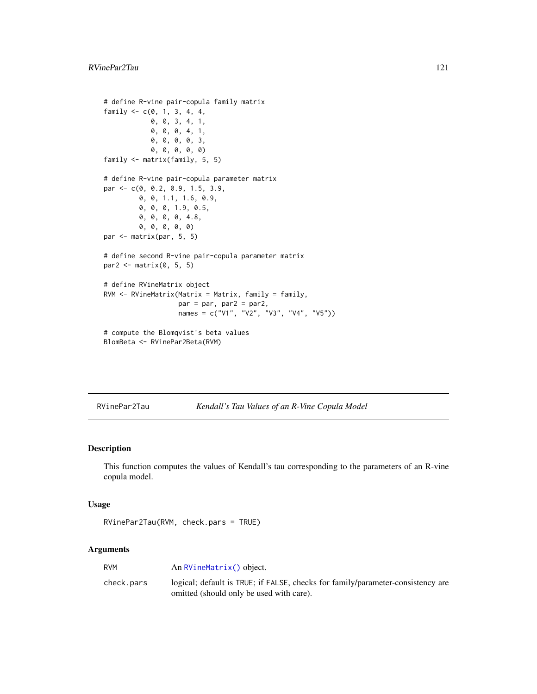```
# define R-vine pair-copula family matrix
family <-c(0, 1, 3, 4, 4,0, 0, 3, 4, 1,
            0, 0, 0, 4, 1,
            0, 0, 0, 0, 3,
            0, 0, 0, 0, 0)
family <- matrix(family, 5, 5)
# define R-vine pair-copula parameter matrix
par <- c(0, 0.2, 0.9, 1.5, 3.9,
         0, 0, 1.1, 1.6, 0.9,
         0, 0, 0, 1.9, 0.5,
         0, 0, 0, 0, 4.8,
         0, 0, 0, 0, 0)
par <- matrix(par, 5, 5)
# define second R-vine pair-copula parameter matrix
par2 \leftarrow matrix(0, 5, 5)
# define RVineMatrix object
RVM \leq RVineMatrix(Matrix = Matrix, family = family,par = par, par2 = par2,
                   names = c("V1", "V2", "V3", "V4", "V5"))
# compute the Blomqvist's beta values
BlomBeta <- RVinePar2Beta(RVM)
```
RVinePar2Tau *Kendall's Tau Values of an R-Vine Copula Model*

# Description

This function computes the values of Kendall's tau corresponding to the parameters of an R-vine copula model.

#### Usage

```
RVinePar2Tau(RVM, check.pars = TRUE)
```
# Arguments

| RVM        | An RVineMatrix() object.                                                        |
|------------|---------------------------------------------------------------------------------|
| check.pars | logical; default is TRUE; if FALSE, checks for family/parameter-consistency are |
|            | omitted (should only be used with care).                                        |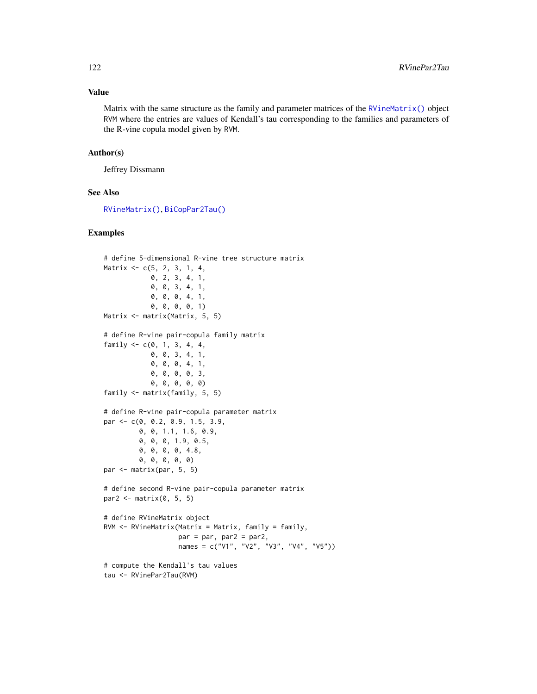## <span id="page-121-0"></span>Value

Matrix with the same structure as the family and parameter matrices of the  $\overline{R}$ VineMatrix() object RVM where the entries are values of Kendall's tau corresponding to the families and parameters of the R-vine copula model given by RVM.

#### Author(s)

Jeffrey Dissmann

# See Also

[RVineMatrix\(\)](#page-109-0), [BiCopPar2Tau\(\)](#page-61-0)

```
# define 5-dimensional R-vine tree structure matrix
Matrix <- c(5, 2, 3, 1, 4,
            0, 2, 3, 4, 1,
            0, 0, 3, 4, 1,
            0, 0, 0, 4, 1,
            0, 0, 0, 0, 1)
Matrix <- matrix(Matrix, 5, 5)
# define R-vine pair-copula family matrix
family \leq c(0, 1, 3, 4, 4,0, 0, 3, 4, 1,
            0, 0, 0, 4, 1,
            0, 0, 0, 0, 3,
            0, 0, 0, 0, 0)
family <- matrix(family, 5, 5)
# define R-vine pair-copula parameter matrix
par <- c(0, 0.2, 0.9, 1.5, 3.9,
         0, 0, 1.1, 1.6, 0.9,
         0, 0, 0, 1.9, 0.5,
         0, 0, 0, 0, 4.8,
         0, 0, 0, 0, 0)
par <- matrix(par, 5, 5)
# define second R-vine pair-copula parameter matrix
par2 <- matrix(0, 5, 5)
# define RVineMatrix object
RVM \leq RVineMatrix(Matrix = Matrix, family = family,par = par, par2 = par2,
                   names = c("V1", "V2", "V3", "V4", "V5"))
# compute the Kendall's tau values
tau <- RVinePar2Tau(RVM)
```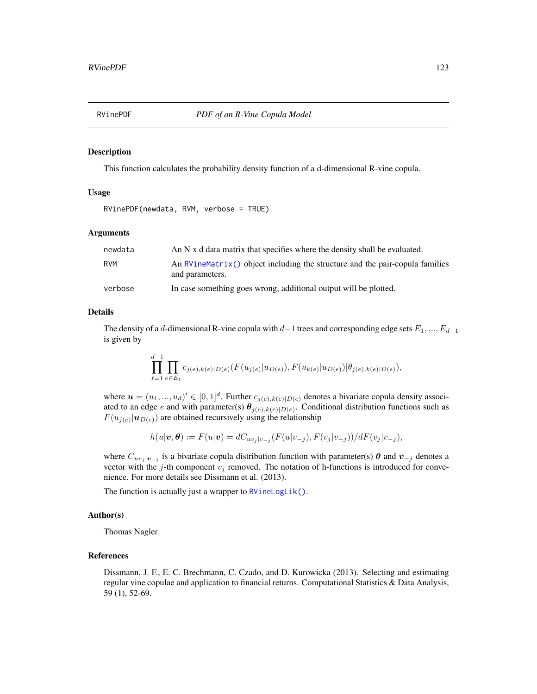#### Description

This function calculates the probability density function of a d-dimensional R-vine copula.

# Usage

```
RVinePDF(newdata, RVM, verbose = TRUE)
```
#### Arguments

| newdata    | An N x d data matrix that specifies where the density shall be evaluated.                         |
|------------|---------------------------------------------------------------------------------------------------|
| <b>RVM</b> | An $RVineMatrix()$ object including the structure and the pair-copula families<br>and parameters. |
| verbose    | In case something goes wrong, additional output will be plotted.                                  |

#### Details

The density of a d-dimensional R-vine copula with  $d-1$  trees and corresponding edge sets  $E_1, ..., E_{d-1}$ is given by

$$
\prod_{\ell=1}^{d-1} \prod_{e \in E_{\ell}} c_{j(e),k(e)|D(e)}(F(u_{j(e)}|u_{D(e)}), F(u_{k(e)}|u_{D(e)})|\theta_{j(e),k(e)|D(e)}),
$$

where  $u = (u_1, ..., u_d)' \in [0, 1]^d$ . Further  $c_{j(e), k(e)|D(e)}$  denotes a bivariate copula density associated to an edge e and with parameter(s)  $\theta_{j(e),k(e)|D(e)}$ . Conditional distribution functions such as  $F(u_{j(e)} | u_{D(e)})$  are obtained recursively using the relationship

$$
h(u|\boldsymbol{v},\boldsymbol{\theta}) := F(u|\boldsymbol{v}) = dC_{uv_j|v_{-j}}(F(u|v_{-j}), F(v_j|v_{-j}))/dF(v_j|v_{-j}),
$$

where  $C_{uv_j}|_{v_{-j}}$  is a bivariate copula distribution function with parameter(s)  $\theta$  and  $v_{-j}$  denotes a vector with the j-th component  $v_j$  removed. The notation of h-functions is introduced for convenience. For more details see Dissmann et al. (2013).

The function is actually just a wrapper to [RVineLogLik\(\)](#page-106-0).

#### Author(s)

Thomas Nagler

## References

Dissmann, J. F., E. C. Brechmann, C. Czado, and D. Kurowicka (2013). Selecting and estimating regular vine copulae and application to financial returns. Computational Statistics & Data Analysis, 59 (1), 52-69.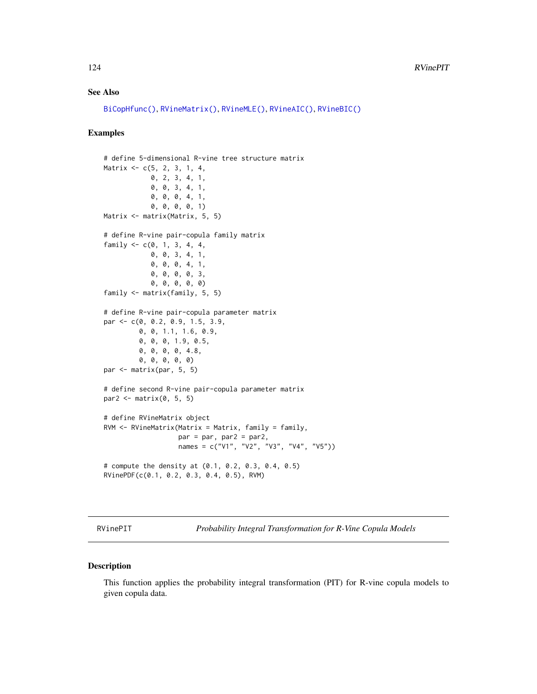# <span id="page-123-0"></span>See Also

```
BiCopHfunc(), RVineMatrix(), RVineMLE(), RVineAIC(), RVineBIC()
```
## Examples

```
# define 5-dimensional R-vine tree structure matrix
Matrix <- c(5, 2, 3, 1, 4,
            0, 2, 3, 4, 1,
            0, 0, 3, 4, 1,
            0, 0, 0, 4, 1,
            0, 0, 0, 0, 1)
Matrix <- matrix(Matrix, 5, 5)
# define R-vine pair-copula family matrix
family <-c(0, 1, 3, 4, 4, 4)0, 0, 3, 4, 1,
            0, 0, 0, 4, 1,
            0, 0, 0, 0, 3,
            0, 0, 0, 0, 0)
family <- matrix(family, 5, 5)
# define R-vine pair-copula parameter matrix
par <- c(0, 0.2, 0.9, 1.5, 3.9,
         0, 0, 1.1, 1.6, 0.9,
         0, 0, 0, 1.9, 0.5,
         0, 0, 0, 0, 4.8,
         0, 0, 0, 0, 0)
par <- matrix(par, 5, 5)
# define second R-vine pair-copula parameter matrix
par2 \leftarrow matrix(0, 5, 5)
# define RVineMatrix object
RVM <- RVineMatrix(Matrix = Matrix, family = family,
                   par = par, par2 = par2,
                   names = c("V1", "V2", "V3", "V4", "V5"))
# compute the density at (0.1, 0.2, 0.3, 0.4, 0.5)
RVinePDF(c(0.1, 0.2, 0.3, 0.4, 0.5), RVM)
```
RVinePIT *Probability Integral Transformation for R-Vine Copula Models*

#### Description

This function applies the probability integral transformation (PIT) for R-vine copula models to given copula data.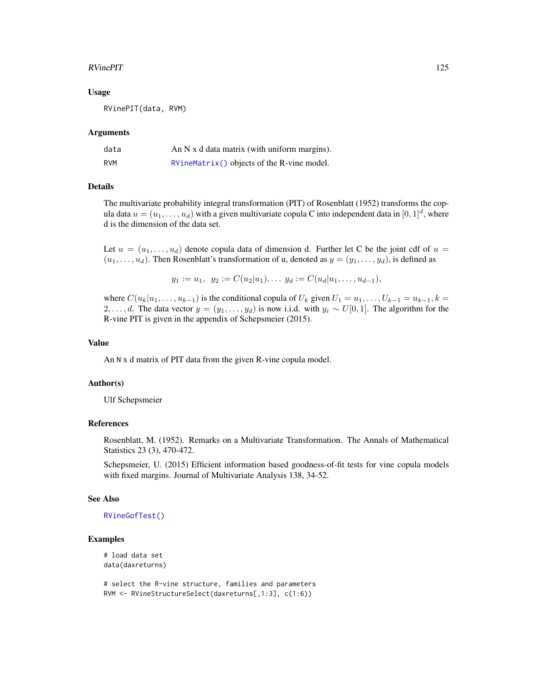#### RVinePIT 25

#### Usage

RVinePIT(data, RVM)

#### Arguments

| data | An $N \times d$ data matrix (with uniform margins). |
|------|-----------------------------------------------------|
| RVM  | $RVineMatrix()$ objects of the R-vine model.        |

#### Details

The multivariate probability integral transformation (PIT) of Rosenblatt (1952) transforms the copula data  $u = (u_1, \dots, u_d)$  with a given multivariate copula C into independent data in  $[0, 1]^d$ , where d is the dimension of the data set.

Let  $u = (u_1, \ldots, u_d)$  denote copula data of dimension d. Further let C be the joint cdf of  $u =$  $(u_1, \ldots, u_d)$ . Then Rosenblatt's transformation of u, denoted as  $y = (y_1, \ldots, y_d)$ , is defined as

$$
y_1 := u_1, y_2 := C(u_2|u_1), \ldots y_d := C(u_d|u_1, \ldots, u_{d-1}),
$$

where  $C(u_k|u_1,\ldots,u_{k-1})$  is the conditional copula of  $U_k$  given  $U_1 = u_1,\ldots,U_{k-1} = u_{k-1}, k =$ 2, ..., d. The data vector  $y = (y_1, \ldots, y_d)$  is now i.i.d. with  $y_i \sim U[0, 1]$ . The algorithm for the R-vine PIT is given in the appendix of Schepsmeier (2015).

#### Value

An N x d matrix of PIT data from the given R-vine copula model.

#### Author(s)

Ulf Schepsmeier

## References

Rosenblatt, M. (1952). Remarks on a Multivariate Transformation. The Annals of Mathematical Statistics 23 (3), 470-472.

Schepsmeier, U. (2015) Efficient information based goodness-of-fit tests for vine copula models with fixed margins. Journal of Multivariate Analysis 138, 34-52.

#### See Also

#### [RVineGofTest\(\)](#page-97-0)

## Examples

# load data set data(daxreturns)

# select the R-vine structure, families and parameters RVM <- RVineStructureSelect(daxreturns[,1:3], c(1:6))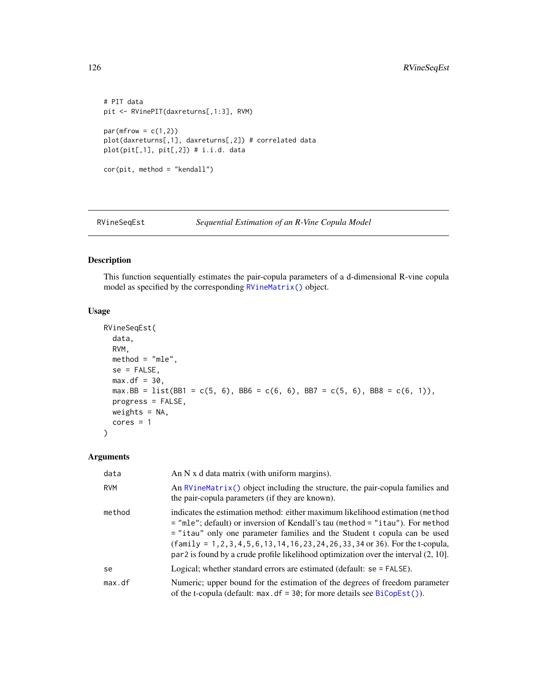```
# PIT data
pit <- RVinePIT(daxreturns[,1:3], RVM)
par(mfrow = c(1,2))plot(daxreturns[,1], daxreturns[,2]) # correlated data
plot(pit[,1], pit[,2]) # i.i.d. data
cor(pit, method = "kendall")
```
<span id="page-125-0"></span>RVineSeqEst *Sequential Estimation of an R-Vine Copula Model*

# Description

This function sequentially estimates the pair-copula parameters of a d-dimensional R-vine copula model as specified by the corresponding [RVineMatrix\(\)](#page-109-0) object.

#### Usage

```
RVineSeqEst(
 data,
 RVM,
 method = "mle",se = FALSE,max.df = 30,
 max.BB = list(BB1 = c(5, 6), BB6 = c(6, 6), BB7 = c(5, 6), BB8 = c(6, 1)),
 progress = FALSE,
 weights = NA,
 cores = 1)
```
## Arguments

| data       | An $N$ x d data matrix (with uniform margins).                                                                                                                                                                                                                                                                                                                                                                                           |
|------------|------------------------------------------------------------------------------------------------------------------------------------------------------------------------------------------------------------------------------------------------------------------------------------------------------------------------------------------------------------------------------------------------------------------------------------------|
| <b>RVM</b> | An $RV$ ineMatrix() object including the structure, the pair-copula families and<br>the pair-copula parameters (if they are known).                                                                                                                                                                                                                                                                                                      |
| method     | indicates the estimation method: either maximum likelihood estimation (method)<br>$=$ "mle"; default) or inversion of Kendall's tau (method $=$ "itau"). For method<br>$=$ "itau" only one parameter families and the Student t copula can be used<br>$(family = 1, 2, 3, 4, 5, 6, 13, 14, 16, 23, 24, 26, 33, 34$ or 36). For the t-copula,<br>$par2$ is found by a crude profile likelihood optimization over the interval $(2, 10]$ . |
| se         | Logical; whether standard errors are estimated (default: $se = FALSE$ ).                                                                                                                                                                                                                                                                                                                                                                 |
| max.df     | Numeric; upper bound for the estimation of the degrees of freedom parameter<br>of the t-copula (default: $max. df = 30$ ; for more details see $BiCopEst()$ ).                                                                                                                                                                                                                                                                           |

<span id="page-125-1"></span>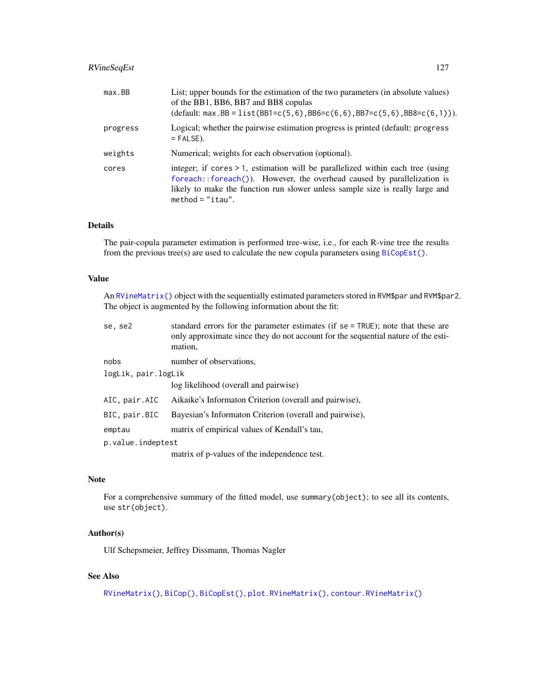# <span id="page-126-0"></span>RVineSeqEst 127

| max.BB   | List; upper bounds for the estimation of the two parameters (in absolute values)<br>of the BB1, BB6, BB7 and BB8 copulas<br>$(\text{default: max.BB = list(BB1 = c(5, 6), BB6 = c(6, 6), BB7 = c(5, 6), BB8 = c(6, 1))}).$                                        |
|----------|-------------------------------------------------------------------------------------------------------------------------------------------------------------------------------------------------------------------------------------------------------------------|
| progress | Logical; whether the pairwise estimation progress is printed (default: progress<br>$=$ FALSE).                                                                                                                                                                    |
| weights  | Numerical; weights for each observation (optional).                                                                                                                                                                                                               |
| cores    | integer; if cores > 1, estimation will be parallelized within each tree (using<br>foreach::foreach()). However, the overhead caused by parallelization is<br>likely to make the function run slower unless sample size is really large and<br>method = $"$ itau". |

## Details

The pair-copula parameter estimation is performed tree-wise, i.e., for each R-vine tree the results from the previous tree(s) are used to calculate the new copula parameters using [BiCopEst\(\)](#page-24-0).

# Value

An [RVineMatrix\(\)](#page-109-0) object with the sequentially estimated parameters stored in RVM\$par and RVM\$par2. The object is augmented by the following information about the fit:

| se, se2             | standard errors for the parameter estimates (if $se = TRUE$ ); note that these are<br>only approximate since they do not account for the sequential nature of the esti-<br>mation. |  |
|---------------------|------------------------------------------------------------------------------------------------------------------------------------------------------------------------------------|--|
| nobs                | number of observations.                                                                                                                                                            |  |
| logLik, pair.logLik |                                                                                                                                                                                    |  |
|                     | log likelihood (overall and pairwise)                                                                                                                                              |  |
| AIC, pair.AIC       | Aikaike's Informaton Criterion (overall and pairwise),                                                                                                                             |  |
| BIC, pair.BIC       | Bayesian's Informaton Criterion (overall and pairwise),                                                                                                                            |  |
| emptau              | matrix of empirical values of Kendall's tau,                                                                                                                                       |  |
| p.value.indeptest   |                                                                                                                                                                                    |  |
|                     | matrix of p-values of the independence test.                                                                                                                                       |  |

## Note

For a comprehensive summary of the fitted model, use summary(object); to see all its contents, use str(object).

## Author(s)

Ulf Schepsmeier, Jeffrey Dissmann, Thomas Nagler

## See Also

[RVineMatrix\(\)](#page-109-0), [BiCop\(\)](#page-6-0), [BiCopEst\(\)](#page-24-0), [plot.RVineMatrix\(\)](#page-79-0), [contour.RVineMatrix\(\)](#page-79-1)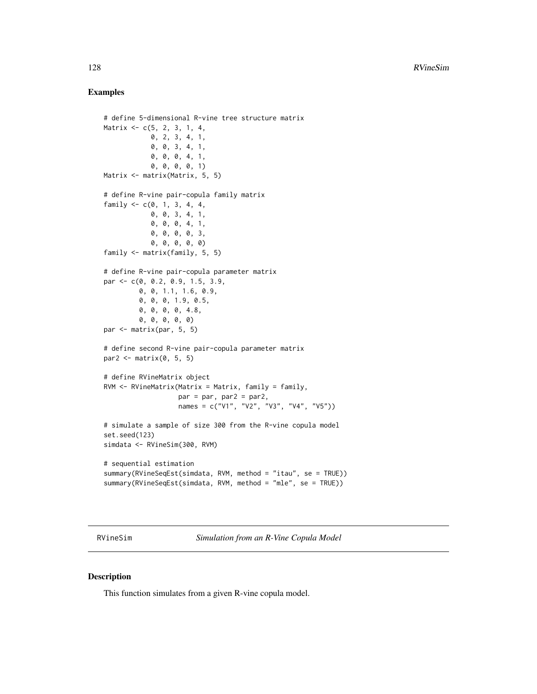## Examples

```
# define 5-dimensional R-vine tree structure matrix
Matrix <- c(5, 2, 3, 1, 4,
            0, 2, 3, 4, 1,
            0, 0, 3, 4, 1,
            0, 0, 0, 4, 1,
            0, 0, 0, 0, 1)
Matrix <- matrix(Matrix, 5, 5)
# define R-vine pair-copula family matrix
family <-c(0, 1, 3, 4, 4,0, 0, 3, 4, 1,
            0, 0, 0, 4, 1,
            0, 0, 0, 0, 3,
            0, 0, 0, 0, 0)
family <- matrix(family, 5, 5)
# define R-vine pair-copula parameter matrix
par <- c(0, 0.2, 0.9, 1.5, 3.9,
         0, 0, 1.1, 1.6, 0.9,
         0, 0, 0, 1.9, 0.5,
         0, 0, 0, 0, 4.8,
         0, 0, 0, 0, 0)
par <- matrix(par, 5, 5)
# define second R-vine pair-copula parameter matrix
par2 \leq matrix(0, 5, 5)
# define RVineMatrix object
RVM \leq RVineMatrix(Matrix = Matrix, family = family,par = par, par2 = par2,
                   names = c("V1", "V2", "V3", "V4", "V5"))
# simulate a sample of size 300 from the R-vine copula model
set.seed(123)
simdata <- RVineSim(300, RVM)
# sequential estimation
summary(RVineSeqEst(simdata, RVM, method = "itau", se = TRUE))
summary(RVineSeqEst(simdata, RVM, method = "mle", se = TRUE))
```
<span id="page-127-0"></span>RVineSim *Simulation from an R-Vine Copula Model*

#### Description

This function simulates from a given R-vine copula model.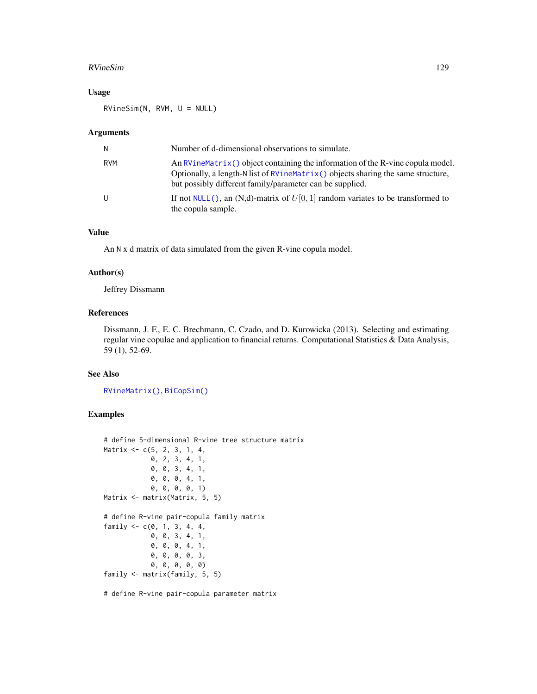#### <span id="page-128-0"></span>RVineSim 129

## Usage

RVineSim(N, RVM, U = NULL)

#### Arguments

| N          | Number of d-dimensional observations to simulate.                                                                                                                                                                                    |
|------------|--------------------------------------------------------------------------------------------------------------------------------------------------------------------------------------------------------------------------------------|
| <b>RVM</b> | An $RV$ ineMatrix() object containing the information of the $R$ -vine copula model.<br>Optionally, a length-N list of RVineMatrix() objects sharing the same structure,<br>but possibly different family/parameter can be supplied. |
| U          | If not NULL(), an (N,d)-matrix of $U[0, 1]$ random variates to be transformed to<br>the copula sample.                                                                                                                               |

# Value

An N x d matrix of data simulated from the given R-vine copula model.

#### Author(s)

Jeffrey Dissmann

# References

Dissmann, J. F., E. C. Brechmann, C. Czado, and D. Kurowicka (2013). Selecting and estimating regular vine copulae and application to financial returns. Computational Statistics & Data Analysis, 59 (1), 52-69.

#### See Also

[RVineMatrix\(\)](#page-109-0), [BiCopSim\(\)](#page-70-0)

# Examples

```
# define 5-dimensional R-vine tree structure matrix
Matrix <- c(5, 2, 3, 1, 4,
            0, 2, 3, 4, 1,
            0, 0, 3, 4, 1,
            0, 0, 0, 4, 1,
            0, 0, 0, 0, 1)
Matrix <- matrix(Matrix, 5, 5)
# define R-vine pair-copula family matrix
family <-c(0, 1, 3, 4, 4,0, 0, 3, 4, 1,
            0, 0, 0, 4, 1,
            0, 0, 0, 0, 3,
            0, 0, 0, 0, 0)
family <- matrix(family, 5, 5)
```
# define R-vine pair-copula parameter matrix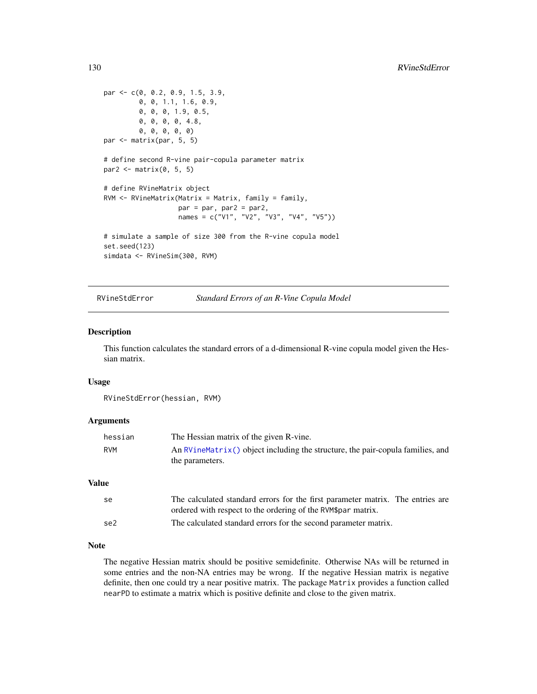```
par <- c(0, 0.2, 0.9, 1.5, 3.9,
        0, 0, 1.1, 1.6, 0.9,
        0, 0, 0, 1.9, 0.5,
        0, 0, 0, 0, 4.8,
         0, 0, 0, 0, 0)
par <- matrix(par, 5, 5)
# define second R-vine pair-copula parameter matrix
par2 \leq matrix(0, 5, 5)
# define RVineMatrix object
RVM <- RVineMatrix(Matrix = Matrix, family = family,
                   par = par, par2 = par2,
                   names = c("V1", "V2", "V3", "V4", "V5"))
# simulate a sample of size 300 from the R-vine copula model
set.seed(123)
simdata <- RVineSim(300, RVM)
```
#### RVineStdError *Standard Errors of an R-Vine Copula Model*

#### Description

This function calculates the standard errors of a d-dimensional R-vine copula model given the Hessian matrix.

#### Usage

RVineStdError(hessian, RVM)

#### Arguments

| hessian | The Hessian matrix of the given R-vine.                                                             |
|---------|-----------------------------------------------------------------------------------------------------|
| RVM     | An $RVineMatrix()$ object including the structure, the pair-copula families, and<br>the parameters. |

# Value

| se              | The calculated standard errors for the first parameter matrix. The entries are |
|-----------------|--------------------------------------------------------------------------------|
|                 | ordered with respect to the ordering of the RVM\$par matrix.                   |
| se <sub>2</sub> | The calculated standard errors for the second parameter matrix.                |

## Note

The negative Hessian matrix should be positive semidefinite. Otherwise NAs will be returned in some entries and the non-NA entries may be wrong. If the negative Hessian matrix is negative definite, then one could try a near positive matrix. The package Matrix provides a function called nearPD to estimate a matrix which is positive definite and close to the given matrix.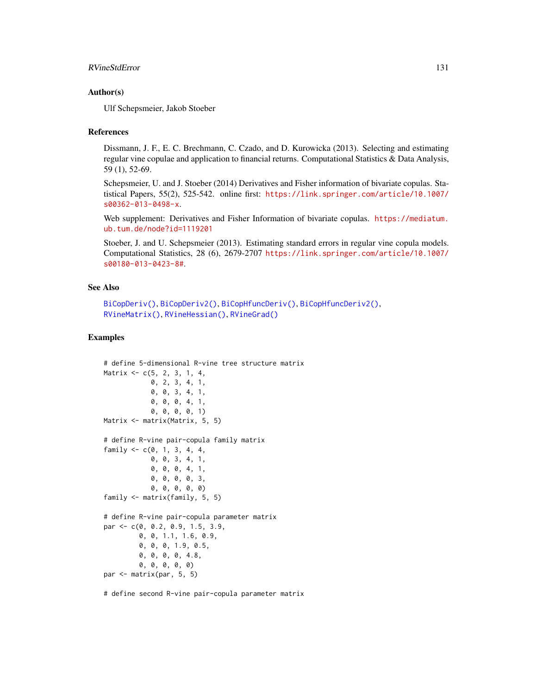#### <span id="page-130-0"></span>RVineStdError 131

#### Author(s)

Ulf Schepsmeier, Jakob Stoeber

#### References

Dissmann, J. F., E. C. Brechmann, C. Czado, and D. Kurowicka (2013). Selecting and estimating regular vine copulae and application to financial returns. Computational Statistics & Data Analysis, 59 (1), 52-69.

Schepsmeier, U. and J. Stoeber (2014) Derivatives and Fisher information of bivariate copulas. Statistical Papers, 55(2), 525-542. online first: [https://link.springer.com/article/10.1007/](https://link.springer.com/article/10.1007/s00362-013-0498-x) [s00362-013-0498-x](https://link.springer.com/article/10.1007/s00362-013-0498-x).

Web supplement: Derivatives and Fisher Information of bivariate copulas. [https://mediatum.](https://mediatum.ub.tum.de/node?id=1119201) [ub.tum.de/node?id=1119201](https://mediatum.ub.tum.de/node?id=1119201)

Stoeber, J. and U. Schepsmeier (2013). Estimating standard errors in regular vine copula models. Computational Statistics, 28 (6), 2679-2707 [https://link.springer.com/article/10.1007/](https://link.springer.com/article/10.1007/s00180-013-0423-8#) [s00180-013-0423-8#](https://link.springer.com/article/10.1007/s00180-013-0423-8#).

#### See Also

```
BiCopDeriv(), BiCopDeriv2(), BiCopHfuncDeriv(), BiCopHfuncDeriv2(),
RVineMatrix(), RVineHessian(), RVineGrad()
```
## Examples

```
# define 5-dimensional R-vine tree structure matrix
Matrix <- c(5, 2, 3, 1, 4,
            0, 2, 3, 4, 1,
            0, 0, 3, 4, 1,
            0, 0, 0, 4, 1,
            0, 0, 0, 0, 1)
Matrix <- matrix(Matrix, 5, 5)
# define R-vine pair-copula family matrix
family <-c(0, 1, 3, 4, 4,0, 0, 3, 4, 1,
            0, 0, 0, 4, 1,
            0, 0, 0, 0, 3,
            0, 0, 0, 0, 0)
family <- matrix(family, 5, 5)
# define R-vine pair-copula parameter matrix
par <- c(0, 0.2, 0.9, 1.5, 3.9,
         0, 0, 1.1, 1.6, 0.9,
         0, 0, 0, 1.9, 0.5,
         0, 0, 0, 0, 4.8,
         0, 0, 0, 0, 0)
par <- matrix(par, 5, 5)
```
# define second R-vine pair-copula parameter matrix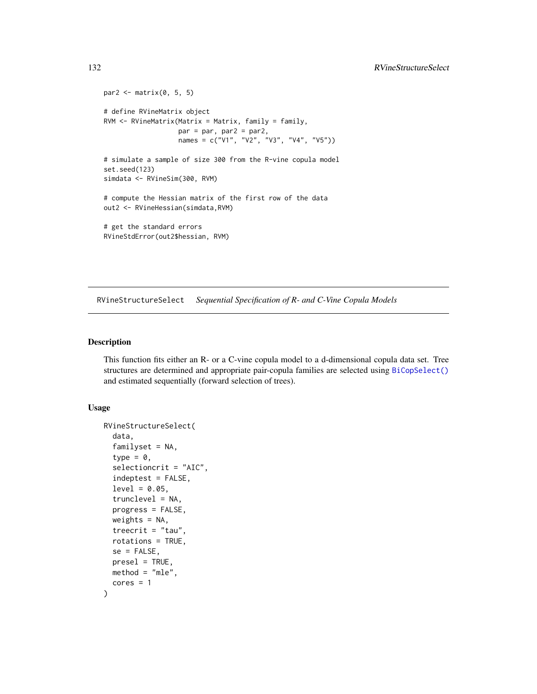```
par2 \leq matrix(0, 5, 5)
# define RVineMatrix object
RVM \leftarrow RVineMatrix(Matrix = Matrix, family = family,par = par, par2 = par2,
                   names = c("V1", "V2", "V3", "V4", "V5"))
# simulate a sample of size 300 from the R-vine copula model
set.seed(123)
simdata <- RVineSim(300, RVM)
# compute the Hessian matrix of the first row of the data
out2 <- RVineHessian(simdata,RVM)
# get the standard errors
RVineStdError(out2$hessian, RVM)
```
<span id="page-131-0"></span>RVineStructureSelect *Sequential Specification of R- and C-Vine Copula Models*

## Description

This function fits either an R- or a C-vine copula model to a d-dimensional copula data set. Tree structures are determined and appropriate pair-copula families are selected using [BiCopSelect\(\)](#page-66-0) and estimated sequentially (forward selection of trees).

#### Usage

```
RVineStructureSelect(
  data,
  familyset = NA,
  type = \theta,
  selectioncrit = "AIC",
  indeptest = FALSE,
  level = 0.05,trunclevel = NA,
 progress = FALSE,
 weights = NA,
  treecrit = "tau",rotations = TRUE,
  se = FALSE,presel = TRUE,
 method = "mle",cores = 1)
```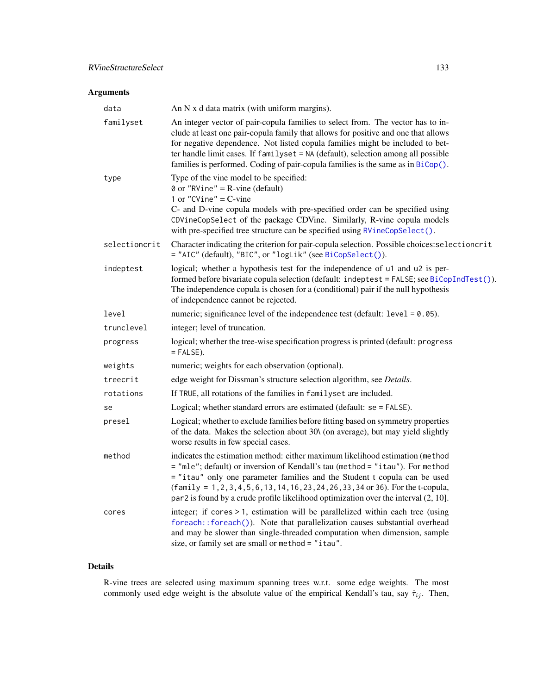# <span id="page-132-0"></span>RVineStructureSelect 133

# Arguments

| data          | An N x d data matrix (with uniform margins).                                                                                                                                                                                                                                                                                                                                                                                      |
|---------------|-----------------------------------------------------------------------------------------------------------------------------------------------------------------------------------------------------------------------------------------------------------------------------------------------------------------------------------------------------------------------------------------------------------------------------------|
| familyset     | An integer vector of pair-copula families to select from. The vector has to in-<br>clude at least one pair-copula family that allows for positive and one that allows<br>for negative dependence. Not listed copula families might be included to bet-<br>ter handle limit cases. If familyset = NA (default), selection among all possible<br>families is performed. Coding of pair-copula families is the same as in BiCop().   |
| type          | Type of the vine model to be specified:<br>$\theta$ or "RVine" = R-vine (default)<br>1 or "CVine" = $C$ -vine<br>C- and D-vine copula models with pre-specified order can be specified using<br>CDVineCopSelect of the package CDVine. Similarly, R-vine copula models<br>with pre-specified tree structure can be specified using RVineCopSelect().                                                                              |
| selectioncrit | Character indicating the criterion for pair-copula selection. Possible choices: selectioncrit<br>= "AIC" (default), "BIC", or "logLik" (see BiCopSelect()).                                                                                                                                                                                                                                                                       |
| indeptest     | logical; whether a hypothesis test for the independence of u1 and u2 is per-<br>formed before bivariate copula selection (default: indeptest = FALSE; see BiCopIndTest()).<br>The independence copula is chosen for a (conditional) pair if the null hypothesis<br>of independence cannot be rejected.                                                                                                                            |
| level         | numeric; significance level of the independence test (default: level = 0.05).                                                                                                                                                                                                                                                                                                                                                     |
| trunclevel    | integer; level of truncation.                                                                                                                                                                                                                                                                                                                                                                                                     |
| progress      | logical; whether the tree-wise specification progress is printed (default: progress<br>$=$ FALSE).                                                                                                                                                                                                                                                                                                                                |
| weights       | numeric; weights for each observation (optional).                                                                                                                                                                                                                                                                                                                                                                                 |
| treecrit      | edge weight for Dissman's structure selection algorithm, see Details.                                                                                                                                                                                                                                                                                                                                                             |
| rotations     | If TRUE, all rotations of the families in familyset are included.                                                                                                                                                                                                                                                                                                                                                                 |
| se            | Logical; whether standard errors are estimated (default: se = FALSE).                                                                                                                                                                                                                                                                                                                                                             |
| presel        | Logical; whether to exclude families before fitting based on symmetry properties<br>of the data. Makes the selection about 30\ (on average), but may yield slightly<br>worse results in few special cases.                                                                                                                                                                                                                        |
| method        | indicates the estimation method: either maximum likelihood estimation (method<br>= "mle"; default) or inversion of Kendall's tau (method = "itau"). For method<br>= "itau" only one parameter families and the Student t copula can be used<br>$(family = 1, 2, 3, 4, 5, 6, 13, 14, 16, 23, 24, 26, 33, 34$ or 36). For the t-copula,<br>$par2$ is found by a crude profile likelihood optimization over the interval $(2, 10]$ . |
| cores         | integer; if cores > 1, estimation will be parallelized within each tree (using<br>foreach::foreach()). Note that parallelization causes substantial overhead<br>and may be slower than single-threaded computation when dimension, sample<br>size, or family set are small or method = "itau".                                                                                                                                    |

# Details

R-vine trees are selected using maximum spanning trees w.r.t. some edge weights. The most commonly used edge weight is the absolute value of the empirical Kendall's tau, say  $\hat{\tau}_{ij}$ . Then,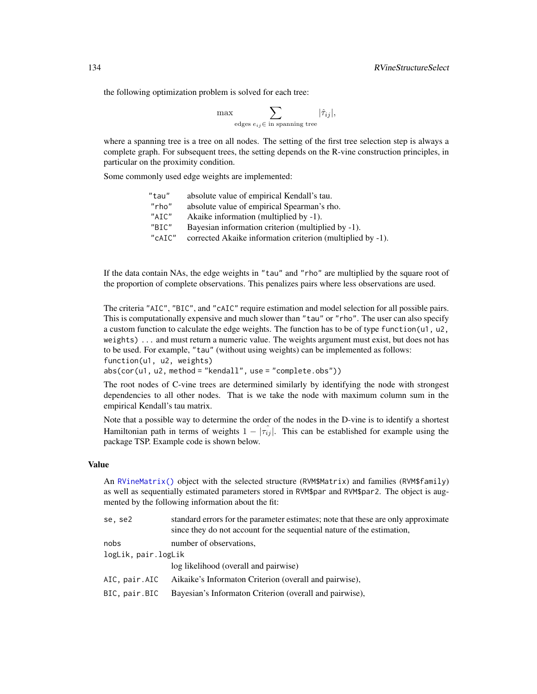the following optimization problem is solved for each tree:

$$
\max \sum_{\text{edges } e_{ij} \in \text{ in spanning tree}} |\hat{\tau}_{ij}|,
$$

where a spanning tree is a tree on all nodes. The setting of the first tree selection step is always a complete graph. For subsequent trees, the setting depends on the R-vine construction principles, in particular on the proximity condition.

Some commonly used edge weights are implemented:

| "tau"       | absolute value of empirical Kendall's tau.                 |
|-------------|------------------------------------------------------------|
| "rho"       | absolute value of empirical Spearman's rho.                |
| $"$ ATC $"$ | Akaike information (multiplied by -1).                     |
| $"$ BTC"    | Bayesian information criterion (multiplied by -1).         |
| "cAIC"      | corrected Akaike information criterion (multiplied by -1). |
|             |                                                            |

If the data contain NAs, the edge weights in "tau" and "rho" are multiplied by the square root of the proportion of complete observations. This penalizes pairs where less observations are used.

The criteria "AIC", "BIC", and "cAIC" require estimation and model selection for all possible pairs. This is computationally expensive and much slower than "tau" or "rho". The user can also specify a custom function to calculate the edge weights. The function has to be of type function(u1, u2, weights) ... and must return a numeric value. The weights argument must exist, but does not has to be used. For example, "tau" (without using weights) can be implemented as follows: function(u1, u2, weights)

abs(cor(u1, u2, method = "kendall", use = "complete.obs"))

The root nodes of C-vine trees are determined similarly by identifying the node with strongest dependencies to all other nodes. That is we take the node with maximum column sum in the empirical Kendall's tau matrix.

Note that a possible way to determine the order of the nodes in the D-vine is to identify a shortest Hamiltonian path in terms of weights  $1 - |\tau_{ij}|$ . This can be established for example using the package TSP. Example code is shown below.

#### Value

An [RVineMatrix\(\)](#page-109-0) object with the selected structure (RVM\$Matrix) and families (RVM\$family) as well as sequentially estimated parameters stored in RVM\$par and RVM\$par2. The object is augmented by the following information about the fit:

| se, se2             | standard errors for the parameter estimates; note that these are only approximate<br>since they do not account for the sequential nature of the estimation, |
|---------------------|-------------------------------------------------------------------------------------------------------------------------------------------------------------|
| nobs                | number of observations,                                                                                                                                     |
| logLik, pair.logLik |                                                                                                                                                             |
|                     | log likelihood (overall and pairwise)                                                                                                                       |
| AIC. pair.AIC       | Aikaike's Informaton Criterion (overall and pairwise),                                                                                                      |
| BIC, pair.BIC       | Bayesian's Informaton Criterion (overall and pairwise),                                                                                                     |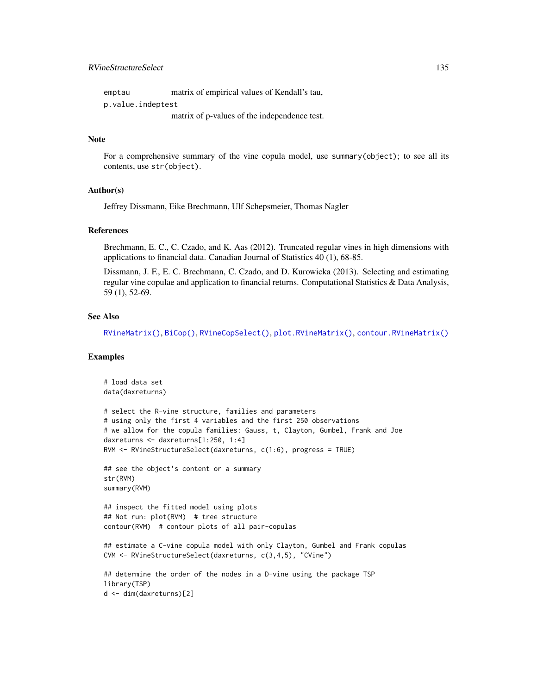# <span id="page-134-0"></span>RVineStructureSelect 135

| emptau            | matrix of empirical values of Kendall's tau, |
|-------------------|----------------------------------------------|
| p.value.indeptest |                                              |
|                   | matrix of p-values of the independence test. |

#### Note

For a comprehensive summary of the vine copula model, use summary(object); to see all its contents, use str(object).

#### Author(s)

Jeffrey Dissmann, Eike Brechmann, Ulf Schepsmeier, Thomas Nagler

# References

Brechmann, E. C., C. Czado, and K. Aas (2012). Truncated regular vines in high dimensions with applications to financial data. Canadian Journal of Statistics 40 (1), 68-85.

Dissmann, J. F., E. C. Brechmann, C. Czado, and D. Kurowicka (2013). Selecting and estimating regular vine copulae and application to financial returns. Computational Statistics & Data Analysis, 59 (1), 52-69.

#### See Also

[RVineMatrix\(\)](#page-109-0), [BiCop\(\)](#page-6-0), [RVineCopSelect\(\)](#page-92-0), [plot.RVineMatrix\(\)](#page-79-0), [contour.RVineMatrix\(\)](#page-79-1)

```
# load data set
data(daxreturns)
# select the R-vine structure, families and parameters
# using only the first 4 variables and the first 250 observations
# we allow for the copula families: Gauss, t, Clayton, Gumbel, Frank and Joe
daxreturns <- daxreturns[1:250, 1:4]
RVM <- RVineStructureSelect(daxreturns, c(1:6), progress = TRUE)
## see the object's content or a summary
str(RVM)
summary(RVM)
## inspect the fitted model using plots
## Not run: plot(RVM) # tree structure
contour(RVM) # contour plots of all pair-copulas
## estimate a C-vine copula model with only Clayton, Gumbel and Frank copulas
CVM <- RVineStructureSelect(daxreturns, c(3,4,5), "CVine")
## determine the order of the nodes in a D-vine using the package TSP
library(TSP)
d <- dim(daxreturns)[2]
```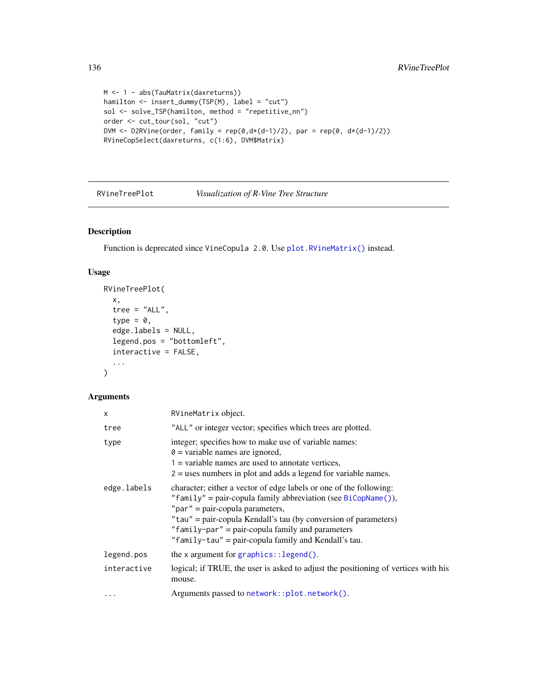```
M <- 1 - abs(TauMatrix(daxreturns))
hamilton <- insert_dummy(TSP(M), label = "cut")
sol <- solve_TSP(hamilton, method = "repetitive_nn")
order <- cut_tour(sol, "cut")
DVM <- D2RVine(order, family = rep(\theta, d*(d-1)/2), par = rep(\theta, d*(d-1)/2))
RVineCopSelect(daxreturns, c(1:6), DVM$Matrix)
```
RVineTreePlot *Visualization of R-Vine Tree Structure*

# Description

Function is deprecated since VineCopula 2.0. Use [plot.RVineMatrix\(\)](#page-79-0) instead.

# Usage

```
RVineTreePlot(
  x,
  tree = "ALL",type = 0,
  edge.labels = NULL,
  legend.pos = "bottomleft",
  interactive = FALSE,
  ...
\mathcal{L}
```
#### Arguments

| X           | RVineMatrix object.                                                                                                                                                                                                                                                                                                                                      |
|-------------|----------------------------------------------------------------------------------------------------------------------------------------------------------------------------------------------------------------------------------------------------------------------------------------------------------------------------------------------------------|
| tree        | "ALL" or integer vector; specifies which trees are plotted.                                                                                                                                                                                                                                                                                              |
| type        | integer; specifies how to make use of variable names:<br>$\theta$ = variable names are ignored,<br>$1 =$ variable names are used to annotate vertices,<br>$2 =$ uses numbers in plot and adds a legend for variable names.                                                                                                                               |
| edge.labels | character; either a vector of edge labels or one of the following:<br>"family" = pair-copula family abbreviation (see BiCopName()),<br>" $par" = pair-copula parameters,$<br>"tau" = pair-copula Kendall's tau (by conversion of parameters)<br>"family-par" = pair-copula family and parameters<br>"family-tau" = pair-copula family and Kendall's tau. |
| legend.pos  | the $x$ argument for graphics:: legend().                                                                                                                                                                                                                                                                                                                |
| interactive | logical; if TRUE, the user is asked to adjust the positioning of vertices with his<br>mouse.                                                                                                                                                                                                                                                             |
| .           | Arguments passed to network::plot.network().                                                                                                                                                                                                                                                                                                             |

<span id="page-135-0"></span>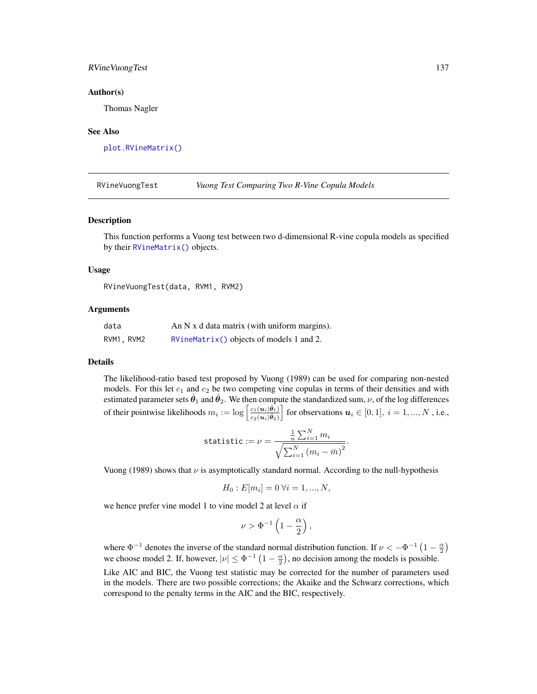#### RVineVuongTest 137

#### Author(s)

Thomas Nagler

#### See Also

[plot.RVineMatrix\(\)](#page-79-0)

RVineVuongTest *Vuong Test Comparing Two R-Vine Copula Models*

#### **Description**

This function performs a Vuong test between two d-dimensional R-vine copula models as specified by their [RVineMatrix\(\)](#page-109-0) objects.

#### Usage

RVineVuongTest(data, RVM1, RVM2)

#### Arguments

| data       | An $N \times d$ data matrix (with uniform margins). |
|------------|-----------------------------------------------------|
| RVM1, RVM2 | $RVin\text{Matrix}()$ objects of models 1 and 2.    |

#### Details

The likelihood-ratio based test proposed by Vuong (1989) can be used for comparing non-nested models. For this let  $c_1$  and  $c_2$  be two competing vine copulas in terms of their densities and with estimated parameter sets  $\hat{\theta}_1$  and  $\hat{\theta}_2$ . We then compute the standardized sum,  $\nu$ , of the log differences of their pointwise likelihoods  $m_i := \log \left[ \frac{c_1(u_i|\hat{\theta}_1)}{c_2(u_i|\hat{\theta}_1)} \right]$  $\overline{c_2(\boldsymbol{u}_i|\hat{\boldsymbol{\theta}}_2)}$  $\Big]$  for observations  $u_i \in [0, 1], i = 1, ..., N$ , i.e.,

$$
\text{statistic} := \nu = \frac{\frac{1}{n} \sum_{i=1}^{N} m_i}{\sqrt{\sum_{i=1}^{N} (m_i - \bar{m})^2}}.
$$

Vuong (1989) shows that  $\nu$  is asymptotically standard normal. According to the null-hypothesis

$$
H_0: E[m_i] = 0 \,\forall i = 1, ..., N,
$$

we hence prefer vine model 1 to vine model 2 at level  $\alpha$  if

$$
\nu > \Phi^{-1}\left(1-\frac{\alpha}{2}\right),
$$

where  $\Phi^{-1}$  denotes the inverse of the standard normal distribution function. If  $\nu < -\Phi^{-1}(1-\frac{\alpha}{2})$ we choose model 2. If, however,  $|\nu| \leq \Phi^{-1} (1 - \frac{\alpha}{2})$ , no decision among the models is possible. Like AIC and BIC, the Vuong test statistic may be corrected for the number of parameters used in the models. There are two possible corrections; the Akaike and the Schwarz corrections, which correspond to the penalty terms in the AIC and the BIC, respectively.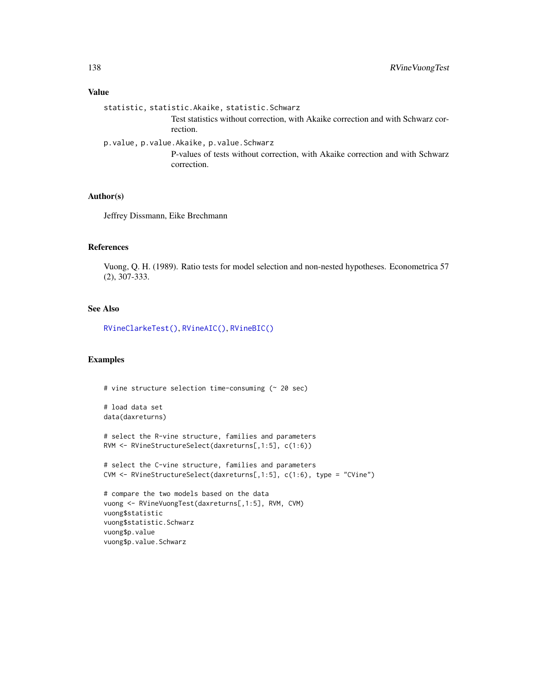#### Value

statistic, statistic.Akaike, statistic.Schwarz Test statistics without correction, with Akaike correction and with Schwarz correction. p.value, p.value.Akaike, p.value.Schwarz P-values of tests without correction, with Akaike correction and with Schwarz correction.

## Author(s)

Jeffrey Dissmann, Eike Brechmann

#### References

Vuong, Q. H. (1989). Ratio tests for model selection and non-nested hypotheses. Econometrica 57 (2), 307-333.

# See Also

[RVineClarkeTest\(\)](#page-90-0), [RVineAIC\(\)](#page-88-0), [RVineBIC\(\)](#page-88-1)

```
# vine structure selection time-consuming (~ 20 sec)
# load data set
data(daxreturns)
# select the R-vine structure, families and parameters
RVM <- RVineStructureSelect(daxreturns[,1:5], c(1:6))
# select the C-vine structure, families and parameters
CVM <- RVineStructureSelect(daxreturns[,1:5], c(1:6), type = "CVine")
# compare the two models based on the data
vuong <- RVineVuongTest(daxreturns[,1:5], RVM, CVM)
vuong$statistic
vuong$statistic.Schwarz
vuong$p.value
vuong$p.value.Schwarz
```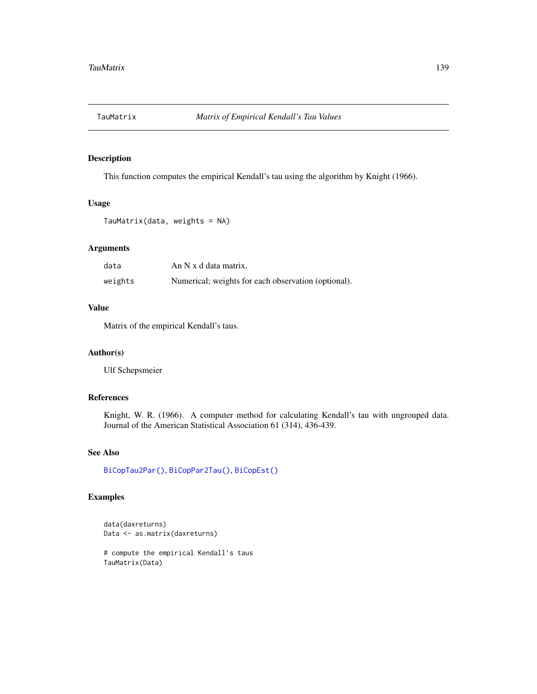<span id="page-138-0"></span>

# Description

This function computes the empirical Kendall's tau using the algorithm by Knight (1966).

#### Usage

```
TauMatrix(data, weights = NA)
```
# Arguments

| data    | An N x d data matrix.                               |
|---------|-----------------------------------------------------|
| weights | Numerical; weights for each observation (optional). |

## Value

Matrix of the empirical Kendall's taus.

## Author(s)

Ulf Schepsmeier

# References

Knight, W. R. (1966). A computer method for calculating Kendall's tau with ungrouped data. Journal of the American Statistical Association 61 (314), 436-439.

## See Also

[BiCopTau2Par\(\)](#page-72-0), [BiCopPar2Tau\(\)](#page-61-0), [BiCopEst\(\)](#page-24-0)

```
data(daxreturns)
Data <- as.matrix(daxreturns)
# compute the empirical Kendall's taus
TauMatrix(Data)
```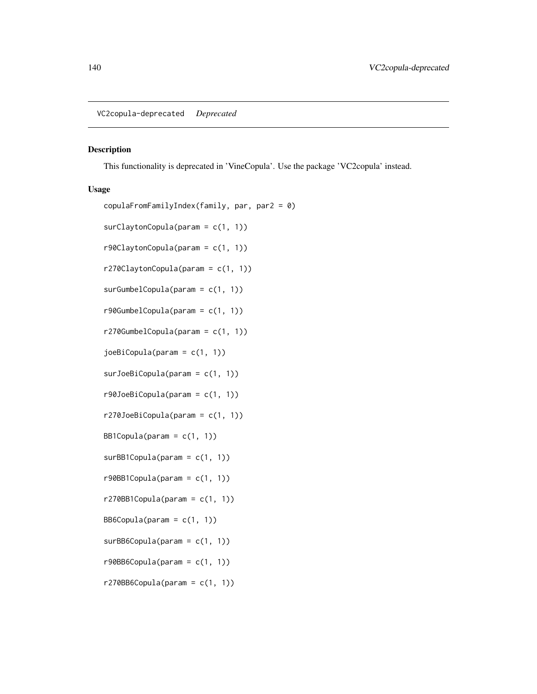<span id="page-139-0"></span>VC2copula-deprecated *Deprecated*

## Description

This functionality is deprecated in 'VineCopula'. Use the package 'VC2copula' instead.

#### Usage

```
copulaFromFamilyIndex(family, par, par2 = 0)
surClaytonCopula(param = c(1, 1))
r90ClaytonCopula(param = c(1, 1))r270ClaytonCopula(param = c(1, 1))
surGumbelCopula(param = c(1, 1))
r90GumbelCopula(param = c(1, 1))
```
r270GumbelCopula(param = c(1, 1))

 $joeBiCopula(param = c(1, 1))$ 

```
surJoeBiCopula(param = c(1, 1))
```

```
r90JoeBiCopula(param = c(1, 1))
```

```
r270JoeBiCopula(param = c(1, 1))
```
BB1Copula(param =  $c(1, 1)$ )

surBB1Copula(param = c(1, 1))

 $r90BB1$ Copula(param =  $c(1, 1)$ )

 $r270BBICopula(param = c(1, 1))$ 

```
BB6Copula(param = c(1, 1))
```
- $surBB6Copula(param = c(1, 1))$
- $r90BBCopula(param = c(1, 1))$
- $r270BB6Copula(param = c(1, 1))$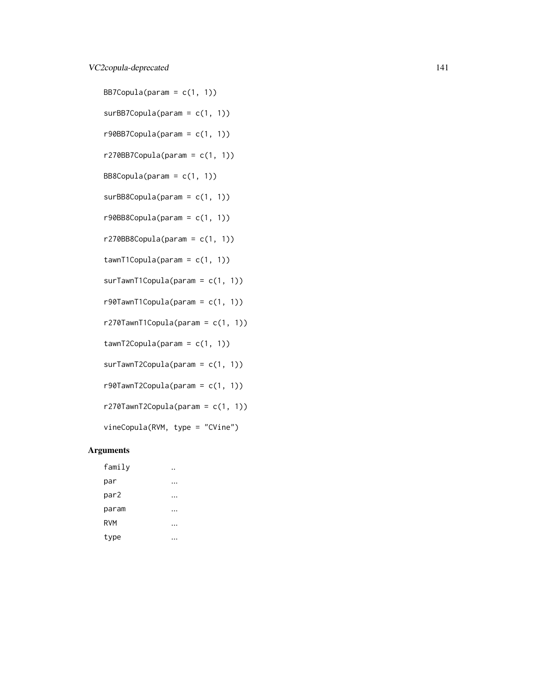# VC2copula-deprecated 141

BB7Copula(param =  $c(1, 1)$ )  $surBB7Copula(param = c(1, 1))$  $r90BB7Copula(param = c(1, 1))$  $r270B$ B7Copula(param =  $c(1, 1)$ )  $BB8Copula(param = c(1, 1))$ surBB8Copula(param = c(1, 1))  $r90BB8Copula(param = c(1, 1))$  $r270BB8Copula(param = c(1, 1))$  $tawnT1Copula(param = c(1, 1))$  $surTawnT1Copula(param = c(1, 1))$ r90TawnT1Copula(param = c(1, 1))  $r270$ TawnT1Copula(param =  $c(1, 1)$ )  $tawnT2Copula(param = c(1, 1))$ surTawnT2Copula(param = c(1, 1)) r90TawnT2Copula(param = c(1, 1))  $r270$ TawnT2Copula(param =  $c(1, 1)$ ) vineCopula(RVM, type = "CVine") Arguments family ..

| i gilit T.       |  |
|------------------|--|
| par              |  |
| par <sub>2</sub> |  |
| param            |  |
| <b>RVM</b>       |  |
| type             |  |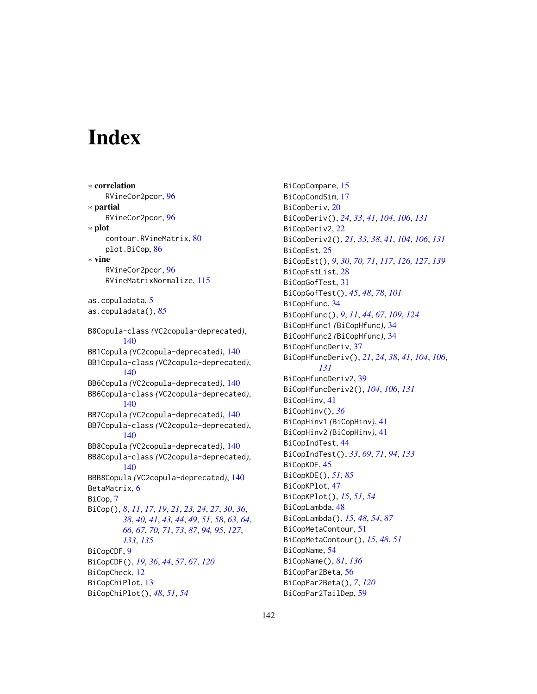# **Index**

∗ correlation RVineCor2pcor, [96](#page-95-0) ∗ partial RVineCor2pcor, [96](#page-95-0) ∗ plot contour.RVineMatrix, [80](#page-79-2) plot.BiCop, [86](#page-85-0) ∗ vine RVineCor2pcor, [96](#page-95-0) RVineMatrixNormalize, [115](#page-114-0) as.copuladata, [5](#page-4-0) as.copuladata(), *[85](#page-84-0)* B8Copula-class *(*VC2copula-deprecated*)*, [140](#page-139-0) BB1Copula *(*VC2copula-deprecated*)*, [140](#page-139-0) BB1Copula-class *(*VC2copula-deprecated*)*, [140](#page-139-0) BB6Copula *(*VC2copula-deprecated*)*, [140](#page-139-0) BB6Copula-class *(*VC2copula-deprecated*)*, [140](#page-139-0) BB7Copula *(*VC2copula-deprecated*)*, [140](#page-139-0) BB7Copula-class *(*VC2copula-deprecated*)*, [140](#page-139-0) BB8Copula *(*VC2copula-deprecated*)*, [140](#page-139-0) BB8Copula-class *(*VC2copula-deprecated*)*, [140](#page-139-0) BBB8Copula *(*VC2copula-deprecated*)*, [140](#page-139-0) BetaMatrix, [6](#page-5-0) BiCop, [7](#page-6-1) BiCop(), *[8](#page-7-0)*, *[11](#page-10-0)*, *[17](#page-16-0)*, *[19](#page-18-0)*, *[21](#page-20-0)*, *[23,](#page-22-0) [24](#page-23-0)*, *[27](#page-26-0)*, *[30](#page-29-0)*, *[36](#page-35-0)*, *[38](#page-37-0)*, *[40,](#page-39-0) [41](#page-40-0)*, *[43,](#page-42-0) [44](#page-43-1)*, *[49](#page-48-0)*, *[51](#page-50-0)*, *[58](#page-57-0)*, *[63,](#page-62-0) [64](#page-63-0)*, *[66,](#page-65-0) [67](#page-66-1)*, *[70,](#page-69-0) [71](#page-70-1)*, *[73](#page-72-1)*, *[87](#page-86-0)*, *[94,](#page-93-0) [95](#page-94-0)*, *[127](#page-126-0)*, *[133](#page-132-0)*, *[135](#page-134-0)* BiCopCDF, [9](#page-8-1) BiCopCDF(), *[19](#page-18-0)*, *[36](#page-35-0)*, *[44](#page-43-1)*, *[57](#page-56-0)*, *[67](#page-66-1)*, *[120](#page-119-0)* BiCopCheck, [12](#page-11-0) BiCopChiPlot, [13](#page-12-0) BiCopChiPlot(), *[48](#page-47-0)*, *[51](#page-50-0)*, *[54](#page-53-1)*

BiCopCompare, [15](#page-14-0) BiCopCondSim, [17](#page-16-0) BiCopDeriv, [20](#page-19-1) BiCopDeriv(), *[24](#page-23-0)*, *[33](#page-32-0)*, *[41](#page-40-0)*, *[104](#page-103-0)*, *[106](#page-105-0)*, *[131](#page-130-0)* BiCopDeriv2, [22](#page-21-1) BiCopDeriv2(), *[21](#page-20-0)*, *[33](#page-32-0)*, *[38](#page-37-0)*, *[41](#page-40-0)*, *[104](#page-103-0)*, *[106](#page-105-0)*, *[131](#page-130-0)* BiCopEst, [25](#page-24-1) BiCopEst(), *[9](#page-8-1)*, *[30](#page-29-0)*, *[70,](#page-69-0) [71](#page-70-1)*, *[117](#page-116-1)*, *[126,](#page-125-1) [127](#page-126-0)*, *[139](#page-138-0)* BiCopEstList, [28](#page-27-0) BiCopGofTest, [31](#page-30-0) BiCopGofTest(), *[45](#page-44-0)*, *[48](#page-47-0)*, *[78](#page-77-1)*, *[101](#page-100-0)* BiCopHfunc, [34](#page-33-1) BiCopHfunc(), *[9](#page-8-1)*, *[11](#page-10-0)*, *[44](#page-43-1)*, *[67](#page-66-1)*, *[109](#page-108-0)*, *[124](#page-123-0)* BiCopHfunc1 *(*BiCopHfunc*)*, [34](#page-33-1) BiCopHfunc2 *(*BiCopHfunc*)*, [34](#page-33-1) BiCopHfuncDeriv, [37](#page-36-1) BiCopHfuncDeriv(), *[21](#page-20-0)*, *[24](#page-23-0)*, *[38](#page-37-0)*, *[41](#page-40-0)*, *[104](#page-103-0)*, *[106](#page-105-0)*, *[131](#page-130-0)* BiCopHfuncDeriv2, [39](#page-38-1) BiCopHfuncDeriv2(), *[104](#page-103-0)*, *[106](#page-105-0)*, *[131](#page-130-0)* BiCopHinv, [41](#page-40-0) BiCopHinv(), *[36](#page-35-0)* BiCopHinv1 *(*BiCopHinv*)*, [41](#page-40-0) BiCopHinv2 *(*BiCopHinv*)*, [41](#page-40-0) BiCopIndTest, [44](#page-43-1) BiCopIndTest(), *[33](#page-32-0)*, *[69](#page-68-0)*, *[71](#page-70-1)*, *[94](#page-93-0)*, *[133](#page-132-0)* BiCopKDE, [45](#page-44-0) BiCopKDE(), *[51](#page-50-0)*, *[85](#page-84-0)* BiCopKPlot, [47](#page-46-0) BiCopKPlot(), *[15](#page-14-0)*, *[51](#page-50-0)*, *[54](#page-53-1)* BiCopLambda, [48](#page-47-0) BiCopLambda(), *[15](#page-14-0)*, *[48](#page-47-0)*, *[54](#page-53-1)*, *[87](#page-86-0)* BiCopMetaContour, [51](#page-50-0) BiCopMetaContour(), *[15](#page-14-0)*, *[48](#page-47-0)*, *[51](#page-50-0)* BiCopName, [54](#page-53-1) BiCopName(), *[81](#page-80-0)*, *[136](#page-135-0)* BiCopPar2Beta, [56](#page-55-1) BiCopPar2Beta(), *[7](#page-6-1)*, *[120](#page-119-0)* BiCopPar2TailDep, [59](#page-58-0)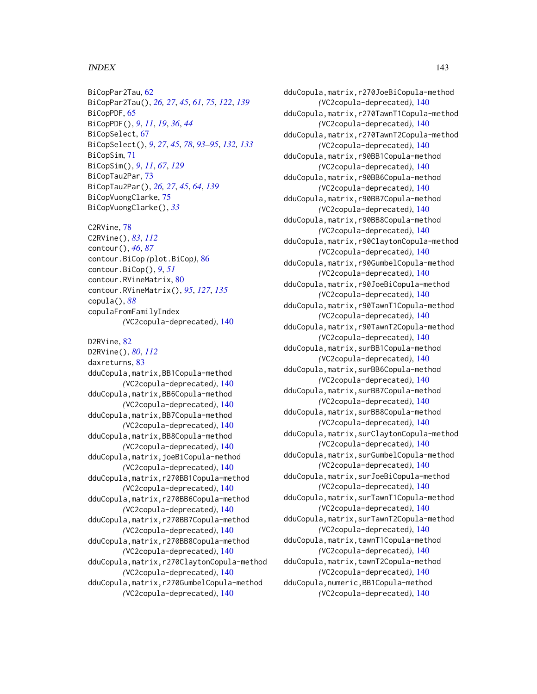#### INDEX 143

BiCopPar2Tau, [62](#page-61-1) BiCopPar2Tau(), *[26,](#page-25-0) [27](#page-26-0)*, *[45](#page-44-0)*, *[61](#page-60-0)*, *[75](#page-74-0)*, *[122](#page-121-0)*, *[139](#page-138-0)* BiCopPDF, [65](#page-64-0) BiCopPDF(), *[9](#page-8-1)*, *[11](#page-10-0)*, *[19](#page-18-0)*, *[36](#page-35-0)*, *[44](#page-43-1)* BiCopSelect, [67](#page-66-1) BiCopSelect(), *[9](#page-8-1)*, *[27](#page-26-0)*, *[45](#page-44-0)*, *[78](#page-77-1)*, *[93](#page-92-1)[–95](#page-94-0)*, *[132,](#page-131-1) [133](#page-132-0)* BiCopSim, [71](#page-70-1) BiCopSim(), *[9](#page-8-1)*, *[11](#page-10-0)*, *[67](#page-66-1)*, *[129](#page-128-0)* BiCopTau2Par, [73](#page-72-1) BiCopTau2Par(), *[26,](#page-25-0) [27](#page-26-0)*, *[45](#page-44-0)*, *[64](#page-63-0)*, *[139](#page-138-0)* BiCopVuongClarke, [75](#page-74-0) BiCopVuongClarke(), *[33](#page-32-0)*

C2RVine, [78](#page-77-1) C2RVine(), *[83](#page-82-0)*, *[112](#page-111-0)* contour(), *[46](#page-45-0)*, *[87](#page-86-0)* contour.BiCop *(*plot.BiCop*)*, [86](#page-85-0) contour.BiCop(), *[9](#page-8-1)*, *[51](#page-50-0)* contour.RVineMatrix, [80](#page-79-2) contour.RVineMatrix(), *[95](#page-94-0)*, *[127](#page-126-0)*, *[135](#page-134-0)* copula(), *[88](#page-87-0)* copulaFromFamilyIndex *(*VC2copula-deprecated*)*, [140](#page-139-0)

D2RVine, [82](#page-81-1) D2RVine(), *[80](#page-79-2)*, *[112](#page-111-0)* daxreturns, [83](#page-82-0) dduCopula,matrix,BB1Copula-method *(*VC2copula-deprecated*)*, [140](#page-139-0) dduCopula,matrix,BB6Copula-method *(*VC2copula-deprecated*)*, [140](#page-139-0) dduCopula,matrix,BB7Copula-method *(*VC2copula-deprecated*)*, [140](#page-139-0) dduCopula,matrix,BB8Copula-method *(*VC2copula-deprecated*)*, [140](#page-139-0) dduCopula,matrix,joeBiCopula-method *(*VC2copula-deprecated*)*, [140](#page-139-0) dduCopula,matrix,r270BB1Copula-method *(*VC2copula-deprecated*)*, [140](#page-139-0) dduCopula,matrix,r270BB6Copula-method *(*VC2copula-deprecated*)*, [140](#page-139-0) dduCopula,matrix,r270BB7Copula-method *(*VC2copula-deprecated*)*, [140](#page-139-0) dduCopula,matrix,r270BB8Copula-method *(*VC2copula-deprecated*)*, [140](#page-139-0) dduCopula,matrix,r270ClaytonCopula-method *(*VC2copula-deprecated*)*, [140](#page-139-0) dduCopula,matrix,r270GumbelCopula-method *(*VC2copula-deprecated*)*, [140](#page-139-0)

dduCopula,matrix,r270JoeBiCopula-method *(*VC2copula-deprecated*)*, [140](#page-139-0) dduCopula,matrix,r270TawnT1Copula-method *(*VC2copula-deprecated*)*, [140](#page-139-0) dduCopula,matrix,r270TawnT2Copula-method *(*VC2copula-deprecated*)*, [140](#page-139-0) dduCopula,matrix,r90BB1Copula-method *(*VC2copula-deprecated*)*, [140](#page-139-0) dduCopula,matrix,r90BB6Copula-method *(*VC2copula-deprecated*)*, [140](#page-139-0) dduCopula,matrix,r90BB7Copula-method *(*VC2copula-deprecated*)*, [140](#page-139-0) dduCopula,matrix,r90BB8Copula-method *(*VC2copula-deprecated*)*, [140](#page-139-0) dduCopula,matrix,r90ClaytonCopula-method *(*VC2copula-deprecated*)*, [140](#page-139-0) dduCopula,matrix,r90GumbelCopula-method *(*VC2copula-deprecated*)*, [140](#page-139-0) dduCopula,matrix,r90JoeBiCopula-method *(*VC2copula-deprecated*)*, [140](#page-139-0) dduCopula,matrix,r90TawnT1Copula-method *(*VC2copula-deprecated*)*, [140](#page-139-0) dduCopula,matrix,r90TawnT2Copula-method *(*VC2copula-deprecated*)*, [140](#page-139-0) dduCopula,matrix,surBB1Copula-method *(*VC2copula-deprecated*)*, [140](#page-139-0) dduCopula,matrix,surBB6Copula-method *(*VC2copula-deprecated*)*, [140](#page-139-0) dduCopula,matrix,surBB7Copula-method *(*VC2copula-deprecated*)*, [140](#page-139-0) dduCopula,matrix,surBB8Copula-method *(*VC2copula-deprecated*)*, [140](#page-139-0) dduCopula,matrix,surClaytonCopula-method *(*VC2copula-deprecated*)*, [140](#page-139-0) dduCopula,matrix,surGumbelCopula-method *(*VC2copula-deprecated*)*, [140](#page-139-0) dduCopula,matrix,surJoeBiCopula-method *(*VC2copula-deprecated*)*, [140](#page-139-0) dduCopula,matrix,surTawnT1Copula-method *(*VC2copula-deprecated*)*, [140](#page-139-0) dduCopula,matrix,surTawnT2Copula-method *(*VC2copula-deprecated*)*, [140](#page-139-0) dduCopula,matrix,tawnT1Copula-method *(*VC2copula-deprecated*)*, [140](#page-139-0) dduCopula,matrix,tawnT2Copula-method *(*VC2copula-deprecated*)*, [140](#page-139-0) dduCopula,numeric,BB1Copula-method *(*VC2copula-deprecated*)*, [140](#page-139-0)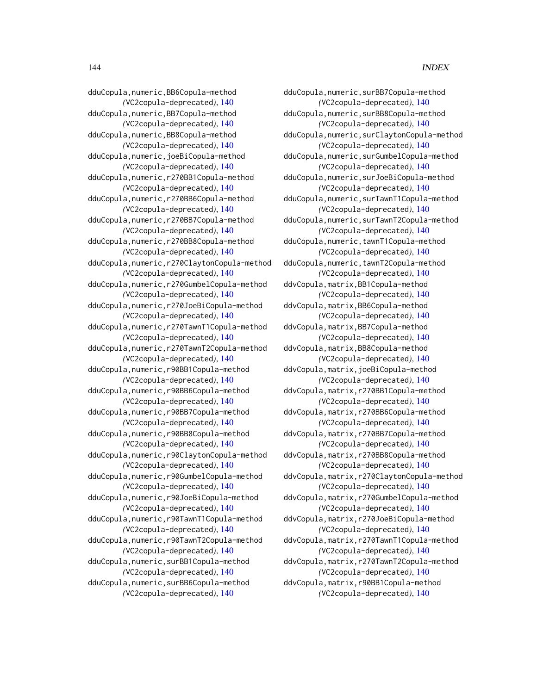#### 144 INDEX

dduCopula,numeric,surBB7Copula-method *(*VC2copula-deprecated*)*, [140](#page-139-0) dduCopula,numeric,surBB8Copula-method *(*VC2copula-deprecated*)*, [140](#page-139-0) dduCopula,numeric,surClaytonCopula-method *(*VC2copula-deprecated*)*, [140](#page-139-0) dduCopula,numeric,surGumbelCopula-method *(*VC2copula-deprecated*)*, [140](#page-139-0) dduCopula,numeric,surJoeBiCopula-method *(*VC2copula-deprecated*)*, [140](#page-139-0) dduCopula,numeric,surTawnT1Copula-method *(*VC2copula-deprecated*)*, [140](#page-139-0) dduCopula,numeric,surTawnT2Copula-method *(*VC2copula-deprecated*)*, [140](#page-139-0) dduCopula,numeric,tawnT1Copula-method *(*VC2copula-deprecated*)*, [140](#page-139-0) dduCopula,numeric,tawnT2Copula-method *(*VC2copula-deprecated*)*, [140](#page-139-0) ddvCopula,matrix,BB1Copula-method *(*VC2copula-deprecated*)*, [140](#page-139-0) ddvCopula,matrix,BB6Copula-method *(*VC2copula-deprecated*)*, [140](#page-139-0) ddvCopula,matrix,BB7Copula-method *(*VC2copula-deprecated*)*, [140](#page-139-0) ddvCopula,matrix,BB8Copula-method *(*VC2copula-deprecated*)*, [140](#page-139-0) ddvCopula,matrix,joeBiCopula-method *(*VC2copula-deprecated*)*, [140](#page-139-0) ddvCopula,matrix,r270BB1Copula-method *(*VC2copula-deprecated*)*, [140](#page-139-0) ddvCopula,matrix,r270BB6Copula-method *(*VC2copula-deprecated*)*, [140](#page-139-0) ddvCopula,matrix,r270BB7Copula-method *(*VC2copula-deprecated*)*, [140](#page-139-0) ddvCopula,matrix,r270BB8Copula-method *(*VC2copula-deprecated*)*, [140](#page-139-0) ddvCopula,matrix,r270ClaytonCopula-method *(*VC2copula-deprecated*)*, [140](#page-139-0) ddvCopula,matrix,r270GumbelCopula-method *(*VC2copula-deprecated*)*, [140](#page-139-0) ddvCopula,matrix,r270JoeBiCopula-method *(*VC2copula-deprecated*)*, [140](#page-139-0) ddvCopula,matrix,r270TawnT1Copula-method *(*VC2copula-deprecated*)*, [140](#page-139-0) ddvCopula,matrix,r270TawnT2Copula-method *(*VC2copula-deprecated*)*, [140](#page-139-0) ddvCopula,matrix,r90BB1Copula-method *(*VC2copula-deprecated*)*, [140](#page-139-0)

dduCopula,numeric,BB6Copula-method *(*VC2copula-deprecated*)*, [140](#page-139-0) dduCopula,numeric,BB7Copula-method *(*VC2copula-deprecated*)*, [140](#page-139-0) dduCopula,numeric,BB8Copula-method *(*VC2copula-deprecated*)*, [140](#page-139-0) dduCopula,numeric,joeBiCopula-method *(*VC2copula-deprecated*)*, [140](#page-139-0) dduCopula,numeric,r270BB1Copula-method *(*VC2copula-deprecated*)*, [140](#page-139-0) dduCopula,numeric,r270BB6Copula-method *(*VC2copula-deprecated*)*, [140](#page-139-0) dduCopula,numeric,r270BB7Copula-method *(*VC2copula-deprecated*)*, [140](#page-139-0) dduCopula,numeric,r270BB8Copula-method *(*VC2copula-deprecated*)*, [140](#page-139-0) dduCopula,numeric,r270ClaytonCopula-method *(*VC2copula-deprecated*)*, [140](#page-139-0) dduCopula,numeric,r270GumbelCopula-method *(*VC2copula-deprecated*)*, [140](#page-139-0) dduCopula,numeric,r270JoeBiCopula-method *(*VC2copula-deprecated*)*, [140](#page-139-0) dduCopula,numeric,r270TawnT1Copula-method *(*VC2copula-deprecated*)*, [140](#page-139-0) dduCopula,numeric,r270TawnT2Copula-method *(*VC2copula-deprecated*)*, [140](#page-139-0) dduCopula,numeric,r90BB1Copula-method *(*VC2copula-deprecated*)*, [140](#page-139-0) dduCopula,numeric,r90BB6Copula-method *(*VC2copula-deprecated*)*, [140](#page-139-0) dduCopula,numeric,r90BB7Copula-method *(*VC2copula-deprecated*)*, [140](#page-139-0) dduCopula,numeric,r90BB8Copula-method *(*VC2copula-deprecated*)*, [140](#page-139-0) dduCopula,numeric,r90ClaytonCopula-method *(*VC2copula-deprecated*)*, [140](#page-139-0) dduCopula,numeric,r90GumbelCopula-method *(*VC2copula-deprecated*)*, [140](#page-139-0) dduCopula,numeric,r90JoeBiCopula-method *(*VC2copula-deprecated*)*, [140](#page-139-0) dduCopula,numeric,r90TawnT1Copula-method *(*VC2copula-deprecated*)*, [140](#page-139-0) dduCopula,numeric,r90TawnT2Copula-method *(*VC2copula-deprecated*)*, [140](#page-139-0) dduCopula,numeric,surBB1Copula-method *(*VC2copula-deprecated*)*, [140](#page-139-0)

dduCopula,numeric,surBB6Copula-method *(*VC2copula-deprecated*)*, [140](#page-139-0)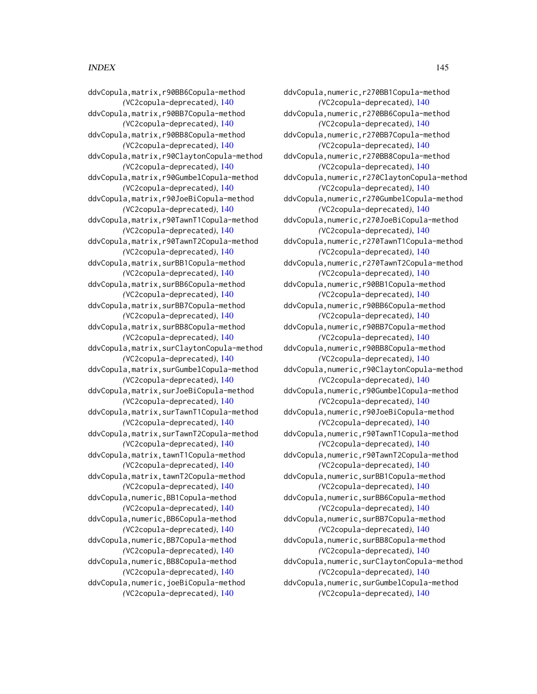## INDEX 145

ddvCopula,matrix,r90BB6Copula-method *(*VC2copula-deprecated*)*, [140](#page-139-0) ddvCopula,matrix,r90BB7Copula-method *(*VC2copula-deprecated*)*, [140](#page-139-0) ddvCopula,matrix,r90BB8Copula-method *(*VC2copula-deprecated*)*, [140](#page-139-0) ddvCopula,matrix,r90ClaytonCopula-method *(*VC2copula-deprecated*)*, [140](#page-139-0) ddvCopula,matrix,r90GumbelCopula-method *(*VC2copula-deprecated*)*, [140](#page-139-0) ddvCopula,matrix,r90JoeBiCopula-method *(*VC2copula-deprecated*)*, [140](#page-139-0) ddvCopula,matrix,r90TawnT1Copula-method *(*VC2copula-deprecated*)*, [140](#page-139-0) ddvCopula,matrix,r90TawnT2Copula-method *(*VC2copula-deprecated*)*, [140](#page-139-0) ddvCopula,matrix,surBB1Copula-method *(*VC2copula-deprecated*)*, [140](#page-139-0) ddvCopula,matrix,surBB6Copula-method *(*VC2copula-deprecated*)*, [140](#page-139-0) ddvCopula,matrix,surBB7Copula-method *(*VC2copula-deprecated*)*, [140](#page-139-0) ddvCopula,matrix,surBB8Copula-method *(*VC2copula-deprecated*)*, [140](#page-139-0) ddvCopula,matrix,surClaytonCopula-method *(*VC2copula-deprecated*)*, [140](#page-139-0) ddvCopula,matrix,surGumbelCopula-method *(*VC2copula-deprecated*)*, [140](#page-139-0) ddvCopula,matrix,surJoeBiCopula-method *(*VC2copula-deprecated*)*, [140](#page-139-0) ddvCopula,matrix,surTawnT1Copula-method *(*VC2copula-deprecated*)*, [140](#page-139-0) ddvCopula,matrix,surTawnT2Copula-method *(*VC2copula-deprecated*)*, [140](#page-139-0) ddvCopula,matrix,tawnT1Copula-method *(*VC2copula-deprecated*)*, [140](#page-139-0) ddvCopula,matrix,tawnT2Copula-method *(*VC2copula-deprecated*)*, [140](#page-139-0) ddvCopula,numeric,BB1Copula-method *(*VC2copula-deprecated*)*, [140](#page-139-0) ddvCopula,numeric,BB6Copula-method *(*VC2copula-deprecated*)*, [140](#page-139-0) ddvCopula,numeric,BB7Copula-method *(*VC2copula-deprecated*)*, [140](#page-139-0) ddvCopula,numeric,BB8Copula-method *(*VC2copula-deprecated*)*, [140](#page-139-0) ddvCopula,numeric,joeBiCopula-method *(*VC2copula-deprecated*)*, [140](#page-139-0)

ddvCopula,numeric,r270BB1Copula-method *(*VC2copula-deprecated*)*, [140](#page-139-0) ddvCopula,numeric,r270BB6Copula-method *(*VC2copula-deprecated*)*, [140](#page-139-0) ddvCopula,numeric,r270BB7Copula-method *(*VC2copula-deprecated*)*, [140](#page-139-0) ddvCopula,numeric,r270BB8Copula-method *(*VC2copula-deprecated*)*, [140](#page-139-0) ddvCopula,numeric,r270ClaytonCopula-method *(*VC2copula-deprecated*)*, [140](#page-139-0) ddvCopula,numeric,r270GumbelCopula-method *(*VC2copula-deprecated*)*, [140](#page-139-0) ddvCopula,numeric,r270JoeBiCopula-method *(*VC2copula-deprecated*)*, [140](#page-139-0) ddvCopula,numeric,r270TawnT1Copula-method *(*VC2copula-deprecated*)*, [140](#page-139-0) ddvCopula,numeric,r270TawnT2Copula-method *(*VC2copula-deprecated*)*, [140](#page-139-0) ddvCopula,numeric,r90BB1Copula-method *(*VC2copula-deprecated*)*, [140](#page-139-0) ddvCopula,numeric,r90BB6Copula-method *(*VC2copula-deprecated*)*, [140](#page-139-0) ddvCopula,numeric,r90BB7Copula-method *(*VC2copula-deprecated*)*, [140](#page-139-0) ddvCopula,numeric,r90BB8Copula-method *(*VC2copula-deprecated*)*, [140](#page-139-0) ddvCopula,numeric,r90ClaytonCopula-method *(*VC2copula-deprecated*)*, [140](#page-139-0) ddvCopula,numeric,r90GumbelCopula-method *(*VC2copula-deprecated*)*, [140](#page-139-0) ddvCopula,numeric,r90JoeBiCopula-method *(*VC2copula-deprecated*)*, [140](#page-139-0) ddvCopula,numeric,r90TawnT1Copula-method *(*VC2copula-deprecated*)*, [140](#page-139-0) ddvCopula,numeric,r90TawnT2Copula-method *(*VC2copula-deprecated*)*, [140](#page-139-0) ddvCopula,numeric,surBB1Copula-method *(*VC2copula-deprecated*)*, [140](#page-139-0) ddvCopula,numeric,surBB6Copula-method *(*VC2copula-deprecated*)*, [140](#page-139-0) ddvCopula,numeric,surBB7Copula-method *(*VC2copula-deprecated*)*, [140](#page-139-0) ddvCopula,numeric,surBB8Copula-method *(*VC2copula-deprecated*)*, [140](#page-139-0) ddvCopula,numeric,surClaytonCopula-method *(*VC2copula-deprecated*)*, [140](#page-139-0) ddvCopula,numeric,surGumbelCopula-method *(*VC2copula-deprecated*)*, [140](#page-139-0)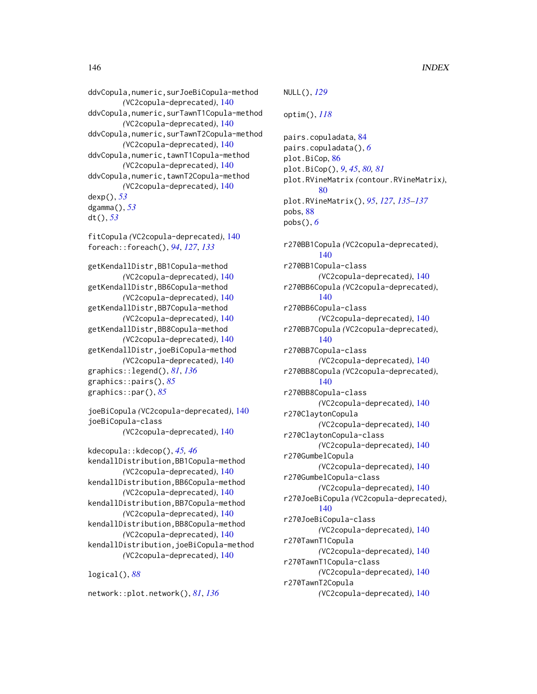ddvCopula,numeric,surJoeBiCopula-method *(*VC2copula-deprecated*)*, [140](#page-139-0) ddvCopula,numeric,surTawnT1Copula-method *(*VC2copula-deprecated*)*, [140](#page-139-0) ddvCopula,numeric,surTawnT2Copula-method *(*VC2copula-deprecated*)*, [140](#page-139-0) ddvCopula,numeric,tawnT1Copula-method *(*VC2copula-deprecated*)*, [140](#page-139-0) ddvCopula,numeric,tawnT2Copula-method *(*VC2copula-deprecated*)*, [140](#page-139-0) dexp(), *[53](#page-52-0)* dgamma(), *[53](#page-52-0)* dt(), *[53](#page-52-0)* fitCopula *(*VC2copula-deprecated*)*, [140](#page-139-0) foreach::foreach(), *[94](#page-93-0)*, *[127](#page-126-0)*, *[133](#page-132-0)*

getKendallDistr,BB1Copula-method *(*VC2copula-deprecated*)*, [140](#page-139-0) getKendallDistr,BB6Copula-method *(*VC2copula-deprecated*)*, [140](#page-139-0) getKendallDistr,BB7Copula-method *(*VC2copula-deprecated*)*, [140](#page-139-0) getKendallDistr,BB8Copula-method *(*VC2copula-deprecated*)*, [140](#page-139-0) getKendallDistr,joeBiCopula-method *(*VC2copula-deprecated*)*, [140](#page-139-0) graphics::legend(), *[81](#page-80-0)*, *[136](#page-135-0)* graphics::pairs(), *[85](#page-84-0)* graphics::par(), *[85](#page-84-0)*

joeBiCopula *(*VC2copula-deprecated*)*, [140](#page-139-0) joeBiCopula-class *(*VC2copula-deprecated*)*, [140](#page-139-0)

```
kdecopula::kdecop(), 45, 46
kendallDistribution,BB1Copula-method
        (VC2copula-deprecated), 140
kendallDistribution,BB6Copula-method
        (VC2copula-deprecated), 140
kendallDistribution,BB7Copula-method
        (VC2copula-deprecated), 140
kendallDistribution,BB8Copula-method
        (VC2copula-deprecated), 140
kendallDistribution,joeBiCopula-method
        (VC2copula-deprecated), 140
```
logical(), *[88](#page-87-0)*

network::plot.network(), *[81](#page-80-0)*, *[136](#page-135-0)*

NULL(), *[129](#page-128-0)* optim(), *[118](#page-117-0)* pairs.copuladata, [84](#page-83-0) pairs.copuladata(), *[6](#page-5-0)* plot.BiCop, [86](#page-85-0) plot.BiCop(), *[9](#page-8-0)*, *[45](#page-44-0)*, *[80,](#page-79-0) [81](#page-80-0)* plot.RVineMatrix *(*contour.RVineMatrix*)*, [80](#page-79-0) plot.RVineMatrix(), *[95](#page-94-0)*, *[127](#page-126-0)*, *[135](#page-134-0)[–137](#page-136-0)* pobs, [88](#page-87-0) pobs(), *[6](#page-5-0)* r270BB1Copula *(*VC2copula-deprecated*)*, [140](#page-139-0) r270BB1Copula-class *(*VC2copula-deprecated*)*, [140](#page-139-0) r270BB6Copula *(*VC2copula-deprecated*)*, [140](#page-139-0) r270BB6Copula-class *(*VC2copula-deprecated*)*, [140](#page-139-0) r270BB7Copula *(*VC2copula-deprecated*)*, [140](#page-139-0) r270BB7Copula-class *(*VC2copula-deprecated*)*, [140](#page-139-0) r270BB8Copula *(*VC2copula-deprecated*)*, [140](#page-139-0) r270BB8Copula-class *(*VC2copula-deprecated*)*, [140](#page-139-0) r270ClaytonCopula *(*VC2copula-deprecated*)*, [140](#page-139-0) r270ClaytonCopula-class *(*VC2copula-deprecated*)*, [140](#page-139-0) r270GumbelCopula *(*VC2copula-deprecated*)*, [140](#page-139-0) r270GumbelCopula-class *(*VC2copula-deprecated*)*, [140](#page-139-0) r270JoeBiCopula *(*VC2copula-deprecated*)*, [140](#page-139-0) r270JoeBiCopula-class *(*VC2copula-deprecated*)*, [140](#page-139-0) r270TawnT1Copula *(*VC2copula-deprecated*)*, [140](#page-139-0) r270TawnT1Copula-class *(*VC2copula-deprecated*)*, [140](#page-139-0) r270TawnT2Copula *(*VC2copula-deprecated*)*, [140](#page-139-0)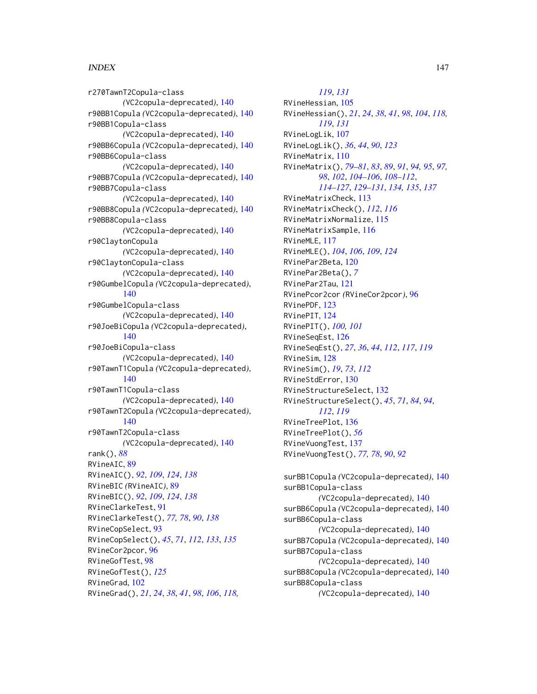## INDEX 147

r270TawnT2Copula-class *(*VC2copula-deprecated*)*, [140](#page-139-0) r90BB1Copula *(*VC2copula-deprecated*)*, [140](#page-139-0) r90BB1Copula-class *(*VC2copula-deprecated*)*, [140](#page-139-0) r90BB6Copula *(*VC2copula-deprecated*)*, [140](#page-139-0) r90BB6Copula-class *(*VC2copula-deprecated*)*, [140](#page-139-0) r90BB7Copula *(*VC2copula-deprecated*)*, [140](#page-139-0) r90BB7Copula-class *(*VC2copula-deprecated*)*, [140](#page-139-0) r90BB8Copula *(*VC2copula-deprecated*)*, [140](#page-139-0) r90BB8Copula-class *(*VC2copula-deprecated*)*, [140](#page-139-0) r90ClaytonCopula *(*VC2copula-deprecated*)*, [140](#page-139-0) r90ClaytonCopula-class *(*VC2copula-deprecated*)*, [140](#page-139-0) r90GumbelCopula *(*VC2copula-deprecated*)*, [140](#page-139-0) r90GumbelCopula-class *(*VC2copula-deprecated*)*, [140](#page-139-0) r90JoeBiCopula *(*VC2copula-deprecated*)*, [140](#page-139-0) r90JoeBiCopula-class *(*VC2copula-deprecated*)*, [140](#page-139-0) r90TawnT1Copula *(*VC2copula-deprecated*)*, [140](#page-139-0) r90TawnT1Copula-class *(*VC2copula-deprecated*)*, [140](#page-139-0) r90TawnT2Copula *(*VC2copula-deprecated*)*, [140](#page-139-0) r90TawnT2Copula-class *(*VC2copula-deprecated*)*, [140](#page-139-0) rank(), *[88](#page-87-0)* RVineAIC, [89](#page-88-0) RVineAIC(), *[92](#page-91-0)*, *[109](#page-108-0)*, *[124](#page-123-0)*, *[138](#page-137-0)* RVineBIC *(*RVineAIC*)*, [89](#page-88-0) RVineBIC(), *[92](#page-91-0)*, *[109](#page-108-0)*, *[124](#page-123-0)*, *[138](#page-137-0)* RVineClarkeTest, [91](#page-90-0) RVineClarkeTest(), *[77,](#page-76-0) [78](#page-77-0)*, *[90](#page-89-0)*, *[138](#page-137-0)* RVineCopSelect, [93](#page-92-0) RVineCopSelect(), *[45](#page-44-0)*, *[71](#page-70-0)*, *[112](#page-111-0)*, *[133](#page-132-0)*, *[135](#page-134-0)* RVineCor2pcor, [96](#page-95-0) RVineGofTest, [98](#page-97-0) RVineGofTest(), *[125](#page-124-0)* RVineGrad, [102](#page-101-0) RVineGrad(), *[21](#page-20-0)*, *[24](#page-23-0)*, *[38](#page-37-0)*, *[41](#page-40-0)*, *[98](#page-97-0)*, *[106](#page-105-0)*, *[118,](#page-117-0)*

*[119](#page-118-0)*, *[131](#page-130-0)* RVineHessian, [105](#page-104-0) RVineHessian(), *[21](#page-20-0)*, *[24](#page-23-0)*, *[38](#page-37-0)*, *[41](#page-40-0)*, *[98](#page-97-0)*, *[104](#page-103-0)*, *[118,](#page-117-0) [119](#page-118-0)*, *[131](#page-130-0)* RVineLogLik, [107](#page-106-0) RVineLogLik(), *[36](#page-35-0)*, *[44](#page-43-0)*, *[90](#page-89-0)*, *[123](#page-122-0)* RVineMatrix, [110](#page-109-0) RVineMatrix(), *[79](#page-78-0)[–81](#page-80-0)*, *[83](#page-82-0)*, *[89](#page-88-0)*, *[91](#page-90-0)*, *[94,](#page-93-0) [95](#page-94-0)*, *[97,](#page-96-0) [98](#page-97-0)*, *[102](#page-101-0)*, *[104](#page-103-0)[–106](#page-105-0)*, *[108](#page-107-0)[–112](#page-111-0)*, *[114](#page-113-0)[–127](#page-126-0)*, *[129](#page-128-0)[–131](#page-130-0)*, *[134,](#page-133-0) [135](#page-134-0)*, *[137](#page-136-0)* RVineMatrixCheck, [113](#page-112-0) RVineMatrixCheck(), *[112](#page-111-0)*, *[116](#page-115-0)* RVineMatrixNormalize, [115](#page-114-0) RVineMatrixSample, [116](#page-115-0) RVineMLE, [117](#page-116-0) RVineMLE(), *[104](#page-103-0)*, *[106](#page-105-0)*, *[109](#page-108-0)*, *[124](#page-123-0)* RVinePar2Beta, [120](#page-119-0) RVinePar2Beta(), *[7](#page-6-0)* RVinePar2Tau, [121](#page-120-0) RVinePcor2cor *(*RVineCor2pcor*)*, [96](#page-95-0) RVinePDF, [123](#page-122-0) RVinePIT, [124](#page-123-0) RVinePIT(), *[100,](#page-99-0) [101](#page-100-0)* RVineSeqEst, [126](#page-125-0) RVineSeqEst(), *[27](#page-26-0)*, *[36](#page-35-0)*, *[44](#page-43-0)*, *[112](#page-111-0)*, *[117](#page-116-0)*, *[119](#page-118-0)* RVineSim, [128](#page-127-0) RVineSim(), *[19](#page-18-0)*, *[73](#page-72-0)*, *[112](#page-111-0)* RVineStdError, [130](#page-129-0) RVineStructureSelect, [132](#page-131-0) RVineStructureSelect(), *[45](#page-44-0)*, *[71](#page-70-0)*, *[84](#page-83-0)*, *[94](#page-93-0)*, *[112](#page-111-0)*, *[119](#page-118-0)* RVineTreePlot, [136](#page-135-0) RVineTreePlot(), *[56](#page-55-0)* RVineVuongTest, [137](#page-136-0) RVineVuongTest(), *[77,](#page-76-0) [78](#page-77-0)*, *[90](#page-89-0)*, *[92](#page-91-0)* surBB1Copula *(*VC2copula-deprecated*)*, [140](#page-139-0) surBB1Copula-class *(*VC2copula-deprecated*)*, [140](#page-139-0)

surBB6Copula *(*VC2copula-deprecated*)*, [140](#page-139-0) surBB6Copula-class *(*VC2copula-deprecated*)*, [140](#page-139-0) surBB7Copula *(*VC2copula-deprecated*)*, [140](#page-139-0) surBB7Copula-class *(*VC2copula-deprecated*)*, [140](#page-139-0) surBB8Copula *(*VC2copula-deprecated*)*, [140](#page-139-0) surBB8Copula-class *(*VC2copula-deprecated*)*, [140](#page-139-0)